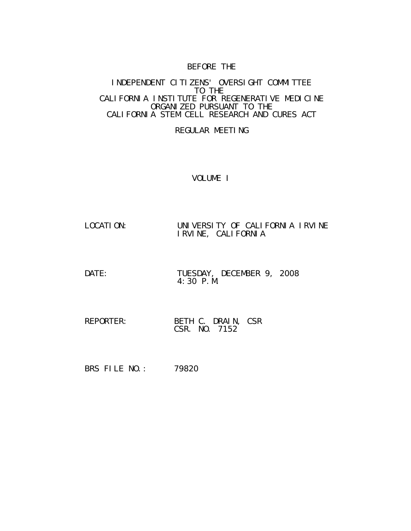# BEFORE THE

#### INDEPENDENT CITIZENS' OVERSIGHT COMMITTEE TO THE CALIFORNIA INSTITUTE FOR REGENERATIVE MEDICINE ORGANIZED PURSUANT TO THE CALIFORNIA STEM CELL RESEARCH AND CURES ACT

# REGULAR MEETING

# VOLUME I

- LOCATION: UNIVERSITY OF CALIFORNIA IRVINE IRVINE, CALIFORNIA
- DATE: TUESDAY, DECEMBER 9, 2008 4:30 P.M.
- REPORTER: BETH C. DRAIN, CSR CSR. NO. 7152
- BRS FILE NO.: 79820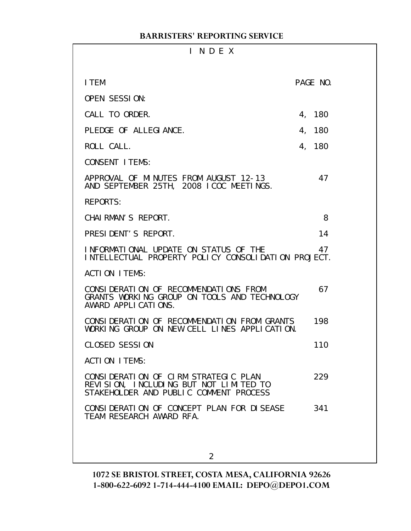| INDEX                                                                                                                    |          |
|--------------------------------------------------------------------------------------------------------------------------|----------|
| I TEM                                                                                                                    | PAGE NO. |
| <b>OPEN SESSION:</b>                                                                                                     |          |
| CALL TO ORDER.                                                                                                           | 4, 180   |
| PLEDGE OF ALLEGIANCE.                                                                                                    | 4, 180   |
| ROLL CALL.                                                                                                               | 4, 180   |
| <b>CONSENT I TEMS:</b>                                                                                                   |          |
| APPROVAL OF MINUTES FROM AUGUST 12-13<br>AND SEPTEMBER 25TH, 2008 ICOC MEETINGS.                                         | 47       |
| <b>REPORTS:</b>                                                                                                          |          |
| CHAI RMAN'S REPORT.                                                                                                      | 8        |
| PRESIDENT'S REPORT.                                                                                                      | 14       |
| INFORMATIONAL UPDATE ON STATUS OF THE<br>INTELLECTUAL PROPERTY POLICY CONSOLIDATION PROJECT.                             | 47       |
| ACTION ITEMS:                                                                                                            |          |
| CONSIDERATION OF RECOMMENDATIONS FROM<br>GRANTS WORKING GROUP ON TOOLS AND TECHNOLOGY<br>AWARD APPLICATIONS.             | 67       |
| CONSIDERATION OF RECOMMENDATION FROM GRANTS<br>WORKING GROUP ON NEW CELL LINES APPLICATION.                              | 198      |
| <b>CLOSED SESSION</b>                                                                                                    | 110      |
| <b>ACTION ITEMS:</b>                                                                                                     |          |
| CONSIDERATION OF CIRM STRATEGIC PLAN<br>REVISION, INCLUDING BUT NOT LIMITED TO<br>STAKEHOLDER AND PUBLIC COMMENT PROCESS | 229      |
| CONSIDERATION OF CONCEPT PLAN FOR DISEASE<br>TEAM RESEARCH AWARD RFA.                                                    | 341      |
|                                                                                                                          |          |
| 2                                                                                                                        |          |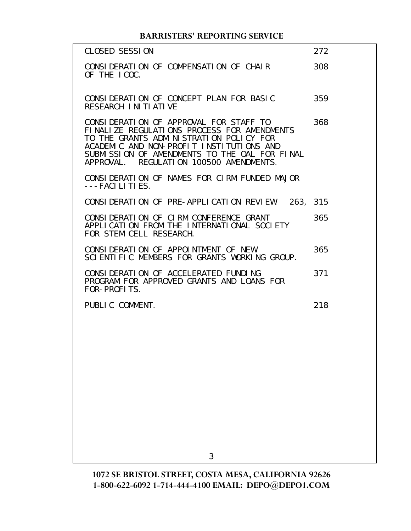| CLOSED SESSION                                                                                                                                                                                                                                                           | 272 |
|--------------------------------------------------------------------------------------------------------------------------------------------------------------------------------------------------------------------------------------------------------------------------|-----|
| CONSIDERATION OF COMPENSATION OF CHAIR<br>OF THE ICOC.                                                                                                                                                                                                                   | 308 |
| CONSIDERATION OF CONCEPT PLAN FOR BASIC<br>RESEARCH INITIATIVE                                                                                                                                                                                                           | 359 |
| CONSIDERATION OF APPROVAL FOR STAFF TO<br>FINALIZE REGULATIONS PROCESS FOR AMENDMENTS<br>TO THE GRANTS ADMINISTRATION POLICY FOR<br>ACADEMIC AND NON-PROFIT INSTITUTIONS AND<br>SUBMISSION OF AMENDMENTS TO THE OAL FOR FINAL<br>APPROVAL. REGULATION 100500 AMENDMENTS. | 368 |
| CONSIDERATION OF NAMES FOR CIRM FUNDED MAJOR<br>$---FACILITIES.$                                                                                                                                                                                                         |     |
| CONSIDERATION OF PRE-APPLICATION REVIEW. 263, 315                                                                                                                                                                                                                        |     |
| CONSIDERATION OF CIRM CONFERENCE GRANT<br>APPLICATION FROM THE INTERNATIONAL SOCIETY<br>FOR STEM CELL RESEARCH.                                                                                                                                                          | 365 |
| CONSIDERATION OF APPOINTMENT OF NEW<br>SCIENTIFIC MEMBERS FOR GRANTS WORKING GROUP.                                                                                                                                                                                      | 365 |
| CONSIDERATION OF ACCELERATED FUNDING<br>PROGRAM FOR APPROVED GRANTS AND LOANS FOR<br>FOR-PROFITS.                                                                                                                                                                        | 371 |
| PUBLIC COMMENT.                                                                                                                                                                                                                                                          | 218 |
|                                                                                                                                                                                                                                                                          |     |
|                                                                                                                                                                                                                                                                          |     |
|                                                                                                                                                                                                                                                                          |     |
|                                                                                                                                                                                                                                                                          |     |
|                                                                                                                                                                                                                                                                          |     |
|                                                                                                                                                                                                                                                                          |     |
| 3                                                                                                                                                                                                                                                                        |     |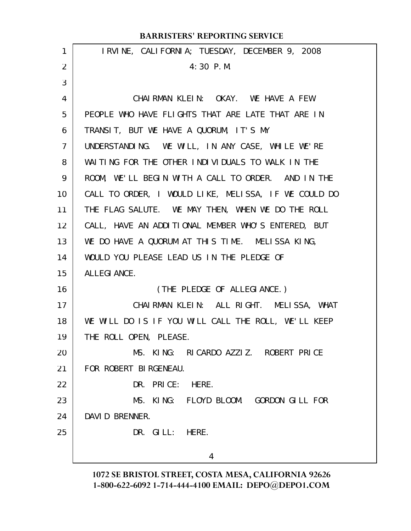|                   | <b>BARRISTERS' REPORTING SERVICE</b>                 |
|-------------------|------------------------------------------------------|
| 1                 | IRVINE, CALIFORNIA; TUESDAY, DECEMBER 9, 2008        |
| 2                 | $4:30$ P.M.                                          |
| 3                 |                                                      |
| 4                 | CHAIRMAN KLEIN: OKAY. WE HAVE A FEW                  |
| 5                 | PEOPLE WHO HAVE FLIGHTS THAT ARE LATE THAT ARE IN    |
| 6                 | TRANSIT, BUT WE HAVE A QUORUM, IT'S MY               |
| $\overline{7}$    | UNDERSTANDING. WE WILL, IN ANY CASE, WHILE WE'RE     |
| 8                 | WAITING FOR THE OTHER INDIVIDUALS TO WALK IN THE     |
| 9                 | ROOM, WE'LL BEGIN WITH A CALL TO ORDER. AND IN THE   |
| 10                | CALL TO ORDER, I WOULD LIKE, MELISSA, IF WE COULD DO |
| 11                | THE FLAG SALUTE. WE MAY THEN, WHEN WE DO THE ROLL    |
| $12 \overline{ }$ | CALL, HAVE AN ADDITIONAL MEMBER WHO'S ENTERED, BUT   |
| 13                | WE DO HAVE A QUORUM AT THIS TIME. MELISSA KING,      |
| 14                | WOULD YOU PLEASE LEAD US IN THE PLEDGE OF            |
| 15                | ALLEGI ANCE.                                         |
| 16                | (THE PLEDGE OF ALLEGIANCE.)                          |
| 17                | CHAIRMAN KLEIN: ALL RIGHT. MELISSA, WHAT             |
| 18                | WE WILL DO IS IF YOU WILL CALL THE ROLL, WE'LL KEEP  |
| 19                | THE ROLL OPEN, PLEASE.                               |
| 20                | MS. KING: RICARDO AZZIZ. ROBERT PRICE                |
| 21                | FOR ROBERT BIRGENEAU.                                |
| 22                | DR. PRICE:<br>HERE.                                  |
| 23                | MS. KING: FLOYD BLOOM. GORDON GILL FOR               |
| 24                | DAVID BRENNER.                                       |
| 25                | DR. GILL: HERE.                                      |
|                   | 4                                                    |
|                   |                                                      |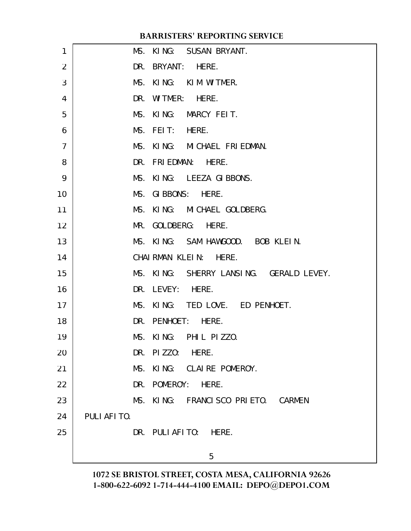| 1              | MS. KING: SUSAN BRYANT.                 |  |
|----------------|-----------------------------------------|--|
| $\overline{2}$ | DR. BRYANT: HERE.                       |  |
| 3              | MS. KING: KIM WITMER.                   |  |
| 4              | DR.<br>WITMER: HERE.                    |  |
| 5              | MS. KING: MARCY FEIT.                   |  |
| 6              | MS. FEIT: HERE.                         |  |
| $\overline{7}$ | MS. KING: MICHAEL FRIEDMAN.             |  |
| 8              | DR. FRIEDMAN: HERE.                     |  |
| 9              | MS. KING: LEEZA GIBBONS.                |  |
| 10             | MS. GIBBONS: HERE.                      |  |
| 11             | MS. KING: MICHAEL GOLDBERG.             |  |
| 12             | MR. GOLDBERG: HERE.                     |  |
| 13             | MS. KING: SAM HAWGOOD. BOB KLEIN.       |  |
| 14             | CHAI RMAN KLEIN: HERE.                  |  |
| 15             | MS. KING: SHERRY LANSING. GERALD LEVEY. |  |
| 16             | DR. LEVEY: HERE.                        |  |
| 17             | MS. KING: TED LOVE. ED PENHOET.         |  |
| 18             | DR. PENHOET: HERE.                      |  |
| 19             | MS. KING: PHIL PIZZO.                   |  |
| 20             | DR. PIZZO: HERE.                        |  |
| 21             | MS. KING: CLAIRE POMEROY.               |  |
| 22             | DR. POMEROY: HERE.                      |  |
| 23             | MS. KING: FRANCISCO PRIETO. CARMEN      |  |
| 24             | PULI AFI TO.                            |  |
| 25             | DR. PULIAFITO: HERE.                    |  |
|                | 5                                       |  |
|                |                                         |  |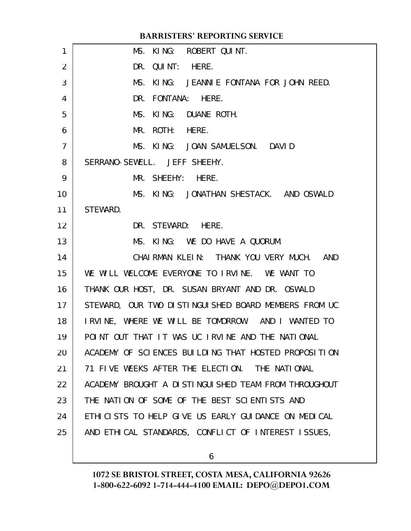|                | <b>BARRISTERS' REPORTING SERVICE</b>                 |
|----------------|------------------------------------------------------|
| 1              | MS. KING: ROBERT QUINT.                              |
| 2              | DR. QUINT: HERE.                                     |
| 3              | MS. KING: JEANNIE FONTANA FOR JOHN REED.             |
| 4              | DR. FONTANA: HERE.                                   |
| 5              | MS. KING: DUANE ROTH.                                |
| 6              | MR. ROTH: HERE.                                      |
| $\overline{7}$ | MS. KING: JOAN SAMUELSON. DAVID                      |
| 8              | SERRANO-SEWELL. JEFF SHEEHY.                         |
| 9              | MR. SHEEHY: HERE.                                    |
| 10             | MS. KING: JONATHAN SHESTACK. AND OSWALD              |
| 11             | STEWARD.                                             |
| 12             | DR. STEWARD: HERE.                                   |
| 13             | MS. KING: WE DO HAVE A QUORUM.                       |
| 14             | CHAIRMAN KLEIN: THANK YOU VERY MUCH. AND             |
| 15             | WE WILL WELCOME EVERYONE TO IRVINE. WE WANT TO       |
| 16             | THANK OUR HOST, DR. SUSAN BRYANT AND DR. OSWALD      |
| 17             | STEWARD, OUR TWO DISTINGUISHED BOARD MEMBERS FROM UC |
| 18             | IRVINE, WHERE WE WILL BE TOMORROW. AND I WANTED TO   |
| 19             | POINT OUT THAT IT WAS UC IRVINE AND THE NATIONAL     |
| 20             | ACADEMY OF SCIENCES BUILDING THAT HOSTED PROPOSITION |
| 21             | 71 FIVE WEEKS AFTER THE ELECTION. THE NATIONAL       |
| 22             | ACADEMY BROUGHT A DISTINGUISHED TEAM FROM THROUGHOUT |
| 23             | THE NATION OF SOME OF THE BEST SCIENTISTS AND        |
| 24             | ETHICISTS TO HELP GIVE US EARLY GUIDANCE ON MEDICAL  |
| 25             | AND ETHICAL STANDARDS, CONFLICT OF INTEREST ISSUES,  |
|                |                                                      |

6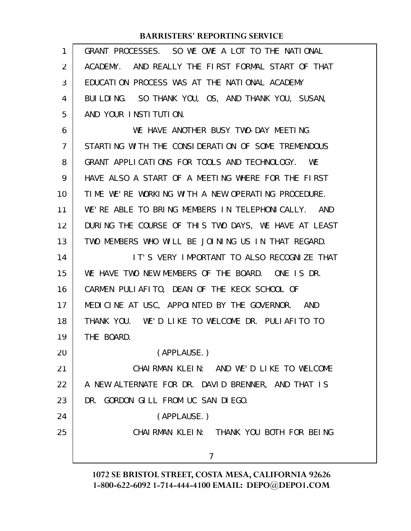| 1              | GRANT PROCESSES. SO WE OWE A LOT TO THE NATIONAL     |
|----------------|------------------------------------------------------|
| 2              | ACADEMY. AND REALLY THE FIRST FORMAL START OF THAT   |
| 3              | EDUCATION PROCESS WAS AT THE NATIONAL ACADEMY        |
| 4              | BUILDING. SO THANK YOU, OS, AND THANK YOU, SUSAN,    |
| 5              | AND YOUR INSTITUTION.                                |
| 6              | WE HAVE ANOTHER BUSY TWO-DAY MEETING                 |
| $\overline{7}$ | STARTING WITH THE CONSIDERATION OF SOME TREMENDOUS   |
| 8              | GRANT APPLICATIONS FOR TOOLS AND TECHNOLOGY. WE      |
| 9              | HAVE ALSO A START OF A MEETING WHERE FOR THE FIRST   |
| 10             | TIME WE'RE WORKING WITH A NEW OPERATING PROCEDURE.   |
| 11             | WE'RE ABLE TO BRING MEMBERS IN TELEPHONICALLY. AND   |
| 12             | DURING THE COURSE OF THIS TWO DAYS, WE HAVE AT LEAST |
| 13             | TWO MEMBERS WHO WILL BE JOINING US IN THAT REGARD.   |
| 14             | IT'S VERY IMPORTANT TO ALSO RECOGNIZE THAT           |
| 15             | WE HAVE TWO NEW MEMBERS OF THE BOARD. ONE IS DR.     |
| 16             | CARMEN PULIAFITO, DEAN OF THE KECK SCHOOL OF         |
| 17             | MEDICINE AT USC, APPOINTED BY THE GOVERNOR. AND      |
| 18             | THANK YOU. WE'D LIKE TO WELCOME DR. PULIAFITO TO     |
| 19             | THE BOARD.                                           |
| 20             | (APPLAUSE.)                                          |
| 21             | CHAIRMAN KLEIN: AND WE'D LIKE TO WELCOME             |
| 22             | A NEW ALTERNATE FOR DR. DAVID BRENNER, AND THAT IS   |
| 23             | DR. GORDON GILL FROM UC SAN DIEGO.                   |
| 24             | (APPLAUSE.)                                          |
| 25             | CHAIRMAN KLEIN: THANK YOU BOTH FOR BEING             |
|                | 7                                                    |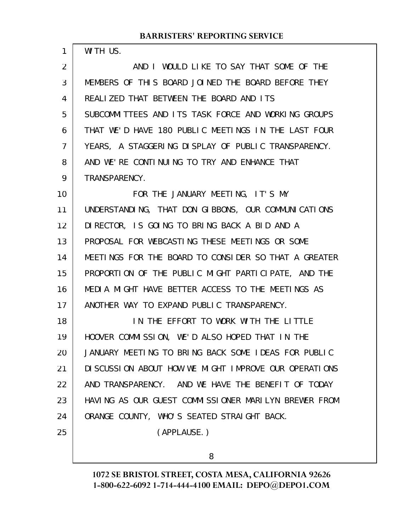| 1  | WITH US.                                              |
|----|-------------------------------------------------------|
| 2  | AND I WOULD LIKE TO SAY THAT SOME OF THE              |
| 3  | MEMBERS OF THIS BOARD JOINED THE BOARD BEFORE THEY    |
| 4  | REALIZED THAT BETWEEN THE BOARD AND ITS               |
| 5  | SUBCOMMITTEES AND ITS TASK FORCE AND WORKING GROUPS   |
| 6  | THAT WE'D HAVE 180 PUBLIC MEETINGS IN THE LAST FOUR   |
| 7  | YEARS, A STAGGERING DISPLAY OF PUBLIC TRANSPARENCY.   |
| 8  | AND WE'RE CONTINUING TO TRY AND ENHANCE THAT          |
| 9  | TRANSPARENCY.                                         |
| 10 | FOR THE JANUARY MEETING, IT'S MY                      |
| 11 | UNDERSTANDING, THAT DON GIBBONS, OUR COMMUNICATIONS   |
| 12 | DIRECTOR, IS GOING TO BRING BACK A BID AND A          |
| 13 | PROPOSAL FOR WEBCASTING THESE MEETINGS OR SOME        |
| 14 | MEETINGS FOR THE BOARD TO CONSIDER SO THAT A GREATER  |
| 15 | PROPORTION OF THE PUBLIC MIGHT PARTICIPATE, AND THE   |
| 16 | MEDIA MIGHT HAVE BETTER ACCESS TO THE MEETINGS AS     |
| 17 | ANOTHER WAY TO EXPAND PUBLIC TRANSPARENCY.            |
| 18 | IN THE EFFORT TO WORK WITH THE LITTLE                 |
| 19 | HOOVER COMMISSION, WE'D ALSO HOPED THAT IN THE        |
| 20 | JANUARY MEETING TO BRING BACK SOME IDEAS FOR PUBLIC   |
| 21 | DI SCUSSION ABOUT HOW WE MIGHT IMPROVE OUR OPERATIONS |
| 22 | AND TRANSPARENCY. AND WE HAVE THE BENEFIT OF TODAY    |
| 23 | HAVING AS OUR GUEST COMMISSIONER MARILYN BREWER FROM  |
| 24 | ORANGE COUNTY, WHO'S SEATED STRAIGHT BACK.            |
| 25 | (APPLAUSE.)                                           |
|    | 8                                                     |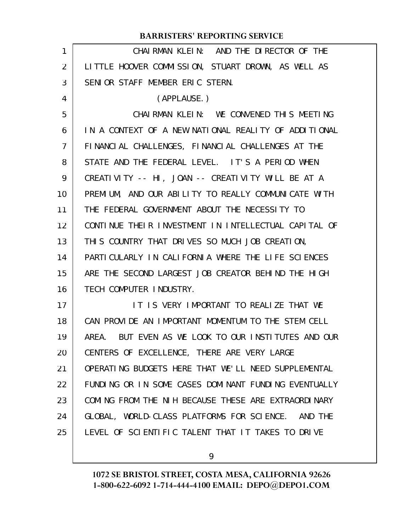|                   | <b>BARRISTERS' REPORTING SERVICE</b>                  |
|-------------------|-------------------------------------------------------|
| 1                 | CHAIRMAN KLEIN: AND THE DIRECTOR OF THE               |
| 2                 | LITTLE HOOVER COMMISSION, STUART DROWN, AS WELL AS    |
| 3                 | SENIOR STAFF MEMBER ERIC STERN.                       |
| 4                 | (APPLAUSE.)                                           |
| 5                 | CHAIRMAN KLEIN: WE CONVENED THIS MEETING              |
| 6                 | IN A CONTEXT OF A NEW NATIONAL REALITY OF ADDITIONAL  |
| $\overline{7}$    | FINANCIAL CHALLENGES, FINANCIAL CHALLENGES AT THE     |
| 8                 | STATE AND THE FEDERAL LEVEL. IT'S A PERIOD WHEN       |
| 9                 | CREATIVITY -- HI, JOAN -- CREATIVITY WILL BE AT A     |
| 10                | PREMIUM, AND OUR ABILITY TO REALLY COMMUNICATE WITH   |
| 11                | THE FEDERAL GOVERNMENT ABOUT THE NECESSITY TO         |
| $12 \overline{ }$ | CONTINUE THEIR INVESTMENT IN INTELLECTUAL CAPITAL OF  |
| 13                | THIS COUNTRY THAT DRIVES SO MUCH JOB CREATION,        |
| 14                | PARTICULARLY IN CALIFORNIA WHERE THE LIFE SCIENCES    |
| 15                | ARE THE SECOND LARGEST JOB CREATOR BEHIND THE HIGH    |
| 16                | TECH COMPUTER INDUSTRY.                               |
| 17                | IT IS VERY IMPORTANT TO REALIZE THAT WE               |
| 18                | CAN PROVIDE AN IMPORTANT MOMENTUM TO THE STEM CELL    |
| 19                | AREA. BUT EVEN AS WE LOOK TO OUR INSTITUTES AND OUR   |
| 20                | CENTERS OF EXCELLENCE, THERE ARE VERY LARGE           |
| 21                | OPERATING BUDGETS HERE THAT WE'LL NEED SUPPLEMENTAL   |
| 22                | FUNDING OR IN SOME CASES DOMINANT FUNDING EVENTUALLY  |
| 23                | COMING FROM THE NIH BECAUSE THESE ARE EXTRAORDINARY   |
| 24                | GLOBAL, WORLD-CLASS PLATFORMS FOR SCIENCE.<br>AND THE |
| 25                | LEVEL OF SCIENTIFIC TALENT THAT IT TAKES TO DRIVE     |
|                   |                                                       |

9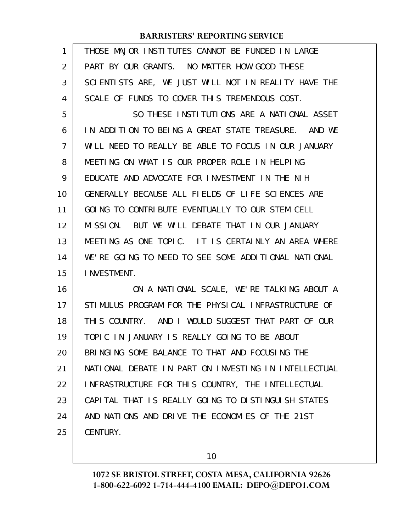| 1              | THOSE MAJOR INSTITUTES CANNOT BE FUNDED IN LARGE     |
|----------------|------------------------------------------------------|
| 2              | PART BY OUR GRANTS. NO MATTER HOW GOOD THESE         |
| 3              | SCIENTISTS ARE, WE JUST WILL NOT IN REALITY HAVE THE |
| 4              | SCALE OF FUNDS TO COVER THIS TREMENDOUS COST.        |
| 5              | SO THESE INSTITUTIONS ARE A NATIONAL ASSET           |
| 6              | IN ADDITION TO BEING A GREAT STATE TREASURE. AND WE  |
| $\overline{7}$ | WILL NEED TO REALLY BE ABLE TO FOCUS IN OUR JANUARY  |
| 8              | MEETING ON WHAT IS OUR PROPER ROLE IN HELPING        |
| 9              | EDUCATE AND ADVOCATE FOR INVESTMENT IN THE NIH       |
| 10             | GENERALLY BECAUSE ALL FIELDS OF LIFE SCIENCES ARE    |
| 11             | GOING TO CONTRIBUTE EVENTUALLY TO OUR STEM CELL      |
| 12             | MISSION.<br>BUT WE WILL DEBATE THAT IN OUR JANUARY   |
| 13             | MEETING AS ONE TOPIC. IT IS CERTAINLY AN AREA WHERE  |
| 14             | WE'RE GOING TO NEED TO SEE SOME ADDITIONAL NATIONAL  |
| 15             | <b>INVESTMENT.</b>                                   |
| 16             | ON A NATIONAL SCALE, WE'RE TALKING ABOUT A           |
| 17             | STIMULUS PROGRAM FOR THE PHYSICAL INFRASTRUCTURE OF  |
| 18             | THIS COUNTRY. AND I WOULD SUGGEST THAT PART OF OUR   |
| 19             | TOPIC IN JANUARY IS REALLY GOING TO BE ABOUT         |
| 20             | BRINGING SOME BALANCE TO THAT AND FOCUSING THE       |
| 21             | NATIONAL DEBATE IN PART ON INVESTING IN INTELLECTUAL |
| 22             | INFRASTRUCTURE FOR THIS COUNTRY, THE INTELLECTUAL    |
| 23             | CAPITAL THAT IS REALLY GOING TO DISTINGUISH STATES   |
| 24             | AND NATIONS AND DRIVE THE ECONOMIES OF THE 21ST      |
| 25             | CENTURY.                                             |
|                |                                                      |

10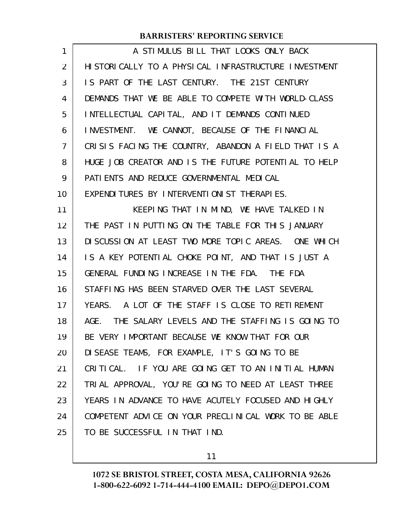| 1  | A STIMULUS BILL THAT LOOKS ONLY BACK                    |
|----|---------------------------------------------------------|
| 2  | HI STORI CALLY TO A PHYSI CAL INFRASTRUCTURE INVESTMENT |
| 3  | IS PART OF THE LAST CENTURY. THE 21ST CENTURY           |
| 4  | DEMANDS THAT WE BE ABLE TO COMPETE WITH WORLD-CLASS     |
| 5  | INTELLECTUAL CAPITAL, AND IT DEMANDS CONTINUED          |
| 6  | INVESTMENT. WE CANNOT, BECAUSE OF THE FINANCIAL         |
| 7  | CRISIS FACING THE COUNTRY, ABANDON A FIELD THAT IS A    |
| 8  | HUGE JOB CREATOR AND IS THE FUTURE POTENTIAL TO HELP    |
| 9  | PATI ENTS AND REDUCE GOVERNMENTAL MEDICAL               |
| 10 | EXPENDITURES BY INTERVENTIONIST THERAPIES.              |
| 11 | KEEPING THAT IN MIND, WE HAVE TALKED IN                 |
| 12 | THE PAST IN PUTTING ON THE TABLE FOR THIS JANUARY       |
| 13 | DISCUSSION AT LEAST TWO MORE TOPIC AREAS. ONE WHICH     |
| 14 | IS A KEY POTENTIAL CHOKE POINT, AND THAT IS JUST A      |
| 15 | GENERAL FUNDING INCREASE IN THE FDA. THE FDA            |
| 16 | STAFFING HAS BEEN STARVED OVER THE LAST SEVERAL         |
| 17 | YEARS. A LOT OF THE STAFF IS CLOSE TO RETIREMENT        |
| 18 | AGE. THE SALARY LEVELS AND THE STAFFING IS GOING TO     |
| 19 | BE VERY IMPORTANT BECAUSE WE KNOW THAT FOR OUR          |
| 20 | DISEASE TEAMS, FOR EXAMPLE, IT'S GOING TO BE            |
| 21 | CRITICAL. IF YOU ARE GOING GET TO AN INITIAL HUMAN      |
| 22 | TRIAL APPROVAL, YOU'RE GOING TO NEED AT LEAST THREE     |
| 23 | YEARS IN ADVANCE TO HAVE ACUTELY FOCUSED AND HIGHLY     |
| 24 | COMPETENT ADVICE ON YOUR PRECLINICAL WORK TO BE ABLE    |
| 25 | TO BE SUCCESSFUL IN THAT IND.                           |

11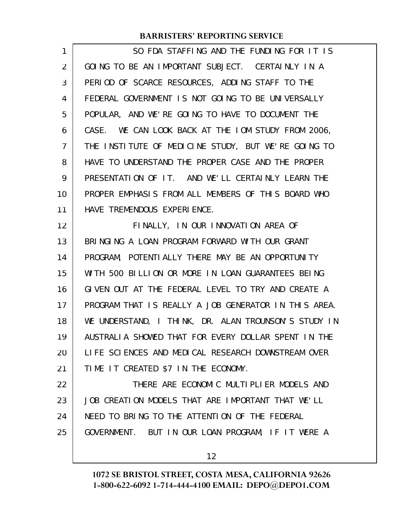SO FDA STAFFING AND THE FUNDING FOR IT IS GOING TO BE AN IMPORTANT SUBJECT. CERTAINLY IN A PERIOD OF SCARCE RESOURCES, ADDING STAFF TO THE FEDERAL GOVERNMENT IS NOT GOING TO BE UNIVERSALLY POPULAR, AND WE'RE GOING TO HAVE TO DOCUMENT THE CASE. WE CAN LOOK BACK AT THE IOM STUDY FROM 2006, THE INSTITUTE OF MEDICINE STUDY, BUT WE'RE GOING TO HAVE TO UNDERSTAND THE PROPER CASE AND THE PROPER PRESENTATION OF IT. AND WE'LL CERTAINLY LEARN THE PROPER EMPHASIS FROM ALL MEMBERS OF THIS BOARD WHO HAVE TREMENDOUS EXPERIENCE. FINALLY, IN OUR INNOVATION AREA OF BRINGING A LOAN PROGRAM FORWARD WITH OUR GRANT PROGRAM, POTENTIALLY THERE MAY BE AN OPPORTUNITY WITH 500 BILLION OR MORE IN LOAN GUARANTEES BEING GIVEN OUT AT THE FEDERAL LEVEL TO TRY AND CREATE A PROGRAM THAT IS REALLY A JOB GENERATOR IN THIS AREA. WE UNDERSTAND, I THINK, DR. ALAN TROUNSON'S STUDY IN AUSTRALIA SHOWED THAT FOR EVERY DOLLAR SPENT IN THE LIFE SCIENCES AND MEDICAL RESEARCH DOWNSTREAM OVER TIME IT CREATED \$7 IN THE ECONOMY. THERE ARE ECONOMIC MULTIPLIER MODELS AND JOB CREATION MODELS THAT ARE IMPORTANT THAT WE'LL NEED TO BRING TO THE ATTENTION OF THE FEDERAL GOVERNMENT. BUT IN OUR LOAN PROGRAM, IF IT WERE A 1 2 3 4 5 6 7 8 9 10 11 12 13 14 15 16 17 18 19 20 21 22 23 24 25

12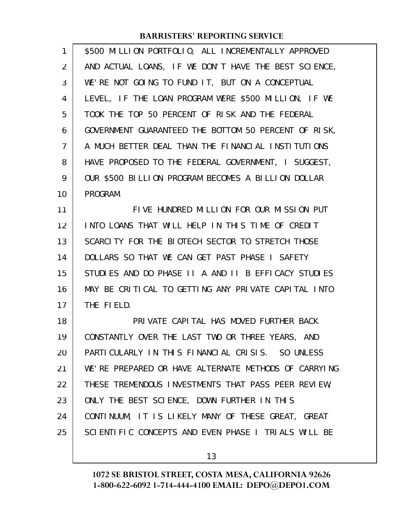| $\mathbf{1}$ | \$500 MILLION PORTFOLIO, ALL INCREMENTALLY APPROVED  |
|--------------|------------------------------------------------------|
| 2            | AND ACTUAL LOANS, IF WE DON'T HAVE THE BEST SCIENCE, |
| 3            | WE'RE NOT GOING TO FUND IT, BUT ON A CONCEPTUAL      |
| 4            | LEVEL, IF THE LOAN PROGRAM WERE \$500 MILLION, IF WE |
| 5            | TOOK THE TOP 50 PERCENT OF RISK AND THE FEDERAL      |
| 6            | GOVERNMENT GUARANTEED THE BOTTOM 50 PERCENT OF RISK, |
| 7            | A MUCH BETTER DEAL THAN THE FINANCIAL INSTITUTIONS   |
| 8            | HAVE PROPOSED TO THE FEDERAL GOVERNMENT, I SUGGEST,  |
| 9            | OUR \$500 BILLION PROGRAM BECOMES A BILLION DOLLAR   |
| 10           | PROGRAM.                                             |
| 11           | FIVE HUNDRED MILLION FOR OUR MISSION PUT             |
| 12           | INTO LOANS THAT WILL HELP IN THIS TIME OF CREDIT     |
| 13           | SCARCITY FOR THE BIOTECH SECTOR TO STRETCH THOSE     |
| 14           | DOLLARS SO THAT WE CAN GET PAST PHASE I SAFETY       |
| 15           | STUDIES AND DO PHASE II A AND II B EFFICACY STUDIES  |
| 16           | MAY BE CRITICAL TO GETTING ANY PRIVATE CAPITAL INTO  |
| 17           | THE FIELD.                                           |
| 18           | PRIVATE CAPITAL HAS MOVED FURTHER BACK               |
| 19           | CONSTANTLY OVER THE LAST TWO OR THREE YEARS, AND     |
| 20           | PARTICULARLY IN THIS FINANCIAL CRISIS. SO UNLESS     |
| 21           | WE'RE PREPARED OR HAVE ALTERNATE METHODS OF CARRYING |
| 22           | THESE TREMENDOUS INVESTMENTS THAT PASS PEER REVIEW,  |
| 23           | ONLY THE BEST SCIENCE, DOWN FURTHER IN THIS          |
| 24           | CONTINUUM, IT IS LIKELY MANY OF THESE GREAT, GREAT   |
| 25           | SCIENTIFIC CONCEPTS AND EVEN PHASE I TRIALS WILL BE  |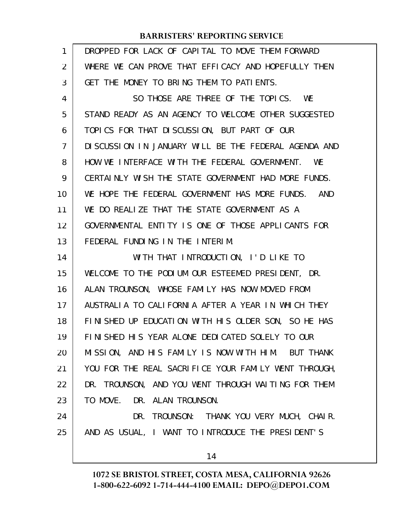| 1              | DROPPED FOR LACK OF CAPITAL TO MOVE THEM FORWARD      |
|----------------|-------------------------------------------------------|
| 2              | WHERE WE CAN PROVE THAT EFFICACY AND HOPEFULLY THEN   |
| 3              | GET THE MONEY TO BRING THEM TO PATIENTS.              |
| 4              | SO THOSE ARE THREE OF THE TOPICS. WE                  |
| 5              | STAND READY AS AN AGENCY TO WELCOME OTHER SUGGESTED   |
| 6              | TOPICS FOR THAT DISCUSSION, BUT PART OF OUR           |
| $\overline{7}$ | DISCUSSION IN JANUARY WILL BE THE FEDERAL AGENDA AND  |
| 8              | HOW WE INTERFACE WITH THE FEDERAL GOVERNMENT. WE      |
| 9              | CERTAINLY WISH THE STATE GOVERNMENT HAD MORE FUNDS.   |
| 10             | WE HOPE THE FEDERAL GOVERNMENT HAS MORE FUNDS.<br>AND |
| 11             | WE DO REALIZE THAT THE STATE GOVERNMENT AS A          |
| 12             | GOVERNMENTAL ENTITY IS ONE OF THOSE APPLICANTS FOR    |
| 13             | FEDERAL FUNDING IN THE INTERIM.                       |
| 14             | WITH THAT INTRODUCTION, I'D LIKE TO                   |
| 15             | WELCOME TO THE PODIUM OUR ESTEEMED PRESIDENT, DR.     |
| 16             | ALAN TROUNSON, WHOSE FAMILY HAS NOW MOVED FROM        |
| 17             | AUSTRALIA TO CALIFORNIA AFTER A YEAR IN WHICH THEY    |
| 18             | FINISHED UP EDUCATION WITH HIS OLDER SON, SO HE HAS   |
| 19             | FINISHED HIS YEAR ALONE DEDICATED SOLELY TO OUR       |
| 20             | MISSION, AND HIS FAMILY IS NOW WITH HIM. BUT THANK    |
| 21             | YOU FOR THE REAL SACRIFICE YOUR FAMILY WENT THROUGH,  |
| 22             | DR. TROUNSON, AND YOU WENT THROUGH WAITING FOR THEM   |
| 23             | TO MOVE. DR. ALAN TROUNSON.                           |
| 24             | DR. TROUNSON: THANK YOU VERY MUCH, CHAIR.             |
| 25             | AND AS USUAL, I WANT TO INTRODUCE THE PRESIDENT'S     |
|                | 14                                                    |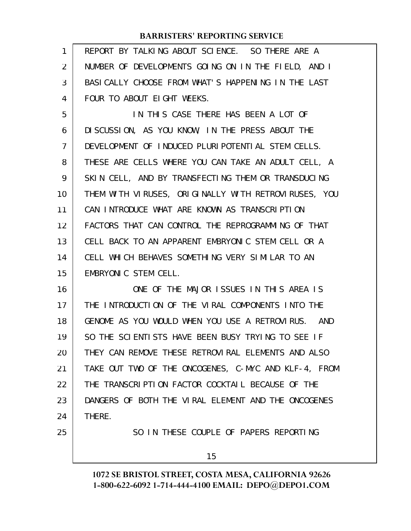| $\mathbf{1}$      | REPORT BY TALKING ABOUT SCIENCE. SO THERE ARE A      |
|-------------------|------------------------------------------------------|
| $\overline{2}$    | NUMBER OF DEVELOPMENTS GOING ON IN THE FIELD, AND I  |
| 3                 | BASICALLY CHOOSE FROM WHAT'S HAPPENING IN THE LAST   |
| 4                 | FOUR TO ABOUT EIGHT WEEKS.                           |
| 5                 | IN THIS CASE THERE HAS BEEN A LOT OF                 |
| 6                 | DI SCUSSION, AS YOU KNOW, IN THE PRESS ABOUT THE     |
| $\overline{7}$    | DEVELOPMENT OF INDUCED PLURIPOTENTIAL STEM CELLS.    |
| 8                 | THESE ARE CELLS WHERE YOU CAN TAKE AN ADULT CELL, A  |
| 9                 | SKIN CELL, AND BY TRANSFECTING THEM OR TRANSDUCING   |
| 10                | THEM WITH VIRUSES, ORIGINALLY WITH RETROVIRUSES, YOU |
| 11                | CAN INTRODUCE WHAT ARE KNOWN AS TRANSCRIPTION        |
| $12 \overline{ }$ | FACTORS THAT CAN CONTROL THE REPROGRAMMING OF THAT   |
| 13                | CELL BACK TO AN APPARENT EMBRYONIC STEM CELL OR A    |
| 14                | CELL WHICH BEHAVES SOMETHING VERY SIMILAR TO AN      |
| 15                | EMBRYONIC STEM CELL.                                 |
| 16                | ONE OF THE MAJOR ISSUES IN THIS AREA IS              |
| 17                | THE INTRODUCTION OF THE VIRAL COMPONENTS INTO THE    |
| 18                | GENOME AS YOU WOULD WHEN YOU USE A RETROVIRUS. AND   |
| 19                | SO THE SCIENTISTS HAVE BEEN BUSY TRYING TO SEE IF    |
| 20                | THEY CAN REMOVE THESE RETROVIRAL ELEMENTS AND ALSO   |
| 21                | TAKE OUT TWO OF THE ONCOGENES, C-MYC AND KLF-4, FROM |
| 22                | THE TRANSCRIPTION FACTOR COCKTAIL BECAUSE OF THE     |
| 23                | DANGERS OF BOTH THE VIRAL ELEMENT AND THE ONCOGENES  |
| 24                | THERE.                                               |
| 25                | SO IN THESE COUPLE OF PAPERS REPORTING               |
|                   | 15                                                   |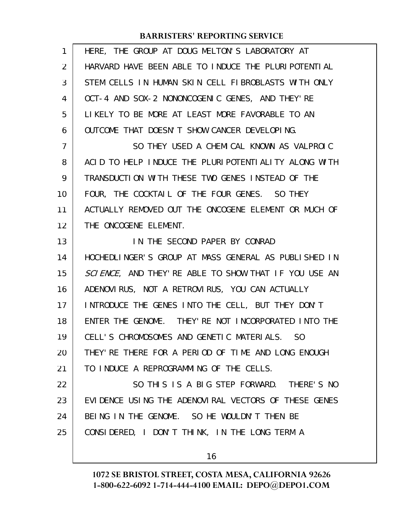| $\mathbf{1}$   | HERE, THE GROUP AT DOUG MELTON'S LABORATORY AT        |
|----------------|-------------------------------------------------------|
| 2              | HARVARD HAVE BEEN ABLE TO INDUCE THE PLURIPOTENTIAL   |
| 3              | STEM CELLS IN HUMAN SKIN CELL FIBROBLASTS WITH ONLY   |
| 4              | OCT-4 AND SOX-2 NONONCOGENIC GENES, AND THEY'RE       |
| 5              | LIKELY TO BE MORE AT LEAST MORE FAVORABLE TO AN       |
| 6              | OUTCOME THAT DOESN'T SHOW CANCER DEVELOPING.          |
| $\overline{7}$ | SO THEY USED A CHEMICAL KNOWN AS VALPROIC             |
| 8              | ACID TO HELP INDUCE THE PLURIPOTENTIALITY ALONG WITH  |
| 9              | TRANSDUCTION WITH THESE TWO GENES INSTEAD OF THE      |
| 10             | FOUR, THE COCKTAIL OF THE FOUR GENES. SO THEY         |
| 11             | ACTUALLY REMOVED OUT THE ONCOGENE ELEMENT OR MUCH OF  |
| 12             | THE ONCOGENE ELEMENT.                                 |
| 13             | IN THE SECOND PAPER BY CONRAD                         |
| 14             | HOCHEDLINGER'S GROUP AT MASS GENERAL AS PUBLISHED IN  |
| 15             | SCIENCE, AND THEY' RE ABLE TO SHOW THAT IF YOU USE AN |
| 16             | ADENOVIRUS, NOT A RETROVIRUS, YOU CAN ACTUALLY        |
| 17             | INTRODUCE THE GENES INTO THE CELL, BUT THEY DON'T     |
| 18             | ENTER THE GENOME. THEY' RE NOT INCORPORATED INTO THE  |
| 19             | CELL'S CHROMOSOMES AND GENETIC MATERIALS. SO          |
| 20             | THEY' RE THERE FOR A PERIOD OF TIME AND LONG ENOUGH   |
| 21             | TO INDUCE A REPROGRAMMING OF THE CELLS.               |
| 22             | SO THIS IS A BIG STEP FORWARD. THERE'S NO             |
| 23             | EVIDENCE USING THE ADENOVIRAL VECTORS OF THESE GENES  |
| 24             | BEING IN THE GENOME. SO HE WOULDN'T THEN BE           |
| 25             | CONSIDERED, I DON'T THINK, IN THE LONG TERM A         |
|                |                                                       |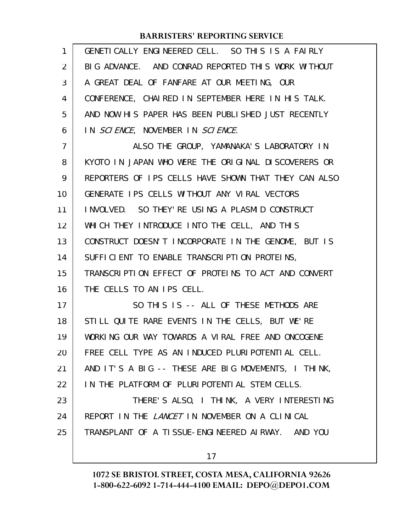| 1  | GENETI CALLY ENGINEERED CELL. SO THIS IS A FAIRLY     |
|----|-------------------------------------------------------|
| 2  | BIG ADVANCE. AND CONRAD REPORTED THIS WORK WITHOUT    |
| 3  | A GREAT DEAL OF FANFARE AT OUR MEETING, OUR           |
| 4  | CONFERENCE, CHAIRED IN SEPTEMBER HERE IN HIS TALK.    |
| 5  | AND NOW HIS PAPER HAS BEEN PUBLISHED JUST RECENTLY    |
| 6  | IN SCIENCE, NOVEMBER IN SCIENCE.                      |
| 7  | ALSO THE GROUP, YAMANAKA'S LABORATORY IN              |
| 8  | KYOTO IN JAPAN WHO WERE THE ORIGINAL DISCOVERERS OR   |
| 9  | REPORTERS OF IPS CELLS HAVE SHOWN THAT THEY CAN ALSO  |
| 10 | GENERATE IPS CELLS WITHOUT ANY VIRAL VECTORS          |
| 11 | INVOLVED. SO THEY' RE USING A PLASMID CONSTRUCT       |
| 12 | WHICH THEY INTRODUCE INTO THE CELL, AND THIS          |
| 13 | CONSTRUCT DOESN'T INCORPORATE IN THE GENOME, BUT IS   |
| 14 | SUFFICIENT TO ENABLE TRANSCRIPTION PROTEINS,          |
| 15 | TRANSCRIPTION EFFECT OF PROTEINS TO ACT AND CONVERT   |
| 16 | THE CELLS TO AN IPS CELL.                             |
| 17 | SO THIS IS -- ALL OF THESE METHODS ARE                |
| 18 | STILL QUITE RARE EVENTS IN THE CELLS, BUT WE'RE       |
| 19 | WORKING OUR WAY TOWARDS A VIRAL FREE AND ONCOGENE     |
| 20 | FREE CELL TYPE AS AN INDUCED PLURIPOTENTIAL CELL.     |
| 21 | AND IT'S A BIG -- THESE ARE BIG MOVEMENTS, I THINK,   |
| 22 | IN THE PLATFORM OF PLURIPOTENTIAL STEM CELLS.         |
| 23 | THERE'S ALSO, I THINK, A VERY INTERESTING             |
| 24 | REPORT IN THE <i>LANCET</i> IN NOVEMBER ON A CLINICAL |
| 25 | TRANSPLANT OF A TISSUE-ENGINEERED AIRWAY. AND YOU     |
|    |                                                       |

17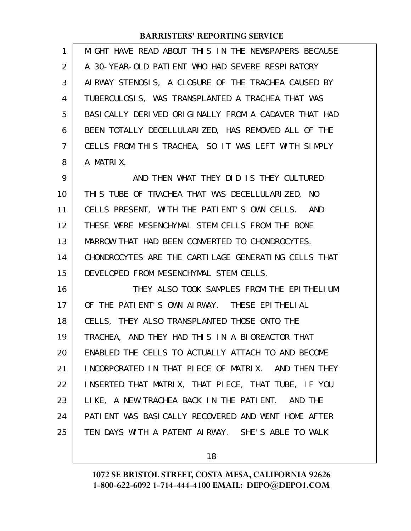| $\mathbf{1}$   | MIGHT HAVE READ ABOUT THIS IN THE NEWSPAPERS BECAUSE  |
|----------------|-------------------------------------------------------|
| 2              | A 30-YEAR-OLD PATIENT WHO HAD SEVERE RESPIRATORY      |
| 3              | AIRWAY STENOSIS, A CLOSURE OF THE TRACHEA CAUSED BY   |
| 4              | TUBERCULOSIS, WAS TRANSPLANTED A TRACHEA THAT WAS     |
| 5              | BASI CALLY DERIVED ORIGINALLY FROM A CADAVER THAT HAD |
| 6              | BEEN TOTALLY DECELLULARIZED, HAS REMOVED ALL OF THE   |
| $\overline{7}$ | CELLS FROM THIS TRACHEA, SO IT WAS LEFT WITH SIMPLY   |
| 8              | A MATRIX.                                             |
| 9              | AND THEN WHAT THEY DID IS THEY CULTURED               |
| 10             | THIS TUBE OF TRACHEA THAT WAS DECELLULARIZED, NO      |
| 11             | CELLS PRESENT, WITH THE PATIENT'S OWN CELLS. AND      |
| 12             | THESE WERE MESENCHYMAL STEM CELLS FROM THE BONE       |
| 13             | MARROW THAT HAD BEEN CONVERTED TO CHONDROCYTES.       |
| 14             | CHONDROCYTES ARE THE CARTILAGE GENERATING CELLS THAT  |
| 15             | DEVELOPED FROM MESENCHYMAL STEM CELLS.                |
| 16             | THEY ALSO TOOK SAMPLES FROM THE EPITHELIUM            |
| 17             | OF THE PATIENT'S OWN AIRWAY. THESE EPITHELIAL         |
| 18             | CELLS, THEY ALSO TRANSPLANTED THOSE ONTO THE          |
| 19             | TRACHEA, AND THEY HAD THIS IN A BIOREACTOR THAT       |
| 20             | ENABLED THE CELLS TO ACTUALLY ATTACH TO AND BECOME    |
| 21             | INCORPORATED IN THAT PIECE OF MATRIX. AND THEN THEY   |
| 22             | INSERTED THAT MATRIX, THAT PIECE, THAT TUBE, IF YOU   |
| 23             | LIKE, A NEW TRACHEA BACK IN THE PATIENT. AND THE      |
| 24             | PATIENT WAS BASICALLY RECOVERED AND WENT HOME AFTER   |
| 25             | TEN DAYS WITH A PATENT AIRWAY. SHE'S ABLE TO WALK     |
|                |                                                       |

18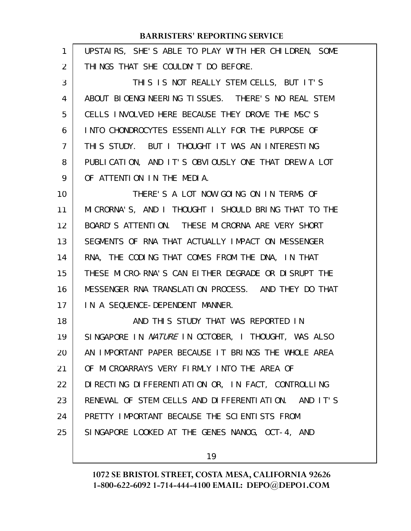| 1  | UPSTAIRS, SHE'S ABLE TO PLAY WITH HER CHILDREN, SOME |
|----|------------------------------------------------------|
| 2  | THINGS THAT SHE COULDN'T DO BEFORE.                  |
| 3  | THIS IS NOT REALLY STEM CELLS, BUT IT'S              |
| 4  | ABOUT BIOENGINEERING TISSUES. THERE'S NO REAL STEM   |
| 5  | CELLS INVOLVED HERE BECAUSE THEY DROVE THE MSC'S     |
| 6  | INTO CHONDROCYTES ESSENTIALLY FOR THE PURPOSE OF     |
| 7  | THIS STUDY. BUT I THOUGHT IT WAS AN INTERESTING      |
| 8  | PUBLICATION, AND IT'S OBVIOUSLY ONE THAT DREW A LOT  |
| 9  | OF ATTENTION IN THE MEDIA.                           |
| 10 | THERE'S A LOT NOW GOING ON IN TERMS OF               |
| 11 | MICRORNA'S, AND I THOUGHT I SHOULD BRING THAT TO THE |
| 12 | BOARD'S ATTENTION. THESE MICRORNA ARE VERY SHORT     |
| 13 | SEGMENTS OF RNA THAT ACTUALLY IMPACT ON MESSENGER    |
| 14 | RNA, THE CODING THAT COMES FROM THE DNA, IN THAT     |
| 15 | THESE MICRO-RNA'S CAN EITHER DEGRADE OR DISRUPT THE  |
| 16 | MESSENGER RNA TRANSLATION PROCESS. AND THEY DO THAT  |
| 17 | IN A SEQUENCE-DEPENDENT MANNER.                      |
| 18 | AND THIS STUDY THAT WAS REPORTED IN                  |
| 19 | SINGAPORE IN NATURE IN OCTOBER, I THOUGHT, WAS ALSO  |
| 20 | AN IMPORTANT PAPER BECAUSE IT BRINGS THE WHOLE AREA  |
| 21 | OF MICROARRAYS VERY FIRMLY INTO THE AREA OF          |
| 22 | DIRECTING DIFFERENTIATION OR, IN FACT, CONTROLLING   |
| 23 | RENEWAL OF STEM CELLS AND DIFFERENTIATION. AND IT'S  |
| 24 | PRETTY IMPORTANT BECAUSE THE SCIENTISTS FROM         |
| 25 | SINGAPORE LOOKED AT THE GENES NANOG, OCT-4, AND      |
|    |                                                      |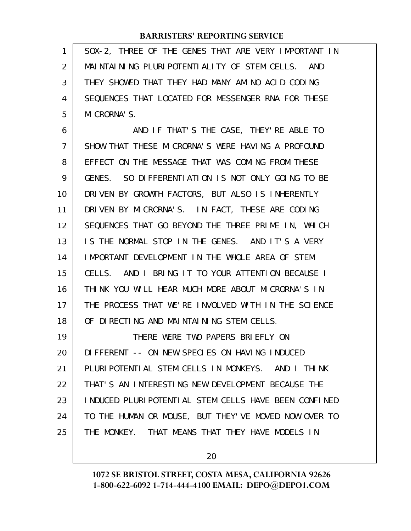SOX-2, THREE OF THE GENES THAT ARE VERY IMPORTANT IN MAINTAINING PLURIPOTENTIALITY OF STEM CELLS. AND THEY SHOWED THAT THEY HAD MANY AMINO ACID CODING SEQUENCES THAT LOCATED FOR MESSENGER RNA FOR THESE MICRORNA'S. 1 2 3 4 5

AND IF THAT'S THE CASE, THEY'RE ABLE TO SHOW THAT THESE MICRORNA'S WERE HAVING A PROFOUND EFFECT ON THE MESSAGE THAT WAS COMING FROM THESE GENES. SO DIFFERENTIATION IS NOT ONLY GOING TO BE DRIVEN BY GROWTH FACTORS, BUT ALSO IS INHERENTLY DRIVEN BY MICRORNA'S. IN FACT, THESE ARE CODING SEQUENCES THAT GO BEYOND THE THREE PRIME IN, WHICH IS THE NORMAL STOP IN THE GENES. AND IT'S A VERY IMPORTANT DEVELOPMENT IN THE WHOLE AREA OF STEM CELLS. AND I BRING IT TO YOUR ATTENTION BECAUSE I THINK YOU WILL HEAR MUCH MORE ABOUT MICRORNA'S IN THE PROCESS THAT WE'RE INVOLVED WITH IN THE SCIENCE OF DIRECTING AND MAINTAINING STEM CELLS. THERE WERE TWO PAPERS BRIEFLY ON DIFFERENT -- ON NEW SPECIES ON HAVING INDUCED PLURIPOTENTIAL STEM CELLS IN MONKEYS. AND I THINK 6 7 8 9 10 11 12 13 14 15 16 17 18 19 20 21

THAT'S AN INTERESTING NEW DEVELOPMENT BECAUSE THE INDUCED PLURIPOTENTIAL STEM CELLS HAVE BEEN CONFINED TO THE HUMAN OR MOUSE, BUT THEY'VE MOVED NOW OVER TO THE MONKEY. THAT MEANS THAT THEY HAVE MODELS IN 22 23 24 25

20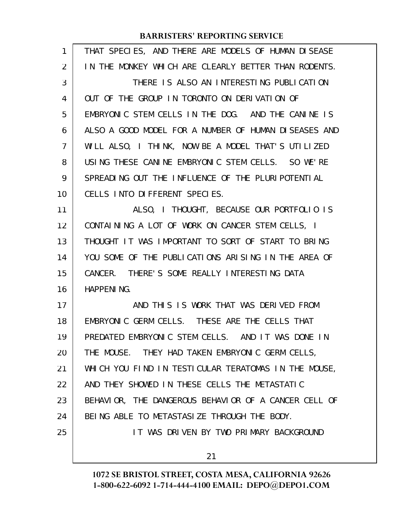| $\mathbf{1}$ | THAT SPECIES, AND THERE ARE MODELS OF HUMAN DISEASE  |
|--------------|------------------------------------------------------|
| 2            | IN THE MONKEY WHICH ARE CLEARLY BETTER THAN RODENTS. |
| 3            | THERE IS ALSO AN INTERESTING PUBLICATION             |
| 4            | OUT OF THE GROUP IN TORONTO ON DERIVATION OF         |
| 5            | EMBRYONIC STEM CELLS IN THE DOG. AND THE CANINE IS   |
| 6            | ALSO A GOOD MODEL FOR A NUMBER OF HUMAN DISEASES AND |
| 7            | WILL ALSO, I THINK, NOW BE A MODEL THAT'S UTILIZED   |
| 8            | USING THESE CANINE EMBRYONIC STEM CELLS. SO WE'RE    |
| 9            | SPREADING OUT THE INFLUENCE OF THE PLURIPOTENTIAL    |
| 10           | CELLS INTO DIFFERENT SPECIES.                        |
| 11           | ALSO, I THOUGHT, BECAUSE OUR PORTFOLIO IS            |
| 12           | CONTAINING A LOT OF WORK ON CANCER STEM CELLS, I     |
| 13           | THOUGHT IT WAS IMPORTANT TO SORT OF START TO BRING   |
| 14           | YOU SOME OF THE PUBLICATIONS ARISING IN THE AREA OF  |
| 15           | CANCER. THERE'S SOME REALLY INTERESTING DATA         |
| 16           | <b>HAPPENING.</b>                                    |
| 17           | AND THIS IS WORK THAT WAS DERIVED FROM               |
| 18           | EMBRYONIC GERM CELLS. THESE ARE THE CELLS THAT       |
| 19           | PREDATED EMBRYONIC STEM CELLS. AND IT WAS DONE IN    |
| 20           | THE MOUSE. THEY HAD TAKEN EMBRYONIC GERM CELLS,      |
| 21           | WHICH YOU FIND IN TESTICULAR TERATOMAS IN THE MOUSE, |
| 22           | AND THEY SHOWED IN THESE CELLS THE METASTATIC        |
| 23           | BEHAVIOR, THE DANGEROUS BEHAVIOR OF A CANCER CELL OF |
| 24           | BEING ABLE TO METASTASIZE THROUGH THE BODY.          |
| 25           | IT WAS DRIVEN BY TWO PRIMARY BACKGROUND              |
|              | 21                                                   |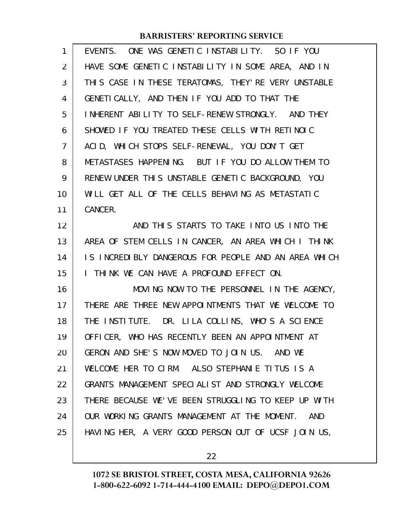| 1              | EVENTS. ONE WAS GENETIC INSTABILITY. SO IF YOU             |
|----------------|------------------------------------------------------------|
| 2              | HAVE SOME GENETIC INSTABILITY IN SOME AREA, AND IN         |
| 3              | THIS CASE IN THESE TERATOMAS, THEY'RE VERY UNSTABLE        |
| 4              | GENETICALLY, AND THEN IF YOU ADD TO THAT THE               |
| 5              | INHERENT ABILITY TO SELF-RENEW STRONGLY. AND THEY          |
| 6              | SHOWED IF YOU TREATED THESE CELLS WITH RETINOIC            |
| $\overline{7}$ | ACID, WHICH STOPS SELF-RENEWAL, YOU DON'T GET              |
| 8              | METASTASES HAPPENING. BUT IF YOU DO ALLOW THEM TO          |
| 9              | RENEW UNDER THIS UNSTABLE GENETIC BACKGROUND, YOU          |
| 10             | WILL GET ALL OF THE CELLS BEHAVING AS METASTATIC           |
| 11             | CANCER.                                                    |
| 12             | AND THIS STARTS TO TAKE INTO US INTO THE                   |
| 13             | AREA OF STEM CELLS IN CANCER, AN AREA WHICH I THINK        |
| 14             | IS INCREDIBLY DANGEROUS FOR PEOPLE AND AN AREA WHICH       |
| 15             | I THINK WE CAN HAVE A PROFOUND EFFECT ON.                  |
| 16             | MOVING NOW TO THE PERSONNEL IN THE AGENCY,                 |
| 17             | THERE ARE THREE NEW APPOINTMENTS THAT WE WELCOME TO        |
| 18             | THE INSTITUTE. DR. LILA COLLINS, WHO'S A SCIENCE           |
| 19             | OFFICER, WHO HAS RECENTLY BEEN AN APPOINTMENT AT           |
| 20             | GERON AND SHE'S NOW MOVED TO JOIN US. AND WE               |
| 21             | WELCOME HER TO CIRM. ALSO STEPHANIE TITUS IS A             |
| 22             | GRANTS MANAGEMENT SPECIALIST AND STRONGLY WELCOME          |
| 23             | THERE BECAUSE WE'VE BEEN STRUGGLING TO KEEP UP WITH        |
| 24             | OUR WORKING GRANTS MANAGEMENT AT THE MOMENT.<br><b>AND</b> |
| 25             | HAVING HER, A VERY GOOD PERSON OUT OF UCSF JOIN US,        |

22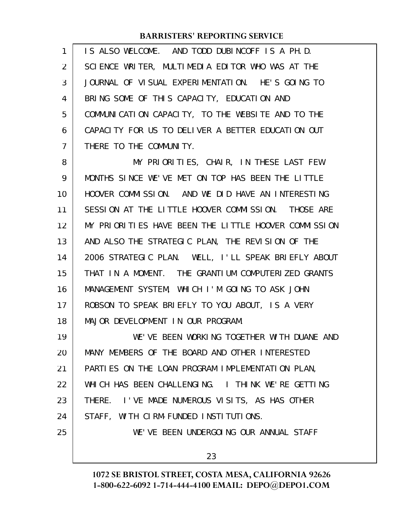| $\mathbf{1}$   | IS ALSO WELCOME. AND TODD DUBINCOFF IS A PH.D.    |
|----------------|---------------------------------------------------|
| 2              | SCIENCE WRITER, MULTIMEDIA EDITOR WHO WAS AT THE  |
| $\mathbf{3}$   | JOURNAL OF VISUAL EXPERIMENTATION. HE'S GOING TO  |
| $\overline{4}$ | BRING SOME OF THIS CAPACITY, EDUCATION AND        |
| 5              | COMMUNICATION CAPACITY, TO THE WEBSITE AND TO THE |
| 6              | CAPACITY FOR US TO DELIVER A BETTER EDUCATION OUT |
| $\overline{7}$ | THERE TO THE COMMUNITY.                           |

MY PRIORITIES, CHAIR, IN THESE LAST FEW MONTHS SINCE WE'VE MET ON TOP HAS BEEN THE LITTLE HOOVER COMMISSION. AND WE DID HAVE AN INTERESTING SESSION AT THE LITTLE HOOVER COMMISSION. THOSE ARE MY PRIORITIES HAVE BEEN THE LITTLE HOOVER COMMISSION AND ALSO THE STRATEGIC PLAN, THE REVISION OF THE 2006 STRATEGIC PLAN. WELL, I'LL SPEAK BRIEFLY ABOUT THAT IN A MOMENT. THE GRANTIUM COMPUTERIZED GRANTS MANAGEMENT SYSTEM, WHICH I'M GOING TO ASK JOHN ROBSON TO SPEAK BRIEFLY TO YOU ABOUT, IS A VERY MAJOR DEVELOPMENT IN OUR PROGRAM. 8 9 10 11 12 13 14 15 16 17 18

WE'VE BEEN WORKING TOGETHER WITH DUANE AND MANY MEMBERS OF THE BOARD AND OTHER INTERESTED PARTIES ON THE LOAN PROGRAM IMPLEMENTATION PLAN, WHICH HAS BEEN CHALLENGING. I THINK WE'RE GETTING THERE. I'VE MADE NUMEROUS VISITS, AS HAS OTHER STAFF, WITH CIRM-FUNDED INSTITUTIONS. WE'VE BEEN UNDERGOING OUR ANNUAL STAFF 19 20 21 22 23 24 25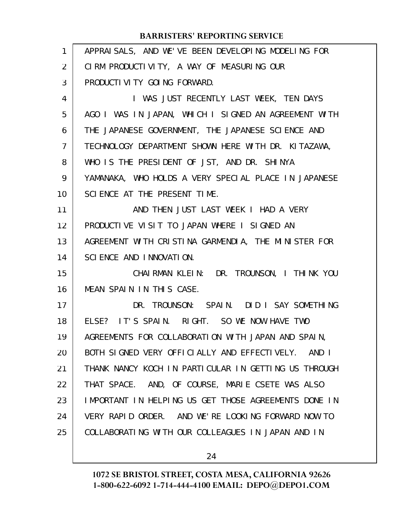| $\mathbf{1}$   | APPRAISALS, AND WE'VE BEEN DEVELOPING MODELING FOR   |
|----------------|------------------------------------------------------|
| 2              | CIRM PRODUCTIVITY, A WAY OF MEASURING OUR            |
| 3              | PRODUCTI VI TY GOI NG FORWARD.                       |
| 4              | I WAS JUST RECENTLY LAST WEEK, TEN DAYS              |
| 5              | AGO I WAS IN JAPAN, WHICH I SIGNED AN AGREEMENT WITH |
| 6              | THE JAPANESE GOVERNMENT, THE JAPANESE SCIENCE AND    |
| $\overline{7}$ | TECHNOLOGY DEPARTMENT SHOWN HERE WITH DR. KITAZAWA,  |
| 8              | WHO IS THE PRESIDENT OF JST, AND DR. SHINYA          |
| 9              | YAMANAKA, WHO HOLDS A VERY SPECIAL PLACE IN JAPANESE |
| 10             | SCIENCE AT THE PRESENT TIME.                         |
| 11             | AND THEN JUST LAST WEEK I HAD A VERY                 |
| 12             | PRODUCTIVE VISIT TO JAPAN WHERE I SIGNED AN          |
| 13             | AGREEMENT WITH CRISTINA GARMENDIA, THE MINISTER FOR  |
| 14             | SCIENCE AND INNOVATION.                              |
| 15             | CHAIRMAN KLEIN: DR. TROUNSON, I THINK YOU            |
| 16             | MEAN SPAIN IN THIS CASE.                             |
| 17             | DR. TROUNSON: SPAIN. DID I SAY SOMETHING             |
| 18             | ELSE? IT'S SPAIN. RIGHT. SO WE NOW HAVE TWO          |
| 19             | AGREEMENTS FOR COLLABORATION WITH JAPAN AND SPAIN,   |
| 20             | BOTH SIGNED VERY OFFICIALLY AND EFFECTIVELY. AND I   |
| 21             | THANK NANCY KOCH IN PARTICULAR IN GETTING US THROUGH |
| 22             | THAT SPACE. AND, OF COURSE, MARIE CSETE WAS ALSO     |
| 23             | IMPORTANT IN HELPING US GET THOSE AGREEMENTS DONE IN |
| 24             | VERY RAPID ORDER. AND WE'RE LOOKING FORWARD NOW TO   |
| 25             | COLLABORATING WITH OUR COLLEAGUES IN JAPAN AND IN    |
|                |                                                      |

24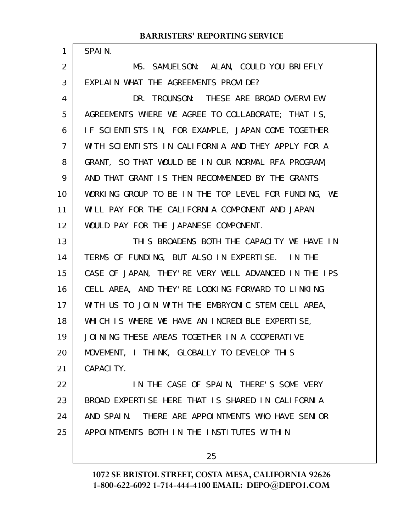| 1              | SPAIN.                                               |
|----------------|------------------------------------------------------|
| 2              | MS. SAMUELSON: ALAN, COULD YOU BRIEFLY               |
| 3              | EXPLAIN WHAT THE AGREEMENTS PROVIDE?                 |
| 4              | DR. TROUNSON: THESE ARE BROAD OVERVIEW               |
| 5              | AGREEMENTS WHERE WE AGREE TO COLLABORATE; THAT IS,   |
| 6              | IF SCIENTISTS IN, FOR EXAMPLE, JAPAN COME TOGETHER   |
| $\overline{7}$ | WITH SCIENTISTS IN CALIFORNIA AND THEY APPLY FOR A   |
| 8              | GRANT, SO THAT WOULD BE IN OUR NORMAL RFA PROGRAM,   |
| 9              | AND THAT GRANT IS THEN RECOMMENDED BY THE GRANTS     |
| 10             | WORKING GROUP TO BE IN THE TOP LEVEL FOR FUNDING, WE |
| 11             | WILL PAY FOR THE CALIFORNIA COMPONENT AND JAPAN      |
| 12             | WOULD PAY FOR THE JAPANESE COMPONENT.                |
| 13             | THIS BROADENS BOTH THE CAPACITY WE HAVE IN           |
| 14             | TERMS OF FUNDING, BUT ALSO IN EXPERTISE. IN THE      |
| 15             | CASE OF JAPAN, THEY'RE VERY WELL ADVANCED IN THE IPS |
| 16             | CELL AREA, AND THEY'RE LOOKING FORWARD TO LINKING    |
| 17             | WITH US TO JOIN WITH THE EMBRYONIC STEM CELL AREA,   |
| 18             | WHICH IS WHERE WE HAVE AN INCREDIBLE EXPERTISE,      |
| 19             | JOINING THESE AREAS TOGETHER IN A COOPERATIVE        |
| 20             | MOVEMENT, I THINK, GLOBALLY TO DEVELOP THIS          |
| 21             | CAPACITY.                                            |
| 22             | IN THE CASE OF SPAIN, THERE'S SOME VERY              |
| 23             | BROAD EXPERTISE HERE THAT IS SHARED IN CALIFORNIA    |
| 24             | AND SPAIN. THERE ARE APPOINTMENTS WHO HAVE SENIOR    |
| 25             | APPOINTMENTS BOTH IN THE INSTITUTES WITHIN           |
|                |                                                      |

25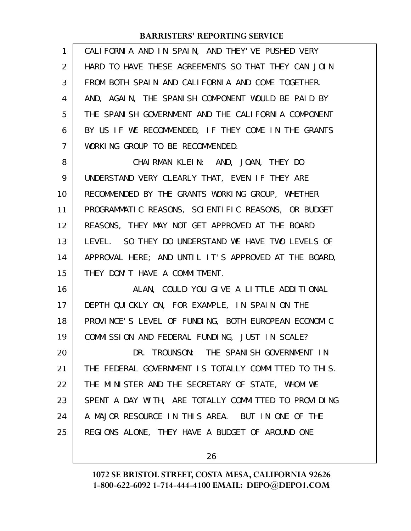| $\mathbf{1}$ | CALIFORNIA AND IN SPAIN, AND THEY'VE PUSHED VERY     |
|--------------|------------------------------------------------------|
| 2            | HARD TO HAVE THESE AGREEMENTS SO THAT THEY CAN JOIN  |
| 3            | FROM BOTH SPAIN AND CALIFORNIA AND COME TOGETHER.    |
| 4            | AND, AGAIN, THE SPANISH COMPONENT WOULD BE PAID BY   |
| 5            | THE SPANISH GOVERNMENT AND THE CALIFORNIA COMPONENT  |
| 6            | BY US IF WE RECOMMENDED, IF THEY COME IN THE GRANTS  |
| 7            | WORKING GROUP TO BE RECOMMENDED.                     |
| 8            | CHAIRMAN KLEIN: AND, JOAN, THEY DO                   |
| 9            | UNDERSTAND VERY CLEARLY THAT, EVEN IF THEY ARE       |
| 10           | RECOMMENDED BY THE GRANTS WORKING GROUP, WHETHER     |
| 11           | PROGRAMMATIC REASONS, SCIENTIFIC REASONS, OR BUDGET  |
| 12           | REASONS, THEY MAY NOT GET APPROVED AT THE BOARD      |
| 13           | LEVEL. SO THEY DO UNDERSTAND WE HAVE TWO LEVELS OF   |
| 14           | APPROVAL HERE; AND UNTIL IT'S APPROVED AT THE BOARD, |
| 15           | THEY DON'T HAVE A COMMITMENT.                        |
| 16           | ALAN, COULD YOU GIVE A LITTLE ADDITIONAL             |
| 17           | DEPTH QUICKLY ON, FOR EXAMPLE, IN SPAIN ON THE       |
| 18           | PROVINCE'S LEVEL OF FUNDING, BOTH EUROPEAN ECONOMIC  |
| 19           | COMMISSION AND FEDERAL FUNDING, JUST IN SCALE?       |
| 20           | DR. TROUNSON: THE SPANISH GOVERNMENT IN              |
| 21           | THE FEDERAL GOVERNMENT IS TOTALLY COMMITTED TO THIS. |
| 22           | THE MINISTER AND THE SECRETARY OF STATE, WHOM WE     |
| 23           | SPENT A DAY WITH, ARE TOTALLY COMMITTED TO PROVIDING |
| 24           | A MAJOR RESOURCE IN THIS AREA. BUT IN ONE OF THE     |
| 25           | REGIONS ALONE, THEY HAVE A BUDGET OF AROUND ONE      |
|              |                                                      |

26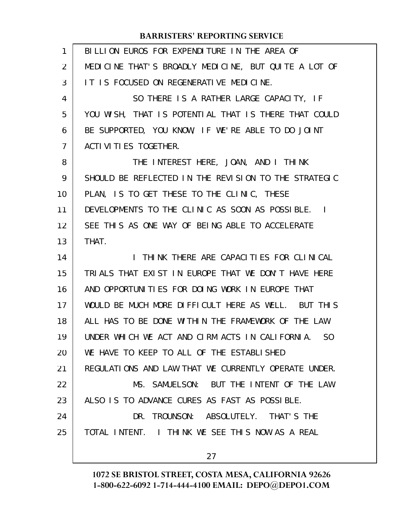| 1              | BILLION EUROS FOR EXPENDITURE IN THE AREA OF         |
|----------------|------------------------------------------------------|
| 2              | MEDICINE THAT'S BROADLY MEDICINE, BUT QUITE A LOT OF |
| 3              | IT IS FOCUSED ON REGENERATIVE MEDICINE.              |
| 4              | SO THERE IS A RATHER LARGE CAPACITY, IF              |
| 5              | YOU WISH, THAT IS POTENTIAL THAT IS THERE THAT COULD |
| 6              | BE SUPPORTED, YOU KNOW, IF WE'RE ABLE TO DO JOINT    |
| $\overline{7}$ | ACTI VI TI ES TOGETHER.                              |
| 8              | THE INTEREST HERE, JOAN, AND I THINK                 |
| 9              | SHOULD BE REFLECTED IN THE REVISION TO THE STRATEGIC |
| 10             | PLAN, IS TO GET THESE TO THE CLINIC, THESE           |
| 11             | DEVELOPMENTS TO THE CLINIC AS SOON AS POSSIBLE. I    |
| 12             | SEE THIS AS ONE WAY OF BEING ABLE TO ACCELERATE      |
| 13             | THAT.                                                |
| 14             | I THINK THERE ARE CAPACITIES FOR CLINICAL            |
| 15             | TRIALS THAT EXIST IN EUROPE THAT WE DON'T HAVE HERE  |
| 16             | AND OPPORTUNITIES FOR DOING WORK IN EUROPE THAT      |
| 17             | WOULD BE MUCH MORE DIFFICULT HERE AS WELL. BUT THIS  |
| 18             | ALL HAS TO BE DONE WITHIN THE FRAMEWORK OF THE LAW   |
| 19             | UNDER WHICH WE ACT AND CIRM ACTS IN CALIFORNIA. SO   |
| 20             | WE HAVE TO KEEP TO ALL OF THE ESTABLISHED            |
| 21             | REGULATIONS AND LAW THAT WE CURRENTLY OPERATE UNDER. |
| 22             | MS. SAMUELSON: BUT THE INTENT OF THE LAW             |
| 23             | ALSO IS TO ADVANCE CURES AS FAST AS POSSIBLE.        |
| 24             | DR. TROUNSON: ABSOLUTELY. THAT'S THE                 |
| 25             | TOTAL INTENT. I THINK WE SEE THIS NOW AS A REAL      |
|                | 27                                                   |
|                |                                                      |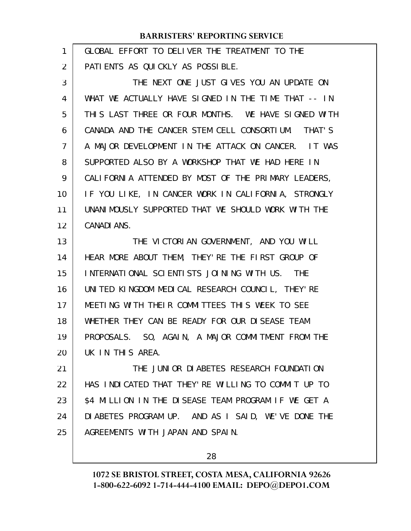| 1  | GLOBAL EFFORT TO DELIVER THE TREATMENT TO THE           |
|----|---------------------------------------------------------|
| 2  | PATIENTS AS QUICKLY AS POSSIBLE.                        |
| 3  | THE NEXT ONE JUST GIVES YOU AN UPDATE ON                |
| 4  | WHAT WE ACTUALLY HAVE SIGNED IN THE TIME THAT -- IN     |
| 5  | THIS LAST THREE OR FOUR MONTHS. WE HAVE SIGNED WITH     |
| 6  | CANADA AND THE CANCER STEM CELL CONSORTIUM. THAT'S      |
| 7  | A MAJOR DEVELOPMENT IN THE ATTACK ON CANCER. IT WAS     |
| 8  | SUPPORTED ALSO BY A WORKSHOP THAT WE HAD HERE IN        |
| 9  | CALIFORNIA ATTENDED BY MOST OF THE PRIMARY LEADERS,     |
| 10 | IF YOU LIKE, IN CANCER WORK IN CALIFORNIA, STRONGLY     |
| 11 | UNANIMOUSLY SUPPORTED THAT WE SHOULD WORK WITH THE      |
| 12 | <b>CANADI ANS.</b>                                      |
| 13 | THE VICTORIAN GOVERNMENT, AND YOU WILL                  |
| 14 | HEAR MORE ABOUT THEM, THEY'RE THE FIRST GROUP OF        |
| 15 | INTERNATIONAL SCIENTISTS JOINING WITH US.<br><b>THE</b> |
| 16 | UNITED KINGDOM MEDICAL RESEARCH COUNCIL, THEY'RE        |
| 17 | MEETING WITH THEIR COMMITTEES THIS WEEK TO SEE          |
| 18 | WHETHER THEY CAN BE READY FOR OUR DISEASE TEAM          |
| 19 | PROPOSALS. SO, AGAIN, A MAJOR COMMITMENT FROM THE       |
| 20 | UK IN THIS AREA.                                        |
| 21 | THE JUNIOR DIABETES RESEARCH FOUNDATION                 |
| 22 | HAS INDICATED THAT THEY'RE WILLING TO COMMIT UP TO      |
| 23 | \$4 MILLION IN THE DISEASE TEAM PROGRAM IF WE GET A     |
| 24 | DIABETES PROGRAM UP. AND AS I SAID, WE'VE DONE THE      |
| 25 | AGREEMENTS WITH JAPAN AND SPAIN.                        |
|    |                                                         |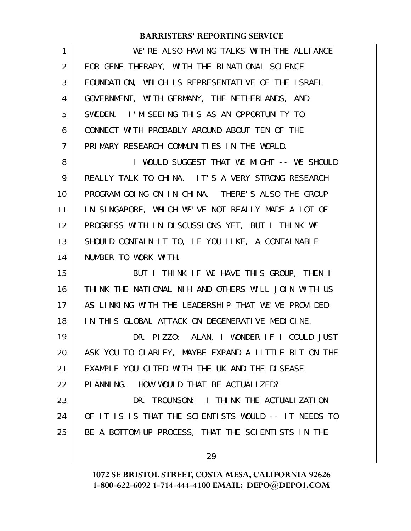| WE'RE ALSO HAVING TALKS WITH THE ALLIANCE            |
|------------------------------------------------------|
| FOR GENE THERAPY, WITH THE BINATIONAL SCIENCE        |
| FOUNDATION, WHICH IS REPRESENTATIVE OF THE ISRAEL    |
| GOVERNMENT, WITH GERMANY, THE NETHERLANDS, AND       |
| SWEDEN. I'M SEEING THIS AS AN OPPORTUNITY TO         |
| CONNECT WITH PROBABLY AROUND ABOUT TEN OF THE        |
| PRIMARY RESEARCH COMMUNITIES IN THE WORLD.           |
| I WOULD SUGGEST THAT WE MIGHT -- WE SHOULD           |
| REALLY TALK TO CHINA. IT'S A VERY STRONG RESEARCH    |
| PROGRAM GOING ON IN CHINA. THERE'S ALSO THE GROUP    |
| IN SINGAPORE, WHICH WE'VE NOT REALLY MADE A LOT OF   |
| PROGRESS WITH IN DISCUSSIONS YET, BUT I THINK WE     |
| SHOULD CONTAIN IT TO, IF YOU LIKE, A CONTAINABLE     |
| NUMBER TO WORK WITH.                                 |
| BUT I THINK IF WE HAVE THIS GROUP, THEN I            |
| THINK THE NATIONAL NIH AND OTHERS WILL JOIN WITH US  |
| AS LINKING WITH THE LEADERSHIP THAT WE'VE PROVIDED   |
| IN THIS GLOBAL ATTACK ON DEGENERATIVE MEDICINE.      |
| DR. PIZZO: ALAN, I WONDER IF I COULD JUST            |
| ASK YOU TO CLARIFY, MAYBE EXPAND A LITTLE BIT ON THE |
| EXAMPLE YOU CITED WITH THE UK AND THE DISEASE        |
| PLANNING. HOW WOULD THAT BE ACTUALIZED?              |
| DR. TROUNSON: I THINK THE ACTUALIZATION              |
| OF IT IS IS THAT THE SCIENTISTS WOULD -- IT NEEDS TO |
| BE A BOTTOM-UP PROCESS, THAT THE SCIENTISTS IN THE   |
| 29                                                   |
|                                                      |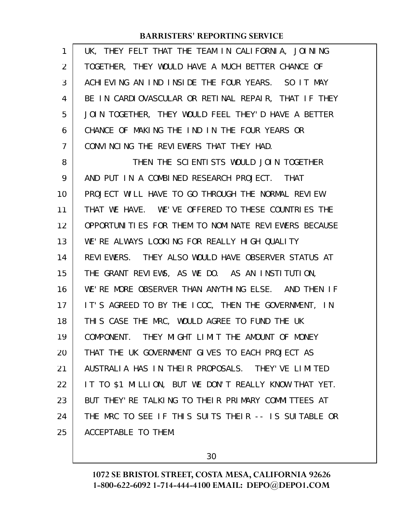UK, THEY FELT THAT THE TEAM IN CALIFORNIA, JOINING TOGETHER, THEY WOULD HAVE A MUCH BETTER CHANCE OF ACHIEVING AN IND INSIDE THE FOUR YEARS. SO IT MAY BE IN CARDIOVASCULAR OR RETINAL REPAIR, THAT IF THEY JOIN TOGETHER, THEY WOULD FEEL THEY'D HAVE A BETTER CHANCE OF MAKING THE IND IN THE FOUR YEARS OR CONVINCING THE REVIEWERS THAT THEY HAD. THEN THE SCIENTISTS WOULD JOIN TOGETHER AND PUT IN A COMBINED RESEARCH PROJECT. THAT PROJECT WILL HAVE TO GO THROUGH THE NORMAL REVIEW THAT WE HAVE. WE'VE OFFERED TO THESE COUNTRIES THE OPPORTUNITIES FOR THEM TO NOMINATE REVIEWERS BECAUSE WE'RE ALWAYS LOOKING FOR REALLY HIGH QUALITY REVIEWERS. THEY ALSO WOULD HAVE OBSERVER STATUS AT THE GRANT REVIEWS, AS WE DO. AS AN INSTITUTION, WE'RE MORE OBSERVER THAN ANYTHING ELSE. AND THEN IF IT'S AGREED TO BY THE ICOC, THEN THE GOVERNMENT, IN THIS CASE THE MRC, WOULD AGREE TO FUND THE UK COMPONENT. THEY MIGHT LIMIT THE AMOUNT OF MONEY THAT THE UK GOVERNMENT GIVES TO EACH PROJECT AS AUSTRALIA HAS IN THEIR PROPOSALS. THEY'VE LIMITED IT TO \$1 MILLION, BUT WE DON'T REALLY KNOW THAT YET. BUT THEY'RE TALKING TO THEIR PRIMARY COMMITTEES AT THE MRC TO SEE IF THIS SUITS THEIR -- IS SUITABLE OR ACCEPTABLE TO THEM. 1 2 3 4 5 6 7 8 9 10 11 12 13 14 15 16 17 18 19 20 21 22 23 24 25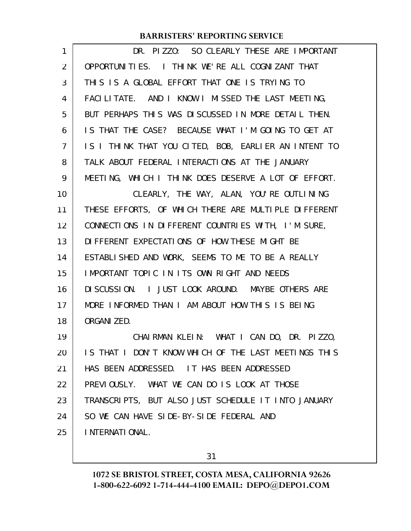| $\mathbf{1}$ | DR. PIZZO: SO CLEARLY THESE ARE IMPORTANT            |
|--------------|------------------------------------------------------|
| 2            | OPPORTUNITIES. I THINK WE'RE ALL COGNIZANT THAT      |
| 3            | THIS IS A GLOBAL EFFORT THAT ONE IS TRYING TO        |
| 4            | FACILITATE. AND I KNOW I MISSED THE LAST MEETING,    |
| 5            | BUT PERHAPS THIS WAS DISCUSSED IN MORE DETAIL THEN.  |
| 6            | IS THAT THE CASE? BECAUSE WHAT I'M GOING TO GET AT   |
| 7            | IS I THINK THAT YOU CITED, BOB, EARLIER AN INTENT TO |
| 8            | TALK ABOUT FEDERAL INTERACTIONS AT THE JANUARY       |
| 9            | MEETING, WHICH I THINK DOES DESERVE A LOT OF EFFORT. |
| 10           | CLEARLY, THE WAY, ALAN, YOU'RE OUTLINING             |
| 11           | THESE EFFORTS, OF WHICH THERE ARE MULTIPLE DIFFERENT |
| 12           | CONNECTIONS IN DIFFERENT COUNTRIES WITH, I'M SURE,   |
| 13           | DI FFERENT EXPECTATIONS OF HOW THESE MIGHT BE        |
| 14           | ESTABLISHED AND WORK, SEEMS TO ME TO BE A REALLY     |
| 15           | IMPORTANT TOPIC IN ITS OWN RIGHT AND NEEDS           |
| 16           | DI SCUSSION. I JUST LOOK AROUND. MAYBE OTHERS ARE    |
| 17           | MORE INFORMED THAN I AM ABOUT HOW THIS IS BEING      |
| 18           | ORGANI ZED.                                          |
| 19           | CHAIRMAN KLEIN: WHAT I CAN DO, DR. PIZZO,            |
| 20           | IS THAT I DON'T KNOW WHICH OF THE LAST MEETINGS THIS |
| 21           | HAS BEEN ADDRESSED. IT HAS BEEN ADDRESSED            |
| 22           | PREVIOUSLY. WHAT WE CAN DO IS LOOK AT THOSE          |
| 23           | TRANSCRIPTS, BUT ALSO JUST SCHEDULE IT INTO JANUARY  |
| 24           | SO WE CAN HAVE SIDE-BY-SIDE FEDERAL AND              |
| 25           | I NTERNATI ONAL.                                     |
|              |                                                      |

31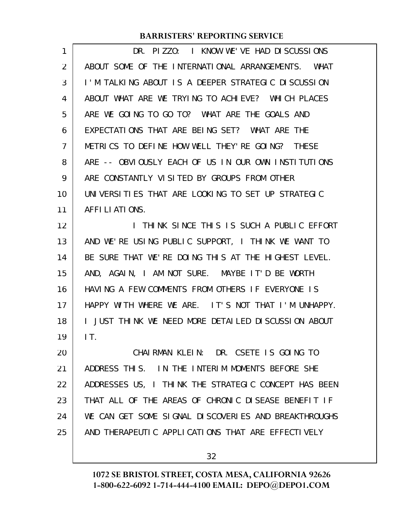| 1  | DR. PIZZO: I KNOW WE'VE HAD DISCUSSIONS              |
|----|------------------------------------------------------|
| 2  | ABOUT SOME OF THE INTERNATIONAL ARRANGEMENTS. WHAT   |
| 3  | I'M TALKING ABOUT IS A DEEPER STRATEGIC DISCUSSION   |
| 4  | ABOUT WHAT ARE WE TRYING TO ACHIEVE? WHICH PLACES    |
| 5  | ARE WE GOING TO GO TO? WHAT ARE THE GOALS AND        |
| 6  | EXPECTATIONS THAT ARE BEING SET? WHAT ARE THE        |
| 7  | METRICS TO DEFINE HOW WELL THEY'RE GOING? THESE      |
| 8  | ARE -- OBVIOUSLY EACH OF US IN OUR OWN INSTITUTIONS  |
| 9  | ARE CONSTANTLY VISITED BY GROUPS FROM OTHER          |
| 10 | UNIVERSITIES THAT ARE LOOKING TO SET UP STRATEGIC    |
| 11 | AFFILIATIONS.                                        |
| 12 | I THINK SINCE THIS IS SUCH A PUBLIC EFFORT           |
| 13 | AND WE'RE USING PUBLIC SUPPORT, I THINK WE WANT TO   |
| 14 | BE SURE THAT WE'RE DOING THIS AT THE HIGHEST LEVEL.  |
| 15 | AND, AGAIN, I AM NOT SURE. MAYBE IT'D BE WORTH       |
| 16 | HAVING A FEW COMMENTS FROM OTHERS IF EVERYONE IS     |
| 17 | HAPPY WITH WHERE WE ARE. IT'S NOT THAT I'M UNHAPPY.  |
| 18 | I JUST THINK WE NEED MORE DETAILED DISCUSSION ABOUT  |
| 19 | IT.                                                  |
| 20 | CHAIRMAN KLEIN: DR. CSETE IS GOING TO                |
| 21 | ADDRESS THIS. IN THE INTERIM MOMENTS BEFORE SHE      |
| 22 | ADDRESSES US, I THINK THE STRATEGIC CONCEPT HAS BEEN |
| 23 | THAT ALL OF THE AREAS OF CHRONIC DISEASE BENEFIT IF  |
| 24 | WE CAN GET SOME SIGNAL DISCOVERIES AND BREAKTHROUGHS |
| 25 | AND THERAPEUTIC APPLICATIONS THAT ARE EFFECTIVELY    |
|    |                                                      |

32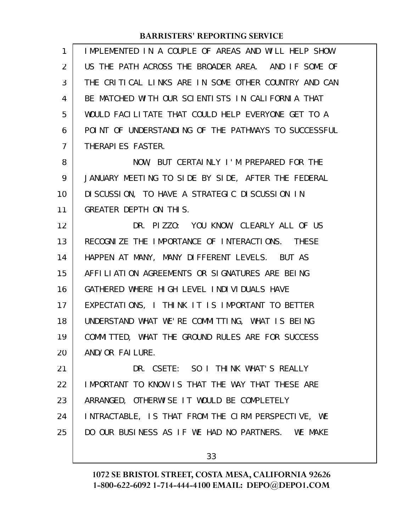| $\mathbf{1}$ | IMPLEMENTED IN A COUPLE OF AREAS AND WILL HELP SHOW  |
|--------------|------------------------------------------------------|
| 2            | US THE PATH ACROSS THE BROADER AREA. AND IF SOME OF  |
| 3            | THE CRITICAL LINKS ARE IN SOME OTHER COUNTRY AND CAN |
| 4            | BE MATCHED WITH OUR SCIENTISTS IN CALIFORNIA THAT    |
| 5            | WOULD FACILITATE THAT COULD HELP EVERYONE GET TO A   |
| 6            | POINT OF UNDERSTANDING OF THE PATHWAYS TO SUCCESSFUL |
| 7            | THERAPI ES FASTER.                                   |
| 8            | NOW, BUT CERTAINLY I'M PREPARED FOR THE              |
| 9            | JANUARY MEETING TO SIDE BY SIDE, AFTER THE FEDERAL   |
| 10           | DI SCUSSION, TO HAVE A STRATEGIC DI SCUSSION IN      |
| 11           | GREATER DEPTH ON THIS.                               |
| 12           | DR. PIZZO: YOU KNOW, CLEARLY ALL OF US               |
| 13           | RECOGNIZE THE IMPORTANCE OF INTERACTIONS. THESE      |
| 14           | HAPPEN AT MANY, MANY DIFFERENT LEVELS. BUT AS        |
| 15           | AFFILIATION AGREEMENTS OR SIGNATURES ARE BEING       |
| 16           | GATHERED WHERE HIGH LEVEL INDIVIDUALS HAVE           |
| 17           | EXPECTATIONS, I THINK IT IS IMPORTANT TO BETTER      |
| 18           | UNDERSTAND WHAT WE'RE COMMITTING, WHAT IS BEING      |
| 19           | COMMITTED, WHAT THE GROUND RULES ARE FOR SUCCESS     |
| 20           | AND/OR FAILURE.                                      |
| 21           | DR. CSETE: SO I THINK WHAT'S REALLY                  |
| 22           | IMPORTANT TO KNOW IS THAT THE WAY THAT THESE ARE     |
| 23           | ARRANGED, OTHERWISE IT WOULD BE COMPLETELY           |
| 24           | INTRACTABLE, IS THAT FROM THE CIRM PERSPECTIVE, WE   |
| 25           | DO OUR BUSINESS AS IF WE HAD NO PARTNERS. WE MAKE    |
|              |                                                      |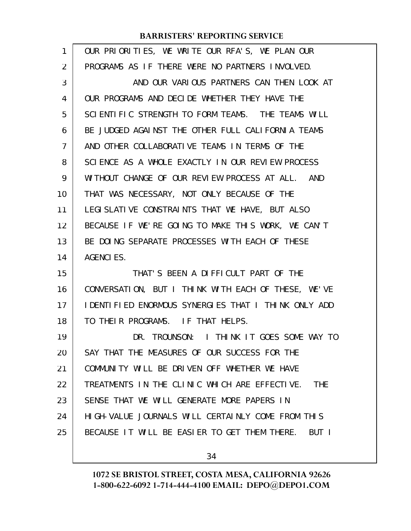| 1  | OUR PRIORITIES, WE WRITE OUR RFA'S, WE PLAN OUR       |
|----|-------------------------------------------------------|
| 2  | PROGRAMS AS IF THERE WERE NO PARTNERS INVOLVED.       |
| 3  | AND OUR VARIOUS PARTNERS CAN THEN LOOK AT             |
| 4  | OUR PROGRAMS AND DECIDE WHETHER THEY HAVE THE         |
| 5  | SCIENTIFIC STRENGTH TO FORM TEAMS. THE TEAMS WILL     |
| 6  | BE JUDGED AGAINST THE OTHER FULL CALIFORNIA TEAMS     |
| 7  | AND OTHER COLLABORATIVE TEAMS IN TERMS OF THE         |
| 8  | SCIENCE AS A WHOLE EXACTLY IN OUR REVIEW PROCESS      |
| 9  | WITHOUT CHANGE OF OUR REVIEW PROCESS AT ALL. AND      |
| 10 | THAT WAS NECESSARY, NOT ONLY BECAUSE OF THE           |
| 11 | LEGI SLATI VE CONSTRAINTS THAT WE HAVE, BUT ALSO      |
| 12 | BECAUSE IF WE'RE GOING TO MAKE THIS WORK, WE CAN'T    |
| 13 | BE DOING SEPARATE PROCESSES WITH EACH OF THESE        |
| 14 | <b>AGENCIES.</b>                                      |
| 15 | THAT'S BEEN A DIFFICULT PART OF THE                   |
| 16 | CONVERSATION, BUT I THINK WITH EACH OF THESE, WE'VE   |
| 17 | I DENTIFIED ENORMOUS SYNERGIES THAT I THINK ONLY ADD  |
| 18 | TO THEIR PROGRAMS. IF THAT HELPS.                     |
| 19 | DR. TROUNSON: I THINK IT GOES SOME WAY TO             |
| 20 | SAY THAT THE MEASURES OF OUR SUCCESS FOR THE          |
| 21 | COMMUNITY WILL BE DRIVEN OFF WHETHER WE HAVE          |
| 22 | TREATMENTS IN THE CLINIC WHICH ARE EFFECTIVE. THE     |
| 23 | SENSE THAT WE WILL GENERATE MORE PAPERS IN            |
| 24 | HIGH-VALUE JOURNALS WILL CERTAINLY COME FROM THIS     |
| 25 | BECAUSE IT WILL BE EASIER TO GET THEM THERE.<br>BUT I |
|    |                                                       |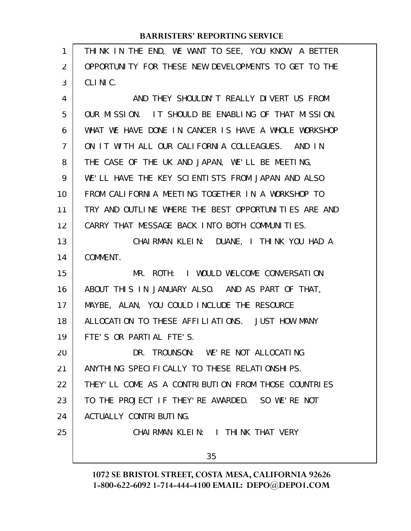| 1              | THINK IN THE END, WE WANT TO SEE, YOU KNOW, A BETTER |
|----------------|------------------------------------------------------|
| 2              | OPPORTUNITY FOR THESE NEW DEVELOPMENTS TO GET TO THE |
| 3              | CLINIC.                                              |
| 4              | AND THEY SHOULDN'T REALLY DIVERT US FROM             |
| 5              | OUR MISSION. IT SHOULD BE ENABLING OF THAT MISSION.  |
| 6              | WHAT WE HAVE DONE IN CANCER IS HAVE A WHOLE WORKSHOP |
| $\overline{7}$ | ON IT WITH ALL OUR CALIFORNIA COLLEAGUES. AND IN     |
| 8              | THE CASE OF THE UK AND JAPAN, WE'LL BE MEETING,      |
| 9              | WE'LL HAVE THE KEY SCIENTISTS FROM JAPAN AND ALSO    |
| 10             | FROM CALIFORNIA MEETING TOGETHER IN A WORKSHOP TO    |
| 11             | TRY AND OUTLINE WHERE THE BEST OPPORTUNITIES ARE AND |
| 12             | CARRY THAT MESSAGE BACK INTO BOTH COMMUNITIES.       |
| 13             | CHAIRMAN KLEIN: DUANE, I THINK YOU HAD A             |
| 14             | COMMENT.                                             |
| 15             | MR. ROTH: I WOULD WELCOME CONVERSATION               |
| 16             | ABOUT THIS IN JANUARY ALSO. AND AS PART OF THAT,     |
| 17             | MAYBE, ALAN, YOU COULD INCLUDE THE RESOURCE          |
| 18             | ALLOCATION TO THESE AFFILIATIONS. JUST HOW MANY      |
| 19             | FTE'S OR PARTIAL FTE'S.                              |
| 20             | DR. TROUNSON: WE'RE NOT ALLOCATING                   |
| 21             | ANYTHING SPECIFICALLY TO THESE RELATIONSHIPS.        |
| 22             | THEY'LL COME AS A CONTRIBUTION FROM THOSE COUNTRIES  |
| 23             | TO THE PROJECT IF THEY'RE AWARDED. SO WE'RE NOT      |
| 24             | ACTUALLY CONTRIBUTING.                               |
| 25             | CHAIRMAN KLEIN: I THINK THAT VERY                    |
|                | 35                                                   |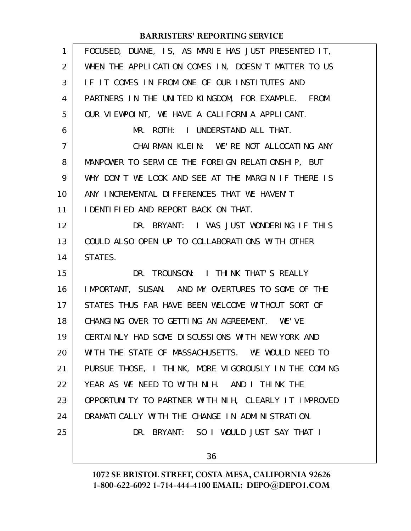| 1              | FOCUSED, DUANE, IS, AS MARIE HAS JUST PRESENTED IT,  |
|----------------|------------------------------------------------------|
| $\overline{2}$ | WHEN THE APPLICATION COMES IN, DOESN'T MATTER TO US  |
| 3              | IF IT COMES IN FROM ONE OF OUR INSTITUTES AND        |
| 4              | PARTNERS IN THE UNITED KINGDOM, FOR EXAMPLE. FROM    |
| 5              | OUR VIEWPOINT, WE HAVE A CALIFORNIA APPLICANT.       |
| 6              | MR. ROTH: I UNDERSTAND ALL THAT.                     |
| $\overline{7}$ | CHAIRMAN KLEIN: WE'RE NOT ALLOCATING ANY             |
| 8              | MANPOWER TO SERVICE THE FOREIGN RELATIONSHIP, BUT    |
| 9              | WHY DON'T WE LOOK AND SEE AT THE MARGIN IF THERE IS  |
| 10             | ANY INCREMENTAL DIFFERENCES THAT WE HAVEN'T          |
| 11             | I DENTI FI ED AND REPORT BACK ON THAT.               |
| 12             | DR. BRYANT: I WAS JUST WONDERING IF THIS             |
| 13             | COULD ALSO OPEN UP TO COLLABORATIONS WITH OTHER      |
| 14             | STATES.                                              |
| 15             | DR. TROUNSON: I THINK THAT'S REALLY                  |
| 16             | IMPORTANT, SUSAN. AND MY OVERTURES TO SOME OF THE    |
| 17             | STATES THUS FAR HAVE BEEN WELCOME WITHOUT SORT OF    |
| 18             | CHANGING OVER TO GETTING AN AGREEMENT. WE'VE         |
| 19             | CERTAINLY HAD SOME DISCUSSIONS WITH NEW YORK AND     |
| 20             | WITH THE STATE OF MASSACHUSETTS. WE WOULD NEED TO    |
| 21             | PURSUE THOSE, I THINK, MORE VIGOROUSLY IN THE COMING |
| 22             | YEAR AS WE NEED TO WITH NIH. AND I THINK THE         |
| 23             | OPPORTUNITY TO PARTNER WITH NIH, CLEARLY IT IMPROVED |
| 24             | DRAMATICALLY WITH THE CHANGE IN ADMINISTRATION.      |
| 25             | DR. BRYANT: SO I WOULD JUST SAY THAT I               |
|                | 36                                                   |
|                |                                                      |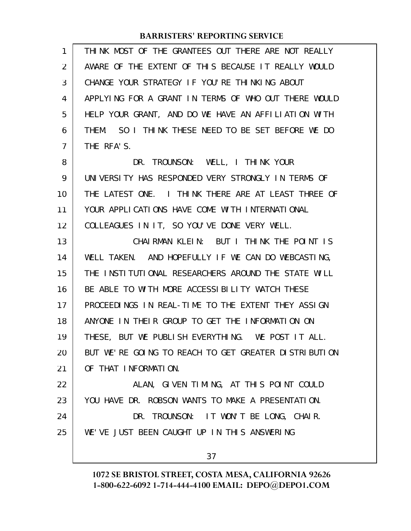| 1              | THINK MOST OF THE GRANTEES OUT THERE ARE NOT REALLY   |
|----------------|-------------------------------------------------------|
| $\overline{2}$ | AWARE OF THE EXTENT OF THIS BECAUSE IT REALLY WOULD   |
| 3              | CHANGE YOUR STRATEGY IF YOU'RE THINKING ABOUT         |
| 4              | APPLYING FOR A GRANT IN TERMS OF WHO OUT THERE WOULD  |
| 5              | HELP YOUR GRANT, AND DO WE HAVE AN AFFILIATION WITH   |
| 6              | SO I THINK THESE NEED TO BE SET BEFORE WE DO<br>THEM. |
| $\overline{7}$ | THE RFA'S.                                            |
| 8              | DR. TROUNSON: WELL, I THINK YOUR                      |
| 9              | UNIVERSITY HAS RESPONDED VERY STRONGLY IN TERMS OF    |
| 10             | THE LATEST ONE. I THINK THERE ARE AT LEAST THREE OF   |
| 11             | YOUR APPLICATIONS HAVE COME WITH INTERNATIONAL        |
| 12             | COLLEAGUES IN IT, SO YOU'VE DONE VERY WELL.           |
| 13             | CHAIRMAN KLEIN: BUT I THINK THE POINT IS              |
| 14             | WELL TAKEN. AND HOPEFULLY IF WE CAN DO WEBCASTING,    |
| 15             | THE INSTITUTIONAL RESEARCHERS AROUND THE STATE WILL   |
| 16             | BE ABLE TO WITH MORE ACCESSIBILITY WATCH THESE        |
| 17             | PROCEEDINGS IN REAL-TIME TO THE EXTENT THEY ASSIGN    |
| 18             | ANYONE IN THEIR GROUP TO GET THE INFORMATION ON       |
| 19             | THESE, BUT WE PUBLISH EVERYTHING. WE POST IT ALL.     |
| 20             | BUT WE'RE GOING TO REACH TO GET GREATER DISTRIBUTION  |
| 21             | OF THAT INFORMATION.                                  |
| 22             | ALAN, GIVEN TIMING, AT THIS POINT COULD               |
| 23             | YOU HAVE DR. ROBSON WANTS TO MAKE A PRESENTATION.     |
| 24             | DR. TROUNSON: IT WON'T BE LONG, CHAIR.                |
| 25             | WE'VE JUST BEEN CAUGHT UP IN THIS ANSWERING           |
|                | 37                                                    |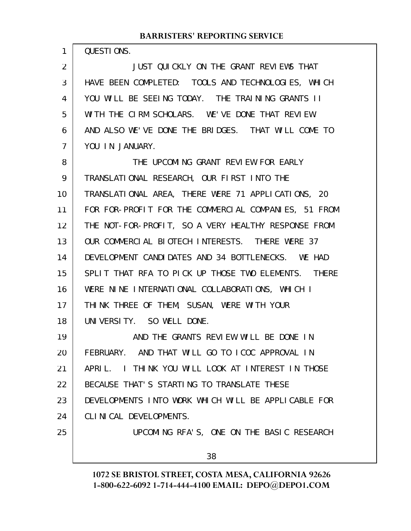QUESTIONS.

1

JUST QUICKLY ON THE GRANT REVIEWS THAT HAVE BEEN COMPLETED: TOOLS AND TECHNOLOGIES, WHICH YOU WILL BE SEEING TODAY. THE TRAINING GRANTS II WITH THE CIRM SCHOLARS. WE'VE DONE THAT REVIEW. AND ALSO WE'VE DONE THE BRIDGES. THAT WILL COME TO YOU IN JANUARY. 2 3 4 5 6 7

THE UPCOMING GRANT REVIEW FOR EARLY TRANSLATIONAL RESEARCH, OUR FIRST INTO THE TRANSLATIONAL AREA, THERE WERE 71 APPLICATIONS, 20 FOR FOR-PROFIT FOR THE COMMERCIAL COMPANIES, 51 FROM THE NOT-FOR-PROFIT, SO A VERY HEALTHY RESPONSE FROM OUR COMMERCIAL BIOTECH INTERESTS. THERE WERE 37 DEVELOPMENT CANDIDATES AND 34 BOTTLENECKS. WE HAD SPLIT THAT RFA TO PICK UP THOSE TWO ELEMENTS. THERE WERE NINE INTERNATIONAL COLLABORATIONS, WHICH I THINK THREE OF THEM, SUSAN, WERE WITH YOUR UNIVERSITY. SO WELL DONE. 8 9 10 11 12 13 14 15 16 17 18

AND THE GRANTS REVIEW WILL BE DONE IN FEBRUARY. AND THAT WILL GO TO ICOC APPROVAL IN APRIL. I THINK YOU WILL LOOK AT INTEREST IN THOSE BECAUSE THAT'S STARTING TO TRANSLATE THESE DEVELOPMENTS INTO WORK WHICH WILL BE APPLICABLE FOR CLINICAL DEVELOPMENTS. UPCOMING RFA'S, ONE ON THE BASIC RESEARCH 19 20 21 22 23 24 25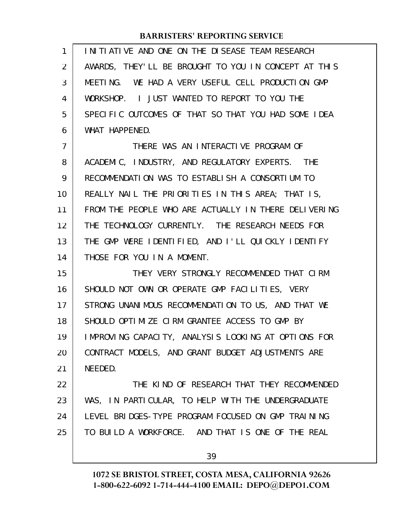| 1              | I NI TI ATI VE AND ONE ON THE DI SEASE TEAM RESEARCH |
|----------------|------------------------------------------------------|
| 2              | AWARDS, THEY'LL BE BROUGHT TO YOU IN CONCEPT AT THIS |
| 3              | MEETING. WE HAD A VERY USEFUL CELL PRODUCTION GMP    |
| 4              | WORKSHOP. I JUST WANTED TO REPORT TO YOU THE         |
| 5              | SPECIFIC OUTCOMES OF THAT SO THAT YOU HAD SOME IDEA  |
| 6              | WHAT HAPPENED.                                       |
| $\overline{7}$ | THERE WAS AN INTERACTIVE PROGRAM OF                  |
| 8              | ACADEMIC, INDUSTRY, AND REGULATORY EXPERTS. THE      |
| 9              | RECOMMENDATION WAS TO ESTABLISH A CONSORTIUM TO      |
| 10             | REALLY NAIL THE PRIORITIES IN THIS AREA; THAT IS,    |
| 11             | FROM THE PEOPLE WHO ARE ACTUALLY IN THERE DELIVERING |
| 12             | THE TECHNOLOGY CURRENTLY. THE RESEARCH NEEDS FOR     |
| 13             | THE GMP WERE IDENTIFIED, AND I'LL QUICKLY IDENTIFY   |
| 14             | THOSE FOR YOU IN A MOMENT.                           |
| 15             | THEY VERY STRONGLY RECOMMENDED THAT CIRM             |
| 16             | SHOULD NOT OWN OR OPERATE GMP FACILITIES, VERY       |
| 17             | STRONG UNANIMOUS RECOMMENDATION TO US, AND THAT WE   |
| 18             | SHOULD OPTIMIZE CIRM GRANTEE ACCESS TO GMP BY        |
| 19             | IMPROVING CAPACITY, ANALYSIS LOOKING AT OPTIONS FOR  |
| 20             | CONTRACT MODELS, AND GRANT BUDGET ADJUSTMENTS ARE    |
| 21             | NEEDED.                                              |
| 22             | THE KIND OF RESEARCH THAT THEY RECOMMENDED           |
| 23             | WAS, IN PARTICULAR, TO HELP WITH THE UNDERGRADUATE   |
| 24             | LEVEL BRIDGES-TYPE PROGRAM FOCUSED ON GMP TRAINING   |
| 25             | TO BUILD A WORKFORCE. AND THAT IS ONE OF THE REAL    |
|                | 39                                                   |
|                |                                                      |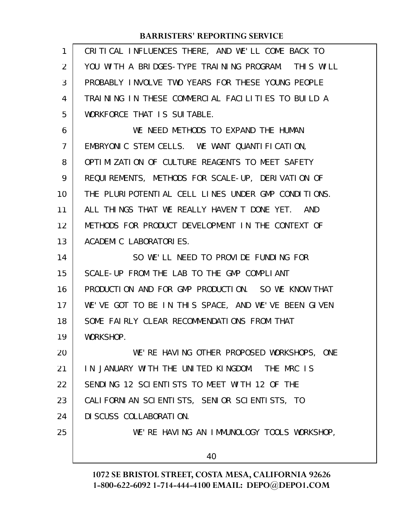| 1              | CRITICAL INFLUENCES THERE, AND WE'LL COME BACK TO   |
|----------------|-----------------------------------------------------|
| $\overline{2}$ | YOU WITH A BRIDGES-TYPE TRAINING PROGRAM. THIS WILL |
| 3              | PROBABLY INVOLVE TWO YEARS FOR THESE YOUNG PEOPLE   |
| 4              | TRAINING IN THESE COMMERCIAL FACILITIES TO BUILD A  |
| 5              | WORKFORCE THAT IS SUITABLE.                         |
| 6              | WE NEED METHODS TO EXPAND THE HUMAN                 |
| 7              | EMBRYONIC STEM CELLS. WE WANT QUANTIFICATION,       |
| 8              | OPTIMIZATION OF CULTURE REAGENTS TO MEET SAFETY     |
| 9              | REQUIREMENTS, METHODS FOR SCALE-UP, DERIVATION OF   |
| 10             | THE PLURIPOTENTIAL CELL LINES UNDER GMP CONDITIONS. |
| 11             | ALL THINGS THAT WE REALLY HAVEN'T DONE YET. AND     |
| 12             | METHODS FOR PRODUCT DEVELOPMENT IN THE CONTEXT OF   |
| 13             | ACADEMIC LABORATORIES.                              |
| 14             | SO WE'LL NEED TO PROVIDE FUNDING FOR                |
| 15             | SCALE-UP FROM THE LAB TO THE GMP COMPLIANT          |
| 16             | PRODUCTION AND FOR GMP PRODUCTION. SO WE KNOW THAT  |
| 17             | WE'VE GOT TO BE IN THIS SPACE, AND WE'VE BEEN GIVEN |
| 18             | SOME FAIRLY CLEAR RECOMMENDATIONS FROM THAT         |
| 19             | WORKSHOP.                                           |
| 20             | WE'RE HAVING OTHER PROPOSED WORKSHOPS, ONE          |
| 21             | IN JANUARY WITH THE UNITED KINGDOM. THE MRC IS      |
| 22             | SENDING 12 SCIENTISTS TO MEET WITH 12 OF THE        |
| 23             | CALIFORNIAN SCIENTISTS, SENIOR SCIENTISTS, TO       |
| 24             | DI SCUSS COLLABORATION.                             |
| 25             | WE'RE HAVING AN IMMUNOLOGY TOOLS WORKSHOP,          |
|                | 40                                                  |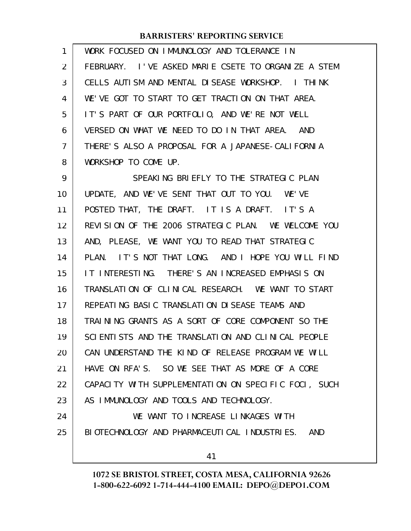| 1              | WORK FOCUSED ON IMMUNOLOGY AND TOLERANCE IN          |
|----------------|------------------------------------------------------|
| $\overline{2}$ | FEBRUARY. I'VE ASKED MARIE CSETE TO ORGANIZE A STEM  |
| 3              | CELLS AUTISM AND MENTAL DISEASE WORKSHOP. I THINK    |
| 4              | WE'VE GOT TO START TO GET TRACTION ON THAT AREA.     |
| 5              | IT'S PART OF OUR PORTFOLIO, AND WE'RE NOT WELL       |
| 6              | VERSED ON WHAT WE NEED TO DO IN THAT AREA. AND       |
| 7              | THERE'S ALSO A PROPOSAL FOR A JAPANESE-CALIFORNIA    |
| 8              | WORKSHOP TO COME UP.                                 |
| 9              | SPEAKING BRIEFLY TO THE STRATEGIC PLAN               |
| 10             | UPDATE, AND WE'VE SENT THAT OUT TO YOU. WE'VE        |
| 11             | POSTED THAT, THE DRAFT. IT IS A DRAFT. IT'S A        |
| 12             | REVISION OF THE 2006 STRATEGIC PLAN. WE WELCOME YOU  |
| 13             | AND, PLEASE, WE WANT YOU TO READ THAT STRATEGIC      |
| 14             | PLAN. IT'S NOT THAT LONG. AND I HOPE YOU WILL FIND   |
| 15             | IT INTERESTING. THERE'S AN INCREASED EMPHASIS ON     |
| 16             | TRANSLATION OF CLINICAL RESEARCH. WE WANT TO START   |
| 17             | REPEATING BASIC TRANSLATION DISEASE TEAMS AND        |
| 18             | TRAINING GRANTS AS A SORT OF CORE COMPONENT SO THE   |
| 19             | SCIENTISTS AND THE TRANSLATION AND CLINICAL PEOPLE   |
| 20             | CAN UNDERSTAND THE KIND OF RELEASE PROGRAM WE WILL   |
| 21             | HAVE ON RFA'S. SO WE SEE THAT AS MORE OF A CORE      |
| 22             | CAPACITY WITH SUPPLEMENTATION ON SPECIFIC FOCI, SUCH |
| 23             | AS IMMUNOLOGY AND TOOLS AND TECHNOLOGY.              |
| 24             | WE WANT TO INCREASE LINKAGES WITH                    |
| 25             | BIOTECHNOLOGY AND PHARMACEUTICAL INDUSTRIES. AND     |
|                |                                                      |
|                | 41                                                   |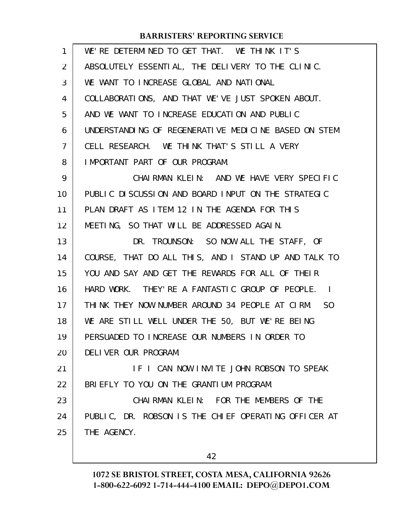| $\mathbf{1}$   | WE'RE DETERMINED TO GET THAT. WE THINK IT'S          |
|----------------|------------------------------------------------------|
| $\overline{2}$ | ABSOLUTELY ESSENTIAL, THE DELIVERY TO THE CLINIC.    |
| 3              | WE WANT TO INCREASE GLOBAL AND NATIONAL              |
| 4              | COLLABORATIONS, AND THAT WE'VE JUST SPOKEN ABOUT.    |
| 5              | AND WE WANT TO INCREASE EDUCATION AND PUBLIC         |
| 6              | UNDERSTANDING OF REGENERATIVE MEDICINE BASED ON STEM |
| 7              | CELL RESEARCH. WE THINK THAT'S STILL A VERY          |
| 8              | IMPORTANT PART OF OUR PROGRAM.                       |
| 9              | CHAIRMAN KLEIN: AND WE HAVE VERY SPECIFIC            |
| 10             | PUBLIC DISCUSSION AND BOARD INPUT ON THE STRATEGIC   |
| 11             | PLAN DRAFT AS ITEM 12 IN THE AGENDA FOR THIS         |
| 12             | MEETING, SO THAT WILL BE ADDRESSED AGAIN.            |
| 13             | DR. TROUNSON: SO NOW ALL THE STAFF, OF               |
| 14             | COURSE, THAT DO ALL THIS, AND I STAND UP AND TALK TO |
| 15             | YOU AND SAY AND GET THE REWARDS FOR ALL OF THEIR     |
| 16             | HARD WORK. THEY'RE A FANTASTIC GROUP OF PEOPLE. I    |
| 17             | THINK THEY NOW NUMBER AROUND 34 PEOPLE AT CIRM. SO   |
| 18             | WE ARE STILL WELL UNDER THE 50, BUT WE'RE BEING      |
| 19             | PERSUADED TO INCREASE OUR NUMBERS IN ORDER TO        |
| 20             | DELIVER OUR PROGRAM.                                 |
| 21             | IF I CAN NOW INVITE JOHN ROBSON TO SPEAK             |
| 22             | BRIEFLY TO YOU ON THE GRANTIUM PROGRAM.              |
| 23             | CHAIRMAN KLEIN: FOR THE MEMBERS OF THE               |
| 24             | PUBLIC, DR. ROBSON IS THE CHIEF OPERATING OFFICER AT |
| 25             | THE AGENCY.                                          |
|                |                                                      |
|                | 42                                                   |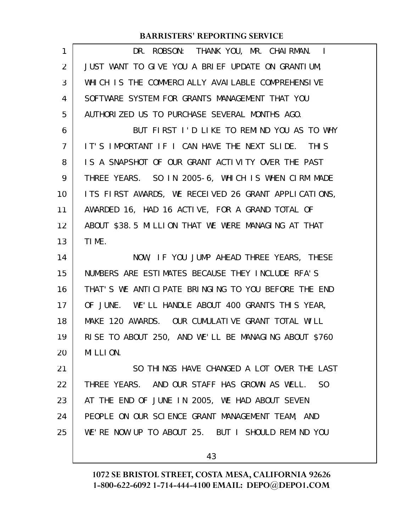| $\mathbf{1}$   | DR. ROBSON: THANK YOU, MR. CHAIRMAN. I                          |
|----------------|-----------------------------------------------------------------|
| $\overline{2}$ | JUST WANT TO GIVE YOU A BRIEF UPDATE ON GRANTIUM,               |
| 3              | WHICH IS THE COMMERCIALLY AVAILABLE COMPREHENSIVE               |
| 4              | SOFTWARE SYSTEM FOR GRANTS MANAGEMENT THAT YOU                  |
| 5              | AUTHORIZED US TO PURCHASE SEVERAL MONTHS AGO.                   |
| 6              | BUT FIRST I'D LIKE TO REMIND YOU AS TO WHY                      |
| $\overline{7}$ | IT'S IMPORTANT IF I CAN HAVE THE NEXT SLIDE. THIS               |
| 8              | IS A SNAPSHOT OF OUR GRANT ACTIVITY OVER THE PAST               |
| 9              | THREE YEARS. SO IN 2005-6, WHICH IS WHEN CIRM MADE              |
| 10             | ITS FIRST AWARDS, WE RECEIVED 26 GRANT APPLICATIONS,            |
| 11             | AWARDED 16, HAD 16 ACTIVE, FOR A GRAND TOTAL OF                 |
| 12             | ABOUT \$38.5 MILLION THAT WE WERE MANAGING AT THAT              |
| 13             | TIME.                                                           |
| 14             | NOW, IF YOU JUMP AHEAD THREE YEARS, THESE                       |
| 15             | NUMBERS ARE ESTIMATES BECAUSE THEY INCLUDE RFA'S                |
| 16             | THAT'S WE ANTICIPATE BRINGING TO YOU BEFORE THE END             |
| 17             | OF JUNE. WE'LL HANDLE ABOUT 400 GRANTS THIS YEAR,               |
| 18             | MAKE 120 AWARDS. OUR CUMULATIVE GRANT TOTAL WILL                |
| 19             | RISE TO ABOUT 250, AND WE'LL BE MANAGING ABOUT \$760            |
| 20             | MILLION.                                                        |
| 21             | SO THINGS HAVE CHANGED A LOT OVER THE LAST                      |
| 22             | THREE YEARS. AND OUR STAFF HAS GROWN AS WELL.<br>S <sub>0</sub> |
| 23             | AT THE END OF JUNE IN 2005, WE HAD ABOUT SEVEN                  |
| 24             | PEOPLE ON OUR SCIENCE GRANT MANAGEMENT TEAM, AND                |
| 25             | WE'RE NOW UP TO ABOUT 25. BUT I SHOULD REMIND YOU               |
|                | 43                                                              |
|                |                                                                 |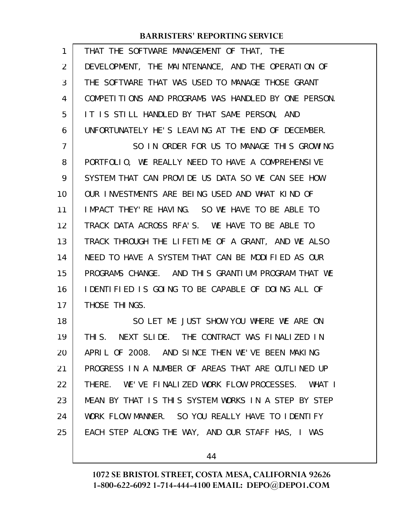| 1  | THAT THE SOFTWARE MANAGEMENT OF THAT, THE            |
|----|------------------------------------------------------|
| 2  | DEVELOPMENT, THE MAINTENANCE, AND THE OPERATION OF   |
| 3  | THE SOFTWARE THAT WAS USED TO MANAGE THOSE GRANT     |
| 4  | COMPETITIONS AND PROGRAMS WAS HANDLED BY ONE PERSON. |
| 5  | IT IS STILL HANDLED BY THAT SAME PERSON, AND         |
| 6  | UNFORTUNATELY HE'S LEAVING AT THE END OF DECEMBER.   |
| 7  | SO IN ORDER FOR US TO MANAGE THIS GROWING            |
| 8  | PORTFOLIO, WE REALLY NEED TO HAVE A COMPREHENSIVE    |
| 9  | SYSTEM THAT CAN PROVIDE US DATA SO WE CAN SEE HOW    |
| 10 | OUR INVESTMENTS ARE BEING USED AND WHAT KIND OF      |
| 11 | IMPACT THEY' RE HAVING. SO WE HAVE TO BE ABLE TO     |
| 12 | TRACK DATA ACROSS RFA'S. WE HAVE TO BE ABLE TO       |
| 13 | TRACK THROUGH THE LIFETIME OF A GRANT, AND WE ALSO   |
| 14 | NEED TO HAVE A SYSTEM THAT CAN BE MODIFIED AS OUR    |
| 15 | PROGRAMS CHANGE. AND THIS GRANTIUM PROGRAM THAT WE   |
| 16 | IDENTIFIED IS GOING TO BE CAPABLE OF DOING ALL OF    |
| 17 | THOSE THINGS.                                        |
| 18 | SO LET ME JUST SHOW YOU WHERE WE ARE ON              |
| 19 | THIS. NEXT SLIDE. THE CONTRACT WAS FINALIZED IN      |
| 20 | APRIL OF 2008. AND SINCE THEN WE'VE BEEN MAKING      |
| 21 | PROGRESS IN A NUMBER OF AREAS THAT ARE OUTLINED UP   |
| 22 | THERE. WE'VE FINALIZED WORK FLOW PROCESSES. WHAT I   |
| 23 | MEAN BY THAT IS THIS SYSTEM WORKS IN A STEP BY STEP  |
| 24 | WORK FLOW MANNER. SO YOU REALLY HAVE TO IDENTIFY     |
| 25 | EACH STEP ALONG THE WAY, AND OUR STAFF HAS, I WAS    |
|    |                                                      |

44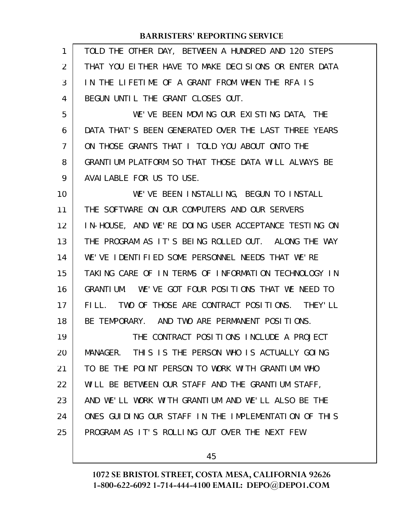| 1  | TOLD THE OTHER DAY, BETWEEN A HUNDRED AND 120 STEPS  |
|----|------------------------------------------------------|
| 2  | THAT YOU ELTHER HAVE TO MAKE DECLSIONS OR ENTER DATA |
| 3  | IN THE LIFETIME OF A GRANT FROM WHEN THE RFA IS      |
| 4  | BEGUN UNTIL THE GRANT CLOSES OUT.                    |
| 5  | WE'VE BEEN MOVING OUR EXISTING DATA, THE             |
| 6  | DATA THAT'S BEEN GENERATED OVER THE LAST THREE YEARS |
| 7  | ON THOSE GRANTS THAT I TOLD YOU ABOUT ONTO THE       |
| 8  | GRANTIUM PLATFORM SO THAT THOSE DATA WILL ALWAYS BE  |
| 9  | AVAILABLE FOR US TO USE.                             |
| 10 | WE'VE BEEN INSTALLING, BEGUN TO INSTALL              |
| 11 | THE SOFTWARE ON OUR COMPUTERS AND OUR SERVERS        |
| 12 | IN-HOUSE, AND WE'RE DOING USER ACCEPTANCE TESTING ON |
| 13 | THE PROGRAM AS IT'S BEING ROLLED OUT. ALONG THE WAY  |
| 14 | WE'VE IDENTIFIED SOME PERSONNEL NEEDS THAT WE'RE     |
| 15 | TAKING CARE OF IN TERMS OF INFORMATION TECHNOLOGY IN |
| 16 | GRANTIUM. WE'VE GOT FOUR POSITIONS THAT WE NEED TO   |
| 17 | FILL. TWO OF THOSE ARE CONTRACT POSITIONS. THEY'LL   |
| 18 | BE TEMPORARY. AND TWO ARE PERMANENT POSITIONS.       |
| 19 | THE CONTRACT POSITIONS INCLUDE A PROJECT             |
| 20 | MANAGER. THIS IS THE PERSON WHO IS ACTUALLY GOING    |
| 21 | TO BE THE POINT PERSON TO WORK WITH GRANTIUM WHO     |
| 22 | WILL BE BETWEEN OUR STAFF AND THE GRANTIUM STAFF,    |
| 23 | AND WE'LL WORK WITH GRANTIUM AND WE'LL ALSO BE THE   |
| 24 | ONES GUIDING OUR STAFF IN THE IMPLEMENTATION OF THIS |
| 25 | PROGRAM AS IT'S ROLLING OUT OVER THE NEXT FEW        |
|    |                                                      |

45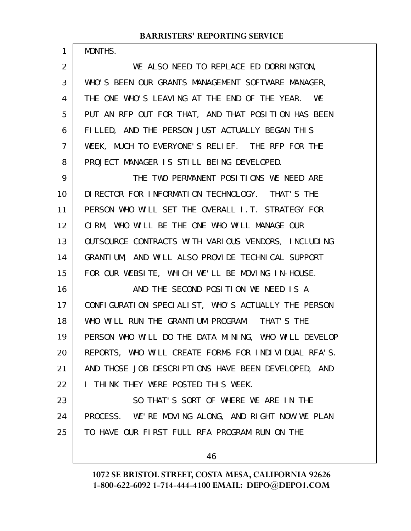1

WE ALSO NEED TO REPLACE ED DORRINGTON, WHO'S BEEN OUR GRANTS MANAGEMENT SOFTWARE MANAGER, THE ONE WHO'S LEAVING AT THE END OF THE YEAR. WE PUT AN RFP OUT FOR THAT, AND THAT POSITION HAS BEEN FILLED, AND THE PERSON JUST ACTUALLY BEGAN THIS WEEK, MUCH TO EVERYONE'S RELIEF. THE RFP FOR THE PROJECT MANAGER IS STILL BEING DEVELOPED. THE TWO PERMANENT POSITIONS WE NEED ARE DIRECTOR FOR INFORMATION TECHNOLOGY. THAT'S THE PERSON WHO WILL SET THE OVERALL I.T. STRATEGY FOR CIRM, WHO WILL BE THE ONE WHO WILL MANAGE OUR OUTSOURCE CONTRACTS WITH VARIOUS VENDORS, INCLUDING GRANTIUM, AND WILL ALSO PROVIDE TECHNICAL SUPPORT FOR OUR WEBSITE, WHICH WE'LL BE MOVING IN-HOUSE. AND THE SECOND POSITION WE NEED IS A CONFIGURATION SPECIALIST, WHO'S ACTUALLY THE PERSON WHO WILL RUN THE GRANTIUM PROGRAM. THAT'S THE PERSON WHO WILL DO THE DATA MINING, WHO WILL DEVELOP REPORTS, WHO WILL CREATE FORMS FOR INDIVIDUAL RFA'S. AND THOSE JOB DESCRIPTIONS HAVE BEEN DEVELOPED, AND I THINK THEY WERE POSTED THIS WEEK. SO THAT'S SORT OF WHERE WE ARE IN THE PROCESS. WE'RE MOVING ALONG, AND RIGHT NOW WE PLAN TO HAVE OUR FIRST FULL RFA PROGRAM RUN ON THE 2 3 4 5 6 7 8 9 10 11 12 13 14 15 16 17 18 19 20 21 22 23 24 25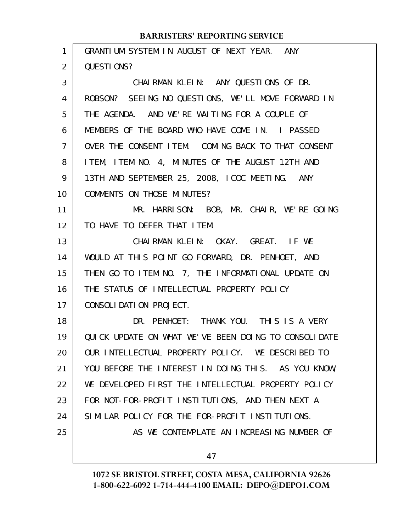| 1  | GRANTIUM SYSTEM IN AUGUST OF NEXT YEAR. ANY          |
|----|------------------------------------------------------|
| 2  | QUESTIONS?                                           |
| 3  | CHAIRMAN KLEIN: ANY QUESTIONS OF DR.                 |
| 4  | ROBSON? SEEING NO QUESTIONS, WE'LL MOVE FORWARD IN   |
| 5  | THE AGENDA. AND WE'RE WAITING FOR A COUPLE OF        |
| 6  | MEMBERS OF THE BOARD WHO HAVE COME IN. I PASSED      |
| 7  | OVER THE CONSENT ITEM. COMING BACK TO THAT CONSENT   |
| 8  | ITEM, ITEM NO. 4, MINUTES OF THE AUGUST 12TH AND     |
| 9  | 13TH AND SEPTEMBER 25, 2008, ICOC MEETING. ANY       |
| 10 | COMMENTS ON THOSE MINUTES?                           |
| 11 | MR. HARRISON: BOB, MR. CHAIR, WE'RE GOING            |
| 12 | TO HAVE TO DEFER THAT ITEM.                          |
| 13 | CHAIRMAN KLEIN: OKAY. GREAT. IF WE                   |
| 14 | WOULD AT THIS POINT GO FORWARD, DR. PENHOET, AND     |
| 15 | THEN GO TO ITEM NO. 7, THE INFORMATIONAL UPDATE ON   |
| 16 | THE STATUS OF INTELLECTUAL PROPERTY POLICY           |
| 17 | CONSOLIDATION PROJECT.                               |
| 18 | DR. PENHOET: THANK YOU. THIS IS A VERY               |
| 19 | QUICK UPDATE ON WHAT WE'VE BEEN DOING TO CONSOLIDATE |
| 20 | OUR INTELLECTUAL PROPERTY POLICY. WE DESCRIBED TO    |
| 21 | YOU BEFORE THE INTEREST IN DOING THIS. AS YOU KNOW,  |
| 22 | WE DEVELOPED FIRST THE INTELLECTUAL PROPERTY POLICY  |
| 23 | FOR NOT-FOR-PROFIT INSTITUTIONS, AND THEN NEXT A     |
| 24 | SIMILAR POLICY FOR THE FOR-PROFIT INSTITUTIONS.      |
| 25 | AS WE CONTEMPLATE AN INCREASING NUMBER OF            |
|    | 47                                                   |
|    |                                                      |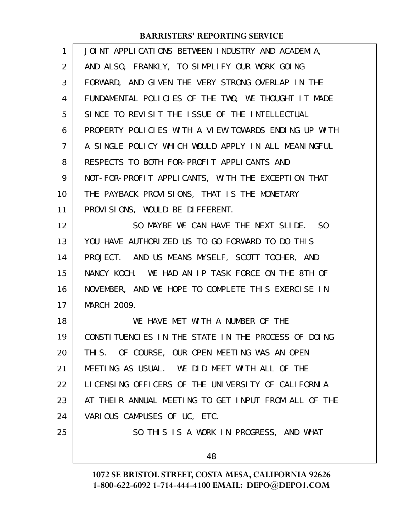| $\mathbf{1}$   | JOINT APPLICATIONS BETWEEN INDUSTRY AND ACADEMIA,    |
|----------------|------------------------------------------------------|
| $\overline{2}$ | AND ALSO, FRANKLY, TO SIMPLIFY OUR WORK GOING        |
| 3              | FORWARD, AND GIVEN THE VERY STRONG OVERLAP IN THE    |
| 4              | FUNDAMENTAL POLICIES OF THE TWO, WE THOUGHT IT MADE  |
| 5              | SINCE TO REVISIT THE ISSUE OF THE INTELLECTUAL       |
| 6              | PROPERTY POLICIES WITH A VIEW TOWARDS ENDING UP WITH |
| 7              | A SINGLE POLICY WHICH WOULD APPLY IN ALL MEANINGFUL  |
| 8              | RESPECTS TO BOTH FOR-PROFIT APPLICANTS AND           |
| 9              | NOT-FOR-PROFIT APPLICANTS, WITH THE EXCEPTION THAT   |
| 10             | THE PAYBACK PROVISIONS, THAT IS THE MONETARY         |
| 11             | PROVISIONS, WOULD BE DIFFERENT.                      |
| 12             | SO MAYBE WE CAN HAVE THE NEXT SLIDE. SO              |
| 13             | YOU HAVE AUTHORIZED US TO GO FORWARD TO DO THIS      |
| 14             | PROJECT. AND US MEANS MYSELF, SCOTT TOCHER, AND      |
| 15             | NANCY KOCH. WE HAD AN IP TASK FORCE ON THE 8TH OF    |
| 16             | NOVEMBER, AND WE HOPE TO COMPLETE THIS EXERCISE IN   |
| 17             | MARCH 2009.                                          |
| 18             | WE HAVE MET WITH A NUMBER OF THE                     |
| 19             | CONSTITUENCLES IN THE STATE IN THE PROCESS OF DOING  |
| 20             | THIS. OF COURSE, OUR OPEN MEETING WAS AN OPEN        |
| 21             | MEETING AS USUAL. WE DID MEET WITH ALL OF THE        |
| 22             | LICENSING OFFICERS OF THE UNIVERSITY OF CALIFORNIA   |
| 23             | AT THEIR ANNUAL MEETING TO GET INPUT FROM ALL OF THE |
| 24             | VARIOUS CAMPUSES OF UC, ETC.                         |
| 25             | SO THIS IS A WORK IN PROGRESS, AND WHAT              |
|                | 48                                                   |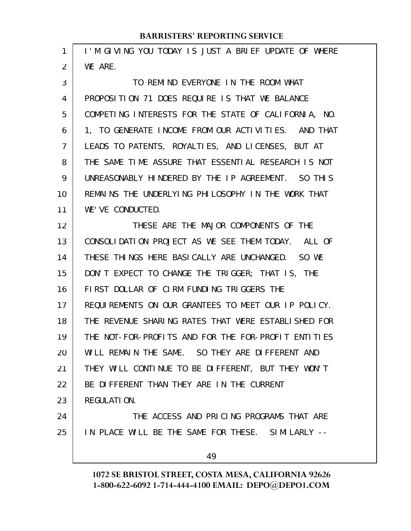| 1  | I'M GIVING YOU TODAY IS JUST A BRIEF UPDATE OF WHERE |
|----|------------------------------------------------------|
| 2  | WE ARE.                                              |
| 3  | TO REMIND EVERYONE IN THE ROOM WHAT                  |
| 4  | PROPOSITION 71 DOES REQUIRE IS THAT WE BALANCE       |
| 5  | COMPETING INTERESTS FOR THE STATE OF CALIFORNIA, NO. |
| 6  | 1, TO GENERATE INCOME FROM OUR ACTIVITIES. AND THAT  |
| 7  | LEADS TO PATENTS, ROYALTIES, AND LICENSES, BUT AT    |
| 8  | THE SAME TIME ASSURE THAT ESSENTIAL RESEARCH IS NOT  |
| 9  | UNREASONABLY HINDERED BY THE IP AGREEMENT. SO THIS   |
| 10 | REMAINS THE UNDERLYING PHILOSOPHY IN THE WORK THAT   |
| 11 | WE'VE CONDUCTED.                                     |
| 12 | THESE ARE THE MAJOR COMPONENTS OF THE                |
| 13 | CONSOLIDATION PROJECT AS WE SEE THEM TODAY. ALL OF   |
| 14 | THESE THINGS HERE BASICALLY ARE UNCHANGED. SO WE     |
| 15 | DON'T EXPECT TO CHANGE THE TRIGGER; THAT IS, THE     |
| 16 | FIRST DOLLAR OF CIRM FUNDING TRIGGERS THE            |
| 17 | REQUIREMENTS ON OUR GRANTEES TO MEET OUR IP POLICY.  |
| 18 | THE REVENUE SHARING RATES THAT WERE ESTABLISHED FOR  |
| 19 | THE NOT-FOR-PROFITS AND FOR THE FOR-PROFIT ENTITIES  |
| 20 | WILL REMAIN THE SAME. SO THEY ARE DIFFERENT AND      |
| 21 | THEY WILL CONTINUE TO BE DIFFERENT, BUT THEY WON'T   |
| 22 | BE DIFFERENT THAN THEY ARE IN THE CURRENT            |
| 23 | REGULATION.                                          |
| 24 | THE ACCESS AND PRICING PROGRAMS THAT ARE             |
| 25 | IN PLACE WILL BE THE SAME FOR THESE. SIMILARLY --    |
|    | 49                                                   |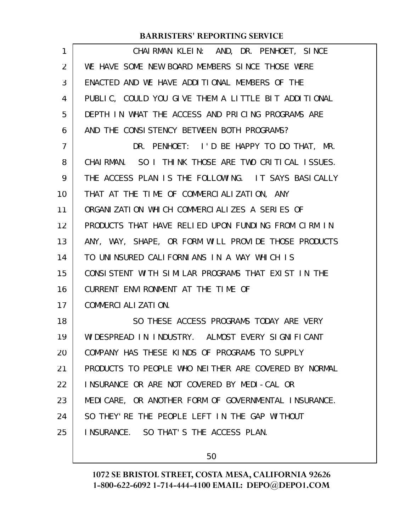| 1  | CHAIRMAN KLEIN: AND, DR. PENHOET, SINCE              |
|----|------------------------------------------------------|
| 2  | WE HAVE SOME NEW BOARD MEMBERS SINCE THOSE WERE      |
| 3  | ENACTED AND WE HAVE ADDITIONAL MEMBERS OF THE        |
| 4  | PUBLIC, COULD YOU GIVE THEM A LITTLE BIT ADDITIONAL  |
| 5  | DEPTH IN WHAT THE ACCESS AND PRICING PROGRAMS ARE    |
| 6  | AND THE CONSISTENCY BETWEEN BOTH PROGRAMS?           |
| 7  | DR. PENHOET: I'D BE HAPPY TO DO THAT, MR.            |
| 8  | CHAIRMAN. SO I THINK THOSE ARE TWO CRITICAL ISSUES.  |
| 9  | THE ACCESS PLAN IS THE FOLLOWING. IT SAYS BASICALLY  |
| 10 | THAT AT THE TIME OF COMMERCIALIZATION, ANY           |
| 11 | ORGANIZATION WHICH COMMERCIALIZES A SERIES OF        |
| 12 | PRODUCTS THAT HAVE RELIED UPON FUNDING FROM CIRM IN  |
| 13 | ANY, WAY, SHAPE, OR FORM WILL PROVIDE THOSE PRODUCTS |
| 14 | TO UNINSURED CALIFORNIANS IN A WAY WHICH IS          |
| 15 | CONSISTENT WITH SIMILAR PROGRAMS THAT EXIST IN THE   |
| 16 | CURRENT ENVIRONMENT AT THE TIME OF                   |
| 17 | COMMERCIALIZATION.                                   |
| 18 | SO THESE ACCESS PROGRAMS TODAY ARE VERY              |
| 19 | WIDESPREAD IN INDUSTRY. ALMOST EVERY SIGNIFICANT     |
| 20 | COMPANY HAS THESE KINDS OF PROGRAMS TO SUPPLY        |
| 21 | PRODUCTS TO PEOPLE WHO NEITHER ARE COVERED BY NORMAL |
| 22 | INSURANCE OR ARE NOT COVERED BY MEDI-CAL OR          |
| 23 | MEDICARE, OR ANOTHER FORM OF GOVERNMENTAL INSURANCE. |
| 24 | SO THEY' RE THE PEOPLE LEFT IN THE GAP WITHOUT       |
| 25 | INSURANCE. SO THAT'S THE ACCESS PLAN.                |
|    |                                                      |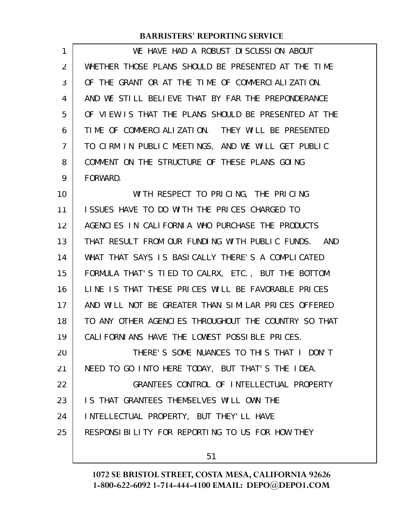| 1              | WE HAVE HAD A ROBUST DISCUSSION ABOUT                |
|----------------|------------------------------------------------------|
| $\overline{2}$ | WHETHER THOSE PLANS SHOULD BE PRESENTED AT THE TIME  |
| 3              | OF THE GRANT OR AT THE TIME OF COMMERCIALIZATION.    |
| 4              | AND WE STILL BELIEVE THAT BY FAR THE PREPONDERANCE   |
| 5              | OF VIEW IS THAT THE PLANS SHOULD BE PRESENTED AT THE |
| 6              | TIME OF COMMERCIALIZATION. THEY WILL BE PRESENTED    |
| 7              | TO CIRM IN PUBLIC MEETINGS, AND WE WILL GET PUBLIC   |
| 8              | COMMENT ON THE STRUCTURE OF THESE PLANS GOING        |
| 9              | FORWARD.                                             |
| 10             | WITH RESPECT TO PRICING, THE PRICING                 |
| 11             | ISSUES HAVE TO DO WITH THE PRICES CHARGED TO         |
| 12             | AGENCIES IN CALIFORNIA WHO PURCHASE THE PRODUCTS     |
| 13             | THAT RESULT FROM OUR FUNDING WITH PUBLIC FUNDS. AND  |
| 14             | WHAT THAT SAYS IS BASICALLY THERE'S A COMPLICATED    |
| 15             | FORMULA THAT'S TIED TO CALRX, ETC., BUT THE BOTTOM   |
| 16             | LINE IS THAT THESE PRICES WILL BE FAVORABLE PRICES   |
| 17             | AND WILL NOT BE GREATER THAN SIMILAR PRICES OFFERED  |
| 18             | TO ANY OTHER AGENCIES THROUGHOUT THE COUNTRY SO THAT |
| 19             | CALIFORNIANS HAVE THE LOWEST POSSIBLE PRICES.        |
| 20             | THERE'S SOME NUANCES TO THIS THAT I DON'T            |
| 21             | NEED TO GO INTO HERE TODAY, BUT THAT'S THE IDEA.     |
| 22             | GRANTEES CONTROL OF INTELLECTUAL PROPERTY            |
| 23             | IS THAT GRANTEES THEMSELVES WILL OWN THE             |
| 24             | INTELLECTUAL PROPERTY, BUT THEY'LL HAVE              |
| 25             | RESPONSIBILITY FOR REPORTING TO US FOR HOW THEY      |
|                |                                                      |

51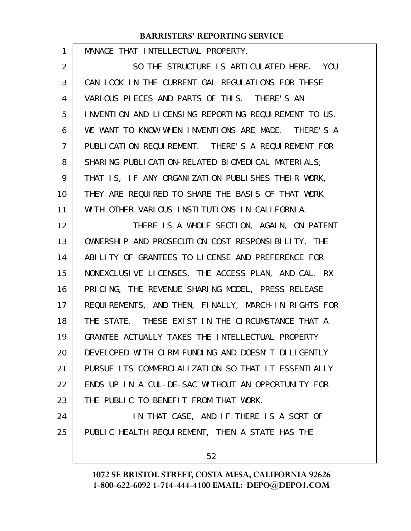| 1              | MANAGE THAT INTELLECTUAL PROPERTY.                   |
|----------------|------------------------------------------------------|
| 2              | SO THE STRUCTURE IS ARTICULATED HERE. YOU            |
| 3              | CAN LOOK IN THE CURRENT OAL REGULATIONS FOR THESE    |
| 4              | VARIOUS PIECES AND PARTS OF THIS. THERE'S AN         |
| 5              | INVENTION AND LICENSING REPORTING REQUIREMENT TO US. |
| 6              | WE WANT TO KNOW WHEN INVENTIONS ARE MADE. THERE'S A  |
| $\overline{7}$ | PUBLICATION REQUIREMENT. THERE'S A REQUIREMENT FOR   |
| 8              | SHARING PUBLICATION-RELATED BIOMEDICAL MATERIALS;    |
| 9              | THAT IS, IF ANY ORGANIZATION PUBLISHES THEIR WORK,   |
| 10             | THEY ARE REQUIRED TO SHARE THE BASIS OF THAT WORK    |
| 11             | WITH OTHER VARIOUS INSTITUTIONS IN CALIFORNIA.       |
| 12             | THERE IS A WHOLE SECTION, AGAIN, ON PATENT           |
| 13             | OWNERSHIP AND PROSECUTION COST RESPONSIBILITY, THE   |
| 14             | ABILITY OF GRANTEES TO LICENSE AND PREFERENCE FOR    |
| 15             | NONEXCLUSIVE LICENSES, THE ACCESS PLAN, AND CAL. RX  |
| 16             | PRICING, THE REVENUE SHARING MODEL, PRESS RELEASE    |
| 17             | REQUIREMENTS, AND THEN, FINALLY, MARCH-IN RIGHTS FOR |
| 18             | THE STATE. THESE EXIST IN THE CIRCUMSTANCE THAT A    |
| 19             | GRANTEE ACTUALLY TAKES THE INTELLECTUAL PROPERTY     |
| 20             | DEVELOPED WITH CIRM FUNDING AND DOESN'T DILIGENTLY   |
| 21             | PURSUE ITS COMMERCIALIZATION SO THAT IT ESSENTIALLY  |
| 22             | ENDS UP IN A CUL-DE-SAC WITHOUT AN OPPORTUNITY FOR   |
| 23             | THE PUBLIC TO BENEFIT FROM THAT WORK.                |
| 24             | IN THAT CASE, AND IF THERE IS A SORT OF              |
| 25             | PUBLIC HEALTH REQUIREMENT, THEN A STATE HAS THE      |
|                | 52                                                   |
|                |                                                      |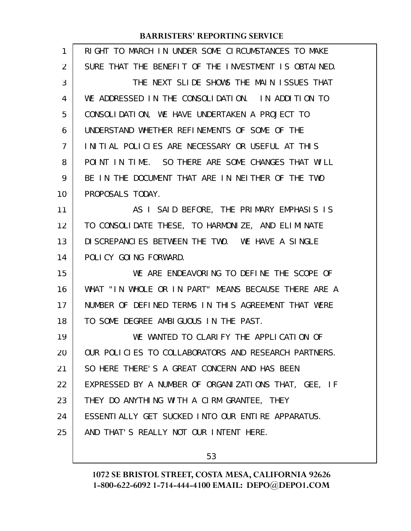| 1              | RIGHT TO MARCH IN UNDER SOME CIRCUMSTANCES TO MAKE   |
|----------------|------------------------------------------------------|
| 2              | SURE THAT THE BENEFIT OF THE INVESTMENT IS OBTAINED. |
| 3              | THE NEXT SLIDE SHOWS THE MAIN ISSUES THAT            |
| 4              | WE ADDRESSED IN THE CONSOLIDATION. IN ADDITION TO    |
| 5              | CONSOLIDATION, WE HAVE UNDERTAKEN A PROJECT TO       |
| 6              | UNDERSTAND WHETHER REFINEMENTS OF SOME OF THE        |
| $\overline{7}$ | INITIAL POLICIES ARE NECESSARY OR USEFUL AT THIS     |
| 8              | POINT IN TIME. SO THERE ARE SOME CHANGES THAT WILL   |
| 9              | BE IN THE DOCUMENT THAT ARE IN NEITHER OF THE TWO    |
| 10             | PROPOSALS TODAY.                                     |
| 11             | AS I SAID BEFORE, THE PRIMARY EMPHASIS IS            |
| 12             | TO CONSOLIDATE THESE, TO HARMONIZE, AND ELIMINATE    |
| 13             | DI SCREPANCIES BETWEEN THE TWO. WE HAVE A SINGLE     |
| 14             | POLICY GOING FORWARD.                                |
| 15             | WE ARE ENDEAVORING TO DEFINE THE SCOPE OF            |
| 16             | WHAT "IN WHOLE OR IN PART" MEANS BECAUSE THERE ARE A |
| 17             | NUMBER OF DEFINED TERMS IN THIS AGREEMENT THAT WERE  |
| 18             | TO SOME DEGREE AMBIGUOUS IN THE PAST.                |
| 19             | WE WANTED TO CLARIFY THE APPLICATION OF              |
| 20             | OUR POLICIES TO COLLABORATORS AND RESEARCH PARTNERS. |
| 21             | SO HERE THERE'S A GREAT CONCERN AND HAS BEEN         |
| 22             | EXPRESSED BY A NUMBER OF ORGANIZATIONS THAT, GEE, IF |
| 23             | THEY DO ANYTHING WITH A CIRM GRANTEE, THEY           |
| 24             | ESSENTIALLY GET SUCKED INTO OUR ENTIRE APPARATUS.    |
| 25             | AND THAT'S REALLY NOT OUR INTENT HERE.               |
|                |                                                      |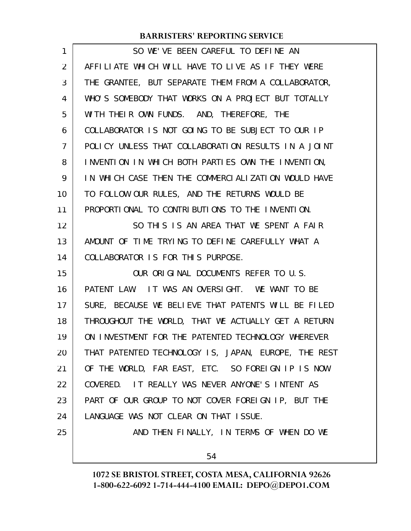| 1              | SO WE'VE BEEN CAREFUL TO DEFINE AN                   |
|----------------|------------------------------------------------------|
| $\overline{2}$ | AFFILIATE WHICH WILL HAVE TO LIVE AS IF THEY WERE    |
| 3              | THE GRANTEE, BUT SEPARATE THEM FROM A COLLABORATOR,  |
| 4              | WHO'S SOMEBODY THAT WORKS ON A PROJECT BUT TOTALLY   |
| 5              | WITH THEIR OWN FUNDS. AND, THEREFORE, THE            |
| 6              | COLLABORATOR IS NOT GOING TO BE SUBJECT TO OUR IP    |
| 7              | POLICY UNLESS THAT COLLABORATION RESULTS IN A JOINT  |
| 8              | INVENTION IN WHICH BOTH PARTIES OWN THE INVENTION,   |
| 9              | IN WHICH CASE THEN THE COMMERCIALIZATION WOULD HAVE  |
| 10             | TO FOLLOW OUR RULES, AND THE RETURNS WOULD BE        |
| 11             | PROPORTIONAL TO CONTRIBUTIONS TO THE INVENTION.      |
| 12             | SO THIS IS AN AREA THAT WE SPENT A FAIR              |
| 13             | AMOUNT OF TIME TRYING TO DEFINE CAREFULLY WHAT A     |
| 14             | COLLABORATOR IS FOR THIS PURPOSE.                    |
| 15             | OUR ORIGINAL DOCUMENTS REFER TO U.S.                 |
| 16             | PATENT LAW. IT WAS AN OVERSIGHT. WE WANT TO BE       |
| 17             | SURE, BECAUSE WE BELIEVE THAT PATENTS WILL BE FILED  |
| 18             | THROUGHOUT THE WORLD, THAT WE ACTUALLY GET A RETURN  |
| 19             | ON INVESTMENT FOR THE PATENTED TECHNOLOGY WHEREVER   |
| 20             | THAT PATENTED TECHNOLOGY IS, JAPAN, EUROPE, THE REST |
| 21             | OF THE WORLD, FAR EAST, ETC. SO FOREIGN IP IS NOW    |
| 22             | COVERED. IT REALLY WAS NEVER ANYONE'S INTENT AS      |
| 23             | PART OF OUR GROUP TO NOT COVER FOREIGN IP, BUT THE   |
| 24             | LANGUAGE WAS NOT CLEAR ON THAT ISSUE.                |
| 25             | AND THEN FINALLY, IN TERMS OF WHEN DO WE             |
|                | 54                                                   |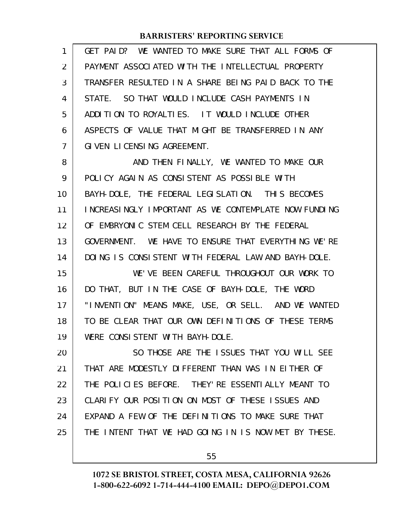| 1              | GET PAID? WE WANTED TO MAKE SURE THAT ALL FORMS OF   |
|----------------|------------------------------------------------------|
| $\overline{2}$ | PAYMENT ASSOCIATED WITH THE INTELLECTUAL PROPERTY    |
| 3              | TRANSFER RESULTED IN A SHARE BEING PAID BACK TO THE  |
| 4              | STATE. SO THAT WOULD INCLUDE CASH PAYMENTS IN        |
| 5              | ADDITION TO ROYALTIES. IT WOULD INCLUDE OTHER        |
| 6              | ASPECTS OF VALUE THAT MIGHT BE TRANSFERRED IN ANY    |
| 7              | GIVEN LICENSING AGREEMENT.                           |
| 8              | AND THEN FINALLY, WE WANTED TO MAKE OUR              |
| 9              | POLICY AGAIN AS CONSISTENT AS POSSIBLE WITH          |
| 10             | BAYH-DOLE, THE FEDERAL LEGISLATION. THIS BECOMES     |
| 11             | INCREASINGLY IMPORTANT AS WE CONTEMPLATE NOW FUNDING |
| 12             | OF EMBRYONIC STEM CELL RESEARCH BY THE FEDERAL       |
| 13             | GOVERNMENT. WE HAVE TO ENSURE THAT EVERYTHING WE'RE  |
| 14             | DOING IS CONSISTENT WITH FEDERAL LAW AND BAYH-DOLE.  |
| 15             | WE'VE BEEN CAREFUL THROUGHOUT OUR WORK TO            |
| 16             | DO THAT, BUT IN THE CASE OF BAYH-DOLE, THE WORD      |
| 17             | "INVENTION" MEANS MAKE, USE, OR SELL. AND WE WANTED  |
| 18             | TO BE CLEAR THAT OUR OWN DEFINITIONS OF THESE TERMS  |
| 19             | WERE CONSISTENT WITH BAYH-DOLE.                      |
| 20             | SO THOSE ARE THE ISSUES THAT YOU WILL SEE            |
| 21             | THAT ARE MODESTLY DIFFERENT THAN WAS IN EITHER OF    |
| 22             | THE POLICIES BEFORE. THEY'RE ESSENTIALLY MEANT TO    |
| 23             | CLARIFY OUR POSITION ON MOST OF THESE ISSUES AND     |
| 24             | EXPAND A FEW OF THE DEFINITIONS TO MAKE SURE THAT    |
| 25             | THE INTENT THAT WE HAD GOING IN IS NOW MET BY THESE. |
|                |                                                      |

55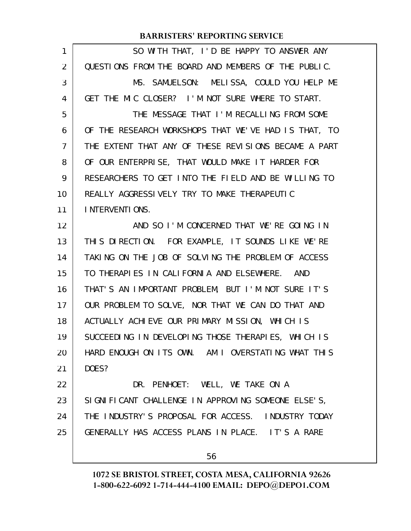| 1              | SO WITH THAT, I'D BE HAPPY TO ANSWER ANY             |
|----------------|------------------------------------------------------|
| 2              | QUESTIONS FROM THE BOARD AND MEMBERS OF THE PUBLIC.  |
| 3              | MS. SAMUELSON: MELISSA, COULD YOU HELP ME            |
| 4              | GET THE MIC CLOSER? I'M NOT SURE WHERE TO START.     |
| 5              | THE MESSAGE THAT I'M RECALLING FROM SOME             |
| 6              | OF THE RESEARCH WORKSHOPS THAT WE'VE HAD IS THAT, TO |
| $\overline{7}$ | THE EXTENT THAT ANY OF THESE REVISIONS BECAME A PART |
| 8              | OF OUR ENTERPRISE, THAT WOULD MAKE IT HARDER FOR     |
| 9              | RESEARCHERS TO GET INTO THE FIELD AND BE WILLING TO  |
| 10             | REALLY AGGRESSIVELY TRY TO MAKE THERAPEUTIC          |
| 11             | INTERVENTIONS.                                       |
| 12             | AND SO I'M CONCERNED THAT WE'RE GOING IN             |
| 13             | THIS DIRECTION. FOR EXAMPLE, IT SOUNDS LIKE WE'RE    |
| 14             | TAKING ON THE JOB OF SOLVING THE PROBLEM OF ACCESS   |
| 15             | TO THERAPIES IN CALIFORNIA AND ELSEWHERE. AND        |
| 16             | THAT'S AN IMPORTANT PROBLEM, BUT I'M NOT SURE IT'S   |
| 17             | OUR PROBLEM TO SOLVE, NOR THAT WE CAN DO THAT AND    |
| 18             | ACTUALLY ACHIEVE OUR PRIMARY MISSION, WHICH IS       |
| 19             | SUCCEEDING IN DEVELOPING THOSE THERAPIES, WHICH IS   |
| 20             | HARD ENOUGH ON ITS OWN. AM I OVERSTATING WHAT THIS   |
| 21             | DOES?                                                |
| 22             | DR. PENHOET: WELL, WE TAKE ON A                      |
| 23             | SIGNIFICANT CHALLENGE IN APPROVING SOMEONE ELSE'S,   |
| 24             | THE INDUSTRY'S PROPOSAL FOR ACCESS. INDUSTRY TODAY   |
| 25             | GENERALLY HAS ACCESS PLANS IN PLACE. IT'S A RARE     |
|                | 56                                                   |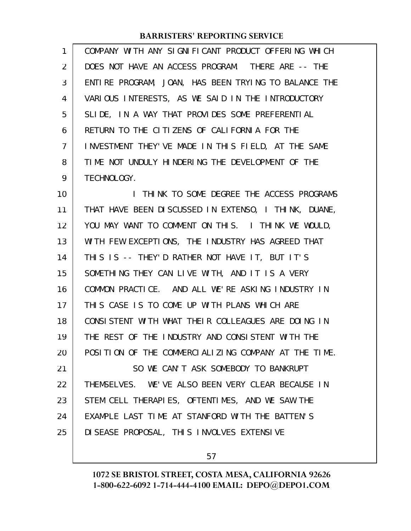COMPANY WITH ANY SIGNIFICANT PRODUCT OFFERING WHICH DOES NOT HAVE AN ACCESS PROGRAM. THERE ARE -- THE ENTIRE PROGRAM, JOAN, HAS BEEN TRYING TO BALANCE THE VARIOUS INTERESTS, AS WE SAID IN THE INTRODUCTORY SLIDE, IN A WAY THAT PROVIDES SOME PREFERENTIAL RETURN TO THE CITIZENS OF CALIFORNIA FOR THE INVESTMENT THEY'VE MADE IN THIS FIELD, AT THE SAME TIME NOT UNDULY HINDERING THE DEVELOPMENT OF THE TECHNOLOGY. 1 2 3 4 5 6 7 8 9

I THINK TO SOME DEGREE THE ACCESS PROGRAMS THAT HAVE BEEN DISCUSSED IN EXTENSO, I THINK, DUANE, YOU MAY WANT TO COMMENT ON THIS. I THINK WE WOULD, WITH FEW EXCEPTIONS, THE INDUSTRY HAS AGREED THAT THIS IS -- THEY'D RATHER NOT HAVE IT, BUT IT'S SOMETHING THEY CAN LIVE WITH, AND IT IS A VERY COMMON PRACTICE. AND ALL WE'RE ASKING INDUSTRY IN THIS CASE IS TO COME UP WITH PLANS WHICH ARE CONSISTENT WITH WHAT THEIR COLLEAGUES ARE DOING IN THE REST OF THE INDUSTRY AND CONSISTENT WITH THE POSITION OF THE COMMERCIALIZING COMPANY AT THE TIME. SO WE CAN'T ASK SOMEBODY TO BANKRUPT THEMSELVES. WE'VE ALSO BEEN VERY CLEAR BECAUSE IN STEM CELL THERAPIES, OFTENTIMES, AND WE SAW THE EXAMPLE LAST TIME AT STANFORD WITH THE BATTEN'S DISEASE PROPOSAL, THIS INVOLVES EXTENSIVE 10 11 12 13 14 15 16 17 18 19 20 21 22 23 24 25

57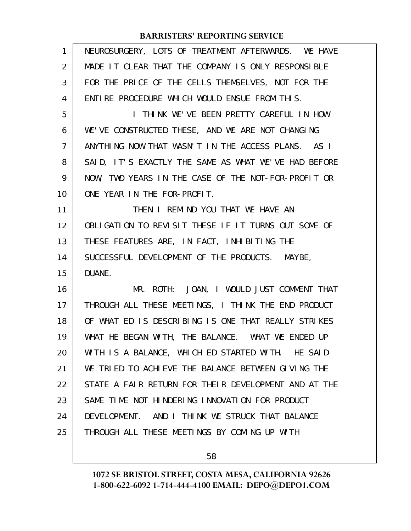| $\mathbf{1}$   | NEUROSURGERY, LOTS OF TREATMENT AFTERWARDS. WE HAVE  |
|----------------|------------------------------------------------------|
| $\overline{2}$ | MADE IT CLEAR THAT THE COMPANY IS ONLY RESPONSIBLE   |
| 3              | FOR THE PRICE OF THE CELLS THEMSELVES, NOT FOR THE   |
| 4              | ENTIRE PROCEDURE WHICH WOULD ENSUE FROM THIS.        |
| 5              | I THINK WE'VE BEEN PRETTY CAREFUL IN HOW             |
| 6              | WE'VE CONSTRUCTED THESE, AND WE ARE NOT CHANGING     |
| $\overline{7}$ | ANYTHING NOW THAT WASN'T IN THE ACCESS PLANS. AS I   |
| 8              | SAID, IT'S EXACTLY THE SAME AS WHAT WE'VE HAD BEFORE |
| 9              | NOW, TWO YEARS IN THE CASE OF THE NOT-FOR-PROFIT OR  |
| 10             | ONE YEAR IN THE FOR-PROFIT.                          |
| 11             | THEN I REMIND YOU THAT WE HAVE AN                    |
| 12             | OBLIGATION TO REVISIT THESE IF IT TURNS OUT SOME OF  |
| 13             | THESE FEATURES ARE, IN FACT, INHIBITING THE          |
| 14             | SUCCESSFUL DEVELOPMENT OF THE PRODUCTS. MAYBE,       |
| 15             | DUANE.                                               |
| 16             | MR. ROTH: JOAN, I WOULD JUST COMMENT THAT            |
| 17             | THROUGH ALL THESE MEETINGS, I THINK THE END PRODUCT  |
| 18             | OF WHAT ED IS DESCRIBING IS ONE THAT REALLY STRIKES  |
| 19             | WHAT HE BEGAN WITH, THE BALANCE. WHAT WE ENDED UP    |
| 20             | WITH IS A BALANCE, WHICH ED STARTED WITH. HE SAID    |
| 21             | WE TRIED TO ACHIEVE THE BALANCE BETWEEN GIVING THE   |
| 22             | STATE A FAIR RETURN FOR THEIR DEVELOPMENT AND AT THE |
| 23             | SAME TIME NOT HINDERING INNOVATION FOR PRODUCT       |
| 24             | DEVELOPMENT. AND I THINK WE STRUCK THAT BALANCE      |
| 25             | THROUGH ALL THESE MEETINGS BY COMING UP WITH         |
|                |                                                      |

58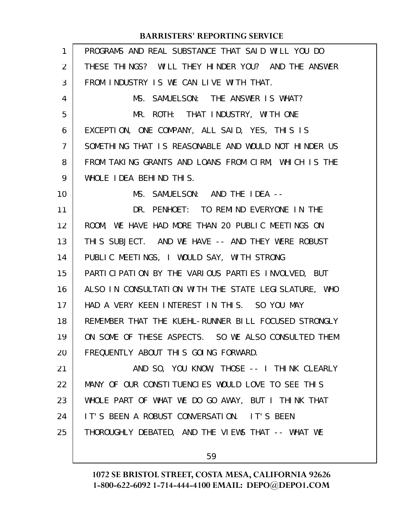| 1  | PROGRAMS AND REAL SUBSTANCE THAT SAID WILL YOU DO    |
|----|------------------------------------------------------|
| 2  | THESE THINGS? WILL THEY HINDER YOU? AND THE ANSWER   |
| 3  | FROM INDUSTRY IS WE CAN LIVE WITH THAT.              |
| 4  | MS. SAMUELSON: THE ANSWER IS WHAT?                   |
| 5  | MR. ROTH: THAT INDUSTRY, WITH ONE                    |
| 6  | EXCEPTION, ONE COMPANY, ALL SAID, YES, THIS IS       |
| 7  | SOMETHING THAT IS REASONABLE AND WOULD NOT HINDER US |
| 8  | FROM TAKING GRANTS AND LOANS FROM CIRM, WHICH IS THE |
| 9  | WHOLE IDEA BEHIND THIS.                              |
| 10 | MS. SAMUELSON: AND THE IDEA --                       |
| 11 | DR. PENHOET: TO REMIND EVERYONE IN THE               |
| 12 | ROOM, WE HAVE HAD MORE THAN 20 PUBLIC MEETINGS ON    |
| 13 | THIS SUBJECT. AND WE HAVE -- AND THEY WERE ROBUST    |
| 14 | PUBLIC MEETINGS, I WOULD SAY, WITH STRONG            |
| 15 | PARTICIPATION BY THE VARIOUS PARTIES INVOLVED, BUT   |
| 16 | ALSO IN CONSULTATION WITH THE STATE LEGISLATURE, WHO |
| 17 | HAD A VERY KEEN INTEREST IN THIS. SO YOU MAY         |
| 18 | REMEMBER THAT THE KUEHL-RUNNER BILL FOCUSED STRONGLY |
| 19 | ON SOME OF THESE ASPECTS. SO WE ALSO CONSULTED THEM  |
| 20 | FREQUENTLY ABOUT THIS GOING FORWARD.                 |
| 21 | AND SO, YOU KNOW, THOSE -- I THINK CLEARLY           |
| 22 | MANY OF OUR CONSTITUENCLES WOULD LOVE TO SEE THIS    |
| 23 | WHOLE PART OF WHAT WE DO GO AWAY, BUT I THINK THAT   |
| 24 | IT'S BEEN A ROBUST CONVERSATION. IT'S BEEN           |
| 25 | THOROUGHLY DEBATED, AND THE VIEWS THAT -- WHAT WE    |
|    |                                                      |

59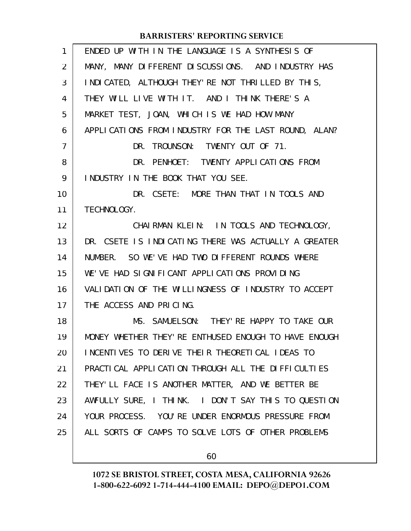| $\mathbf{1}$   | ENDED UP WITH IN THE LANGUAGE IS A SYNTHESIS OF       |
|----------------|-------------------------------------------------------|
| 2              | MANY, MANY DIFFERENT DISCUSSIONS. AND INDUSTRY HAS    |
| 3              | I NDI CATED, ALTHOUGH THEY' RE NOT THRILLED BY THIS,  |
| 4              | THEY WILL LIVE WITH IT. AND I THINK THERE'S A         |
| 5              | MARKET TEST, JOAN, WHICH IS WE HAD HOW MANY           |
| 6              | APPLICATIONS FROM INDUSTRY FOR THE LAST ROUND, ALAN?  |
| $\overline{7}$ | DR. TROUNSON: TWENTY OUT OF 71.                       |
| 8              | DR. PENHOET: TWENTY APPLICATIONS FROM                 |
| 9              | INDUSTRY IN THE BOOK THAT YOU SEE.                    |
| 10             | DR. CSETE: MORE THAN THAT IN TOOLS AND                |
| 11             | TECHNOLOGY.                                           |
| 12             | CHAIRMAN KLEIN: IN TOOLS AND TECHNOLOGY,              |
| 13             | DR. CSETE IS INDICATING THERE WAS ACTUALLY A GREATER  |
| 14             | NUMBER. SO WE'VE HAD TWO DIFFERENT ROUNDS WHERE       |
| 15             | WE'VE HAD SIGNIFICANT APPLICATIONS PROVIDING          |
| 16             | VALIDATION OF THE WILLINGNESS OF INDUSTRY TO ACCEPT   |
| 17             | THE ACCESS AND PRICING.                               |
| 18             | MS. SAMUELSON: THEY' RE HAPPY TO TAKE OUR             |
| 19             | MONEY WHETHER THEY' RE ENTHUSED ENOUGH TO HAVE ENOUGH |
| 20             | INCENTIVES TO DERIVE THEIR THEORETICAL IDEAS TO       |
| 21             | PRACTICAL APPLICATION THROUGH ALL THE DIFFICULTIES    |
| 22             | THEY'LL FACE IS ANOTHER MATTER, AND WE BETTER BE      |
| 23             | AWFULLY SURE, I THINK. I DON'T SAY THIS TO QUESTION   |
| 24             | YOUR PROCESS. YOU'RE UNDER ENORMOUS PRESSURE FROM     |
| 25             | ALL SORTS OF CAMPS TO SOLVE LOTS OF OTHER PROBLEMS    |
|                |                                                       |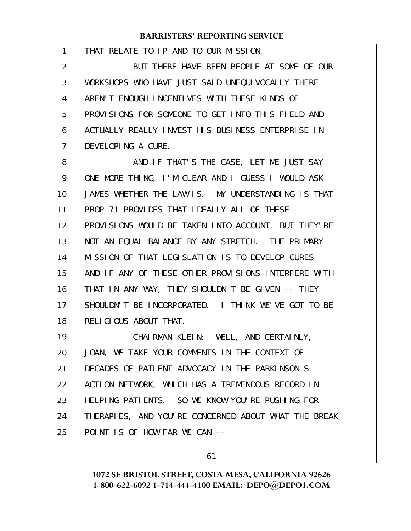THAT RELATE TO IP AND TO OUR MISSION. BUT THERE HAVE BEEN PEOPLE AT SOME OF OUR WORKSHOPS WHO HAVE JUST SAID UNEQUIVOCALLY THERE AREN'T ENOUGH INCENTIVES WITH THESE KINDS OF PROVISIONS FOR SOMEONE TO GET INTO THIS FIELD AND ACTUALLY REALLY INVEST HIS BUSINESS ENTERPRISE IN DEVELOPING A CURE. AND IF THAT'S THE CASE, LET ME JUST SAY ONE MORE THING, I'M CLEAR AND I GUESS I WOULD ASK JAMES WHETHER THE LAW IS. MY UNDERSTANDING IS THAT PROP 71 PROVIDES THAT IDEALLY ALL OF THESE PROVISIONS WOULD BE TAKEN INTO ACCOUNT, BUT THEY'RE NOT AN EQUAL BALANCE BY ANY STRETCH. THE PRIMARY MISSION OF THAT LEGISLATION IS TO DEVELOP CURES. AND IF ANY OF THESE OTHER PROVISIONS INTERFERE WITH THAT IN ANY WAY, THEY SHOULDN'T BE GIVEN -- THEY SHOULDN'T BE INCORPORATED. I THINK WE'VE GOT TO BE RELIGIOUS ABOUT THAT. CHAIRMAN KLEIN: WELL, AND CERTAINLY, JOAN, WE TAKE YOUR COMMENTS IN THE CONTEXT OF DECADES OF PATIENT ADVOCACY IN THE PARKINSON'S ACTION NETWORK, WHICH HAS A TREMENDOUS RECORD IN HELPING PATIENTS. SO WE KNOW YOU'RE PUSHING FOR THERAPIES, AND YOU'RE CONCERNED ABOUT WHAT THE BREAK POINT IS OF HOW FAR WE CAN -- 1 2 3 4 5 6 7 8 9 10 11 12 13 14 15 16 17 18 19 20 21 22 23 24 25

61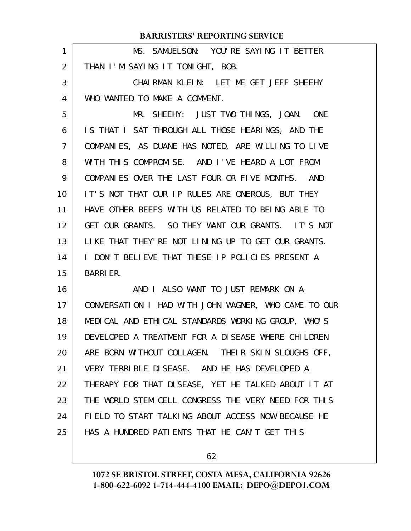|    | <b>BARRISTERS' REPORTING SERVICE</b>                 |
|----|------------------------------------------------------|
| 1  | MS. SAMUELSON: YOU'RE SAYING IT BETTER               |
| 2  | THAN I'M SAYING IT TONIGHT, BOB.                     |
| 3  | CHAIRMAN KLEIN: LET ME GET JEFF SHEEHY               |
| 4  | WHO WANTED TO MAKE A COMMENT.                        |
| 5  | MR. SHEEHY: JUST TWO THINGS, JOAN. ONE               |
| 6  | IS THAT I SAT THROUGH ALL THOSE HEARINGS, AND THE    |
| 7  | COMPANIES, AS DUANE HAS NOTED, ARE WILLING TO LIVE   |
| 8  | WITH THIS COMPROMISE. AND I'VE HEARD A LOT FROM      |
| 9  | COMPANIES OVER THE LAST FOUR OR FIVE MONTHS. AND     |
| 10 | IT'S NOT THAT OUR IP RULES ARE ONEROUS, BUT THEY     |
| 11 | HAVE OTHER BEEFS WITH US RELATED TO BEING ABLE TO    |
| 12 | GET OUR GRANTS. SO THEY WANT OUR GRANTS. IT'S NOT    |
| 13 | LIKE THAT THEY' RE NOT LINING UP TO GET OUR GRANTS.  |
| 14 | I DON'T BELIEVE THAT THESE IP POLICIES PRESENT A     |
| 15 | <b>BARRIER.</b>                                      |
| 16 | AND I ALSO WANT TO JUST REMARK ON A                  |
| 17 | CONVERSATION I HAD WITH JOHN WAGNER, WHO CAME TO OUR |
| 18 | MEDICAL AND ETHICAL STANDARDS WORKING GROUP, WHO'S   |
| 19 | DEVELOPED A TREATMENT FOR A DISEASE WHERE CHILDREN   |
| 20 | ARE BORN WITHOUT COLLAGEN. THEIR SKIN SLOUGHS OFF,   |
| 21 | VERY TERRIBLE DISEASE. AND HE HAS DEVELOPED A        |
| 22 | THERAPY FOR THAT DISEASE, YET HE TALKED ABOUT IT AT  |
| 23 | THE WORLD STEM CELL CONGRESS THE VERY NEED FOR THIS  |
| 24 | FIELD TO START TALKING ABOUT ACCESS NOW BECAUSE HE   |
| 25 | HAS A HUNDRED PATIENTS THAT HE CAN'T GET THIS        |
|    |                                                      |

62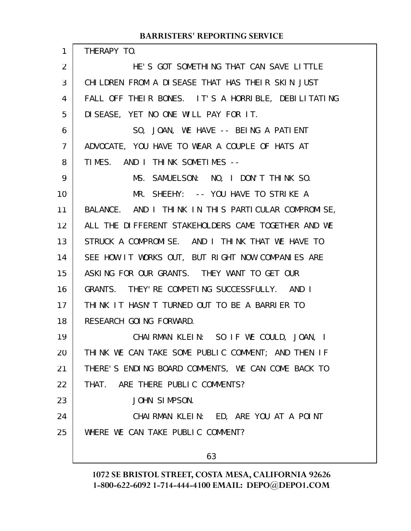| 1  | THERAPY TO.                                         |
|----|-----------------------------------------------------|
| 2  | HE'S GOT SOMETHING THAT CAN SAVE LITTLE             |
| 3  | CHILDREN FROM A DISEASE THAT HAS THEIR SKIN JUST    |
| 4  | FALL OFF THEIR BONES. IT'S A HORRIBLE, DEBILITATING |
| 5  | DISEASE, YET NO ONE WILL PAY FOR IT.                |
| 6  | SO, JOAN, WE HAVE -- BEING A PATIENT                |
| 7  | ADVOCATE, YOU HAVE TO WEAR A COUPLE OF HATS AT      |
| 8  | TIMES. AND I THINK SOMETIMES --                     |
| 9  | MS. SAMUELSON: NO, I DON'T THINK SO.                |
| 10 | MR. SHEEHY: -- YOU HAVE TO STRIKE A                 |
| 11 | BALANCE. AND I THINK IN THIS PARTICULAR COMPROMISE, |
| 12 | ALL THE DIFFERENT STAKEHOLDERS CAME TOGETHER AND WE |
| 13 | STRUCK A COMPROMISE. AND I THINK THAT WE HAVE TO    |
| 14 | SEE HOW IT WORKS OUT, BUT RIGHT NOW COMPANIES ARE   |
| 15 | ASKING FOR OUR GRANTS. THEY WANT TO GET OUR         |
| 16 | GRANTS. THEY' RE COMPETING SUCCESSFULLY. AND I      |
| 17 | THINK IT HASN'T TURNED OUT TO BE A BARRIER TO       |
| 18 | RESEARCH GOING FORWARD.                             |
| 19 | CHAIRMAN KLEIN: SO IF WE COULD, JOAN, I             |
| 20 | THINK WE CAN TAKE SOME PUBLIC COMMENT; AND THEN IF  |
| 21 | THERE'S ENDING BOARD COMMENTS, WE CAN COME BACK TO  |
| 22 | THAT. ARE THERE PUBLIC COMMENTS?                    |
| 23 | JOHN SIMPSON.                                       |
| 24 | CHAIRMAN KLEIN: ED, ARE YOU AT A POINT              |
| 25 | WHERE WE CAN TAKE PUBLIC COMMENT?                   |
|    |                                                     |

63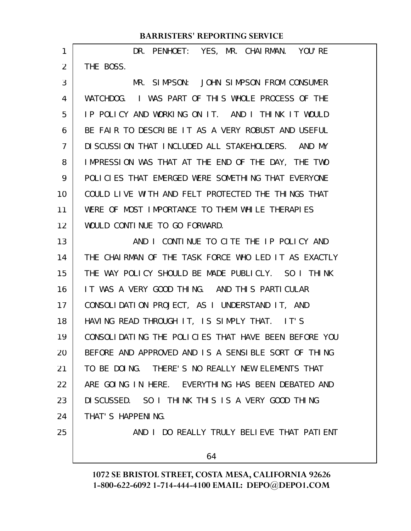DR. PENHOET: YES, MR. CHAIRMAN. YOU'RE THE BOSS. 1 2

MR. SIMPSON: JOHN SIMPSON FROM CONSUMER WATCHDOG. I WAS PART OF THIS WHOLE PROCESS OF THE IP POLICY AND WORKING ON IT. AND I THINK IT WOULD BE FAIR TO DESCRIBE IT AS A VERY ROBUST AND USEFUL DISCUSSION THAT INCLUDED ALL STAKEHOLDERS. AND MY IMPRESSION WAS THAT AT THE END OF THE DAY, THE TWO POLICIES THAT EMERGED WERE SOMETHING THAT EVERYONE COULD LIVE WITH AND FELT PROTECTED THE THINGS THAT WERE OF MOST IMPORTANCE TO THEM WHILE THERAPIES WOULD CONTINUE TO GO FORWARD. 3 4 5 6 7 8 9 10 11 12

AND I CONTINUE TO CITE THE IP POLICY AND THE CHAIRMAN OF THE TASK FORCE WHO LED IT AS EXACTLY THE WAY POLICY SHOULD BE MADE PUBLICLY. SO I THINK IT WAS A VERY GOOD THING. AND THIS PARTICULAR CONSOLIDATION PROJECT, AS I UNDERSTAND IT, AND HAVING READ THROUGH IT, IS SIMPLY THAT. IT'S CONSOLIDATING THE POLICIES THAT HAVE BEEN BEFORE YOU BEFORE AND APPROVED AND IS A SENSIBLE SORT OF THING TO BE DOING. THERE'S NO REALLY NEW ELEMENTS THAT ARE GOING IN HERE. EVERYTHING HAS BEEN DEBATED AND DISCUSSED. SO I THINK THIS IS A VERY GOOD THING THAT'S HAPPENING. 13 14 15 16 17 18 19 20 21 22 23 24

25

AND I DO REALLY TRULY BELIEVE THAT PATIENT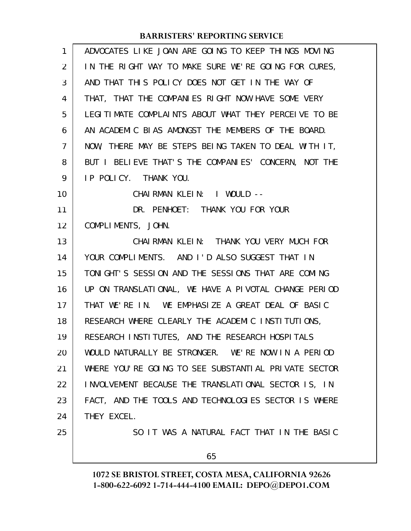| 1              | ADVOCATES LIKE JOAN ARE GOING TO KEEP THINGS MOVING  |
|----------------|------------------------------------------------------|
| 2              | IN THE RIGHT WAY TO MAKE SURE WE'RE GOING FOR CURES, |
| 3              | AND THAT THIS POLICY DOES NOT GET IN THE WAY OF      |
| 4              | THAT, THAT THE COMPANIES RIGHT NOW HAVE SOME VERY    |
| 5              | LEGITIMATE COMPLAINTS ABOUT WHAT THEY PERCEIVE TO BE |
| 6              | AN ACADEMIC BIAS AMONGST THE MEMBERS OF THE BOARD.   |
| $\overline{7}$ | NOW, THERE MAY BE STEPS BEING TAKEN TO DEAL WITH IT, |
| 8              | BUT I BELIEVE THAT'S THE COMPANIES' CONCERN, NOT THE |
| 9              | IP POLICY. THANK YOU.                                |
| 10             | CHAIRMAN KLEIN: I WOULD --                           |
| 11             | DR. PENHOET: THANK YOU FOR YOUR                      |
| 12             | COMPLIMENTS, JOHN.                                   |
| 13             | CHAIRMAN KLEIN: THANK YOU VERY MUCH FOR              |
| 14             | YOUR COMPLIMENTS. AND I'D ALSO SUGGEST THAT IN       |
| 15             | TONIGHT'S SESSION AND THE SESSIONS THAT ARE COMING   |
| 16             | UP ON TRANSLATIONAL, WE HAVE A PIVOTAL CHANGE PERIOD |
| 17             | THAT WE'RE IN. WE EMPHASIZE A GREAT DEAL OF BASIC    |
| 18             | RESEARCH WHERE CLEARLY THE ACADEMIC INSTITUTIONS,    |
| 19             | RESEARCH INSTITUTES, AND THE RESEARCH HOSPITALS      |
| 20             | WOULD NATURALLY BE STRONGER. WE'RE NOW IN A PERIOD   |
| 21             | WHERE YOU'RE GOING TO SEE SUBSTANTIAL PRIVATE SECTOR |
| 22             | INVOLVEMENT BECAUSE THE TRANSLATIONAL SECTOR IS, IN  |
| 23             | FACT, AND THE TOOLS AND TECHNOLOGIES SECTOR IS WHERE |
| 24             | THEY EXCEL.                                          |
| 25             | SO IT WAS A NATURAL FACT THAT IN THE BASIC           |
|                | 65                                                   |
|                |                                                      |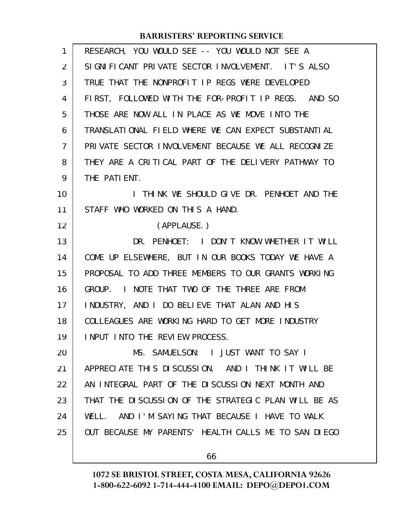| 1  | RESEARCH, YOU WOULD SEE -- YOU WOULD NOT SEE A       |
|----|------------------------------------------------------|
| 2  | SIGNIFICANT PRIVATE SECTOR INVOLVEMENT. IT'S ALSO    |
| 3  | TRUE THAT THE NONPROFIT IP REGS WERE DEVELOPED       |
| 4  | FIRST, FOLLOWED WITH THE FOR-PROFIT IP REGS. AND SO  |
| 5  | THOSE ARE NOW ALL IN PLACE AS WE MOVE INTO THE       |
| 6  | TRANSLATIONAL FIELD WHERE WE CAN EXPECT SUBSTANTIAL  |
| 7  | PRIVATE SECTOR INVOLVEMENT BECAUSE WE ALL RECOGNIZE  |
| 8  | THEY ARE A CRITICAL PART OF THE DELIVERY PATHWAY TO  |
| 9  | THE PATIENT.                                         |
| 10 | I THINK WE SHOULD GIVE DR. PENHOET AND THE           |
| 11 | STAFF WHO WORKED ON THIS A HAND.                     |
| 12 | (APPLAUSE.)                                          |
| 13 | DR. PENHOET: I DON'T KNOW WHETHER IT WILL            |
| 14 | COME UP ELSEWHERE, BUT IN OUR BOOKS TODAY WE HAVE A  |
| 15 | PROPOSAL TO ADD THREE MEMBERS TO OUR GRANTS WORKING  |
| 16 | GROUP. I NOTE THAT TWO OF THE THREE ARE FROM         |
| 17 | INDUSTRY, AND I DO BELIEVE THAT ALAN AND HIS         |
| 18 | COLLEAGUES ARE WORKING HARD TO GET MORE INDUSTRY     |
| 19 | INPUT INTO THE REVIEW PROCESS.                       |
| 20 | MS. SAMUELSON: I JUST WANT TO SAY I                  |
| 21 | APPRECIATE THIS DISCUSSION. AND I THINK IT WILL BE   |
| 22 | AN INTEGRAL PART OF THE DISCUSSION NEXT MONTH AND    |
| 23 | THAT THE DISCUSSION OF THE STRATEGIC PLAN WILL BE AS |
| 24 | WELL. AND I'M SAYING THAT BECAUSE I HAVE TO WALK     |
| 25 | OUT BECAUSE MY PARENTS' HEALTH CALLS ME TO SAN DIEGO |
|    |                                                      |

**1072 SE BRISTOL STREET, COSTA MESA, CALIFORNIA 92626 1-800-622-6092 1-714-444-4100 EMAIL: DEPO@DEPO1.COM**

66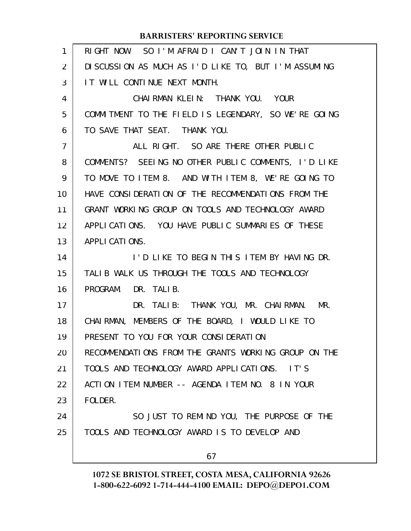| 1              | RIGHT NOW. SO I'M AFRAID I CAN'T JOIN IN THAT        |
|----------------|------------------------------------------------------|
| 2              | DI SCUSSION AS MUCH AS I'D LIKE TO, BUT I'M ASSUMING |
| 3              | IT WILL CONTINUE NEXT MONTH.                         |
| 4              | CHAIRMAN KLEIN: THANK YOU. YOUR                      |
| 5              | COMMITMENT TO THE FIELD IS LEGENDARY, SO WE'RE GOING |
| 6              | TO SAVE THAT SEAT. THANK YOU.                        |
| $\overline{7}$ | ALL RIGHT. SO ARE THERE OTHER PUBLIC                 |
| 8              | COMMENTS? SEEING NO OTHER PUBLIC COMMENTS, I'D LIKE  |
| 9              | TO MOVE TO ITEM 8. AND WITH ITEM 8, WE'RE GOING TO   |
| 10             | HAVE CONSIDERATION OF THE RECOMMENDATIONS FROM THE   |
| 11             | GRANT WORKING GROUP ON TOOLS AND TECHNOLOGY AWARD    |
| 12             | APPLICATIONS. YOU HAVE PUBLIC SUMMARIES OF THESE     |
| 13             | APPLICATIONS.                                        |
| 14             | I'D LIKE TO BEGIN THIS ITEM BY HAVING DR.            |
| 15             | TALIB WALK US THROUGH THE TOOLS AND TECHNOLOGY       |
| 16             | PROGRAM. DR. TALIB.                                  |
| 17             | DR. TALIB: THANK YOU, MR. CHAIRMAN. MR.              |
| 18             | CHAIRMAN, MEMBERS OF THE BOARD, I WOULD LIKE TO      |
| 19             | PRESENT TO YOU FOR YOUR CONSIDERATION                |
| 20             | RECOMMENDATIONS FROM THE GRANTS WORKING GROUP ON THE |
| 21             | TOOLS AND TECHNOLOGY AWARD APPLICATIONS. IT'S        |
| 22             | ACTION ITEM NUMBER -- AGENDA ITEM NO. 8 IN YOUR      |
| 23             | FOLDER.                                              |
| 24             | SO JUST TO REMIND YOU, THE PURPOSE OF THE            |
| 25             | TOOLS AND TECHNOLOGY AWARD IS TO DEVELOP AND         |
|                | 67                                                   |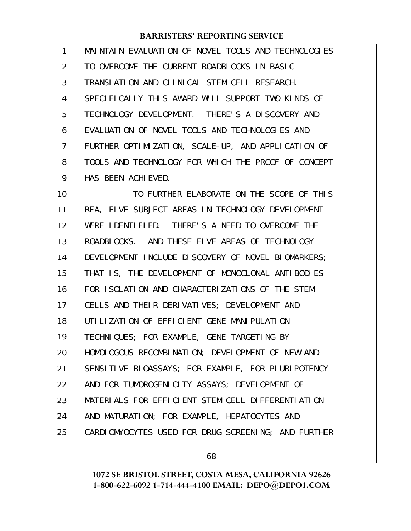| 1               | MAINTAIN EVALUATION OF NOVEL TOOLS AND TECHNOLOGIES |
|-----------------|-----------------------------------------------------|
| 2               | TO OVERCOME THE CURRENT ROADBLOCKS IN BASIC         |
| 3               | TRANSLATION AND CLINICAL STEM CELL RESEARCH.        |
| 4               | SPECIFICALLY THIS AWARD WILL SUPPORT TWO KINDS OF   |
| 5               | TECHNOLOGY DEVELOPMENT. THERE'S A DISCOVERY AND     |
| 6               | EVALUATION OF NOVEL TOOLS AND TECHNOLOGIES AND      |
| $\overline{7}$  | FURTHER OPTIMIZATION, SCALE-UP, AND APPLICATION OF  |
| 8               | TOOLS AND TECHNOLOGY FOR WHICH THE PROOF OF CONCEPT |
| 9               | HAS BEEN ACHIEVED.                                  |
| 10              | TO FURTHER ELABORATE ON THE SCOPE OF THIS           |
| 11              | RFA, FIVE SUBJECT AREAS IN TECHNOLOGY DEVELOPMENT   |
| 12 <sup>2</sup> | WERE IDENTIFIED. THERE'S A NEED TO OVERCOME THE     |

ROADBLOCKS. AND THESE FIVE AREAS OF TECHNOLOGY DEVELOPMENT INCLUDE DISCOVERY OF NOVEL BIOMARKERS; THAT IS, THE DEVELOPMENT OF MONOCLONAL ANTIBODIES FOR ISOLATION AND CHARACTERIZATIONS OF THE STEM CELLS AND THEIR DERIVATIVES; DEVELOPMENT AND UTILIZATION OF EFFICIENT GENE MANIPULATION TECHNIQUES; FOR EXAMPLE, GENE TARGETING BY HOMOLOGOUS RECOMBINATION; DEVELOPMENT OF NEW AND SENSITIVE BIOASSAYS; FOR EXAMPLE, FOR PLURIPOTENCY AND FOR TUMOROGENICITY ASSAYS; DEVELOPMENT OF MATERIALS FOR EFFICIENT STEM CELL DIFFERENTIATION AND MATURATION; FOR EXAMPLE, HEPATOCYTES AND CARDIOMYOCYTES USED FOR DRUG SCREENING; AND FURTHER 11 12 13 14 15 16 17 18 19 20 21 22 23 24 25

68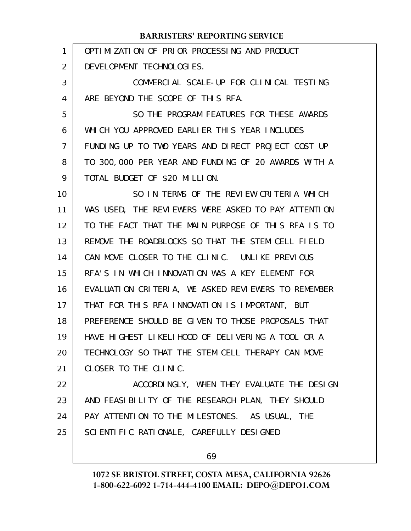#### OPTIMIZATION OF PRIOR PROCESSING AND PRODUCT DEVELOPMENT TECHNOLOGIES. COMMERCIAL SCALE-UP FOR CLINICAL TESTING ARE BEYOND THE SCOPE OF THIS RFA. SO THE PROGRAM FEATURES FOR THESE AWARDS WHICH YOU APPROVED EARLIER THIS YEAR INCLUDES FUNDING UP TO TWO YEARS AND DIRECT PROJECT COST UP TO 300,000 PER YEAR AND FUNDING OF 20 AWARDS WITH A TOTAL BUDGET OF \$20 MILLION. SO IN TERMS OF THE REVIEW CRITERIA WHICH WAS USED, THE REVIEWERS WERE ASKED TO PAY ATTENTION TO THE FACT THAT THE MAIN PURPOSE OF THIS RFA IS TO REMOVE THE ROADBLOCKS SO THAT THE STEM CELL FIELD CAN MOVE CLOSER TO THE CLINIC. UNLIKE PREVIOUS RFA'S IN WHICH INNOVATION WAS A KEY ELEMENT FOR EVALUATION CRITERIA, WE ASKED REVIEWERS TO REMEMBER THAT FOR THIS RFA INNOVATION IS IMPORTANT, BUT PREFERENCE SHOULD BE GIVEN TO THOSE PROPOSALS THAT HAVE HIGHEST LIKELIHOOD OF DELIVERING A TOOL OR A TECHNOLOGY SO THAT THE STEM CELL THERAPY CAN MOVE CLOSER TO THE CLINIC. ACCORDINGLY, WHEN THEY EVALUATE THE DESIGN AND FEASIBILITY OF THE RESEARCH PLAN, THEY SHOULD PAY ATTENTION TO THE MILESTONES. AS USUAL, THE SCIENTIFIC RATIONALE, CAREFULLY DESIGNED **BARRISTERS' REPORTING SERVICE** 1 2 3 4 5 6 7 8 9 10 11 12 13 14 15 16 17 18 19 20 21 22 23 24 25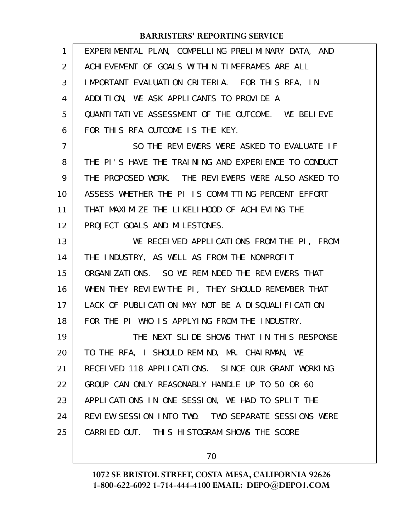| 1              | EXPERIMENTAL PLAN, COMPELLING PRELIMINARY DATA, AND  |
|----------------|------------------------------------------------------|
| 2              | ACHIEVEMENT OF GOALS WITHIN TIMEFRAMES ARE ALL       |
| 3              | IMPORTANT EVALUATION CRITERIA. FOR THIS RFA, IN      |
| 4              | ADDITION, WE ASK APPLICANTS TO PROVIDE A             |
| 5              | QUANTI TATI VE ASSESSMENT OF THE OUTCOME. WE BELIEVE |
| 6              | FOR THIS RFA OUTCOME IS THE KEY.                     |
| $\overline{7}$ | SO THE REVIEWERS WERE ASKED TO EVALUATE IF           |
| 8              | THE PI'S HAVE THE TRAINING AND EXPERIENCE TO CONDUCT |
| 9              | THE PROPOSED WORK. THE REVIEWERS WERE ALSO ASKED TO  |
| 10             | ASSESS WHETHER THE PI IS COMMITTING PERCENT EFFORT   |
| 11             | THAT MAXIMIZE THE LIKELIHOOD OF ACHIEVING THE        |
| 12             | PROJECT GOALS AND MILESTONES.                        |
| 13             | WE RECEIVED APPLICATIONS FROM THE PI, FROM           |
| 14             | THE INDUSTRY, AS WELL AS FROM THE NONPROFIT          |
| 15             | ORGANIZATIONS. SO WE REMINDED THE REVIEWERS THAT     |
| 16             | WHEN THEY REVIEW THE PI, THEY SHOULD REMEMBER THAT   |
| 17             | LACK OF PUBLICATION MAY NOT BE A DISQUALIFICATION    |
| 18             | FOR THE PI WHO IS APPLYING FROM THE INDUSTRY.        |
| 19             | THE NEXT SLIDE SHOWS THAT IN THIS RESPONSE           |
| 20             | TO THE RFA, I SHOULD REMIND, MR. CHAIRMAN, WE        |
| 21             | RECEIVED 118 APPLICATIONS. SINCE OUR GRANT WORKING   |
| 22             | GROUP CAN ONLY REASONABLY HANDLE UP TO 50 OR 60      |
| 23             | APPLICATIONS IN ONE SESSION, WE HAD TO SPLIT THE     |
| 24             | REVIEW SESSION INTO TWO. TWO SEPARATE SESSIONS WERE  |
| 25             | CARRIED OUT. THIS HISTOGRAM SHOWS THE SCORE          |
|                |                                                      |

70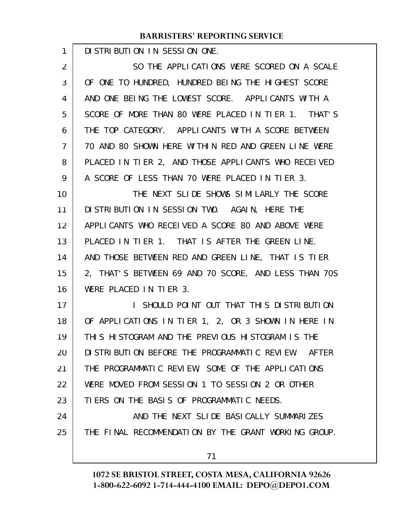DISTRIBUTION IN SESSION ONE.

1

SO THE APPLICATIONS WERE SCORED ON A SCALE OF ONE TO HUNDRED, HUNDRED BEING THE HIGHEST SCORE AND ONE BEING THE LOWEST SCORE. APPLICANTS WITH A SCORE OF MORE THAN 80 WERE PLACED IN TIER 1. THAT'S THE TOP CATEGORY. APPLICANTS WITH A SCORE BETWEEN 70 AND 80 SHOWN HERE WITHIN RED AND GREEN LINE WERE PLACED IN TIER 2, AND THOSE APPLICANTS WHO RECEIVED A SCORE OF LESS THAN 70 WERE PLACED IN TIER 3. THE NEXT SLIDE SHOWS SIMILARLY THE SCORE DISTRIBUTION IN SESSION TWO. AGAIN, HERE THE 2 3 4 5 6 7 8 9 10 11

APPLICANTS WHO RECEIVED A SCORE 80 AND ABOVE WERE PLACED IN TIER 1. THAT IS AFTER THE GREEN LINE. AND THOSE BETWEEN RED AND GREEN LINE, THAT IS TIER 2, THAT'S BETWEEN 69 AND 70 SCORE, AND LESS THAN 70S WERE PLACED IN TIER 3. 12 13 14 15 16

I SHOULD POINT OUT THAT THIS DISTRIBUTION OF APPLICATIONS IN TIER 1, 2, OR 3 SHOWN IN HERE IN THIS HISTOGRAM AND THE PREVIOUS HISTOGRAM IS THE DISTRIBUTION BEFORE THE PROGRAMMATIC REVIEW. AFTER THE PROGRAMMATIC REVIEW, SOME OF THE APPLICATIONS WERE MOVED FROM SESSION 1 TO SESSION 2 OR OTHER TIERS ON THE BASIS OF PROGRAMMATIC NEEDS. AND THE NEXT SLIDE BASICALLY SUMMARIZES 17 18 19 20 21 22 23 24

THE FINAL RECOMMENDATION BY THE GRANT WORKING GROUP. 25

71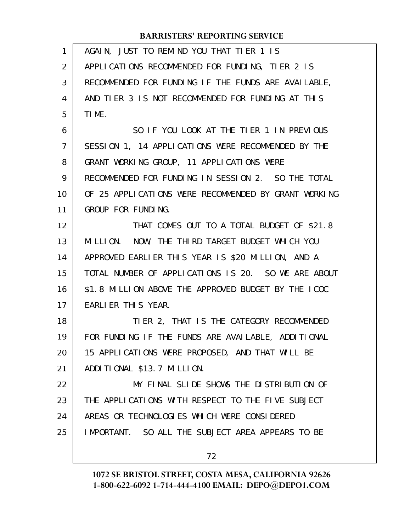| $\mathbf{1}$   | AGAIN, JUST TO REMIND YOU THAT TIER 1 IS             |
|----------------|------------------------------------------------------|
| 2              | APPLICATIONS RECOMMENDED FOR FUNDING, TIER 2 IS      |
| 3              | RECOMMENDED FOR FUNDING IF THE FUNDS ARE AVAILABLE,  |
| 4              | AND TIER 3 IS NOT RECOMMENDED FOR FUNDING AT THIS    |
| 5              | TIME.                                                |
| 6              | SO IF YOU LOOK AT THE TIER 1 IN PREVIOUS             |
| $\overline{7}$ | SESSION 1, 14 APPLICATIONS WERE RECOMMENDED BY THE   |
| 8              | GRANT WORKING GROUP, 11 APPLICATIONS WERE            |
| 9              | RECOMMENDED FOR FUNDING IN SESSION 2. SO THE TOTAL   |
| 10             | OF 25 APPLICATIONS WERE RECOMMENDED BY GRANT WORKING |
| 11             | GROUP FOR FUNDING.                                   |
| 12             | THAT COMES OUT TO A TOTAL BUDGET OF \$21.8           |
| 13             | MILLION. NOW, THE THIRD TARGET BUDGET WHICH YOU      |
| 14             | APPROVED EARLIER THIS YEAR IS \$20 MILLION, AND A    |
| 15             | TOTAL NUMBER OF APPLICATIONS IS 20. SO WE ARE ABOUT  |
| 16             | \$1.8 MILLION ABOVE THE APPROVED BUDGET BY THE ICOC  |
| 17             | EARLIER THIS YEAR.                                   |
| 18             | TIER 2, THAT IS THE CATEGORY RECOMMENDED             |
| 19             | FOR FUNDING IF THE FUNDS ARE AVAILABLE, ADDITIONAL   |
| 20             | 15 APPLICATIONS WERE PROPOSED, AND THAT WILL BE      |
| 21             | ADDITIONAL \$13.7 MILLION.                           |
| 22             | MY FINAL SLIDE SHOWS THE DISTRIBUTION OF             |
| 23             | THE APPLICATIONS WITH RESPECT TO THE FIVE SUBJECT    |
| 24             | AREAS OR TECHNOLOGIES WHICH WERE CONSIDERED          |
| 25             | IMPORTANT. SO ALL THE SUBJECT AREA APPEARS TO BE     |
|                | 72                                                   |
|                |                                                      |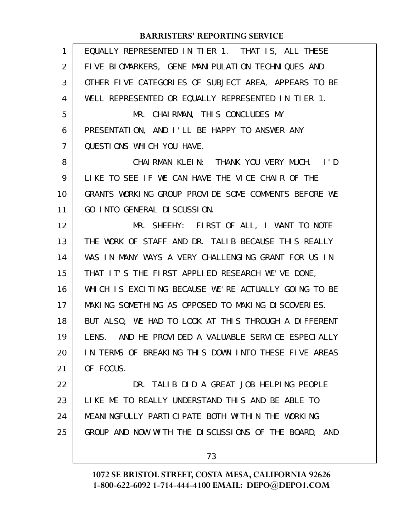| 1              | EQUALLY REPRESENTED IN TIER 1. THAT IS, ALL THESE    |
|----------------|------------------------------------------------------|
| $\overline{2}$ | FIVE BIOMARKERS, GENE MANIPULATION TECHNIQUES AND    |
| 3              | OTHER FIVE CATEGORIES OF SUBJECT AREA, APPEARS TO BE |
| 4              | WELL REPRESENTED OR EQUALLY REPRESENTED IN TIER 1.   |
| 5              | MR. CHAIRMAN, THIS CONCLUDES MY                      |
| 6              | PRESENTATION, AND I'LL BE HAPPY TO ANSWER ANY        |
| 7              | QUESTIONS WHICH YOU HAVE.                            |
| 8              | CHAIRMAN KLEIN: THANK YOU VERY MUCH. I'D             |
| 9              | LIKE TO SEE IF WE CAN HAVE THE VICE CHAIR OF THE     |
| 10             | GRANTS WORKING GROUP PROVIDE SOME COMMENTS BEFORE WE |
| 11             | GO INTO GENERAL DI SCUSSION.                         |
| 12             | MR. SHEEHY: FIRST OF ALL, I WANT TO NOTE             |
| 13             | THE WORK OF STAFF AND DR. TALIB BECAUSE THIS REALLY  |
| 14             | WAS IN MANY WAYS A VERY CHALLENGING GRANT FOR US IN  |
| 15             | THAT IT'S THE FIRST APPLIED RESEARCH WE'VE DONE,     |
| 16             | WHICH IS EXCITING BECAUSE WE'RE ACTUALLY GOING TO BE |
| 17             | MAKING SOMETHING AS OPPOSED TO MAKING DISCOVERIES.   |
| 18             | BUT ALSO, WE HAD TO LOOK AT THIS THROUGH A DIFFERENT |
| 19             | LENS. AND HE PROVIDED A VALUABLE SERVICE ESPECIALLY  |
| 20             | IN TERMS OF BREAKING THIS DOWN INTO THESE FIVE AREAS |
| 21             | OF FOCUS.                                            |
| 22             | DR. TALIB DID A GREAT JOB HELPING PEOPLE             |
| 23             | LIKE ME TO REALLY UNDERSTAND THIS AND BE ABLE TO     |
| 24             | MEANINGFULLY PARTICIPATE BOTH WITHIN THE WORKING     |
| 25             | GROUP AND NOW WITH THE DISCUSSIONS OF THE BOARD, AND |
|                |                                                      |

73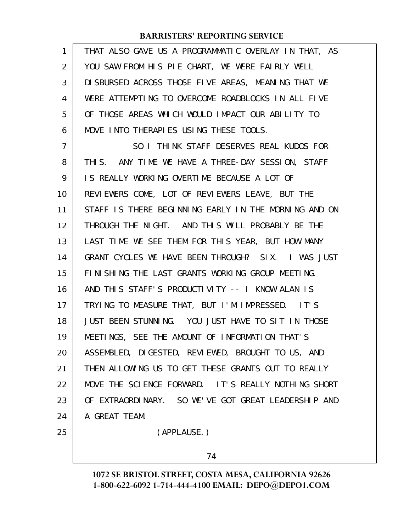| 1              | THAT ALSO GAVE US A PROGRAMMATIC OVERLAY IN THAT, AS |
|----------------|------------------------------------------------------|
| $\overline{2}$ | YOU SAW FROM HIS PIE CHART, WE WERE FAIRLY WELL      |
| 3              | DI SBURSED ACROSS THOSE FIVE AREAS, MEANING THAT WE  |
| 4              | WERE ATTEMPTING TO OVERCOME ROADBLOCKS IN ALL FIVE   |
| 5              | OF THOSE AREAS WHICH WOULD IMPACT OUR ABILITY TO     |
| 6              | MOVE INTO THERAPIES USING THESE TOOLS.               |
| 7              | SO I THINK STAFF DESERVES REAL KUDOS FOR             |
| 8              | THIS. ANY TIME WE HAVE A THREE-DAY SESSION, STAFF    |
| 9              | IS REALLY WORKING OVERTIME BECAUSE A LOT OF          |
| 10             | REVIEWERS COME, LOT OF REVIEWERS LEAVE, BUT THE      |
| 11             | STAFF IS THERE BEGINNING EARLY IN THE MORNING AND ON |
| 12             | THROUGH THE NIGHT. AND THIS WILL PROBABLY BE THE     |
| 13             | LAST TIME WE SEE THEM FOR THIS YEAR, BUT HOW MANY    |
| 14             | GRANT CYCLES WE HAVE BEEN THROUGH? SIX. I WAS JUST   |
| 15             | FINISHING THE LAST GRANTS WORKING GROUP MEETING.     |
| 16             | AND THIS STAFF'S PRODUCTIVITY -- I KNOW ALAN IS      |
| 17             | TRYING TO MEASURE THAT, BUT I'M IMPRESSED. IT'S      |
| 18             | JUST BEEN STUNNING. YOU JUST HAVE TO SIT IN THOSE    |
| 19             | MEETINGS, SEE THE AMOUNT OF INFORMATION THAT'S       |
| 20             | ASSEMBLED, DIGESTED, REVIEWED, BROUGHT TO US, AND    |
| 21             | THEN ALLOWING US TO GET THESE GRANTS OUT TO REALLY   |
| 22             | MOVE THE SCIENCE FORWARD. IT'S REALLY NOTHING SHORT  |
| 23             | OF EXTRAORDINARY. SO WE'VE GOT GREAT LEADERSHIP AND  |
| 24             | A GREAT TEAM.                                        |
| 25             | (APPLAUSE.)                                          |
|                |                                                      |

74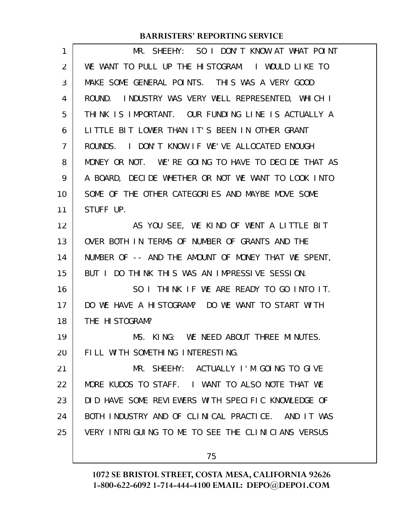| 1              | MR. SHEEHY: SO I DON'T KNOW AT WHAT POINT           |
|----------------|-----------------------------------------------------|
| 2              | WE WANT TO PULL UP THE HISTOGRAM. I WOULD LIKE TO   |
| 3              | MAKE SOME GENERAL POINTS. THIS WAS A VERY GOOD      |
| 4              | ROUND. INDUSTRY WAS VERY WELL REPRESENTED, WHICH I  |
| 5              | THINK IS IMPORTANT. OUR FUNDING LINE IS ACTUALLY A  |
| 6              | LITTLE BIT LOWER THAN IT'S BEEN IN OTHER GRANT      |
| $\overline{7}$ | I DON'T KNOW IF WE'VE ALLOCATED ENOUGH<br>ROUNDS.   |
| 8              | MONEY OR NOT. WE'RE GOING TO HAVE TO DECIDE THAT AS |
| 9              | A BOARD, DECIDE WHETHER OR NOT WE WANT TO LOOK INTO |
| 10             | SOME OF THE OTHER CATEGORIES AND MAYBE MOVE SOME    |
| 11             | STUFF UP.                                           |
| 12             | AS YOU SEE, WE KIND OF WENT A LITTLE BIT            |
| 13             | OVER BOTH IN TERMS OF NUMBER OF GRANTS AND THE      |
| 14             | NUMBER OF -- AND THE AMOUNT OF MONEY THAT WE SPENT, |
| 15             | BUT I DO THINK THIS WAS AN IMPRESSIVE SESSION.      |
| 16             | SO I THINK IF WE ARE READY TO GO INTO IT.           |
| 17             | DO WE HAVE A HISTOGRAM? DO WE WANT TO START WITH    |
| 18             | THE HISTOGRAM?                                      |
| 19             | MS. KING: WE NEED ABOUT THREE MINUTES.              |
| 20             | FILL WITH SOMETHING INTERESTING.                    |
| 21             | MR. SHEEHY: ACTUALLY I'M GOING TO GIVE              |
| 22             | MORE KUDOS TO STAFF. I WANT TO ALSO NOTE THAT WE    |
| 23             | DID HAVE SOME REVIEWERS WITH SPECIFIC KNOWLEDGE OF  |
| 24             | BOTH INDUSTRY AND OF CLINICAL PRACTICE. AND IT WAS  |
| 25             | VERY INTRIGUING TO ME TO SEE THE CLINICIANS VERSUS  |
|                | 75                                                  |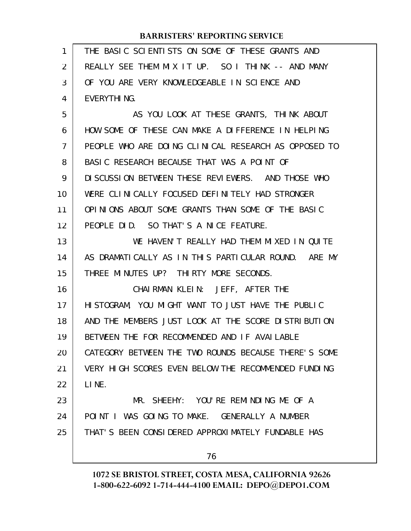| 1              | THE BASIC SCIENTISTS ON SOME OF THESE GRANTS AND     |
|----------------|------------------------------------------------------|
| $\overline{2}$ | REALLY SEE THEM MIX IT UP. SO I THINK -- AND MANY    |
| 3              | OF YOU ARE VERY KNOWLEDGEABLE IN SCIENCE AND         |
| 4              | EVERYTHING.                                          |
| 5              | AS YOU LOOK AT THESE GRANTS, THINK ABOUT             |
| 6              | HOW SOME OF THESE CAN MAKE A DIFFERENCE IN HELPING   |
| $\mathcal{I}$  | PEOPLE WHO ARE DOING CLINICAL RESEARCH AS OPPOSED TO |
| 8              | BASIC RESEARCH BECAUSE THAT WAS A POINT OF           |
| 9              | DI SCUSSION BETWEEN THESE REVIEWERS. AND THOSE WHO   |
| 10             | WERE CLINICALLY FOCUSED DEFINITELY HAD STRONGER      |
| 11             | OPINIONS ABOUT SOME GRANTS THAN SOME OF THE BASIC    |
| 12             | PEOPLE DID. SO THAT'S A NICE FEATURE.                |
| 13             | WE HAVEN'T REALLY HAD THEM MIXED IN QUITE            |
| 14             | AS DRAMATICALLY AS IN THIS PARTICULAR ROUND. ARE MY  |
| 15             | THREE MINUTES UP? THIRTY MORE SECONDS.               |
| 16             | CHAIRMAN KLEIN: JEFF, AFTER THE                      |
| 17             | HISTOGRAM, YOU MIGHT WANT TO JUST HAVE THE PUBLIC    |
| 18             | AND THE MEMBERS JUST LOOK AT THE SCORE DISTRIBUTION  |
| 19             | BETWEEN THE FOR RECOMMENDED AND IF AVAILABLE         |
| 20             | CATEGORY BETWEEN THE TWO ROUNDS BECAUSE THERE'S SOME |
| 21             | VERY HIGH SCORES EVEN BELOW THE RECOMMENDED FUNDING  |
| 22             | LINE.                                                |
| 23             | MR. SHEEHY: YOU'RE REMINDING ME OF A                 |
| 24             | POINT I WAS GOING TO MAKE. GENERALLY A NUMBER        |
| 25             | THAT'S BEEN CONSIDERED APPROXIMATELY FUNDABLE HAS    |
|                | 76                                                   |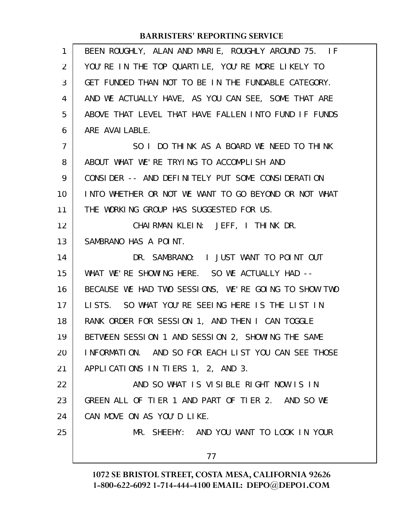| $\mathbf{1}$   | BEEN ROUGHLY, ALAN AND MARIE, ROUGHLY AROUND 75. IF  |
|----------------|------------------------------------------------------|
| 2              | YOU'RE IN THE TOP QUARTILE, YOU'RE MORE LIKELY TO    |
| 3              | GET FUNDED THAN NOT TO BE IN THE FUNDABLE CATEGORY.  |
| 4              | AND WE ACTUALLY HAVE, AS YOU CAN SEE, SOME THAT ARE  |
| 5              | ABOVE THAT LEVEL THAT HAVE FALLEN INTO FUND IF FUNDS |
| 6              | ARE AVAI LABLE.                                      |
| $\overline{7}$ | SO I DO THINK AS A BOARD WE NEED TO THINK            |
| 8              | ABOUT WHAT WE'RE TRYING TO ACCOMPLISH AND            |
| 9              | CONSIDER -- AND DEFINITELY PUT SOME CONSIDERATION    |
| 10             | INTO WHETHER OR NOT WE WANT TO GO BEYOND OR NOT WHAT |
| 11             | THE WORKING GROUP HAS SUGGESTED FOR US.              |
| 12             | CHAIRMAN KLEIN: JEFF, I THINK DR.                    |
| 13             | SAMBRANO HAS A POINT.                                |
| 14             | DR. SAMBRANO: I JUST WANT TO POINT OUT               |
| 15             | WHAT WE'RE SHOWING HERE. SO WE ACTUALLY HAD --       |
| 16             | BECAUSE WE HAD TWO SESSIONS, WE'RE GOING TO SHOW TWO |
| 17             | LISTS. SO WHAT YOU'RE SEEING HERE IS THE LIST IN     |
| 18             | RANK ORDER FOR SESSION 1, AND THEN I CAN TOGGLE      |
| 19             | BETWEEN SESSION 1 AND SESSION 2, SHOWING THE SAME    |
| 20             | INFORMATION. AND SO FOR EACH LIST YOU CAN SEE THOSE  |
| 21             | APPLICATIONS IN TIERS 1, 2, AND 3.                   |
| 22             | AND SO WHAT IS VISIBLE RIGHT NOW IS IN               |
| 23             | GREEN ALL OF TIER 1 AND PART OF TIER 2. AND SO WE    |
| 24             | CAN MOVE ON AS YOU'D LIKE.                           |
| 25             | MR. SHEEHY: AND YOU WANT TO LOOK IN YOUR             |
|                | 77                                                   |
|                |                                                      |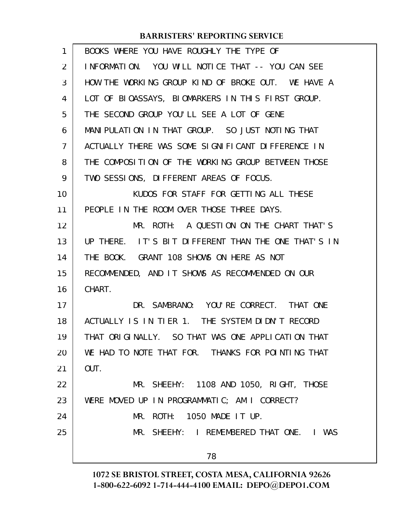| 1  | BOOKS WHERE YOU HAVE ROUGHLY THE TYPE OF            |
|----|-----------------------------------------------------|
| 2  | INFORMATION. YOU WILL NOTICE THAT -- YOU CAN SEE    |
| 3  | HOW THE WORKING GROUP KIND OF BROKE OUT. WE HAVE A  |
| 4  | LOT OF BIOASSAYS, BIOMARKERS IN THIS FIRST GROUP.   |
| 5  | THE SECOND GROUP YOU'LL SEE A LOT OF GENE           |
| 6  | MANI PULATION IN THAT GROUP. SO JUST NOTING THAT    |
| 7  | ACTUALLY THERE WAS SOME SIGNIFICANT DIFFERENCE IN   |
| 8  | THE COMPOSITION OF THE WORKING GROUP BETWEEN THOSE  |
| 9  | TWO SESSIONS, DIFFERENT AREAS OF FOCUS.             |
| 10 | KUDOS FOR STAFF FOR GETTING ALL THESE               |
| 11 | PEOPLE IN THE ROOM OVER THOSE THREE DAYS.           |
| 12 | MR. ROTH: A QUESTION ON THE CHART THAT'S            |
| 13 | UP THERE. IT'S BIT DIFFERENT THAN THE ONE THAT'S IN |
| 14 | THE BOOK. GRANT 108 SHOWS ON HERE AS NOT            |
| 15 | RECOMMENDED, AND IT SHOWS AS RECOMMENDED ON OUR     |
| 16 | CHART.                                              |
| 17 | DR. SAMBRANO: YOU'RE CORRECT. THAT ONE              |
| 18 | ACTUALLY IS IN TIER 1. THE SYSTEM DIDN'T RECORD     |
| 19 | THAT ORIGINALLY. SO THAT WAS ONE APPLICATION THAT   |
| 20 | WE HAD TO NOTE THAT FOR. THANKS FOR POINTING THAT   |
| 21 | OUT.                                                |
| 22 | MR. SHEEHY: 1108 AND 1050, RIGHT, THOSE             |
| 23 | WERE MOVED UP IN PROGRAMMATIC; AM I CORRECT?        |
| 24 | MR. ROTH: 1050 MADE IT UP.                          |
| 25 | MR. SHEEHY: I REMEMBERED THAT ONE. I WAS            |
|    | 78                                                  |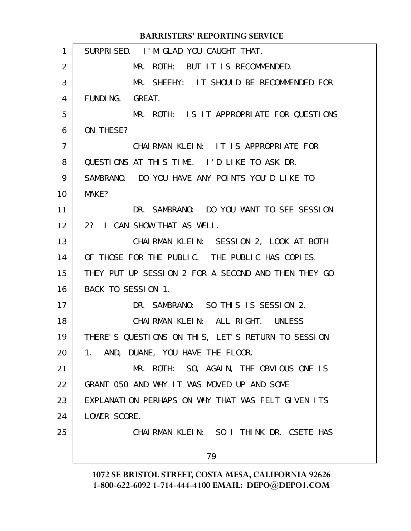| 1  | SURPRISED. I'M GLAD YOU CAUGHT THAT.                |
|----|-----------------------------------------------------|
| 2  | MR. ROTH: BUT IT IS RECOMMENDED.                    |
| 3  | MR. SHEEHY: IT SHOULD BE RECOMMENDED FOR            |
| 4  | FUNDING. GREAT.                                     |
| 5  | MR. ROTH: IS IT APPROPRIATE FOR QUESTIONS           |
| 6  | ON THESE?                                           |
| 7  | CHAIRMAN KLEIN: IT IS APPROPRIATE FOR               |
| 8  | QUESTIONS AT THIS TIME. I'D LIKE TO ASK DR.         |
| 9  | SAMBRANO. DO YOU HAVE ANY POINTS YOU'D LIKE TO      |
| 10 | MAKE?                                               |
| 11 | DR. SAMBRANO: DO YOU WANT TO SEE SESSION            |
| 12 | 2? I CAN SHOW THAT AS WELL.                         |
| 13 | CHAIRMAN KLEIN: SESSION 2, LOOK AT BOTH             |
| 14 | OF THOSE FOR THE PUBLIC. THE PUBLIC HAS COPIES.     |
| 15 | THEY PUT UP SESSION 2 FOR A SECOND AND THEN THEY GO |
| 16 | BACK TO SESSION 1.                                  |
| 17 | DR. SAMBRANO: SO THIS IS SESSION 2.                 |
| 18 | CHAIRMAN KLEIN: ALL RIGHT. UNLESS                   |
| 19 | THERE'S QUESTIONS ON THIS, LET'S RETURN TO SESSION  |
| 20 | 1. AND, DUANE, YOU HAVE THE FLOOR.                  |
| 21 | MR. ROTH: SO, AGAIN, THE OBVIOUS ONE IS             |
| 22 | GRANT 050 AND WHY IT WAS MOVED UP AND SOME          |
| 23 | EXPLANATION PERHAPS ON WHY THAT WAS FELT GIVEN ITS  |
| 24 | LOWER SCORE.                                        |
| 25 | CHAIRMAN KLEIN: SO I THINK DR. CSETE HAS            |
|    | 79                                                  |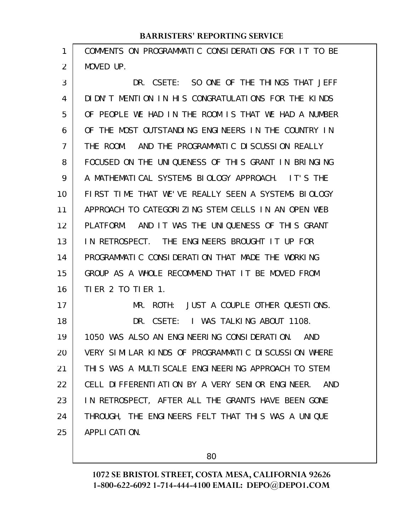COMMENTS ON PROGRAMMATIC CONSIDERATIONS FOR IT TO BE MOVED UP. 1 2

DR. CSETE: SO ONE OF THE THINGS THAT JEFF DIDN'T MENTION IN HIS CONGRATULATIONS FOR THE KINDS OF PEOPLE WE HAD IN THE ROOM IS THAT WE HAD A NUMBER OF THE MOST OUTSTANDING ENGINEERS IN THE COUNTRY IN THE ROOM. AND THE PROGRAMMATIC DISCUSSION REALLY FOCUSED ON THE UNIQUENESS OF THIS GRANT IN BRINGING A MATHEMATICAL SYSTEMS BIOLOGY APPROACH. IT'S THE FIRST TIME THAT WE'VE REALLY SEEN A SYSTEMS BIOLOGY APPROACH TO CATEGORIZING STEM CELLS IN AN OPEN WEB PLATFORM. AND IT WAS THE UNIQUENESS OF THIS GRANT IN RETROSPECT. THE ENGINEERS BROUGHT IT UP FOR PROGRAMMATIC CONSIDERATION THAT MADE THE WORKING GROUP AS A WHOLE RECOMMEND THAT IT BE MOVED FROM TIER 2 TO TIER 1. MR. ROTH: JUST A COUPLE OTHER QUESTIONS. DR. CSETE: I WAS TALKING ABOUT 1108. 1050 WAS ALSO AN ENGINEERING CONSIDERATION. AND VERY SIMILAR KINDS OF PROGRAMMATIC DISCUSSION WHERE THIS WAS A MULTISCALE ENGINEERING APPROACH TO STEM CELL DIFFERENTIATION BY A VERY SENIOR ENGINEER. AND IN RETROSPECT, AFTER ALL THE GRANTS HAVE BEEN GONE 3 4 5 6 7 8 9 10 11 12 13 14 15 16 17 18 19 20 21 22 23

THROUGH, THE ENGINEERS FELT THAT THIS WAS A UNIQUE APPLICATION. 24 25

80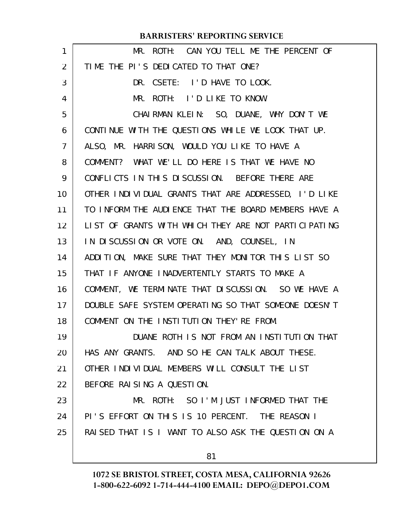| 1              | MR. ROTH: CAN YOU TELL ME THE PERCENT OF             |
|----------------|------------------------------------------------------|
| $\overline{2}$ | TIME THE PI'S DEDICATED TO THAT ONE?                 |
| 3              | DR. CSETE: I'D HAVE TO LOOK.                         |
| 4              | MR. ROTH: I'D LIKE TO KNOW.                          |
| 5              | CHAIRMAN KLEIN: SO, DUANE, WHY DON'T WE              |
| 6              | CONTINUE WITH THE QUESTIONS WHILE WE LOOK THAT UP.   |
| 7              | ALSO, MR. HARRISON, WOULD YOU LIKE TO HAVE A         |
| 8              | COMMENT? WHAT WE'LL DO HERE IS THAT WE HAVE NO       |
| 9              | CONFLICTS IN THIS DISCUSSION. BEFORE THERE ARE       |
| 10             | OTHER INDIVIDUAL GRANTS THAT ARE ADDRESSED, I'D LIKE |
| 11             | TO INFORM THE AUDIENCE THAT THE BOARD MEMBERS HAVE A |
| 12             | LIST OF GRANTS WITH WHICH THEY ARE NOT PARTICIPATING |
| 13             | IN DISCUSSION OR VOTE ON. AND, COUNSEL, IN           |
| 14             | ADDITION, MAKE SURE THAT THEY MONITOR THIS LIST SO   |
| 15             | THAT IF ANYONE INADVERTENTLY STARTS TO MAKE A        |
| 16             | COMMENT, WE TERMINATE THAT DISCUSSION. SO WE HAVE A  |
| 17             | DOUBLE SAFE SYSTEM OPERATING SO THAT SOMEONE DOESN'T |
| 18             | COMMENT ON THE INSTITUTION THEY' RE FROM.            |
| 19             | DUANE ROTH IS NOT FROM AN INSTITUTION THAT           |
| 20             | HAS ANY GRANTS. AND SO HE CAN TALK ABOUT THESE.      |
| 21             | OTHER INDIVIDUAL MEMBERS WILL CONSULT THE LIST       |
| 22             | BEFORE RAISING A QUESTION.                           |
| 23             | MR. ROTH: SO I'M JUST INFORMED THAT THE              |
| 24             | PI'S EFFORT ON THIS IS 10 PERCENT. THE REASON I      |
| 25             | RAISED THAT IS I WANT TO ALSO ASK THE QUESTION ON A  |
|                |                                                      |
|                | 81                                                   |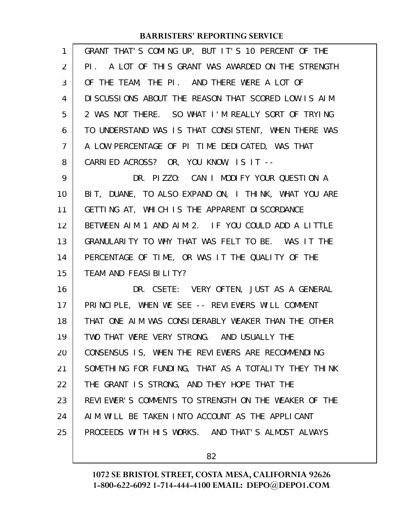| $\mathbf{1}$ | GRANT THAT'S COMING UP, BUT IT'S 10 PERCENT OF THE   |
|--------------|------------------------------------------------------|
| 2            | PI. A LOT OF THIS GRANT WAS AWARDED ON THE STRENGTH  |
| 3            | OF THE TEAM, THE PI. AND THERE WERE A LOT OF         |
| 4            | DI SCUSSIONS ABOUT THE REASON THAT SCORED LOW IS AIM |
| 5            | 2 WAS NOT THERE. SO WHAT I'M REALLY SORT OF TRYING   |
| 6            | TO UNDERSTAND WAS IS THAT CONSISTENT, WHEN THERE WAS |
| 7            | A LOW PERCENTAGE OF PI TIME DEDICATED, WAS THAT      |
| 8            | CARRIED ACROSS? OR, YOU KNOW, IS IT --               |
| 9            | DR. PIZZO: CAN I MODIFY YOUR QUESTION A              |
| 10           | BIT, DUANE, TO ALSO EXPAND ON, I THINK, WHAT YOU ARE |
| 11           | GETTING AT, WHICH IS THE APPARENT DISCORDANCE        |
| 12           | BETWEEN AIM 1 AND AIM 2. IF YOU COULD ADD A LITTLE   |
| 13           | GRANULARITY TO WHY THAT WAS FELT TO BE. WAS IT THE   |
| 14           | PERCENTAGE OF TIME, OR WAS IT THE QUALITY OF THE     |
| 15           | TEAM AND FEASIBILITY?                                |
| 16           | DR. CSETE: VERY OFTEN, JUST AS A GENERAL             |
| 17           | PRINCIPLE, WHEN WE SEE -- REVIEWERS WILL COMMENT     |
| 18           | THAT ONE AIM WAS CONSIDERABLY WEAKER THAN THE OTHER  |
| 19           | TWO THAT WERE VERY STRONG. AND USUALLY THE           |
| 20           | CONSENSUS IS, WHEN THE REVIEWERS ARE RECOMMENDING    |
| 21           | SOMETHING FOR FUNDING, THAT AS A TOTALITY THEY THINK |
| 22           | THE GRANT IS STRONG, AND THEY HOPE THAT THE          |
| 23           | REVIEWER'S COMMENTS TO STRENGTH ON THE WEAKER OF THE |
| 24           | AIM WILL BE TAKEN INTO ACCOUNT AS THE APPLICANT      |
| 25           | PROCEEDS WITH HIS WORKS. AND THAT'S ALMOST ALWAYS    |
|              |                                                      |

82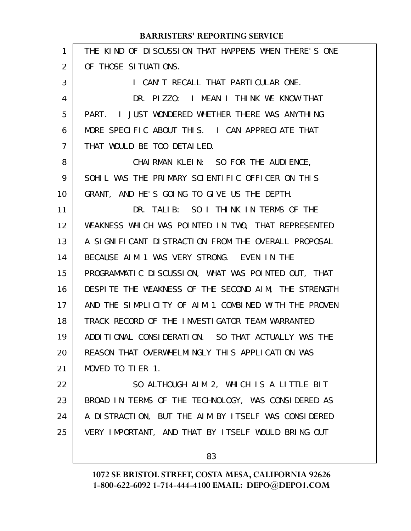| $\mathbf{1}$   | THE KIND OF DISCUSSION THAT HAPPENS WHEN THERE'S ONE |
|----------------|------------------------------------------------------|
| 2              | OF THOSE SITUATIONS.                                 |
| 3              | I CAN'T RECALL THAT PARTICULAR ONE.                  |
| 4              | DR. PIZZO: I MEAN I THINK WE KNOW THAT               |
| 5              | PART. I JUST WONDERED WHETHER THERE WAS ANYTHING     |
| 6              | MORE SPECIFIC ABOUT THIS. I CAN APPRECIATE THAT      |
| $\overline{7}$ | THAT WOULD BE TOO DETAILED.                          |
| 8              | CHAIRMAN KLEIN: SO FOR THE AUDIENCE,                 |
| 9              | SOHIL WAS THE PRIMARY SCIENTIFIC OFFICER ON THIS     |
| 10             | GRANT, AND HE'S GOING TO GIVE US THE DEPTH.          |
| 11             | DR. TALIB: SO I THINK IN TERMS OF THE                |
| 12             | WEAKNESS WHICH WAS POINTED IN TWO, THAT REPRESENTED  |
| 13             | A SIGNIFICANT DISTRACTION FROM THE OVERALL PROPOSAL  |
| 14             | BECAUSE AIM 1 WAS VERY STRONG. EVEN IN THE           |
| 15             | PROGRAMMATIC DISCUSSION, WHAT WAS POINTED OUT, THAT  |
| 16             | DESPITE THE WEAKNESS OF THE SECOND AIM, THE STRENGTH |
| 17             | AND THE SIMPLICITY OF AIM 1 COMBINED WITH THE PROVEN |
| 18             | TRACK RECORD OF THE INVESTIGATOR TEAM WARRANTED      |
| 19             | ADDITIONAL CONSIDERATION. SO THAT ACTUALLY WAS THE   |
| 20             | REASON THAT OVERWHELMINGLY THIS APPLICATION WAS      |
| 21             | MOVED TO TIER 1.                                     |
| 22             | SO ALTHOUGH AIM 2, WHICH IS A LITTLE BIT             |
| 23             | BROAD IN TERMS OF THE TECHNOLOGY, WAS CONSIDERED AS  |
| 24             | A DISTRACTION, BUT THE AIM BY ITSELF WAS CONSIDERED  |
| 25             | VERY IMPORTANT, AND THAT BY ITSELF WOULD BRING OUT   |
|                |                                                      |

83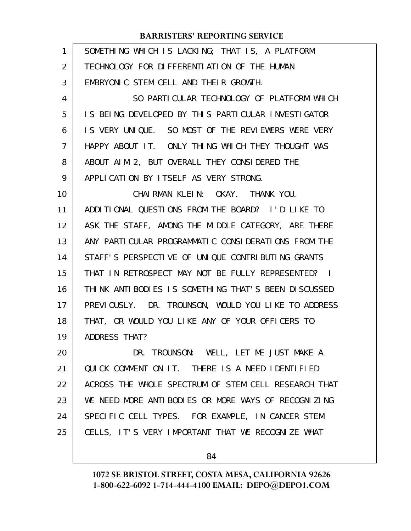| 1  | SOMETHING WHICH IS LACKING; THAT IS, A PLATFORM      |
|----|------------------------------------------------------|
| 2  | TECHNOLOGY FOR DIFFERENTIATION OF THE HUMAN          |
| 3  | EMBRYONIC STEM CELL AND THEIR GROWTH.                |
| 4  | SO PARTICULAR TECHNOLOGY OF PLATFORM WHICH           |
| 5  | IS BEING DEVELOPED BY THIS PARTICULAR INVESTIGATOR   |
| 6  | IS VERY UNIQUE. SO MOST OF THE REVIEWERS WERE VERY   |
| 7  | HAPPY ABOUT IT. ONLY THING WHICH THEY THOUGHT WAS    |
| 8  | ABOUT AIM 2, BUT OVERALL THEY CONSIDERED THE         |
| 9  | APPLICATION BY ITSELF AS VERY STRONG.                |
| 10 | CHAIRMAN KLEIN: OKAY. THANK YOU.                     |
| 11 | ADDITIONAL QUESTIONS FROM THE BOARD? I'D LIKE TO     |
| 12 | ASK THE STAFF, AMONG THE MIDDLE CATEGORY, ARE THERE  |
| 13 | ANY PARTICULAR PROGRAMMATIC CONSIDERATIONS FROM THE  |
| 14 | STAFF'S PERSPECTIVE OF UNIQUE CONTRIBUTING GRANTS    |
| 15 | THAT IN RETROSPECT MAY NOT BE FULLY REPRESENTED? I   |
| 16 | THINK ANTIBODIES IS SOMETHING THAT'S BEEN DISCUSSED  |
| 17 | PREVIOUSLY. DR. TROUNSON, WOULD YOU LIKE TO ADDRESS  |
| 18 | THAT, OR WOULD YOU LIKE ANY OF YOUR OFFICERS TO      |
| 19 | ADDRESS THAT?                                        |
| 20 | DR. TROUNSON: WELL, LET ME JUST MAKE A               |
| 21 | QUICK COMMENT ON IT. THERE IS A NEED IDENTIFIED      |
| 22 | ACROSS THE WHOLE SPECTRUM OF STEM CELL RESEARCH THAT |
| 23 | WE NEED MORE ANTIBODIES OR MORE WAYS OF RECOGNIZING  |
| 24 | SPECIFIC CELL TYPES. FOR EXAMPLE, IN CANCER STEM     |
| 25 | CELLS, IT'S VERY IMPORTANT THAT WE RECOGNIZE WHAT    |
|    |                                                      |

84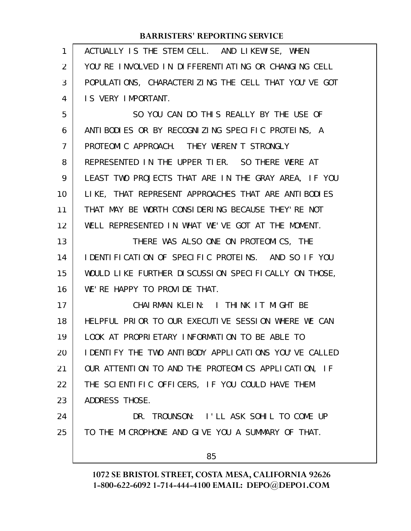| $\mathbf{1}$ | ACTUALLY IS THE STEM CELL. AND LIKEWISE, WHEN        |
|--------------|------------------------------------------------------|
| 2            | YOU'RE INVOLVED IN DIFFERENTIATING OR CHANGING CELL  |
| 3            | POPULATIONS, CHARACTERIZING THE CELL THAT YOU'VE GOT |
| 4            | IS VERY IMPORTANT.                                   |
| 5            | SO YOU CAN DO THIS REALLY BY THE USE OF              |
| 6            | ANTIBODIES OR BY RECOGNIZING SPECIFIC PROTEINS, A    |
| 7            | PROTEOMIC APPROACH. THEY WEREN'T STRONGLY            |
| 8            | REPRESENTED IN THE UPPER TIER. SO THERE WERE AT      |
| 9            | LEAST TWO PROJECTS THAT ARE IN THE GRAY AREA, IF YOU |
| 10           | LIKE, THAT REPRESENT APPROACHES THAT ARE ANTIBODIES  |
| 11           | THAT MAY BE WORTH CONSIDERING BECAUSE THEY'RE NOT    |
| 12           | WELL REPRESENTED IN WHAT WE'VE GOT AT THE MOMENT.    |
| 13           | THERE WAS ALSO ONE ON PROTEOMICS, THE                |
| 14           | IDENTIFICATION OF SPECIFIC PROTEINS. AND SO IF YOU   |
| 15           | WOULD LIKE FURTHER DISCUSSION SPECIFICALLY ON THOSE, |
| 16           | WE'RE HAPPY TO PROVIDE THAT.                         |
| 17           | CHAIRMAN KLEIN: I THINK IT MIGHT BE                  |
| 18           | HELPFUL PRIOR TO OUR EXECUTIVE SESSION WHERE WE CAN  |
| 19           | LOOK AT PROPRIETARY INFORMATION TO BE ABLE TO        |
| 20           | IDENTIFY THE TWO ANTIBODY APPLICATIONS YOU'VE CALLED |
| 21           | OUR ATTENTION TO AND THE PROTEOMICS APPLICATION, IF  |
| 22           | THE SCIENTIFIC OFFICERS, IF YOU COULD HAVE THEM      |
| 23           | ADDRESS THOSE.                                       |
| 24           | DR. TROUNSON: I'LL ASK SOHIL TO COME UP              |
| 25           | TO THE MICROPHONE AND GIVE YOU A SUMMARY OF THAT.    |
|              |                                                      |
|              | 85                                                   |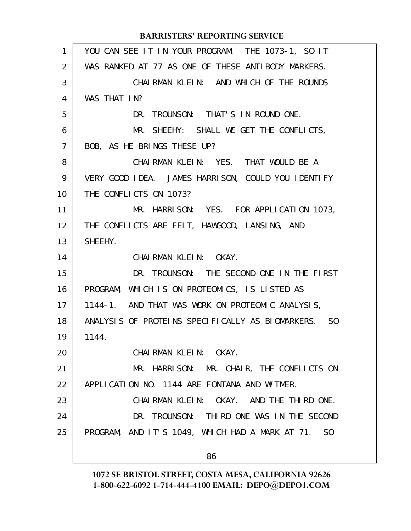| 1              | YOU CAN SEE IT IN YOUR PROGRAM. THE 1073-1, SO IT   |
|----------------|-----------------------------------------------------|
| $\overline{2}$ | WAS RANKED AT 77 AS ONE OF THESE ANTIBODY MARKERS.  |
| 3              | CHAIRMAN KLEIN: AND WHICH OF THE ROUNDS             |
| 4              | WAS THAT IN?                                        |
| 5              | DR. TROUNSON: THAT'S IN ROUND ONE.                  |
| 6              | MR. SHEEHY: SHALL WE GET THE CONFLICTS,             |
| $\overline{7}$ | BOB, AS HE BRINGS THESE UP?                         |
| 8              | CHAIRMAN KLEIN: YES. THAT WOULD BE A                |
| 9              | VERY GOOD IDEA. JAMES HARRISON, COULD YOU IDENTIFY  |
| 10             | THE CONFLICTS ON 1073?                              |
| 11             | MR. HARRISON: YES. FOR APPLICATION 1073,            |
| 12             | THE CONFLICTS ARE FEIT, HAWGOOD, LANSING, AND       |
| 13             | SHEEHY.                                             |
| 14             | CHAIRMAN KLEIN: OKAY.                               |
| 15             | DR. TROUNSON: THE SECOND ONE IN THE FIRST           |
| 16             | PROGRAM, WHICH IS ON PROTEOMICS, IS LISTED AS       |
| 17             | 1144-1. AND THAT WAS WORK ON PROTEOMIC ANALYSIS,    |
| 18             | ANALYSIS OF PROTEINS SPECIFICALLY AS BIOMARKERS. SO |
| 19             | 1144.                                               |
| 20             | CHAIRMAN KLEIN: OKAY.                               |
| 21             | MR. HARRISON: MR. CHAIR, THE CONFLICTS ON           |
| 22             | APPLICATION NO. 1144 ARE FONTANA AND WITMER.        |
| 23             | CHAIRMAN KLEIN: OKAY. AND THE THIRD ONE.            |
| 24             | DR. TROUNSON: THIRD ONE WAS IN THE SECOND           |
| 25             | PROGRAM, AND IT'S 1049, WHICH HAD A MARK AT 71. SO  |
|                | 86                                                  |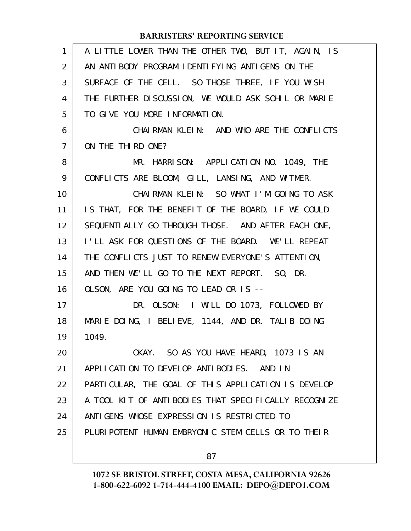| $\mathbf{1}$   | A LITTLE LOWER THAN THE OTHER TWO, BUT IT, AGAIN, IS |
|----------------|------------------------------------------------------|
| 2              | AN ANTIBODY PROGRAM IDENTIFYING ANTIGENS ON THE      |
| 3              | SURFACE OF THE CELL. SO THOSE THREE, IF YOU WISH     |
| 4              | THE FURTHER DISCUSSION, WE WOULD ASK SOHIL OR MARIE  |
| 5              | TO GIVE YOU MORE INFORMATION.                        |
| 6              | CHAIRMAN KLEIN: AND WHO ARE THE CONFLICTS            |
| $\overline{7}$ | ON THE THIRD ONE?                                    |
| 8              | MR. HARRISON: APPLICATION NO. 1049, THE              |
| 9              | CONFLICTS ARE BLOOM, GILL, LANSING, AND WITMER.      |
| 10             | CHAIRMAN KLEIN: SO WHAT I'M GOING TO ASK             |
| 11             | IS THAT, FOR THE BENEFIT OF THE BOARD, IF WE COULD   |
| 12             | SEQUENTI ALLY GO THROUGH THOSE. AND AFTER EACH ONE,  |
| 13             | I'LL ASK FOR QUESTIONS OF THE BOARD. WE'LL REPEAT    |
| 14             | THE CONFLICTS JUST TO RENEW EVERYONE'S ATTENTION,    |
| 15             | AND THEN WE'LL GO TO THE NEXT REPORT. SO, DR.        |
| 16             | OLSON, ARE YOU GOING TO LEAD OR IS --                |
| 17             | DR. OLSON: I WILL DO 1073, FOLLOWED BY               |
| 18             | MARIE DOING, I BELIEVE, 1144, AND DR. TALIB DOING    |
| 19             | 1049.                                                |
| 20             | OKAY. SO AS YOU HAVE HEARD, 1073 IS AN               |
| 21             | APPLICATION TO DEVELOP ANTIBODIES. AND IN            |
| 22             | PARTICULAR, THE GOAL OF THIS APPLICATION IS DEVELOP  |
| 23             | A TOOL KIT OF ANTIBODIES THAT SPECIFICALLY RECOGNIZE |
| 24             | ANTI GENS WHOSE EXPRESSION IS RESTRICTED TO          |
| 25             | PLURIPOTENT HUMAN EMBRYONIC STEM CELLS OR TO THEIR   |
|                | 87                                                   |
|                |                                                      |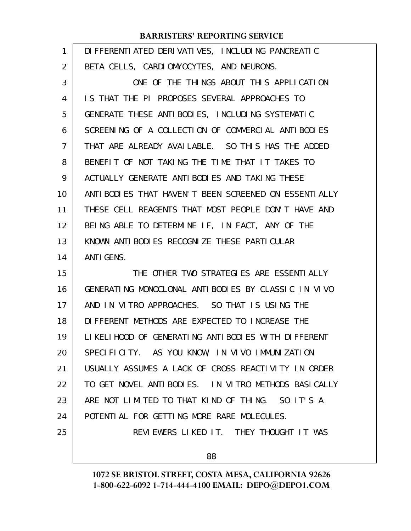| 1              | DI FFERENTI ATED DERI VATI VES, INCLUDI NG PANCREATIC   |
|----------------|---------------------------------------------------------|
| 2              | BETA CELLS, CARDIOMYOCYTES, AND NEURONS.                |
| 3              | ONE OF THE THINGS ABOUT THIS APPLICATION                |
| 4              | IS THAT THE PI PROPOSES SEVERAL APPROACHES TO           |
| 5              | GENERATE THESE ANTIBODIES, INCLUDING SYSTEMATIC         |
| 6              | SCREENING OF A COLLECTION OF COMMERCIAL ANTIBODIES      |
| $\overline{7}$ | THAT ARE ALREADY AVAILABLE. SO THIS HAS THE ADDED       |
| 8              | BENEFIT OF NOT TAKING THE TIME THAT IT TAKES TO         |
| 9              | ACTUALLY GENERATE ANTIBODIES AND TAKING THESE           |
| 10             | ANTI BODI ES THAT HAVEN'T BEEN SCREENED ON ESSENTI ALLY |
| 11             | THESE CELL REAGENTS THAT MOST PEOPLE DON'T HAVE AND     |
| 12             | BEING ABLE TO DETERMINE IF, IN FACT, ANY OF THE         |
| 13             | KNOWN ANTIBODIES RECOGNIZE THESE PARTICULAR             |
| 14             | <b>ANTI GENS.</b>                                       |
| 15             | THE OTHER TWO STRATEGIES ARE ESSENTIALLY                |
| 16             | GENERATING MONOCLONAL ANTIBODIES BY CLASSIC IN VIVO     |
| 17             | AND IN VITRO APPROACHES. SO THAT IS USING THE           |
| 18             | DIFFERENT METHODS ARE EXPECTED TO INCREASE THE          |
| 19             | LIKELIHOOD OF GENERATING ANTIBODIES WITH DIFFERENT      |
| 20             | SPECIFICITY. AS YOU KNOW, IN VIVO IMMUNIZATION          |
| 21             | USUALLY ASSUMES A LACK OF CROSS REACTIVITY IN ORDER     |
| 22             | TO GET NOVEL ANTIBODIES. IN VITRO METHODS BASICALLY     |
| 23             | ARE NOT LIMITED TO THAT KIND OF THING. SO IT'S A        |
| 24             | POTENTIAL FOR GETTING MORE RARE MOLECULES.              |
| 25             | REVIEWERS LIKED IT. THEY THOUGHT IT WAS                 |
|                | n n                                                     |

88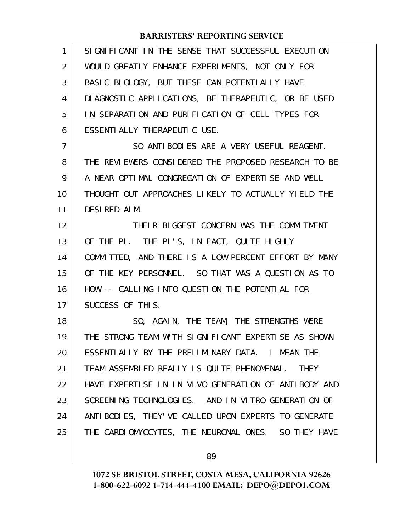| $\mathbf{1}$ | SIGNIFICANT IN THE SENSE THAT SUCCESSFUL EXECUTION     |
|--------------|--------------------------------------------------------|
| 2            | WOULD GREATLY ENHANCE EXPERIMENTS, NOT ONLY FOR        |
| 3            | BASIC BIOLOGY, BUT THESE CAN POTENTIALLY HAVE          |
| 4            | DI AGNOSTIC APPLICATIONS, BE THERAPEUTIC, OR BE USED   |
| 5            | IN SEPARATION AND PURIFICATION OF CELL TYPES FOR       |
| 6            | ESSENTI ALLY THERAPEUTIC USE.                          |
| 7            | SO ANTIBODIES ARE A VERY USEFUL REAGENT.               |
| 8            | THE REVIEWERS CONSIDERED THE PROPOSED RESEARCH TO BE   |
| 9            | A NEAR OPTIMAL CONGREGATION OF EXPERTISE AND WELL      |
| 10           | THOUGHT OUT APPROACHES LIKELY TO ACTUALLY YIELD THE    |
| 11           | DESIRED AIM.                                           |
| 12           | THEIR BIGGEST CONCERN WAS THE COMMITMENT               |
| 13           | OF THE PI. THE PI'S, IN FACT, QUITE HIGHLY             |
| 14           | COMMITTED, AND THERE IS A LOW PERCENT EFFORT BY MANY   |
| 15           | OF THE KEY PERSONNEL. SO THAT WAS A QUESTION AS TO     |
| 16           | HOW -- CALLING INTO QUESTION THE POTENTIAL FOR         |
| 17           | SUCCESS OF THIS.                                       |
| 18           | SO, AGAIN, THE TEAM, THE STRENGTHS WERE                |
| 19           | THE STRONG TEAM WITH SIGNIFICANT EXPERTISE AS SHOWN    |
| 20           | ESSENTIALLY BY THE PRELIMINARY DATA. I MEAN THE        |
| 21           | TEAM ASSEMBLED REALLY IS QUITE PHENOMENAL. THEY        |
| 22           | HAVE EXPERTISE IN IN VIVO GENERATION OF ANTIBODY AND   |
| 23           | SCREENING TECHNOLOGIES. AND IN VITRO GENERATION OF     |
| 24           | ANTI BODI ES, THEY' VE CALLED UPON EXPERTS TO GENERATE |
| 25           | THE CARDIOMYOCYTES, THE NEURONAL ONES. SO THEY HAVE    |
|              |                                                        |

89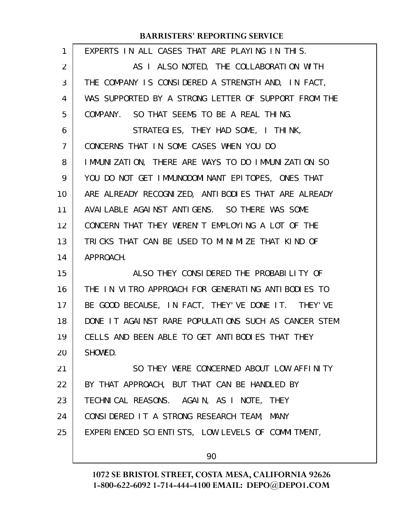| EXPERTS IN ALL CASES THAT ARE PLAYING IN THIS.       |
|------------------------------------------------------|
| AS I ALSO NOTED, THE COLLABORATION WITH              |
| THE COMPANY IS CONSIDERED A STRENGTH AND, IN FACT,   |
| WAS SUPPORTED BY A STRONG LETTER OF SUPPORT FROM THE |
| COMPANY. SO THAT SEEMS TO BE A REAL THING.           |
| STRATEGIES, THEY HAD SOME, I THINK,                  |
| CONCERNS THAT IN SOME CASES WHEN YOU DO              |
| IMMUNIZATION, THERE ARE WAYS TO DO IMMUNIZATION SO   |
| YOU DO NOT GET IMMUNODOMINANT EPITOPES, ONES THAT    |
| ARE ALREADY RECOGNIZED, ANTIBODIES THAT ARE ALREADY  |
| AVAILABLE AGAINST ANTIGENS. SO THERE WAS SOME        |
| CONCERN THAT THEY WEREN'T EMPLOYING A LOT OF THE     |
| TRICKS THAT CAN BE USED TO MINIMIZE THAT KIND OF     |
| APPROACH.                                            |
| ALSO THEY CONSIDERED THE PROBABILITY OF              |
| THE IN VITRO APPROACH FOR GENERATING ANTIBODIES TO   |
| BE GOOD BECAUSE, IN FACT, THEY'VE DONE IT. THEY'VE   |
| DONE IT AGAINST RARE POPULATIONS SUCH AS CANCER STEM |
| CELLS AND BEEN ABLE TO GET ANTIBODIES THAT THEY      |
| SHOWED.                                              |
| SO THEY WERE CONCERNED ABOUT LOW AFFINITY            |
| BY THAT APPROACH, BUT THAT CAN BE HANDLED BY         |
| TECHNICAL REASONS. AGAIN, AS I NOTE, THEY            |
| CONSIDERED IT A STRONG RESEARCH TEAM, MANY           |
| EXPERIENCED SCIENTISTS, LOW LEVELS OF COMMITMENT,    |
| 90                                                   |
|                                                      |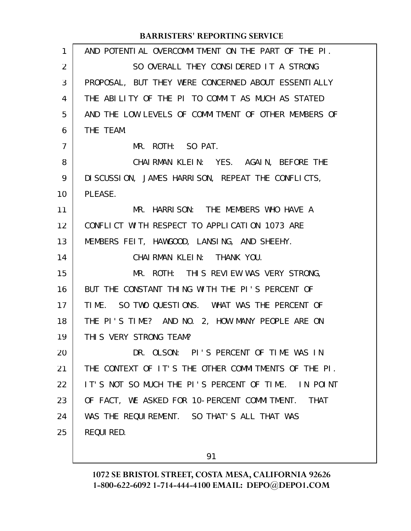| 1  | AND POTENTIAL OVERCOMMITMENT ON THE PART OF THE PI.         |
|----|-------------------------------------------------------------|
| 2  | SO OVERALL THEY CONSIDERED IT A STRONG                      |
| 3  | PROPOSAL, BUT THEY WERE CONCERNED ABOUT ESSENTIALLY         |
| 4  | THE ABILITY OF THE PI TO COMMIT AS MUCH AS STATED           |
| 5  | AND THE LOW LEVELS OF COMMITMENT OF OTHER MEMBERS OF        |
| 6  | THE TEAM.                                                   |
| 7  | MR. ROTH: SO PAT.                                           |
| 8  | CHAIRMAN KLEIN: YES. AGAIN, BEFORE THE                      |
| 9  | DISCUSSION, JAMES HARRISON, REPEAT THE CONFLICTS,           |
| 10 | PLEASE.                                                     |
| 11 | MR. HARRISON: THE MEMBERS WHO HAVE A                        |
| 12 | CONFLICT WITH RESPECT TO APPLICATION 1073 ARE               |
| 13 | MEMBERS FEIT, HAWGOOD, LANSING, AND SHEEHY.                 |
| 14 | CHAIRMAN KLEIN: THANK YOU.                                  |
| 15 | MR. ROTH: THIS REVIEW WAS VERY STRONG,                      |
| 16 | BUT THE CONSTANT THING WITH THE PI'S PERCENT OF             |
| 17 | TIME. SO TWO QUESTIONS. WHAT WAS THE PERCENT OF             |
| 18 | THE PI'S TIME? AND NO. 2, HOW MANY PEOPLE ARE ON            |
| 19 | THIS VERY STRONG TEAM?                                      |
| 20 | DR. OLSON: PI'S PERCENT OF TIME WAS IN                      |
| 21 | THE CONTEXT OF IT'S THE OTHER COMMITMENTS OF THE PI.        |
| 22 | IT'S NOT SO MUCH THE PI'S PERCENT OF TIME. IN POINT         |
| 23 | OF FACT, WE ASKED FOR 10-PERCENT COMMITMENT.<br><b>THAT</b> |
| 24 | WAS THE REQUIREMENT. SO THAT'S ALL THAT WAS                 |
| 25 | REQUI RED.                                                  |
|    |                                                             |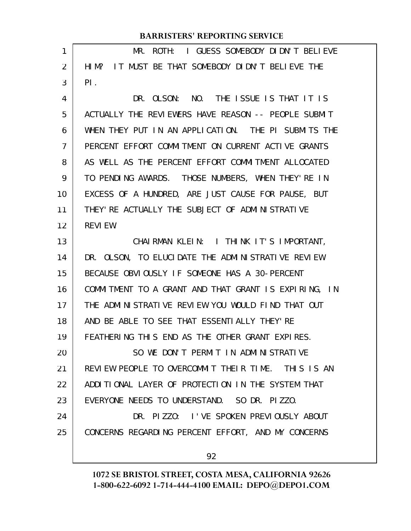| 1              | I GUESS SOMEBODY DIDN'T BELIEVE<br>MR.<br>ROTH:      |
|----------------|------------------------------------------------------|
| $\overline{2}$ | HIM? IT MUST BE THAT SOMEBODY DIDN'T BELIEVE THE     |
| 3              | PI.                                                  |
| 4              | DR. OLSON: NO. THE ISSUE IS THAT IT IS               |
| 5              | ACTUALLY THE REVIEWERS HAVE REASON -- PEOPLE SUBMIT  |
| 6              | WHEN THEY PUT IN AN APPLICATION. THE PI SUBMITS THE  |
| 7              | PERCENT EFFORT COMMITMENT ON CURRENT ACTIVE GRANTS   |
| 8              | AS WELL AS THE PERCENT EFFORT COMMITMENT ALLOCATED   |
| 9              | TO PENDING AWARDS. THOSE NUMBERS, WHEN THEY'RE IN    |
| 10             | EXCESS OF A HUNDRED, ARE JUST CAUSE FOR PAUSE, BUT   |
| 11             | THEY' RE ACTUALLY THE SUBJECT OF ADMINISTRATIVE      |
| 12             | <b>REVIEW.</b>                                       |
| 13             | CHAIRMAN KLEIN: I THINK IT'S IMPORTANT,              |
| 14             | DR. OLSON, TO ELUCIDATE THE ADMINISTRATIVE REVIEW    |
| 15             | BECAUSE OBVIOUSLY IF SOMEONE HAS A 30-PERCENT        |
| 16             | COMMITMENT TO A GRANT AND THAT GRANT IS EXPIRING, IN |
| 17             | THE ADMINISTRATIVE REVIEW YOU WOULD FIND THAT OUT    |
| 18             | AND BE ABLE TO SEE THAT ESSENTIALLY THEY'RE          |
| 19             | FEATHERING THIS END AS THE OTHER GRANT EXPIRES.      |
| 20             | SO WE DON'T PERMIT IN ADMINISTRATIVE                 |
| 21             | REVIEW PEOPLE TO OVERCOMMIT THEIR TIME. THIS IS AN   |
| 22             | ADDITIONAL LAYER OF PROTECTION IN THE SYSTEM THAT    |
| 23             | EVERYONE NEEDS TO UNDERSTAND. SO DR. PIZZO.          |
| 24             | DR. PIZZO: I'VE SPOKEN PREVIOUSLY ABOUT              |
| 25             | CONCERNS REGARDING PERCENT EFFORT, AND MY CONCERNS   |
|                | 92                                                   |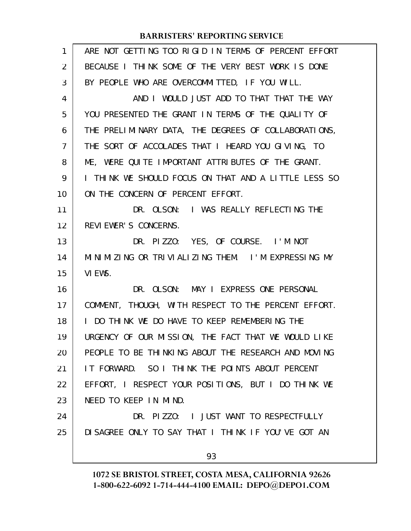| $\mathbf{1}$ | ARE NOT GETTING TOO RIGID IN TERMS OF PERCENT EFFORT |
|--------------|------------------------------------------------------|
| 2            | BECAUSE I THINK SOME OF THE VERY BEST WORK IS DONE   |
| 3            | BY PEOPLE WHO ARE OVERCOMMITTED, IF YOU WILL.        |
| 4            | AND I WOULD JUST ADD TO THAT THAT THE WAY            |
| 5            | YOU PRESENTED THE GRANT IN TERMS OF THE QUALITY OF   |
| 6            | THE PRELIMINARY DATA, THE DEGREES OF COLLABORATIONS, |
| 7            | THE SORT OF ACCOLADES THAT I HEARD YOU GIVING, TO    |
| 8            | ME, WERE QUITE IMPORTANT ATTRIBUTES OF THE GRANT.    |
| 9            | I THINK WE SHOULD FOCUS ON THAT AND A LITTLE LESS SO |
| 10           | ON THE CONCERN OF PERCENT EFFORT.                    |
| 11           | DR. OLSON: I WAS REALLY REFLECTING THE               |
| 12           | REVIEWER'S CONCERNS.                                 |
| 13           | DR. PIZZO: YES, OF COURSE. I'M NOT                   |
| 14           | MINIMIZING OR TRIVIALIZING THEM. I'M EXPRESSING MY   |
| 15           | VI EWS.                                              |
| 16           | DR. OLSON: MAY I EXPRESS ONE PERSONAL                |
| 17           | COMMENT, THOUGH, WITH RESPECT TO THE PERCENT EFFORT. |
| 18           | I DO THINK WE DO HAVE TO KEEP REMEMBERING THE        |
| 19           | URGENCY OF OUR MISSION, THE FACT THAT WE WOULD LIKE  |
| 20           | PEOPLE TO BE THINKING ABOUT THE RESEARCH AND MOVING  |
| 21           | IT FORWARD. SO I THINK THE POINTS ABOUT PERCENT      |
| 22           | EFFORT, I RESPECT YOUR POSITIONS, BUT I DO THINK WE  |
| 23           | NEED TO KEEP IN MIND.                                |
| 24           | DR. PIZZO: I JUST WANT TO RESPECTFULLY               |
| 25           | DI SAGREE ONLY TO SAY THAT I THINK IF YOU'VE GOT AN  |
|              | 93                                                   |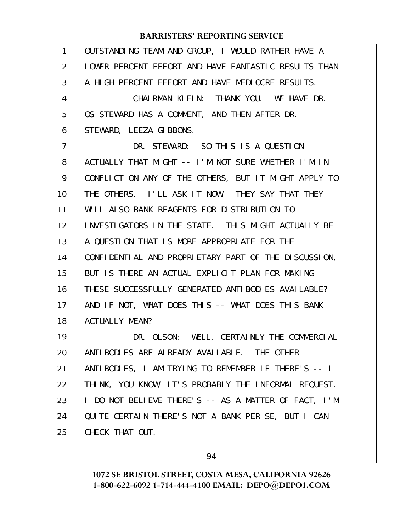| 1              | OUTSTANDING TEAM AND GROUP, I WOULD RATHER HAVE A    |
|----------------|------------------------------------------------------|
| 2              | LOWER PERCENT EFFORT AND HAVE FANTASTIC RESULTS THAN |
| 3              | A HIGH PERCENT EFFORT AND HAVE MEDIOCRE RESULTS.     |
| 4              | CHAIRMAN KLEIN: THANK YOU. WE HAVE DR.               |
| 5              | OS STEWARD HAS A COMMENT, AND THEN AFTER DR.         |
| 6              | STEWARD, LEEZA GIBBONS.                              |
| $\overline{7}$ | DR. STEWARD: SO THIS IS A QUESTION                   |
| 8              | ACTUALLY THAT MIGHT -- I'M NOT SURE WHETHER I'M IN   |
| 9              | CONFLICT ON ANY OF THE OTHERS, BUT IT MIGHT APPLY TO |
| 10             | THE OTHERS. I'LL ASK IT NOW. THEY SAY THAT THEY      |
| 11             | WILL ALSO BANK REAGENTS FOR DISTRIBUTION TO          |
| 12             | INVESTIGATORS IN THE STATE. THIS MIGHT ACTUALLY BE   |
| 13             | A QUESTION THAT IS MORE APPROPRIATE FOR THE          |
| 14             | CONFIDENTIAL AND PROPRIETARY PART OF THE DISCUSSION, |
| 15             | BUT IS THERE AN ACTUAL EXPLICIT PLAN FOR MAKING      |
| 16             | THESE SUCCESSFULLY GENERATED ANTIBODIES AVAILABLE?   |
| 17             | AND IF NOT, WHAT DOES THIS -- WHAT DOES THIS BANK    |
| 18             | <b>ACTUALLY MEAN?</b>                                |
| 19             | DR. OLSON: WELL, CERTAINLY THE COMMERCIAL            |
| 20             | ANTI BODI ES ARE ALREADY AVAI LABLE. THE OTHER       |
| 21             | ANTIBODIES, I AM TRYING TO REMEMBER IF THERE'S -- I  |
| 22             | THINK, YOU KNOW, IT'S PROBABLY THE INFORMAL REQUEST. |
| 23             | I DO NOT BELIEVE THERE'S -- AS A MATTER OF FACT, I'M |
| 24             | QUITE CERTAIN THERE'S NOT A BANK PER SE, BUT I CAN   |
| 25             | CHECK THAT OUT.                                      |
|                |                                                      |

94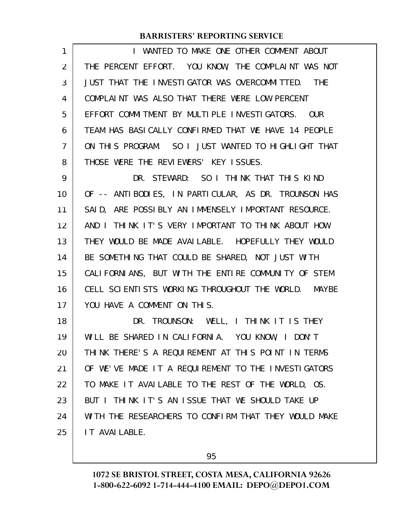| 1  | I WANTED TO MAKE ONE OTHER COMMENT ABOUT             |
|----|------------------------------------------------------|
| 2  | THE PERCENT EFFORT. YOU KNOW, THE COMPLAINT WAS NOT  |
| 3  | JUST THAT THE INVESTIGATOR WAS OVERCOMMITTED. THE    |
| 4  | COMPLAINT WAS ALSO THAT THERE WERE LOW PERCENT       |
| 5  | EFFORT COMMITMENT BY MULTIPLE INVESTIGATORS. OUR     |
| 6  | TEAM HAS BASICALLY CONFIRMED THAT WE HAVE 14 PEOPLE  |
| 7  | ON THIS PROGRAM. SO I JUST WANTED TO HIGHLIGHT THAT  |
| 8  | THOSE WERE THE REVIEWERS' KEY ISSUES.                |
| 9  | DR. STEWARD: SO I THINK THAT THIS KIND               |
| 10 | OF -- ANTIBODIES, IN PARTICULAR, AS DR. TROUNSON HAS |
| 11 | SAID, ARE POSSIBLY AN IMMENSELY IMPORTANT RESOURCE.  |
| 12 | AND I THINK IT'S VERY IMPORTANT TO THINK ABOUT HOW   |
| 13 | THEY WOULD BE MADE AVAILABLE. HOPEFULLY THEY WOULD   |
| 14 | BE SOMETHING THAT COULD BE SHARED, NOT JUST WITH     |
| 15 | CALIFORNIANS, BUT WITH THE ENTIRE COMMUNITY OF STEM  |
| 16 | CELL SCIENTISTS WORKING THROUGHOUT THE WORLD. MAYBE  |
| 17 | YOU HAVE A COMMENT ON THIS.                          |
| 18 | DR. TROUNSON: WELL, I THINK IT IS THEY               |
| 19 | WILL BE SHARED IN CALIFORNIA. YOU KNOW, I DON'T      |
| 20 | THINK THERE'S A REQUIREMENT AT THIS POINT IN TERMS   |
| 21 | OF WE'VE MADE IT A REQUIREMENT TO THE INVESTIGATORS  |
| 22 | TO MAKE IT AVAILABLE TO THE REST OF THE WORLD, OS.   |
| 23 | BUT I THINK IT'S AN ISSUE THAT WE SHOULD TAKE UP     |
| 24 | WITH THE RESEARCHERS TO CONFIRM THAT THEY WOULD MAKE |
| 25 | IT AVAILABLE.                                        |

95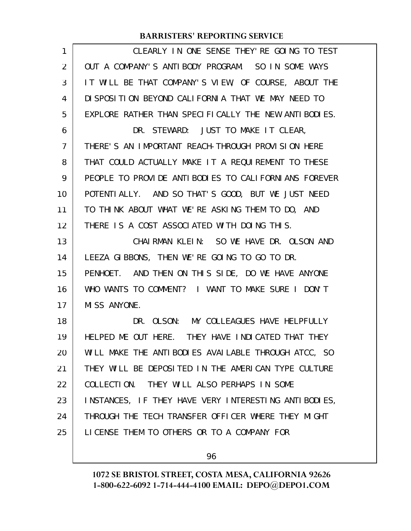| 1  | CLEARLY IN ONE SENSE THEY' RE GOING TO TEST          |
|----|------------------------------------------------------|
| 2  | OUT A COMPANY'S ANTIBODY PROGRAM. SO IN SOME WAYS    |
| 3  | IT WILL BE THAT COMPANY'S VIEW, OF COURSE, ABOUT THE |
| 4  | DI SPOSITION BEYOND CALIFORNIA THAT WE MAY NEED TO   |
| 5  | EXPLORE RATHER THAN SPECIFICALLY THE NEW ANTIBODIES. |
| 6  | DR. STEWARD: JUST TO MAKE IT CLEAR,                  |
| 7  | THERE'S AN IMPORTANT REACH-THROUGH PROVISION HERE    |
| 8  | THAT COULD ACTUALLY MAKE IT A REQUIREMENT TO THESE   |
| 9  | PEOPLE TO PROVIDE ANTIBODIES TO CALIFORNIANS FOREVER |
| 10 | POTENTI ALLY. AND SO THAT'S GOOD, BUT WE JUST NEED   |
| 11 | TO THINK ABOUT WHAT WE'RE ASKING THEM TO DO, AND     |
| 12 | THERE IS A COST ASSOCIATED WITH DOING THIS.          |
| 13 | CHAIRMAN KLEIN: SO WE HAVE DR. OLSON AND             |
| 14 | LEEZA GIBBONS, THEN WE'RE GOING TO GO TO DR.         |
| 15 | PENHOET. AND THEN ON THIS SIDE, DO WE HAVE ANYONE    |
| 16 | WHO WANTS TO COMMENT? I WANT TO MAKE SURE I DON'T    |
| 17 | MISS ANYONE.                                         |
| 18 | DR. OLSON: MY COLLEAGUES HAVE HELPFULLY              |
| 19 | HELPED ME OUT HERE. THEY HAVE INDICATED THAT THEY    |
| 20 | WILL MAKE THE ANTIBODIES AVAILABLE THROUGH ATCC, SO  |
| 21 | THEY WILL BE DEPOSITED IN THE AMERICAN TYPE CULTURE  |
| 22 | COLLECTION. THEY WILL ALSO PERHAPS IN SOME           |
| 23 | INSTANCES, IF THEY HAVE VERY INTERESTING ANTIBODIES, |
| 24 | THROUGH THE TECH TRANSFER OFFICER WHERE THEY MIGHT   |
| 25 | LICENSE THEM TO OTHERS OR TO A COMPANY FOR           |
|    |                                                      |

96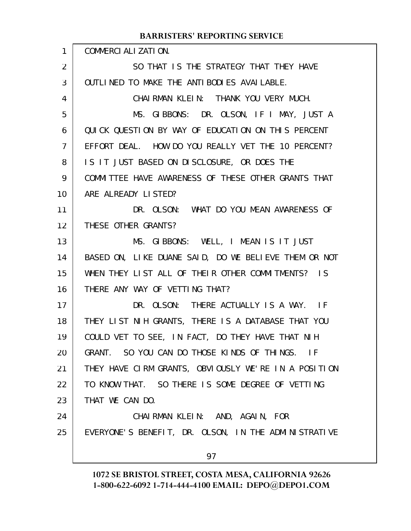| 1              | COMMERCI ALI ZATI ON.                                |
|----------------|------------------------------------------------------|
| 2              | SO THAT IS THE STRATEGY THAT THEY HAVE               |
| 3              | OUTLINED TO MAKE THE ANTIBODIES AVAILABLE.           |
| 4              | CHAIRMAN KLEIN: THANK YOU VERY MUCH.                 |
| 5              | MS. GIBBONS: DR. OLSON, IF I MAY, JUST A             |
| 6              | QUICK QUESTION BY WAY OF EDUCATION ON THIS PERCENT   |
| $\overline{7}$ | EFFORT DEAL. HOW DO YOU REALLY VET THE 10 PERCENT?   |
| 8              | IS IT JUST BASED ON DISCLOSURE, OR DOES THE          |
| 9              | COMMITTEE HAVE AWARENESS OF THESE OTHER GRANTS THAT  |
| 10             | ARE ALREADY LISTED?                                  |
| 11             | DR. OLSON: WHAT DO YOU MEAN AWARENESS OF             |
| 12             | THESE OTHER GRANTS?                                  |
| 13             | MS. GIBBONS: WELL, I MEAN IS IT JUST                 |
| 14             | BASED ON, LIKE DUANE SAID, DO WE BELIEVE THEM OR NOT |
| 15             | WHEN THEY LIST ALL OF THEIR OTHER COMMITMENTS? IS    |
| 16             | THERE ANY WAY OF VETTING THAT?                       |
| 17             | DR. OLSON: THERE ACTUALLY IS A WAY. IF               |
| 18             | THEY LIST NIH GRANTS, THERE IS A DATABASE THAT YOU   |
| 19             | COULD VET TO SEE, IN FACT, DO THEY HAVE THAT NIH     |
| 20             | GRANT. SO YOU CAN DO THOSE KINDS OF THINGS. IF       |
| 21             | THEY HAVE CIRM GRANTS, OBVIOUSLY WE'RE IN A POSITION |
| 22             | TO KNOW THAT. SO THERE IS SOME DEGREE OF VETTING     |
| 23             | THAT WE CAN DO.                                      |
| 24             | CHAIRMAN KLEIN: AND, AGAIN, FOR                      |
| 25             | EVERYONE'S BENEFIT, DR. OLSON, IN THE ADMINISTRATIVE |
|                | 97                                                   |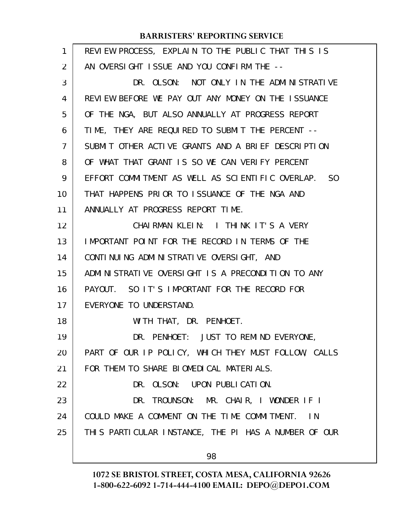| $\mathbf{1}$ | REVIEW PROCESS, EXPLAIN TO THE PUBLIC THAT THIS IS   |
|--------------|------------------------------------------------------|
| 2            | AN OVERSIGHT ISSUE AND YOU CONFIRM THE --            |
| 3            | DR. OLSON: NOT ONLY IN THE ADMINISTRATIVE            |
| 4            | REVIEW BEFORE WE PAY OUT ANY MONEY ON THE ISSUANCE   |
| 5            | OF THE NGA, BUT ALSO ANNUALLY AT PROGRESS REPORT     |
| 6            | TIME, THEY ARE REQUIRED TO SUBMIT THE PERCENT --     |
| 7            | SUBMIT OTHER ACTIVE GRANTS AND A BRIEF DESCRIPTION   |
| 8            | OF WHAT THAT GRANT IS SO WE CAN VERIFY PERCENT       |
| 9            | EFFORT COMMITMENT AS WELL AS SCIENTIFIC OVERLAP. SO  |
| 10           | THAT HAPPENS PRIOR TO ISSUANCE OF THE NGA AND        |
| 11           | ANNUALLY AT PROGRESS REPORT TIME.                    |
| 12           | CHAIRMAN KLEIN: I THINK IT'S A VERY                  |
| 13           | IMPORTANT POINT FOR THE RECORD IN TERMS OF THE       |
| 14           | CONTINUING ADMINISTRATIVE OVERSIGHT, AND             |
| 15           | ADMINISTRATIVE OVERSIGHT IS A PRECONDITION TO ANY    |
| 16           | PAYOUT. SO IT'S IMPORTANT FOR THE RECORD FOR         |
| 17           | EVERYONE TO UNDERSTAND.                              |
| 18           | WITH THAT, DR. PENHOET.                              |
| 19           | DR. PENHOET: JUST TO REMIND EVERYONE,                |
| 20           | PART OF OUR IP POLICY, WHICH THEY MUST FOLLOW, CALLS |
| 21           | FOR THEM TO SHARE BIOMEDICAL MATERIALS.              |
| 22           | DR. OLSON: UPON PUBLICATION.                         |
| 23           | DR. TROUNSON: MR. CHAIR, I WONDER IF I               |
| 24           | COULD MAKE A COMMENT ON THE TIME COMMITMENT. IN      |
| 25           | THIS PARTICULAR INSTANCE, THE PI HAS A NUMBER OF OUR |
|              | 98                                                   |
|              |                                                      |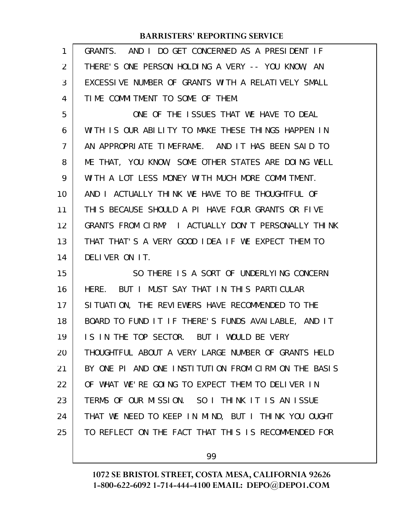| 1              | GRANTS. AND I DO GET CONCERNED AS A PRESIDENT IF     |
|----------------|------------------------------------------------------|
| $\overline{2}$ | THERE'S ONE PERSON HOLDING A VERY -- YOU KNOW, AN    |
| 3              | EXCESSIVE NUMBER OF GRANTS WITH A RELATIVELY SMALL   |
| 4              | TIME COMMITMENT TO SOME OF THEM.                     |
| 5              | ONE OF THE ISSUES THAT WE HAVE TO DEAL               |
| 6              | WITH IS OUR ABILITY TO MAKE THESE THINGS HAPPEN IN   |
| $\overline{7}$ | AN APPROPRIATE TIMEFRAME. AND IT HAS BEEN SAID TO    |
| 8              | ME THAT, YOU KNOW, SOME OTHER STATES ARE DOING WELL  |
| 9              | WITH A LOT LESS MONEY WITH MUCH MORE COMMITMENT.     |
| 10             | AND I ACTUALLY THINK WE HAVE TO BE THOUGHTFUL OF     |
| 11             | THIS BECAUSE SHOULD A PI HAVE FOUR GRANTS OR FIVE    |
| 12             | GRANTS FROM CLRM? I ACTUALLY DON'T PERSONALLY THINK  |
| 13             | THAT THAT'S A VERY GOOD IDEA IF WE EXPECT THEM TO    |
| 14             | DELIVER ON IT.                                       |
| 15             | SO THERE IS A SORT OF UNDERLYING CONCERN             |
| 16             | HERE. BUT I MUST SAY THAT IN THIS PARTICULAR         |
| 17             | SITUATION, THE REVIEWERS HAVE RECOMMENDED TO THE     |
| 18             | BOARD TO FUND IT IF THERE'S FUNDS AVAILABLE, AND IT  |
| 19             | IS IN THE TOP SECTOR. BUT I WOULD BE VERY            |
| 20             | THOUGHTFUL ABOUT A VERY LARGE NUMBER OF GRANTS HELD  |
| 21             | BY ONE PI AND ONE INSTITUTION FROM CIRM ON THE BASIS |
| 22             | OF WHAT WE'RE GOING TO EXPECT THEM TO DELIVER IN     |
|                |                                                      |
| 23             | TERMS OF OUR MISSION. SO I THINK IT IS AN ISSUE      |
| 24             | THAT WE NEED TO KEEP IN MIND, BUT I THINK YOU OUGHT  |
| 25             | TO REFLECT ON THE FACT THAT THIS IS RECOMMENDED FOR  |

99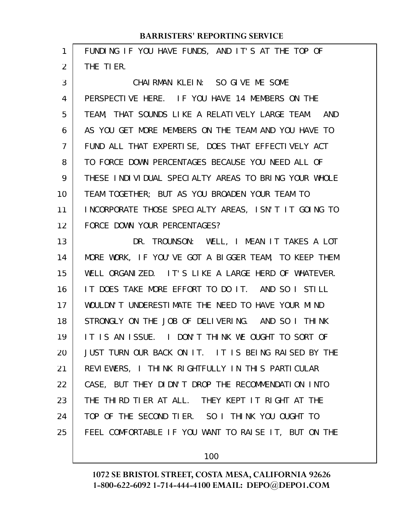| 1              | FUNDING IF YOU HAVE FUNDS, AND IT'S AT THE TOP OF    |
|----------------|------------------------------------------------------|
| $\overline{2}$ | THE TIER.                                            |
| 3              | CHAIRMAN KLEIN: SO GIVE ME SOME                      |
| 4              | PERSPECTIVE HERE. IF YOU HAVE 14 MEMBERS ON THE      |
| 5              | TEAM, THAT SOUNDS LIKE A RELATIVELY LARGE TEAM. AND  |
| 6              | AS YOU GET MORE MEMBERS ON THE TEAM AND YOU HAVE TO  |
| $\overline{7}$ | FUND ALL THAT EXPERTISE, DOES THAT EFFECTIVELY ACT   |
| 8              | TO FORCE DOWN PERCENTAGES BECAUSE YOU NEED ALL OF    |
| 9              | THESE INDIVIDUAL SPECIALTY AREAS TO BRING YOUR WHOLE |
| 10             | TEAM TOGETHER; BUT AS YOU BROADEN YOUR TEAM TO       |
| 11             | INCORPORATE THOSE SPECIALTY AREAS, ISN'T IT GOING TO |
| 12             | FORCE DOWN YOUR PERCENTAGES?                         |
| 13             | DR. TROUNSON: WELL, I MEAN IT TAKES A LOT            |
| 14             | MORE WORK, IF YOU'VE GOT A BIGGER TEAM, TO KEEP THEM |
| 15             | WELL ORGANIZED. IT'S LIKE A LARGE HERD OF WHATEVER.  |
| 16             | IT DOES TAKE MORE EFFORT TO DO IT. AND SO I STILL    |
| 17             | WOULDN'T UNDERESTIMATE THE NEED TO HAVE YOUR MIND    |
| 18             | STRONGLY ON THE JOB OF DELIVERING. AND SO I THINK    |
| 19             | IT IS AN ISSUE. I DON'T THINK WE OUGHT TO SORT OF    |
| 20             | JUST TURN OUR BACK ON IT. IT IS BEING RAISED BY THE  |
| 21             | REVIEWERS, I THINK RIGHTFULLY IN THIS PARTICULAR     |
| 22             | CASE, BUT THEY DIDN'T DROP THE RECOMMENDATION INTO   |
| 23             | THE THIRD TIER AT ALL. THEY KEPT IT RIGHT AT THE     |
| 24             | TOP OF THE SECOND TIER. SO I THINK YOU OUGHT TO      |
| 25             | FEEL COMFORTABLE IF YOU WANT TO RAISE IT, BUT ON THE |
|                |                                                      |

100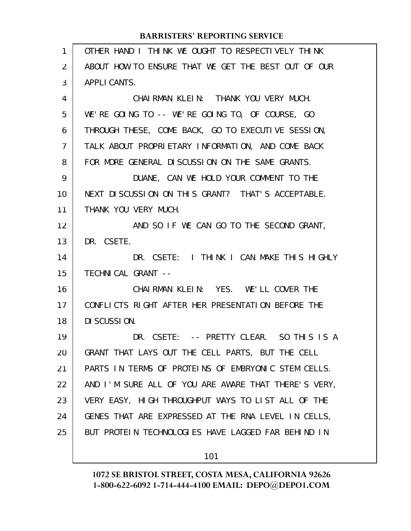| 1  | OTHER HAND I THINK WE OUGHT TO RESPECTIVELY THINK    |
|----|------------------------------------------------------|
| 2  | ABOUT HOW TO ENSURE THAT WE GET THE BEST OUT OF OUR  |
| 3  | APPLI CANTS.                                         |
| 4  | CHAIRMAN KLEIN: THANK YOU VERY MUCH.                 |
| 5  | WE'RE GOING TO -- WE'RE GOING TO, OF COURSE, GO      |
| 6  | THROUGH THESE, COME BACK, GO TO EXECUTIVE SESSION,   |
| 7  | TALK ABOUT PROPRIETARY INFORMATION, AND COME BACK    |
| 8  | FOR MORE GENERAL DISCUSSION ON THE SAME GRANTS.      |
| 9  | DUANE, CAN WE HOLD YOUR COMMENT TO THE               |
| 10 | NEXT DI SCUSSION ON THIS GRANT? THAT'S ACCEPTABLE.   |
| 11 | THANK YOU VERY MUCH.                                 |
| 12 | AND SO IF WE CAN GO TO THE SECOND GRANT,             |
| 13 | DR. CSETE.                                           |
| 14 | DR. CSETE: I THINK I CAN MAKE THIS HIGHLY            |
| 15 | TECHNICAL GRANT --                                   |
| 16 | CHAIRMAN KLEIN: YES. WE'LL COVER THE                 |
| 17 | CONFLICTS RIGHT AFTER HER PRESENTATION BEFORE THE    |
| 18 | DI SCUSSION.                                         |
| 19 | DR. CSETE: -- PRETTY CLEAR. SO THIS IS A             |
| 20 | GRANT THAT LAYS OUT THE CELL PARTS, BUT THE CELL     |
| 21 | PARTS IN TERMS OF PROTEINS OF EMBRYONIC STEM CELLS.  |
| 22 | AND I'M SURE ALL OF YOU ARE AWARE THAT THERE'S VERY, |
| 23 | VERY EASY, HIGH THROUGHPUT WAYS TO LIST ALL OF THE   |
| 24 | GENES THAT ARE EXPRESSED AT THE RNA LEVEL IN CELLS,  |
| 25 | BUT PROTEIN TECHNOLOGIES HAVE LAGGED FAR BEHIND IN   |
|    | 101                                                  |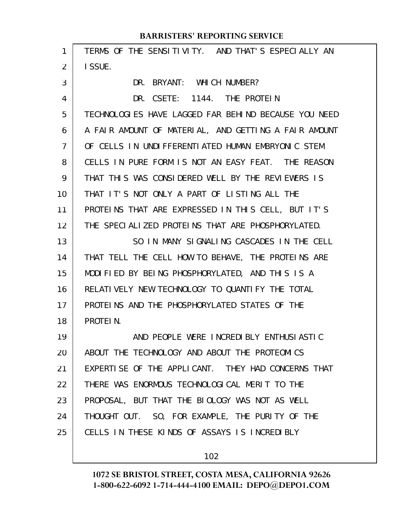#### TERMS OF THE SENSITIVITY. AND THAT'S ESPECIALLY AN I SSUE. DR. BRYANT: WHICH NUMBER? DR. CSETE: 1144. THE PROTEIN TECHNOLOGIES HAVE LAGGED FAR BEHIND BECAUSE YOU NEED A FAIR AMOUNT OF MATERIAL, AND GETTING A FAIR AMOUNT OF CELLS IN UNDIFFERENTIATED HUMAN EMBRYONIC STEM CELLS IN PURE FORM IS NOT AN EASY FEAT. THE REASON THAT THIS WAS CONSIDERED WELL BY THE REVIEWERS IS THAT IT'S NOT ONLY A PART OF LISTING ALL THE PROTEINS THAT ARE EXPRESSED IN THIS CELL, BUT IT'S THE SPECIALIZED PROTEINS THAT ARE PHOSPHORYLATED. SO IN MANY SIGNALING CASCADES IN THE CELL THAT TELL THE CELL HOW TO BEHAVE, THE PROTEINS ARE MODIFIED BY BEING PHOSPHORYLATED, AND THIS IS A RELATIVELY NEW TECHNOLOGY TO QUANTIFY THE TOTAL PROTEINS AND THE PHOSPHORYLATED STATES OF THE PROTEIN. AND PEOPLE WERE INCREDIBLY ENTHUSIASTIC ABOUT THE TECHNOLOGY AND ABOUT THE PROTEOMICS EXPERTISE OF THE APPLICANT. THEY HAD CONCERNS THAT THERE WAS ENORMOUS TECHNOLOGICAL MERIT TO THE PROPOSAL, BUT THAT THE BIOLOGY WAS NOT AS WELL THOUGHT OUT. SO, FOR EXAMPLE, THE PURITY OF THE CELLS IN THESE KINDS OF ASSAYS IS INCREDIBLY **BARRISTERS' REPORTING SERVICE** 1 2 3 4 5 6 7 8 9 10 11 12 13 14 15 16 17 18 19 20 21 22 23 24 25

102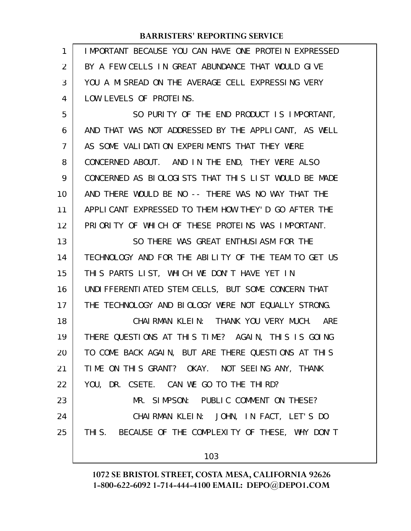| 1  | IMPORTANT BECAUSE YOU CAN HAVE ONE PROTEIN EXPRESSED |
|----|------------------------------------------------------|
| 2  | BY A FEW CELLS IN GREAT ABUNDANCE THAT WOULD GIVE    |
| 3  | YOU A MISREAD ON THE AVERAGE CELL EXPRESSING VERY    |
| 4  | LOW LEVELS OF PROTEINS.                              |
| 5  | SO PURITY OF THE END PRODUCT IS IMPORTANT,           |
| 6  | AND THAT WAS NOT ADDRESSED BY THE APPLICANT, AS WELL |
| 7  | AS SOME VALIDATION EXPERIMENTS THAT THEY WERE        |
| 8  | CONCERNED ABOUT. AND IN THE END, THEY WERE ALSO      |
| 9  | CONCERNED AS BIOLOGISTS THAT THIS LIST WOULD BE MADE |
| 10 | AND THERE WOULD BE NO -- THERE WAS NO WAY THAT THE   |
| 11 | APPLICANT EXPRESSED TO THEM HOW THEY'D GO AFTER THE  |
| 12 | PRIORITY OF WHICH OF THESE PROTEINS WAS IMPORTANT.   |
| 13 | SO THERE WAS GREAT ENTHUSIASM FOR THE                |
| 14 | TECHNOLOGY AND FOR THE ABILITY OF THE TEAM TO GET US |
| 15 | THIS PARTS LIST, WHICH WE DON'T HAVE YET IN          |
| 16 | UNDI FFERENTI ATED STEM CELLS, BUT SOME CONCERN THAT |
| 17 | THE TECHNOLOGY AND BIOLOGY WERE NOT EQUALLY STRONG.  |
| 18 | CHAIRMAN KLEIN: THANK YOU VERY MUCH. ARE             |
| 19 | THERE QUESTIONS AT THIS TIME? AGAIN, THIS IS GOING   |
| 20 | TO COME BACK AGAIN, BUT ARE THERE QUESTIONS AT THIS  |
| 21 | TIME ON THIS GRANT? OKAY. NOT SEEING ANY, THANK      |
| 22 | YOU, DR. CSETE. CAN WE GO TO THE THIRD?              |
| 23 | MR. SIMPSON: PUBLIC COMMENT ON THESE?                |
| 24 | CHAIRMAN KLEIN: JOHN, IN FACT, LET'S DO              |
| 25 | THIS. BECAUSE OF THE COMPLEXITY OF THESE, WHY DON'T  |
|    | 103                                                  |
|    |                                                      |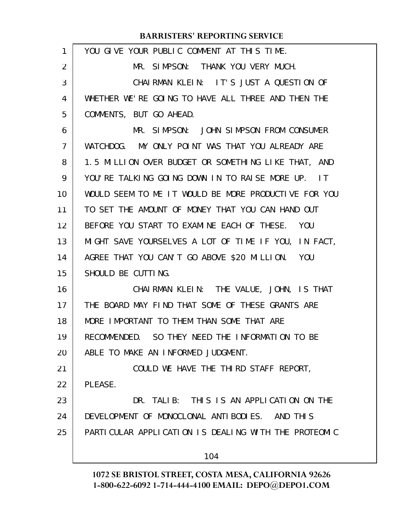| 1  | YOU GIVE YOUR PUBLIC COMMENT AT THIS TIME.           |
|----|------------------------------------------------------|
| 2  | MR. SIMPSON: THANK YOU VERY MUCH.                    |
| 3  | CHAIRMAN KLEIN: IT'S JUST A QUESTION OF              |
| 4  | WHETHER WE'RE GOING TO HAVE ALL THREE AND THEN THE   |
| 5  | COMMENTS, BUT GO AHEAD.                              |
| 6  | MR. SIMPSON: JOHN SIMPSON FROM CONSUMER              |
| 7  | WATCHDOG. MY ONLY POINT WAS THAT YOU ALREADY ARE     |
| 8  | 1.5 MILLION OVER BUDGET OR SOMETHING LIKE THAT, AND  |
| 9  | YOU'RE TALKING GOING DOWN IN TO RAISE MORE UP. IT    |
| 10 | WOULD SEEM TO ME IT WOULD BE MORE PRODUCTIVE FOR YOU |
| 11 | TO SET THE AMOUNT OF MONEY THAT YOU CAN HAND OUT     |
| 12 | BEFORE YOU START TO EXAMINE EACH OF THESE. YOU       |
| 13 | MIGHT SAVE YOURSELVES A LOT OF TIME IF YOU, IN FACT, |
| 14 | AGREE THAT YOU CAN'T GO ABOVE \$20 MILLION. YOU      |
| 15 | SHOULD BE CUTTING.                                   |
| 16 | CHAIRMAN KLEIN: THE VALUE, JOHN, IS THAT             |
| 17 | THE BOARD MAY FIND THAT SOME OF THESE GRANTS ARE     |
| 18 | MORE IMPORTANT TO THEM THAN SOME THAT ARE            |
| 19 | RECOMMENDED. SO THEY NEED THE INFORMATION TO BE      |
| 20 | ABLE TO MAKE AN INFORMED JUDGMENT.                   |
| 21 | COULD WE HAVE THE THIRD STAFF REPORT,                |
| 22 | PLEASE.                                              |
| 23 | DR. TALIB: THIS IS AN APPLICATION ON THE             |
| 24 | DEVELOPMENT OF MONOCLONAL ANTIBODIES. AND THIS       |
| 25 | PARTICULAR APPLICATION IS DEALING WITH THE PROTEOMIC |
|    | 104                                                  |
|    |                                                      |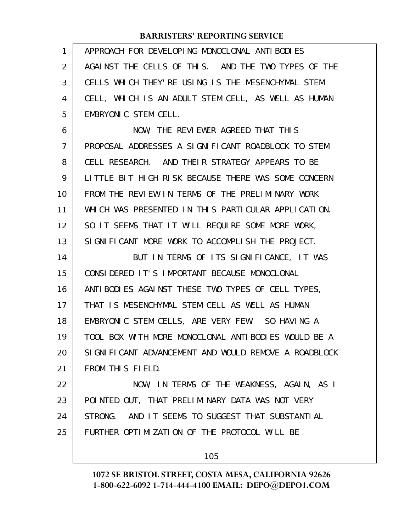| 1              | APPROACH FOR DEVELOPING MONOCLONAL ANTIBODIES        |
|----------------|------------------------------------------------------|
| 2              | AGAINST THE CELLS OF THIS. AND THE TWO TYPES OF THE  |
| 3              | CELLS WHICH THEY'RE USING IS THE MESENCHYMAL STEM    |
| 4              | CELL, WHICH IS AN ADULT STEM CELL, AS WELL AS HUMAN  |
| 5              | EMBRYONIC STEM CELL.                                 |
| 6              | NOW, THE REVIEWER AGREED THAT THIS                   |
| $\overline{7}$ | PROPOSAL ADDRESSES A SIGNIFICANT ROADBLOCK TO STEM   |
| 8              | CELL RESEARCH. AND THEIR STRATEGY APPEARS TO BE      |
| 9              | LITTLE BIT HIGH RISK BECAUSE THERE WAS SOME CONCERN  |
| 10             | FROM THE REVIEW IN TERMS OF THE PRELIMINARY WORK     |
| 11             | WHICH WAS PRESENTED IN THIS PARTICULAR APPLICATION.  |
| 12             | SO IT SEEMS THAT IT WILL REQUIRE SOME MORE WORK,     |
| 13             | SIGNIFICANT MORE WORK TO ACCOMPLISH THE PROJECT.     |
| 14             | BUT IN TERMS OF ITS SIGNIFICANCE, IT WAS             |
| 15             | CONSIDERED IT'S IMPORTANT BECAUSE MONOCLONAL         |
| 16             | ANTIBODIES AGAINST THESE TWO TYPES OF CELL TYPES,    |
| 17             | THAT IS MESENCHYMAL STEM CELL AS WELL AS HUMAN       |
| 18             | EMBRYONIC STEM CELLS, ARE VERY FEW. SO HAVING A      |
| 19             | TOOL BOX WITH MORE MONOCLONAL ANTIBODIES WOULD BE A  |
| 20             |                                                      |
|                | SIGNIFICANT ADVANCEMENT AND WOULD REMOVE A ROADBLOCK |
| 21             | FROM THIS FIELD.                                     |
| 22             | NOW, IN TERMS OF THE WEAKNESS, AGAIN, AS I           |
| 23             | POINTED OUT, THAT PRELIMINARY DATA WAS NOT VERY      |
| 24             | STRONG. AND IT SEEMS TO SUGGEST THAT SUBSTANTIAL     |
| 25             | FURTHER OPTIMIZATION OF THE PROTOCOL WILL BE         |

105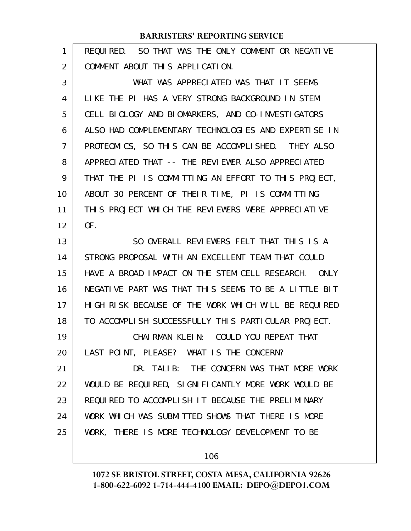| 1              | REQUIRED. SO THAT WAS THE ONLY COMMENT OR NEGATIVE            |
|----------------|---------------------------------------------------------------|
| 2              | COMMENT ABOUT THIS APPLICATION.                               |
| 3              | WHAT WAS APPRECLATED WAS THAT IT SEEMS                        |
| 4              | LIKE THE PI HAS A VERY STRONG BACKGROUND IN STEM              |
| 5              | CELL BIOLOGY AND BIOMARKERS, AND CO-INVESTIGATORS             |
| 6              | ALSO HAD COMPLEMENTARY TECHNOLOGIES AND EXPERTISE IN          |
| $\overline{7}$ | PROTEOMICS, SO THIS CAN BE ACCOMPLISHED. THEY ALSO            |
| 8              | APPRECIATED THAT -- THE REVIEWER ALSO APPRECIATED             |
| 9              | THAT THE PI IS COMMITTING AN EFFORT TO THIS PROJECT,          |
| 10             | ABOUT 30 PERCENT OF THEIR TIME, PI IS COMMITTING              |
| 11             | THIS PROJECT WHICH THE REVIEWERS WERE APPRECIATIVE            |
| 12             | OF.                                                           |
| 13             | SO OVERALL REVIEWERS FELT THAT THIS IS A                      |
| 14             | STRONG PROPOSAL WITH AN EXCELLENT TEAM THAT COULD             |
| 15             | HAVE A BROAD IMPACT ON THE STEM CELL RESEARCH.<br><b>ONLY</b> |
| 16             | NEGATIVE PART WAS THAT THIS SEEMS TO BE A LITTLE BIT          |
| 17             | HIGH RISK BECAUSE OF THE WORK WHICH WILL BE REQUIRED          |
| 18             | TO ACCOMPLISH SUCCESSFULLY THIS PARTICULAR PROJECT.           |
| 19             | CHAIRMAN KLEIN: COULD YOU REPEAT THAT                         |
| 20             | LAST POINT, PLEASE? WHAT IS THE CONCERN?                      |
| 21             | DR. TALIB: THE CONCERN WAS THAT MORE WORK                     |
| 22             | WOULD BE REQUIRED, SIGNIFICANTLY MORE WORK WOULD BE           |
| 23             | REQUIRED TO ACCOMPLISH IT BECAUSE THE PRELIMINARY             |
| 24             | WORK WHICH WAS SUBMITTED SHOWS THAT THERE IS MORE             |
| 25             | WORK, THERE IS MORE TECHNOLOGY DEVELOPMENT TO BE              |
|                |                                                               |

106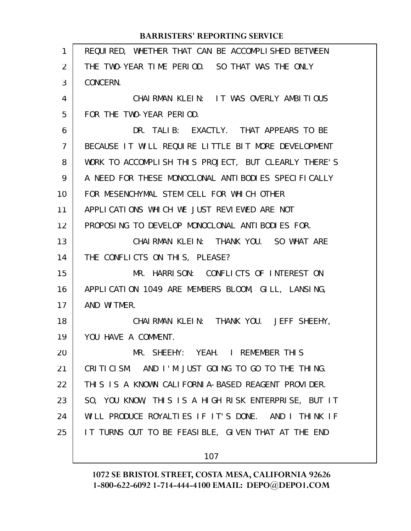#### REQUIRED, WHETHER THAT CAN BE ACCOMPLISHED BETWEEN THE TWO-YEAR TIME PERIOD. SO THAT WAS THE ONLY CONCERN. CHAIRMAN KLEIN: IT WAS OVERLY AMBITIOUS FOR THE TWO-YEAR PERIOD. DR. TALIB: EXACTLY. THAT APPEARS TO BE BECAUSE IT WILL REQUIRE LITTLE BIT MORE DEVELOPMENT WORK TO ACCOMPLISH THIS PROJECT, BUT CLEARLY THERE'S A NEED FOR THESE MONOCLONAL ANTIBODIES SPECIFICALLY FOR MESENCHYMAL STEM CELL FOR WHICH OTHER APPLICATIONS WHICH WE JUST REVIEWED ARE NOT PROPOSING TO DEVELOP MONOCLONAL ANTIBODIES FOR. CHAIRMAN KLEIN: THANK YOU. SO WHAT ARE THE CONFLICTS ON THIS, PLEASE? MR. HARRISON: CONFLICTS OF INTEREST ON APPLICATION 1049 ARE MEMBERS BLOOM, GILL, LANSING, AND WITMER. CHAIRMAN KLEIN: THANK YOU. JEFF SHEEHY, YOU HAVE A COMMENT. MR. SHEEHY: YEAH. I REMEMBER THIS CRITICISM. AND I'M JUST GOING TO GO TO THE THING. THIS IS A KNOWN CALIFORNIA-BASED REAGENT PROVIDER. SO, YOU KNOW, THIS IS A HIGH RISK ENTERPRISE, BUT IT WILL PRODUCE ROYALTIES IF IT'S DONE. AND I THINK IF IT TURNS OUT TO BE FEASIBLE, GIVEN THAT AT THE END 1 2 3 4 5 6 7 8 9 10 11 12 13 14 15 16 17 18 19 20 21 22 23 24 25

**BARRISTERS' REPORTING SERVICE**

# 107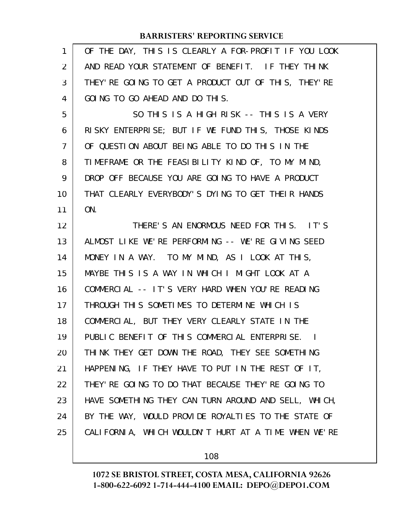| 1              | OF THE DAY, THIS IS CLEARLY A FOR-PROFIT IF YOU LOOK  |
|----------------|-------------------------------------------------------|
| 2              | AND READ YOUR STATEMENT OF BENEFIT. IF THEY THINK     |
| 3              | THEY' RE GOING TO GET A PRODUCT OUT OF THIS, THEY' RE |
| 4              | GOING TO GO AHEAD AND DO THIS.                        |
| 5              | SO THIS IS A HIGH RISK -- THIS IS A VERY              |
| 6              | RISKY ENTERPRISE; BUT IF WE FUND THIS, THOSE KINDS    |
| $\overline{7}$ | OF QUESTION ABOUT BEING ABLE TO DO THIS IN THE        |
| 8              | TIMEFRAME OR THE FEASIBILITY KIND OF, TO MY MIND,     |
| 9              | DROP OFF BECAUSE YOU ARE GOING TO HAVE A PRODUCT      |
| 10             | THAT CLEARLY EVERYBODY'S DYING TO GET THEIR HANDS     |
| 11             | ON.                                                   |
| 12             | THERE'S AN ENORMOUS NEED FOR THIS. IT'S               |
| 13             | ALMOST LIKE WE'RE PERFORMING -- WE'RE GIVING SEED     |
| 14             | MONEY IN A WAY. TO MY MIND, AS I LOOK AT THIS,        |
| 15             | MAYBE THIS IS A WAY IN WHICH I MIGHT LOOK AT A        |
| 16             | COMMERCIAL -- IT'S VERY HARD WHEN YOU'RE READING      |
| 17             | THROUGH THIS SOMETIMES TO DETERMINE WHICH IS          |
| 18             | COMMERCIAL, BUT THEY VERY CLEARLY STATE IN THE        |
| 19             | PUBLIC BENEFIT OF THIS COMMERCIAL ENTERPRISE. I       |
| 20             | THINK THEY GET DOWN THE ROAD, THEY SEE SOMETHING      |
| 21             | HAPPENING, IF THEY HAVE TO PUT IN THE REST OF IT,     |
| 22             | THEY' RE GOING TO DO THAT BECAUSE THEY' RE GOING TO   |
| 23             | HAVE SOMETHING THEY CAN TURN AROUND AND SELL, WHICH,  |
| 24             | BY THE WAY, WOULD PROVIDE ROYALTIES TO THE STATE OF   |
| 25             | CALIFORNIA, WHICH WOULDN'T HURT AT A TIME WHEN WE'RE  |
|                |                                                       |

108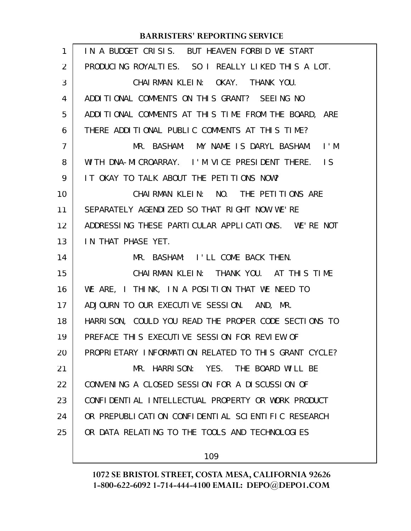| $\mathbf{1}$ | IN A BUDGET CRISIS. BUT HEAVEN FORBID WE START        |
|--------------|-------------------------------------------------------|
| 2            | PRODUCING ROYALTIES. SO I REALLY LIKED THIS A LOT.    |
| 3            | CHAIRMAN KLEIN: OKAY. THANK YOU.                      |
| 4            | ADDITIONAL COMMENTS ON THIS GRANT? SEEING NO          |
| 5            | ADDITIONAL COMMENTS AT THIS TIME FROM THE BOARD, ARE  |
| 6            | THERE ADDITIONAL PUBLIC COMMENTS AT THIS TIME?        |
| 7            | MR. BASHAM: MY NAME IS DARYL BASHAM. I'M              |
| 8            | WITH DNA-MICROARRAY. I'M VICE PRESIDENT THERE. IS     |
| 9            | IT OKAY TO TALK ABOUT THE PETITIONS NOW?              |
| 10           | CHAIRMAN KLEIN: NO. THE PETITIONS ARE                 |
| 11           | SEPARATELY AGENDIZED SO THAT RIGHT NOW WE'RE          |
| 12           | ADDRESSING THESE PARTICULAR APPLICATIONS. WE'RE NOT   |
| 13           | IN THAT PHASE YET.                                    |
|              |                                                       |
| 14           | MR. BASHAM: I'LL COME BACK THEN.                      |
| 15           | CHAIRMAN KLEIN: THANK YOU. AT THIS TIME               |
| 16           | WE ARE, I THINK, IN A POSITION THAT WE NEED TO        |
| 17           | ADJOURN TO OUR EXECUTIVE SESSION. AND, MR.            |
| 18           | HARRI SON, COULD YOU READ THE PROPER CODE SECTIONS TO |
| 19           | PREFACE THIS EXECUTIVE SESSION FOR REVIEW OF          |
| 20           | PROPRIETARY INFORMATION RELATED TO THIS GRANT CYCLE?  |
| 21           | MR. HARRISON: YES. THE BOARD WILL BE                  |
| 22           | CONVENING A CLOSED SESSION FOR A DISCUSSION OF        |
| 23           | CONFIDENTIAL INTELLECTUAL PROPERTY OR WORK PRODUCT    |
| 24           | OR PREPUBLICATION CONFIDENTIAL SCIENTIFIC RESEARCH    |
| 25           | OR DATA RELATING TO THE TOOLS AND TECHNOLOGIES        |

109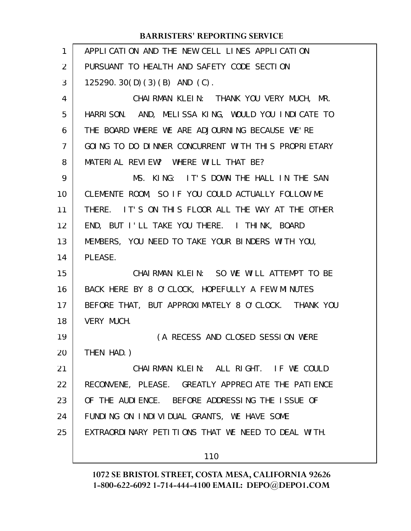| $\mathbf{1}$   | APPLICATION AND THE NEW CELL LINES APPLICATION      |
|----------------|-----------------------------------------------------|
| 2              | PURSUANT TO HEALTH AND SAFETY CODE SECTION          |
| 3              | 125290. $30(D)(3)(B)$ AND $(C)$ .                   |
| $\overline{4}$ | CHAIRMAN KLEIN: THANK YOU VERY MUCH, MR.            |
| 5              | HARRISON. AND, MELISSA KING, WOULD YOU INDICATE TO  |
| 6              | THE BOARD WHERE WE ARE ADJOURNING BECAUSE WE'RE     |
| $\overline{7}$ | GOING TO DO DINNER CONCURRENT WITH THIS PROPRIETARY |
| 8              | MATERIAL REVIEW? WHERE WILL THAT BE?                |
| 9              | MS. KING: IT'S DOWN THE HALL IN THE SAN             |
| 10             | CLEMENTE ROOM, SO IF YOU COULD ACTUALLY FOLLOW ME   |
| 11             | THERE. IT'S ON THIS FLOOR ALL THE WAY AT THE OTHER  |
| 12             | END, BUT I'LL TAKE YOU THERE. I THINK, BOARD        |
| 13             | MEMBERS, YOU NEED TO TAKE YOUR BINDERS WITH YOU,    |
| 14             | PLEASE.                                             |
| 15             | CHAIRMAN KLEIN: SO WE WILL ATTEMPT TO BE            |
| 16             | BACK HERE BY 8 O'CLOCK, HOPEFULLY A FEW MINUTES     |
| 17             | BEFORE THAT, BUT APPROXIMATELY 8 O'CLOCK. THANK YOU |
| 18             | VERY MUCH.                                          |
| 19             | (A RECESS AND CLOSED SESSION WERE                   |
| 20             | THEN HAD. )                                         |
| 21             | CHAIRMAN KLEIN: ALL RIGHT. IF WE COULD              |
| 22             | RECONVENE, PLEASE. GREATLY APPRECIATE THE PATIENCE  |
| 23             | OF THE AUDIENCE. BEFORE ADDRESSING THE ISSUE OF     |
| 24             | FUNDING ON INDIVIDUAL GRANTS, WE HAVE SOME          |
| 25             | EXTRAORDINARY PETITIONS THAT WE NEED TO DEAL WITH.  |
|                |                                                     |
|                | 110                                                 |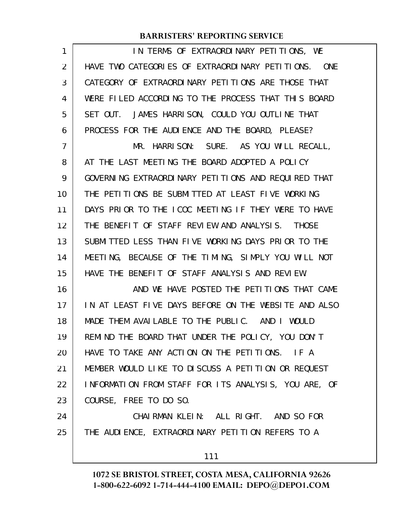| 1  | IN TERMS OF EXTRAORDINARY PETITIONS, WE              |
|----|------------------------------------------------------|
| 2  | HAVE TWO CATEGORIES OF EXTRAORDINARY PETITIONS. ONE  |
| 3  | CATEGORY OF EXTRAORDINARY PETITIONS ARE THOSE THAT   |
| 4  | WERE FILED ACCORDING TO THE PROCESS THAT THIS BOARD  |
| 5  | SET OUT. JAMES HARRISON, COULD YOU OUTLINE THAT      |
| 6  | PROCESS FOR THE AUDIENCE AND THE BOARD, PLEASE?      |
| 7  | MR. HARRISON: SURE. AS YOU WILL RECALL,              |
| 8  | AT THE LAST MEETING THE BOARD ADOPTED A POLICY       |
| 9  | GOVERNING EXTRAORDINARY PETITIONS AND REQUIRED THAT  |
| 10 | THE PETITIONS BE SUBMITTED AT LEAST FIVE WORKING     |
| 11 | DAYS PRIOR TO THE ICOC MEETING IF THEY WERE TO HAVE  |
| 12 | THE BENEFIT OF STAFF REVIEW AND ANALYSIS. THOSE      |
| 13 | SUBMITTED LESS THAN FIVE WORKING DAYS PRIOR TO THE   |
| 14 | MEETING, BECAUSE OF THE TIMING, SIMPLY YOU WILL NOT  |
| 15 | HAVE THE BENEFIT OF STAFF ANALYSIS AND REVIEW.       |
| 16 | AND WE HAVE POSTED THE PETITIONS THAT CAME           |
| 17 | IN AT LEAST FIVE DAYS BEFORE ON THE WEBSITE AND ALSO |
| 18 | MADE THEM AVAILABLE TO THE PUBLIC. AND I WOULD       |
| 19 | REMIND THE BOARD THAT UNDER THE POLICY, YOU DON'T    |
| 20 | HAVE TO TAKE ANY ACTION ON THE PETITIONS. IF A       |
| 21 | MEMBER WOULD LIKE TO DISCUSS A PETITION OR REQUEST   |
| 22 | INFORMATION FROM STAFF FOR ITS ANALYSIS, YOU ARE, OF |
| 23 | COURSE, FREE TO DO SO.                               |
| 24 | CHAIRMAN KLEIN: ALL RIGHT. AND SO FOR                |
| 25 | THE AUDIENCE, EXTRAORDINARY PETITION REFERS TO A     |
|    | 111                                                  |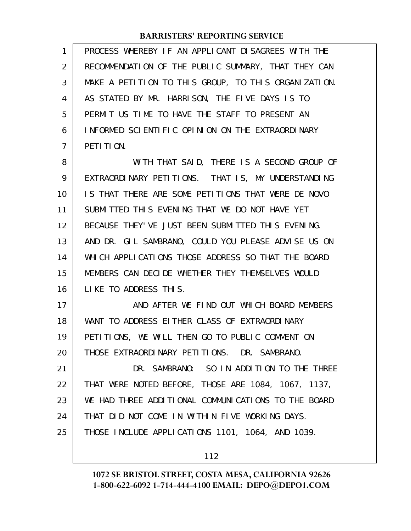| 1  | PROCESS WHEREBY IF AN APPLICANT DISAGREES WITH THE   |
|----|------------------------------------------------------|
| 2  | RECOMMENDATION OF THE PUBLIC SUMMARY, THAT THEY CAN  |
| 3  | MAKE A PETITION TO THIS GROUP, TO THIS ORGANIZATION. |
| 4  | AS STATED BY MR. HARRISON, THE FIVE DAYS IS TO       |
| 5  | PERMIT US TIME TO HAVE THE STAFF TO PRESENT AN       |
| 6  | INFORMED SCIENTIFIC OPINION ON THE EXTRAORDINARY     |
| 7  | PETI TI ON.                                          |
| 8  | WITH THAT SAID, THERE IS A SECOND GROUP OF           |
| 9  | EXTRAORDINARY PETITIONS. THAT IS, MY UNDERSTANDING   |
| 10 | IS THAT THERE ARE SOME PETITIONS THAT WERE DE NOVO   |
| 11 | SUBMITTED THIS EVENING THAT WE DO NOT HAVE YET       |
| 12 | BECAUSE THEY' VE JUST BEEN SUBMITTED THIS EVENING.   |
| 13 | AND DR. GIL SAMBRANO, COULD YOU PLEASE ADVISE US ON  |
| 14 | WHICH APPLICATIONS THOSE ADDRESS SO THAT THE BOARD   |
| 15 | MEMBERS CAN DECIDE WHETHER THEY THEMSELVES WOULD     |
| 16 | LIKE TO ADDRESS THIS.                                |
| 17 | AND AFTER WE FIND OUT WHICH BOARD MEMBERS            |
| 18 | WANT TO ADDRESS EITHER CLASS OF EXTRAORDINARY        |
| 19 | PETITIONS, WE WILL THEN GO TO PUBLIC COMMENT ON      |
| 20 | THOSE EXTRAORDINARY PETITIONS. DR. SAMBRANO.         |
| 21 | DR. SAMBRANO: SO IN ADDITION TO THE THREE            |
| 22 | THAT WERE NOTED BEFORE, THOSE ARE 1084, 1067, 1137,  |
| 23 | WE HAD THREE ADDITIONAL COMMUNICATIONS TO THE BOARD  |
| 24 | THAT DID NOT COME IN WITHIN FIVE WORKING DAYS.       |
| 25 | THOSE INCLUDE APPLICATIONS 1101, 1064, AND 1039.     |
|    |                                                      |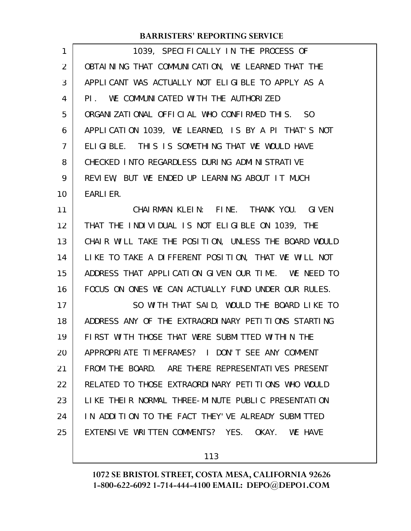| 1039, SPECIFICALLY IN THE PROCESS OF                 |
|------------------------------------------------------|
| OBTAINING THAT COMMUNICATION, WE LEARNED THAT THE    |
| APPLICANT WAS ACTUALLY NOT ELIGIBLE TO APPLY AS A    |
| PI. WE COMMUNICATED WITH THE AUTHORIZED              |
| ORGANIZATIONAL OFFICIAL WHO CONFIRMED THIS. SO       |
| APPLICATION 1039, WE LEARNED, IS BY A PI THAT'S NOT  |
| ELIGIBLE. THIS IS SOMETHING THAT WE WOULD HAVE       |
| CHECKED INTO REGARDLESS DURING ADMINISTRATIVE        |
| REVIEW, BUT WE ENDED UP LEARNING ABOUT IT MUCH       |
| <b>EARLIER.</b>                                      |
| CHAIRMAN KLEIN: FINE. THANK YOU. GIVEN               |
| THAT THE INDIVIDUAL IS NOT ELIGIBLE ON 1039, THE     |
| CHAIR WILL TAKE THE POSITION, UNLESS THE BOARD WOULD |
| LIKE TO TAKE A DIFFERENT POSITION, THAT WE WILL NOT  |
| ADDRESS THAT APPLICATION GIVEN OUR TIME. WE NEED TO  |
| FOCUS ON ONES WE CAN ACTUALLY FUND UNDER OUR RULES.  |
| SO WITH THAT SAID, WOULD THE BOARD LIKE TO           |
| ADDRESS ANY OF THE EXTRAORDINARY PETITIONS STARTING  |
| FIRST WITH THOSE THAT WERE SUBMITTED WITHIN THE      |
| APPROPRIATE TIMEFRAMES? I DON'T SEE ANY COMMENT      |
| FROM THE BOARD. ARE THERE REPRESENTATIVES PRESENT    |
| RELATED TO THOSE EXTRAORDINARY PETITIONS WHO WOULD   |
| LIKE THEIR NORMAL THREE-MINUTE PUBLIC PRESENTATION   |
| IN ADDITION TO THE FACT THEY'VE ALREADY SUBMITTED    |
| EXTENSIVE WRITTEN COMMENTS? YES. OKAY. WE HAVE       |
|                                                      |

113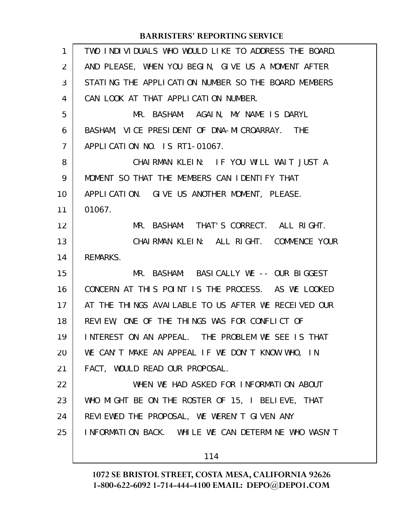| 1  | TWO INDIVIDUALS WHO WOULD LIKE TO ADDRESS THE BOARD. |
|----|------------------------------------------------------|
| 2  | AND PLEASE, WHEN YOU BEGIN, GIVE US A MOMENT AFTER   |
| 3  | STATING THE APPLICATION NUMBER SO THE BOARD MEMBERS  |
| 4  | CAN LOOK AT THAT APPLICATION NUMBER.                 |
| 5  | MR. BASHAM: AGAIN, MY NAME IS DARYL                  |
| 6  | BASHAM, VICE PRESIDENT OF DNA-MICROARRAY. THE        |
| 7  | APPLICATION NO. IS RT1-01067.                        |
| 8  | CHAIRMAN KLEIN: IF YOU WILL WAIT JUST A              |
| 9  | MOMENT SO THAT THE MEMBERS CAN IDENTIFY THAT         |
| 10 | APPLICATION. GIVE US ANOTHER MOMENT, PLEASE.         |
| 11 | 01067.                                               |
| 12 | MR. BASHAM: THAT'S CORRECT. ALL RIGHT.               |
| 13 | CHAIRMAN KLEIN: ALL RIGHT. COMMENCE YOUR             |
| 14 | REMARKS.                                             |
| 15 | MR. BASHAM: BASICALLY WE -- OUR BIGGEST              |
| 16 | CONCERN AT THIS POINT IS THE PROCESS. AS WE LOOKED   |
| 17 | AT THE THINGS AVAILABLE TO US AFTER WE RECEIVED OUR  |
| 18 | REVIEW, ONE OF THE THINGS WAS FOR CONFLICT OF        |
| 19 | INTEREST ON AN APPEAL. THE PROBLEM WE SEE IS THAT    |
| 20 | WE CAN'T MAKE AN APPEAL IF WE DON'T KNOW WHO, IN     |
| 21 | FACT, WOULD READ OUR PROPOSAL.                       |
| 22 | WHEN WE HAD ASKED FOR INFORMATION ABOUT              |
| 23 | WHO MIGHT BE ON THE ROSTER OF 15, I BELIEVE, THAT    |
| 24 | REVIEWED THE PROPOSAL, WE WEREN'T GIVEN ANY          |
| 25 | INFORMATION BACK. WHILE WE CAN DETERMINE WHO WASN'T  |
|    | 114                                                  |
|    |                                                      |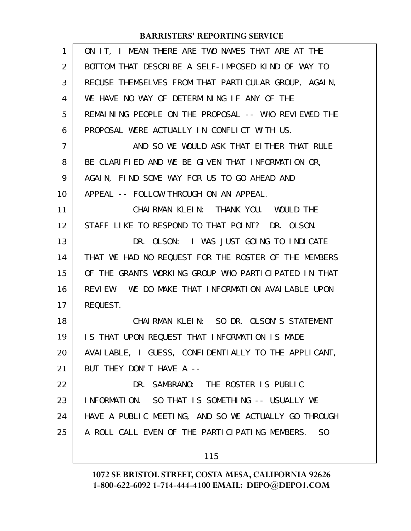| 1              | ON IT, I MEAN THERE ARE TWO NAMES THAT ARE AT THE    |
|----------------|------------------------------------------------------|
| $\overline{2}$ | BOTTOM THAT DESCRIBE A SELF-IMPOSED KIND OF WAY TO   |
| 3              | RECUSE THEMSELVES FROM THAT PARTICULAR GROUP, AGAIN, |
| 4              | WE HAVE NO WAY OF DETERMINING IF ANY OF THE          |
| 5              | REMAINING PEOPLE ON THE PROPOSAL -- WHO REVIEWED THE |
| 6              | PROPOSAL WERE ACTUALLY IN CONFLICT WITH US.          |
| $\overline{7}$ | AND SO WE WOULD ASK THAT EITHER THAT RULE            |
| 8              | BE CLARIFIED AND WE BE GIVEN THAT INFORMATION OR,    |
| 9              | AGAIN, FIND SOME WAY FOR US TO GO AHEAD AND          |
| 10             | APPEAL -- FOLLOW THROUGH ON AN APPEAL.               |
| 11             | CHAIRMAN KLEIN: THANK YOU. WOULD THE                 |
| 12             | STAFF LIKE TO RESPOND TO THAT POINT? DR. OLSON.      |
| 13             | DR. OLSON: I WAS JUST GOING TO INDICATE              |
| 14             | THAT WE HAD NO REQUEST FOR THE ROSTER OF THE MEMBERS |
| 15             | OF THE GRANTS WORKING GROUP WHO PARTICIPATED IN THAT |
| 16             | REVIEW. WE DO MAKE THAT INFORMATION AVAILABLE UPON   |
| 17             | REQUEST.                                             |
| 18             | CHAIRMAN KLEIN: SO DR. OLSON'S STATEMENT             |
| 19             | IS THAT UPON REQUEST THAT INFORMATION IS MADE        |
| 20             | AVAILABLE, I GUESS, CONFIDENTIALLY TO THE APPLICANT, |
| 21             | BUT THEY DON'T HAVE A --                             |
| 22             | DR. SAMBRANO: THE ROSTER IS PUBLIC                   |
| 23             | INFORMATION. SO THAT IS SOMETHING -- USUALLY WE      |
| 24             | HAVE A PUBLIC MEETING, AND SO WE ACTUALLY GO THROUGH |
| 25             | A ROLL CALL EVEN OF THE PARTICIPATING MEMBERS. SO    |
|                | 115                                                  |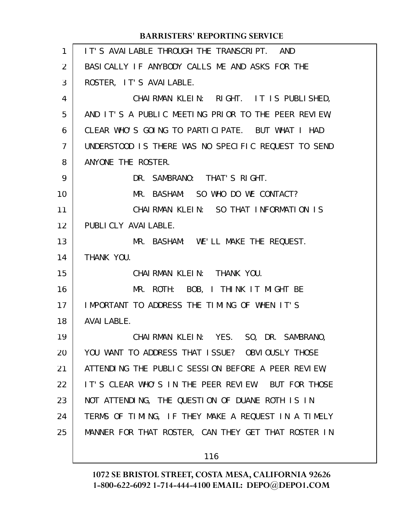IT'S AVAILABLE THROUGH THE TRANSCRIPT. AND BASICALLY IF ANYBODY CALLS ME AND ASKS FOR THE ROSTER, IT'S AVAILABLE. CHAIRMAN KLEIN: RIGHT. IT IS PUBLISHED, AND IT'S A PUBLIC MEETING PRIOR TO THE PEER REVIEW, CLEAR WHO'S GOING TO PARTICIPATE. BUT WHAT I HAD UNDERSTOOD IS THERE WAS NO SPECIFIC REQUEST TO SEND ANYONE THE ROSTER. DR. SAMBRANO: THAT'S RIGHT. MR. BASHAM: SO WHO DO WE CONTACT? CHAIRMAN KLEIN: SO THAT INFORMATION IS PUBLICLY AVAILABLE. MR. BASHAM: WE'LL MAKE THE REQUEST. THANK YOU. CHAIRMAN KLEIN: THANK YOU. MR. ROTH: BOB, I THINK IT MIGHT BE IMPORTANT TO ADDRESS THE TIMING OF WHEN IT'S AVAILABLE. CHAIRMAN KLEIN: YES. SO, DR. SAMBRANO, YOU WANT TO ADDRESS THAT ISSUE? OBVIOUSLY THOSE ATTENDING THE PUBLIC SESSION BEFORE A PEER REVIEW, IT'S CLEAR WHO'S IN THE PEER REVIEW. BUT FOR THOSE NOT ATTENDING, THE QUESTION OF DUANE ROTH IS IN TERMS OF TIMING, IF THEY MAKE A REQUEST IN A TIMELY MANNER FOR THAT ROSTER, CAN THEY GET THAT ROSTER IN 1 2 3 4 5 6 7 8 9 10 11 12 13 14 15 16 17 18 19 20 21 22 23 24 25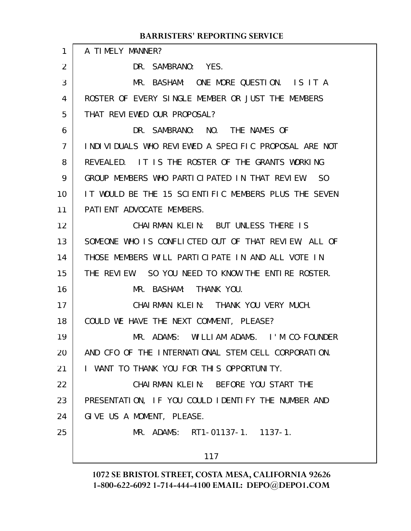| 1  | A TIMELY MANNER?                                     |
|----|------------------------------------------------------|
| 2  | DR. SAMBRANO: YES.                                   |
| 3  | MR. BASHAM: ONE MORE QUESTION. IS IT A               |
| 4  | ROSTER OF EVERY SINGLE MEMBER OR JUST THE MEMBERS    |
| 5  | THAT REVIEWED OUR PROPOSAL?                          |
| 6  | DR. SAMBRANO: NO. THE NAMES OF                       |
| 7  | INDIVIDUALS WHO REVIEWED A SPECIFIC PROPOSAL ARE NOT |
| 8  | REVEALED. IT IS THE ROSTER OF THE GRANTS WORKING     |
| 9  | GROUP MEMBERS WHO PARTICLPATED IN THAT REVIEW.<br>SO |
| 10 | IT WOULD BE THE 15 SCIENTIFIC MEMBERS PLUS THE SEVEN |
| 11 | PATIENT ADVOCATE MEMBERS.                            |
| 12 | CHAIRMAN KLEIN: BUT UNLESS THERE IS                  |
| 13 | SOMEONE WHO IS CONFLICTED OUT OF THAT REVIEW, ALL OF |
| 14 | THOSE MEMBERS WILL PARTICIPATE IN AND ALL VOTE IN    |
| 15 | THE REVIEW. SO YOU NEED TO KNOW THE ENTIRE ROSTER.   |
| 16 | MR. BASHAM: THANK YOU.                               |
| 17 | CHAIRMAN KLEIN: THANK YOU VERY MUCH.                 |
| 18 | COULD WE HAVE THE NEXT COMMENT, PLEASE?              |
| 19 | MR. ADAMS: WILLIAM ADAMS. I'M CO-FOUNDER             |
| 20 | AND CFO OF THE INTERNATIONAL STEM CELL CORPORATION.  |
| 21 | I WANT TO THANK YOU FOR THIS OPPORTUNITY.            |
| 22 | CHAIRMAN KLEIN: BEFORE YOU START THE                 |
| 23 | PRESENTATION, IF YOU COULD IDENTIFY THE NUMBER AND   |
| 24 | GIVE US A MOMENT, PLEASE.                            |
| 25 | MR. ADAMS: RT1-01137-1. 1137-1.                      |
|    | 117                                                  |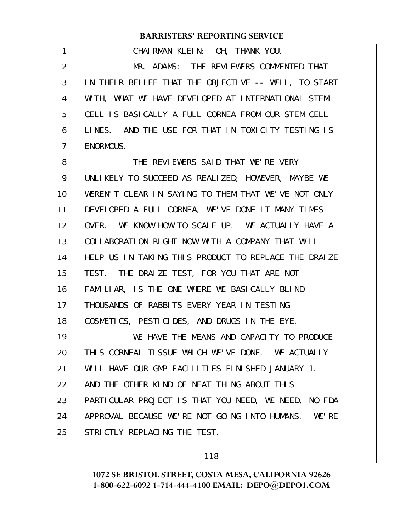| 1  | CHAIRMAN KLEIN: OH, THANK YOU.                         |
|----|--------------------------------------------------------|
| 2  | MR. ADAMS: THE REVIEWERS COMMENTED THAT                |
| 3  | IN THEIR BELIEF THAT THE OBJECTIVE -- WELL, TO START   |
| 4  | WITH, WHAT WE HAVE DEVELOPED AT INTERNATIONAL STEM     |
| 5  | CELL IS BASICALLY A FULL CORNEA FROM OUR STEM CELL     |
| 6  | LINES. AND THE USE FOR THAT IN TOXICITY TESTING IS     |
| 7  | ENORMOUS.                                              |
| 8  | THE REVIEWERS SAID THAT WE'RE VERY                     |
| 9  | UNLIKELY TO SUCCEED AS REALIZED; HOWEVER, MAYBE WE     |
| 10 | WEREN'T CLEAR IN SAYING TO THEM THAT WE'VE NOT ONLY    |
| 11 | DEVELOPED A FULL CORNEA, WE'VE DONE IT MANY TIMES      |
| 12 | OVER. WE KNOW HOW TO SCALE UP. WE ACTUALLY HAVE A      |
| 13 | COLLABORATION RIGHT NOW WITH A COMPANY THAT WILL       |
| 14 | HELP US IN TAKING THIS PRODUCT TO REPLACE THE DRAIZE   |
| 15 | THE DRAIZE TEST, FOR YOU THAT ARE NOT<br>TEST.         |
| 16 | FAMILIAR, IS THE ONE WHERE WE BASICALLY BLIND          |
| 17 | THOUSANDS OF RABBITS EVERY YEAR IN TESTING             |
| 18 | COSMETICS, PESTICIDES, AND DRUGS IN THE EYE.           |
| 19 | WE HAVE THE MEANS AND CAPACITY TO PRODUCE              |
| 20 | THIS CORNEAL TISSUE WHICH WE'VE DONE. WE ACTUALLY      |
| 21 | WILL HAVE OUR GMP FACILITIES FINISHED JANUARY 1.       |
| 22 | AND THE OTHER KIND OF NEAT THING ABOUT THIS            |
| 23 | PARTICULAR PROJECT IS THAT YOU NEED, WE NEED, NO FDA   |
| 24 | APPROVAL BECAUSE WE'RE NOT GOING INTO HUMANS.<br>WE'RE |
| 25 | STRICTLY REPLACING THE TEST.                           |
|    |                                                        |

118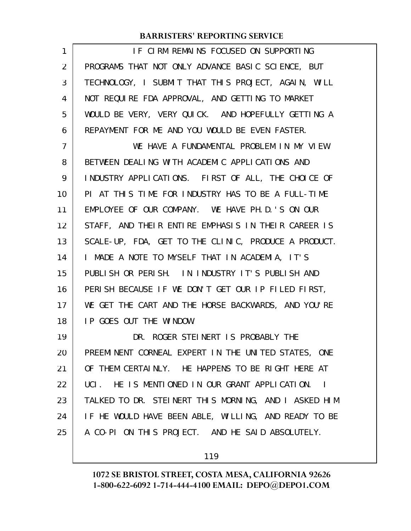| 1              | IF CIRM REMAINS FOCUSED ON SUPPORTING                      |
|----------------|------------------------------------------------------------|
| $\overline{2}$ | PROGRAMS THAT NOT ONLY ADVANCE BASIC SCIENCE, BUT          |
| 3              | TECHNOLOGY, I SUBMIT THAT THIS PROJECT, AGAIN, WILL        |
| 4              | NOT REQUIRE FDA APPROVAL, AND GETTING TO MARKET            |
| 5              | WOULD BE VERY, VERY QUICK. AND HOPEFULLY GETTING A         |
| 6              | REPAYMENT FOR ME AND YOU WOULD BE EVEN FASTER.             |
| 7              | WE HAVE A FUNDAMENTAL PROBLEM IN MY VIEW                   |
| 8              | BETWEEN DEALING WITH ACADEMIC APPLICATIONS AND             |
| 9              | INDUSTRY APPLICATIONS. FIRST OF ALL, THE CHOICE OF         |
| 10             | PI AT THIS TIME FOR INDUSTRY HAS TO BE A FULL-TIME         |
| 11             | EMPLOYEE OF OUR COMPANY. WE HAVE PH. D. 'S ON OUR          |
| 12             | STAFF, AND THEIR ENTIRE EMPHASIS IN THEIR CAREER IS        |
| 13             | SCALE-UP, FDA, GET TO THE CLINIC, PRODUCE A PRODUCT.       |
| 14             | I MADE A NOTE TO MYSELF THAT IN ACADEMIA, IT'S             |
| 15             | PUBLISH OR PERISH. IN INDUSTRY IT'S PUBLISH AND            |
| 16             | PERISH BECAUSE IF WE DON'T GET OUR IP FILED FIRST,         |
| 17             | WE GET THE CART AND THE HORSE BACKWARDS, AND YOU'RE        |
| 18             | IP GOES OUT THE WINDOW.                                    |
| 19             | DR. ROGER STEINERT IS PROBABLY THE                         |
| 20             | PREEMINENT CORNEAL EXPERT IN THE UNITED STATES, ONE        |
| 21             | OF THEM CERTAINLY. HE HAPPENS TO BE RIGHT HERE AT          |
| 22             | UCI. HE IS MENTIONED IN OUR GRANT APPLICATION.<br>$\sim$ 1 |
| 23             | TALKED TO DR. STEINERT THIS MORNING, AND I ASKED HIM       |
| 24             | IF HE WOULD HAVE BEEN ABLE, WILLING, AND READY TO BE       |
| 25             | A CO-PI ON THIS PROJECT. AND HE SAID ABSOLUTELY.           |
|                |                                                            |

119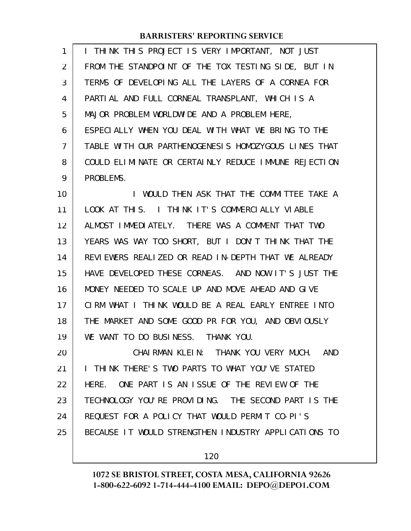| 1              | I THINK THIS PROJECT IS VERY IMPORTANT, NOT JUST     |
|----------------|------------------------------------------------------|
| $\overline{2}$ | FROM THE STANDPOINT OF THE TOX TESTING SIDE, BUT IN  |
| 3              | TERMS OF DEVELOPING ALL THE LAYERS OF A CORNEA FOR   |
| 4              | PARTIAL AND FULL CORNEAL TRANSPLANT, WHICH IS A      |
| 5              | MAJOR PROBLEM WORLDWIDE AND A PROBLEM HERE,          |
| 6              | ESPECIALLY WHEN YOU DEAL WITH WHAT WE BRING TO THE   |
| $\overline{7}$ | TABLE WITH OUR PARTHENOGENESIS HOMOZYGOUS LINES THAT |
| 8              | COULD ELIMINATE OR CERTAINLY REDUCE IMMUNE REJECTION |
| 9              | PROBLEMS.                                            |
| 10             | I WOULD THEN ASK THAT THE COMMITTEE TAKE A           |
| 11             | LOOK AT THIS. I THINK IT'S COMMERCIALLY VIABLE       |
| 12             | ALMOST IMMEDIATELY. THERE WAS A COMMENT THAT TWO     |
| 13             | YEARS WAS WAY TOO SHORT, BUT I DON'T THINK THAT THE  |
| 14             | REVIEWERS REALIZED OR READ IN-DEPTH THAT WE ALREADY  |

HAVE DEVELOPED THESE CORNEAS. AND NOW IT'S JUST THE MONEY NEEDED TO SCALE UP AND MOVE AHEAD AND GIVE CIRM WHAT I THINK WOULD BE A REAL EARLY ENTREE INTO THE MARKET AND SOME GOOD PR FOR YOU, AND OBVIOUSLY WE WANT TO DO BUSINESS. THANK YOU. 15 16 17 18 19

CHAIRMAN KLEIN: THANK YOU VERY MUCH. AND I THINK THERE'S TWO PARTS TO WHAT YOU'VE STATED HERE. ONE PART IS AN ISSUE OF THE REVIEW OF THE TECHNOLOGY YOU'RE PROVIDING. THE SECOND PART IS THE REQUEST FOR A POLICY THAT WOULD PERMIT CO-PI'S BECAUSE IT WOULD STRENGTHEN INDUSTRY APPLICATIONS TO 20 21 22 23 24 25

120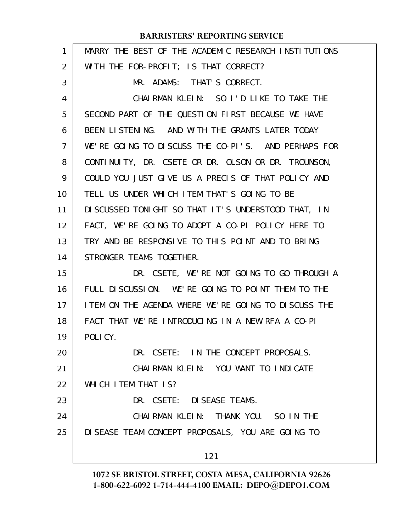| 1  | MARRY THE BEST OF THE ACADEMIC RESEARCH INSTITUTIONS |
|----|------------------------------------------------------|
| 2  | WITH THE FOR-PROFIT; IS THAT CORRECT?                |
| 3  | MR. ADAMS: THAT'S CORRECT.                           |
| 4  | CHAIRMAN KLEIN: SO I'D LIKE TO TAKE THE              |
| 5  | SECOND PART OF THE QUESTION FIRST BECAUSE WE HAVE    |
| 6  | BEEN LISTENING. AND WITH THE GRANTS LATER TODAY      |
| 7  | WE'RE GOING TO DISCUSS THE CO-PI'S. AND PERHAPS FOR  |
| 8  | CONTINUITY, DR. CSETE OR DR. OLSON OR DR. TROUNSON,  |
| 9  | COULD YOU JUST GIVE US A PRECIS OF THAT POLICY AND   |
| 10 | TELL US UNDER WHICH ITEM THAT'S GOING TO BE          |
| 11 | DI SCUSSED TONIGHT SO THAT IT'S UNDERSTOOD THAT, IN  |
| 12 | FACT, WE'RE GOING TO ADOPT A CO-PI POLICY HERE TO    |
| 13 | TRY AND BE RESPONSIVE TO THIS POINT AND TO BRING     |
| 14 | STRONGER TEAMS TOGETHER.                             |
| 15 | DR. CSETE, WE'RE NOT GOING TO GO THROUGH A           |
| 16 | FULL DI SCUSSION. WE'RE GOING TO POINT THEM TO THE   |
| 17 | I TEM ON THE AGENDA WHERE WE'RE GOING TO DISCUSS THE |
| 18 | FACT THAT WE'RE INTRODUCING IN A NEW RFA A CO-PI     |
| 19 | POLICY.                                              |
| 20 | DR. CSETE: IN THE CONCEPT PROPOSALS.                 |
| 21 | CHAIRMAN KLEIN: YOU WANT TO INDICATE                 |
| 22 | WHICH ITEM THAT IS?                                  |
| 23 | DR. CSETE: DI SEASE TEAMS.                           |
| 24 | CHAIRMAN KLEIN: THANK YOU. SO IN THE                 |
| 25 | DI SEASE TEAM CONCEPT PROPOSALS, YOU ARE GOING TO    |
|    | 121                                                  |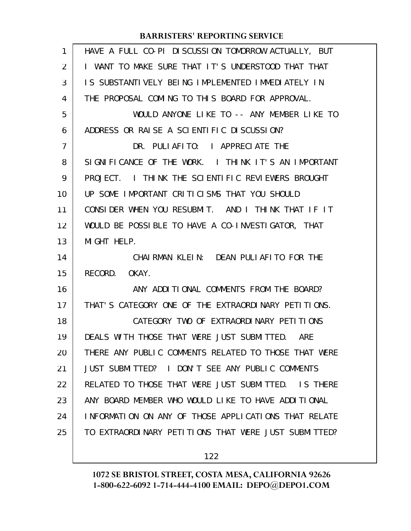| 1  | HAVE A FULL CO-PI DISCUSSION TOMORROW ACTUALLY, BUT  |
|----|------------------------------------------------------|
| 2  | I WANT TO MAKE SURE THAT IT'S UNDERSTOOD THAT THAT   |
| 3  | IS SUBSTANTIVELY BEING IMPLEMENTED IMMEDIATELY IN    |
| 4  | THE PROPOSAL COMING TO THIS BOARD FOR APPROVAL.      |
| 5  | WOULD ANYONE LIKE TO -- ANY MEMBER LIKE TO           |
| 6  | ADDRESS OR RAISE A SCIENTIFIC DISCUSSION?            |
| 7  | DR. PULIAFITO: I APPRECIATE THE                      |
| 8  | SIGNIFICANCE OF THE WORK. I THINK IT'S AN IMPORTANT  |
| 9  | I THINK THE SCIENTIFIC REVIEWERS BROUGHT<br>PROJECT. |
| 10 | UP SOME IMPORTANT CRITICISMS THAT YOU SHOULD         |
| 11 | CONSIDER WHEN YOU RESUBMIT. AND I THINK THAT IF IT   |
| 12 | WOULD BE POSSIBLE TO HAVE A CO-INVESTIGATOR, THAT    |
| 13 | MIGHT HELP.                                          |
|    |                                                      |
| 14 | CHAIRMAN KLEIN: DEAN PULIAFITO FOR THE               |
| 15 | RECORD. OKAY.                                        |
| 16 | ANY ADDITIONAL COMMENTS FROM THE BOARD?              |
| 17 | THAT'S CATEGORY ONE OF THE EXTRAORDINARY PETITIONS.  |
| 18 | CATEGORY TWO OF EXTRAORDINARY PETITIONS              |
| 19 | DEALS WITH THOSE THAT WERE JUST SUBMITTED. ARE       |
| 20 | THERE ANY PUBLIC COMMENTS RELATED TO THOSE THAT WERE |
| 21 | JUST SUBMITTED? I DON'T SEE ANY PUBLIC COMMENTS      |
| 22 | RELATED TO THOSE THAT WERE JUST SUBMITTED. IS THERE  |
| 23 | ANY BOARD MEMBER WHO WOULD LIKE TO HAVE ADDITIONAL   |
| 24 | INFORMATION ON ANY OF THOSE APPLICATIONS THAT RELATE |
| 25 | TO EXTRAORDINARY PETITIONS THAT WERE JUST SUBMITTED? |

122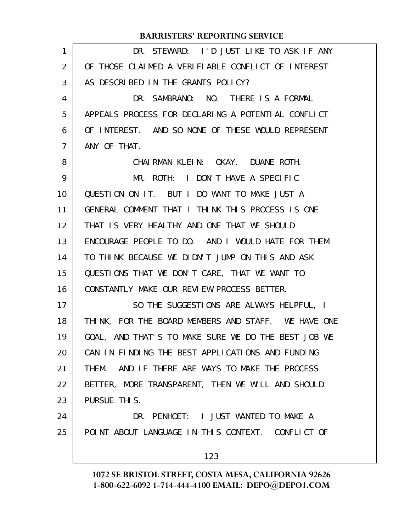| 1  | DR. STEWARD: I'D JUST LIKE TO ASK IF ANY            |
|----|-----------------------------------------------------|
| 2  | OF THOSE CLAIMED A VERIFIABLE CONFLICT OF INTEREST  |
| 3  | AS DESCRIBED IN THE GRANTS POLICY?                  |
| 4  | DR. SAMBRANO: NO. THERE IS A FORMAL                 |
| 5  | APPEALS PROCESS FOR DECLARING A POTENTIAL CONFLICT  |
| 6  | OF INTEREST. AND SO NONE OF THESE WOULD REPRESENT   |
| 7  | ANY OF THAT.                                        |
| 8  | CHAIRMAN KLEIN: OKAY. DUANE ROTH.                   |
| 9  | MR. ROTH: I DON'T HAVE A SPECIFIC                   |
| 10 | QUESTION ON IT. BUT I DO WANT TO MAKE JUST A        |
| 11 | GENERAL COMMENT THAT I THINK THIS PROCESS IS ONE    |
| 12 | THAT IS VERY HEALTHY AND ONE THAT WE SHOULD         |
| 13 | ENCOURAGE PEOPLE TO DO. AND I WOULD HATE FOR THEM   |
| 14 | TO THINK BECAUSE WE DIDN'T JUMP ON THIS AND ASK     |
| 15 | QUESTIONS THAT WE DON'T CARE, THAT WE WANT TO       |
| 16 | CONSTANTLY MAKE OUR REVIEW PROCESS BETTER.          |
| 17 | SO THE SUGGESTIONS ARE ALWAYS HELPFUL, I            |
| 18 | THINK, FOR THE BOARD MEMBERS AND STAFF. WE HAVE ONE |
| 19 | GOAL, AND THAT'S TO MAKE SURE WE DO THE BEST JOB WE |
| 20 | CAN IN FINDING THE BEST APPLICATIONS AND FUNDING    |
| 21 | THEM. AND IF THERE ARE WAYS TO MAKE THE PROCESS     |
| 22 | BETTER, MORE TRANSPARENT, THEN WE WILL AND SHOULD   |
| 23 | PURSUE THIS.                                        |
| 24 | DR. PENHOET: I JUST WANTED TO MAKE A                |
| 25 | POINT ABOUT LANGUAGE IN THIS CONTEXT. CONFLICT OF   |
|    | 123                                                 |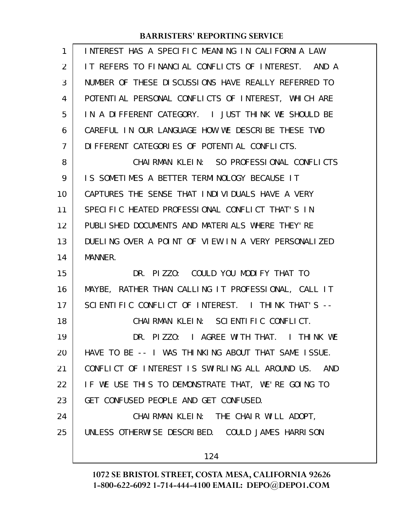| 1              | INTEREST HAS A SPECIFIC MEANING IN CALIFORNIA LAW.   |
|----------------|------------------------------------------------------|
| 2              | IT REFERS TO FINANCIAL CONFLICTS OF INTEREST. AND A  |
| 3              | NUMBER OF THESE DI SCUSSIONS HAVE REALLY REFERRED TO |
| 4              | POTENTIAL PERSONAL CONFLICTS OF INTEREST, WHICH ARE  |
| 5              | IN A DIFFERENT CATEGORY. I JUST THINK WE SHOULD BE   |
| 6              | CAREFUL IN OUR LANGUAGE HOW WE DESCRIBE THESE TWO    |
| $\overline{7}$ | DI FFERENT CATEGORIES OF POTENTIAL CONFLICTS.        |
| 8              | CHAIRMAN KLEIN: SO PROFESSIONAL CONFLICTS            |
| 9              | IS SOMETIMES A BETTER TERMINOLOGY BECAUSE IT         |
| 10             | CAPTURES THE SENSE THAT INDIVIDUALS HAVE A VERY      |
| 11             | SPECIFIC HEATED PROFESSIONAL CONFLICT THAT'S IN      |
| 12             | PUBLISHED DOCUMENTS AND MATERIALS WHERE THEY'RE      |
| 13             | DUELING OVER A POINT OF VIEW IN A VERY PERSONALIZED  |
| 14             | MANNER.                                              |
| 15             | DR. PIZZO: COULD YOU MODIFY THAT TO                  |
| 16             | MAYBE, RATHER THAN CALLING IT PROFESSIONAL, CALL IT  |
| 17             | SCIENTIFIC CONFLICT OF INTEREST. I THINK THAT'S --   |
| 18             | CHAIRMAN KLEIN: SCIENTIFIC CONFLICT.                 |
| 19             | DR. PIZZO: I AGREE WITH THAT. I THINK WE             |
| 20             | HAVE TO BE -- I WAS THINKING ABOUT THAT SAME ISSUE.  |
| 21             | CONFLICT OF INTEREST IS SWIRLING ALL AROUND US. AND  |
| 22             | IF WE USE THIS TO DEMONSTRATE THAT, WE'RE GOING TO   |
| 23             | GET CONFUSED PEOPLE AND GET CONFUSED.                |
| 24             | CHAIRMAN KLEIN: THE CHAIR WILL ADOPT,                |
| 25             | UNLESS OTHERWISE DESCRIBED. COULD JAMES HARRISON     |
|                |                                                      |
|                | 124                                                  |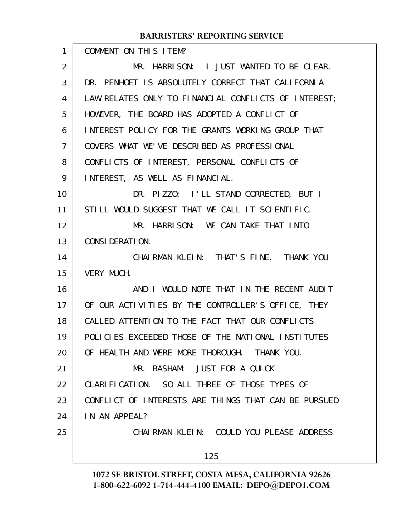| 1              | COMMENT ON THIS ITEM?                                |
|----------------|------------------------------------------------------|
| 2              | MR. HARRISON: I JUST WANTED TO BE CLEAR.             |
| 3              | DR. PENHOET IS ABSOLUTELY CORRECT THAT CALIFORNIA    |
| 4              | LAW RELATES ONLY TO FINANCIAL CONFLICTS OF INTEREST; |
| 5              | HOWEVER, THE BOARD HAS ADOPTED A CONFLICT OF         |
| 6              | INTEREST POLICY FOR THE GRANTS WORKING GROUP THAT    |
| $\overline{7}$ | COVERS WHAT WE'VE DESCRIBED AS PROFESSIONAL          |
| 8              | CONFLICTS OF INTEREST, PERSONAL CONFLICTS OF         |
| 9              | INTEREST, AS WELL AS FINANCIAL.                      |
| 10             | DR. PIZZO: I'LL STAND CORRECTED, BUT I               |
| 11             | STILL WOULD SUGGEST THAT WE CALL IT SCIENTIFIC.      |
| 12             | MR. HARRISON: WE CAN TAKE THAT INTO                  |
| 13             | CONSIDERATION.                                       |
| 14             | CHAIRMAN KLEIN: THAT'S FINE. THANK YOU               |
| 15             | <b>VERY MUCH.</b>                                    |
| 16             | AND I WOULD NOTE THAT IN THE RECENT AUDIT            |
| 17             | OF OUR ACTIVITIES BY THE CONTROLLER'S OFFICE, THEY   |
| 18             | CALLED ATTENTION TO THE FACT THAT OUR CONFLICTS      |
| 19             | POLICIES EXCEEDED THOSE OF THE NATIONAL INSTITUTES   |
| 20             | OF HEALTH AND WERE MORE THOROUGH. THANK YOU.         |
| 21             | MR. BASHAM: JUST FOR A QUICK                         |
| 22             | CLARIFICATION. SO ALL THREE OF THOSE TYPES OF        |
| 23             | CONFLICT OF INTERESTS ARE THINGS THAT CAN BE PURSUED |
| 24             | IN AN APPEAL?                                        |
| 25             | CHAIRMAN KLEIN: COULD YOU PLEASE ADDRESS             |
|                | 125                                                  |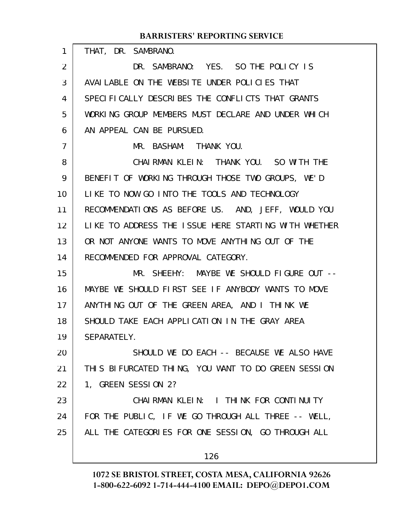| 1  | THAT, DR. SAMBRANO.                                  |
|----|------------------------------------------------------|
| 2  | DR. SAMBRANO: YES. SO THE POLICY IS                  |
| 3  | AVAILABLE ON THE WEBSITE UNDER POLICIES THAT         |
| 4  | SPECIFICALLY DESCRIBES THE CONFLICTS THAT GRANTS     |
| 5  | WORKING GROUP MEMBERS MUST DECLARE AND UNDER WHICH   |
| 6  | AN APPEAL CAN BE PURSUED.                            |
| 7  | MR. BASHAM: THANK YOU.                               |
| 8  | CHAIRMAN KLEIN: THANK YOU. SO WITH THE               |
| 9  | BENEFIT OF WORKING THROUGH THOSE TWO GROUPS, WE'D    |
| 10 | LIKE TO NOW GO INTO THE TOOLS AND TECHNOLOGY         |
| 11 | RECOMMENDATIONS AS BEFORE US. AND, JEFF, WOULD YOU   |
| 12 | LIKE TO ADDRESS THE ISSUE HERE STARTING WITH WHETHER |
| 13 | OR NOT ANYONE WANTS TO MOVE ANYTHING OUT OF THE      |
| 14 | RECOMMENDED FOR APPROVAL CATEGORY.                   |
| 15 | MR. SHEEHY: MAYBE WE SHOULD FIGURE OUT --            |
| 16 | MAYBE WE SHOULD FIRST SEE IF ANYBODY WANTS TO MOVE   |
| 17 | ANYTHING OUT OF THE GREEN AREA, AND I THINK WE       |
| 18 | SHOULD TAKE EACH APPLICATION IN THE GRAY AREA        |
| 19 | SEPARATELY.                                          |
| 20 | SHOULD WE DO EACH -- BECAUSE WE ALSO HAVE            |
| 21 | THIS BIFURCATED THING, YOU WANT TO DO GREEN SESSION  |
| 22 | 1, GREEN SESSION 2?                                  |
| 23 | CHAIRMAN KLEIN: I THINK FOR CONTINUITY               |
| 24 | FOR THE PUBLIC, IF WE GO THROUGH ALL THREE -- WELL,  |
| 25 | ALL THE CATEGORIES FOR ONE SESSION, GO THROUGH ALL   |
|    | 126                                                  |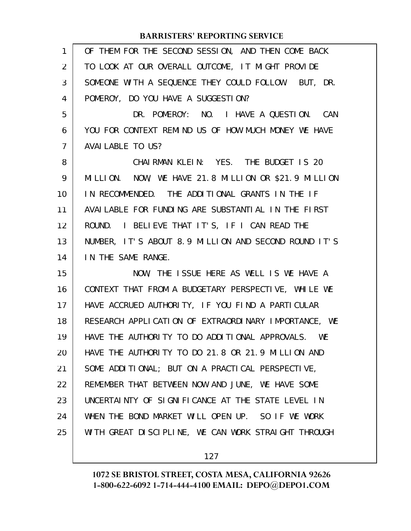| $\mathbf{1}$   | OF THEM FOR THE SECOND SESSION, AND THEN COME BACK   |
|----------------|------------------------------------------------------|
| 2              | TO LOOK AT OUR OVERALL OUTCOME, IT MIGHT PROVIDE     |
| 3              | SOMEONE WITH A SEQUENCE THEY COULD FOLLOW. BUT, DR.  |
| 4              | POMEROY, DO YOU HAVE A SUGGESTION?                   |
| 5              | DR. POMEROY: NO. I HAVE A QUESTION. CAN              |
| 6              | YOU FOR CONTEXT REMIND US OF HOW MUCH MONEY WE HAVE  |
| $\overline{7}$ | AVAI LABLE TO US?                                    |
| 8              | CHAIRMAN KLEIN: YES. THE BUDGET IS 20                |
| 9              | MILLION. NOW, WE HAVE 21.8 MILLION OR \$21.9 MILLION |
| 10             | IN RECOMMENDED. THE ADDITIONAL GRANTS IN THE IF      |
| 11             | AVAILABLE FOR FUNDING ARE SUBSTANTIAL IN THE FIRST   |
| 12             | ROUND. I BELIEVE THAT IT'S, IF I CAN READ THE        |
| 13             | NUMBER, IT'S ABOUT 8.9 MILLION AND SECOND ROUND IT'S |
| 14             | IN THE SAME RANGE.                                   |
| 15             | NOW, THE ISSUE HERE AS WELL IS WE HAVE A             |
| 16             | CONTEXT THAT FROM A BUDGETARY PERSPECTIVE, WHILE WE  |
| 17             | HAVE ACCRUED AUTHORITY, IF YOU FIND A PARTICULAR     |
| 18             | RESEARCH APPLICATION OF EXTRAORDINARY IMPORTANCE, WE |
| 19             | HAVE THE AUTHORITY TO DO ADDITIONAL APPROVALS. WE    |
| 20             | HAVE THE AUTHORITY TO DO 21.8 OR 21.9 MILLION AND    |
| 21             | SOME ADDITIONAL; BUT ON A PRACTICAL PERSPECTIVE,     |
| 22             | REMEMBER THAT BETWEEN NOW AND JUNE, WE HAVE SOME     |
| 23             | UNCERTAINTY OF SIGNIFICANCE AT THE STATE LEVEL IN    |
| 24             | WHEN THE BOND MARKET WILL OPEN UP. SO IF WE WORK     |
| 25             | WITH GREAT DISCIPLINE, WE CAN WORK STRAIGHT THROUGH  |
|                |                                                      |

127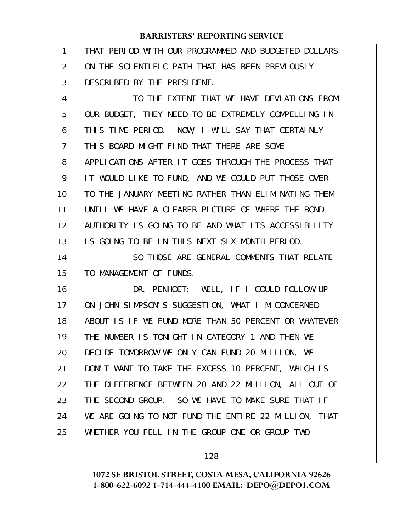| 1  | THAT PERIOD WITH OUR PROGRAMMED AND BUDGETED DOLLARS |
|----|------------------------------------------------------|
| 2  | ON THE SCIENTIFIC PATH THAT HAS BEEN PREVIOUSLY      |
| 3  | DESCRIBED BY THE PRESIDENT.                          |
| 4  | TO THE EXTENT THAT WE HAVE DEVIATIONS FROM           |
| 5  | OUR BUDGET, THEY NEED TO BE EXTREMELY COMPELLING IN  |
| 6  | THIS TIME PERIOD. NOW, I WILL SAY THAT CERTAINLY     |
| 7  | THIS BOARD MIGHT FIND THAT THERE ARE SOME            |
| 8  | APPLICATIONS AFTER IT GOES THROUGH THE PROCESS THAT  |
| 9  | IT WOULD LIKE TO FUND, AND WE COULD PUT THOSE OVER   |
| 10 | TO THE JANUARY MEETING RATHER THAN ELIMINATING THEM  |
| 11 | UNTIL WE HAVE A CLEARER PICTURE OF WHERE THE BOND    |
| 12 | AUTHORITY IS GOING TO BE AND WHAT ITS ACCESSIBILITY  |
| 13 | IS GOING TO BE IN THIS NEXT SIX-MONTH PERIOD.        |
| 14 | SO THOSE ARE GENERAL COMMENTS THAT RELATE            |
| 15 | TO MANAGEMENT OF FUNDS.                              |
| 16 | DR. PENHOET: WELL, IF I COULD FOLLOW UP              |
| 17 | ON JOHN SIMPSON'S SUGGESTION, WHAT I'M CONCERNED     |
| 18 | ABOUT IS IF WE FUND MORE THAN 50 PERCENT OR WHATEVER |
| 19 | THE NUMBER IS TONIGHT IN CATEGORY 1 AND THEN WE      |
| 20 | DECIDE TOMORROW WE ONLY CAN FUND 20 MILLION, WE      |
| 21 | DON'T WANT TO TAKE THE EXCESS 10 PERCENT, WHICH IS   |
| 22 | THE DIFFERENCE BETWEEN 20 AND 22 MILLION, ALL OUT OF |
| 23 | THE SECOND GROUP. SO WE HAVE TO MAKE SURE THAT IF    |
| 24 | WE ARE GOING TO NOT FUND THE ENTIRE 22 MILLION, THAT |
| 25 | WHETHER YOU FELL IN THE GROUP ONE OR GROUP TWO       |
|    |                                                      |

128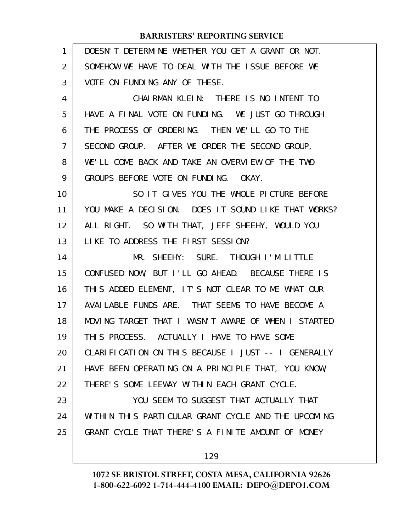| $\mathbf{1}$   | DOESN'T DETERMINE WHETHER YOU GET A GRANT OR NOT.   |
|----------------|-----------------------------------------------------|
| $\overline{2}$ | SOMEHOW WE HAVE TO DEAL WITH THE ISSUE BEFORE WE    |
| 3              | VOTE ON FUNDING ANY OF THESE.                       |
| 4              | CHAIRMAN KLEIN: THERE IS NO INTENT TO               |
| 5              | HAVE A FINAL VOTE ON FUNDING. WE JUST GO THROUGH    |
| 6              | THE PROCESS OF ORDERING. THEN WE'LL GO TO THE       |
| $\overline{7}$ | SECOND GROUP. AFTER WE ORDER THE SECOND GROUP,      |
| 8              | WE'LL COME BACK AND TAKE AN OVERVIEW OF THE TWO     |
| 9              | GROUPS BEFORE VOTE ON FUNDING. OKAY.                |
| 10             | SO IT GIVES YOU THE WHOLE PICTURE BEFORE            |
| 11             | YOU MAKE A DECISION. DOES IT SOUND LIKE THAT WORKS? |
| 12             | ALL RIGHT. SO WITH THAT, JEFF SHEEHY, WOULD YOU     |
| 13             | LIKE TO ADDRESS THE FIRST SESSION?                  |
| 14             | MR. SHEEHY: SURE. THOUGH I'M LITTLE                 |
| 15             | CONFUSED NOW, BUT I'LL GO AHEAD. BECAUSE THERE IS   |
| 16             | THIS ADDED ELEMENT, IT'S NOT CLEAR TO ME WHAT OUR   |
| 17             | AVAILABLE FUNDS ARE. THAT SEEMS TO HAVE BECOME A    |
| 18             | MOVING TARGET THAT I WASN'T AWARE OF WHEN I STARTED |
| 19             | THIS PROCESS. ACTUALLY I HAVE TO HAVE SOME          |
| 20             | CLARIFICATION ON THIS BECAUSE I JUST -- I GENERALLY |
| 21             | HAVE BEEN OPERATING ON A PRINCIPLE THAT, YOU KNOW,  |
| 22             | THERE'S SOME LEEWAY WITHIN EACH GRANT CYCLE.        |
| 23             | YOU SEEM TO SUGGEST THAT ACTUALLY THAT              |
| 24             | WITHIN THIS PARTICULAR GRANT CYCLE AND THE UPCOMING |
| 25             | GRANT CYCLE THAT THERE'S A FINITE AMOUNT OF MONEY   |
|                | 129                                                 |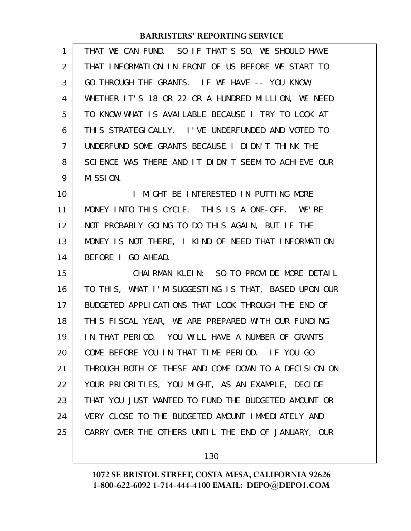| 1  | THAT WE CAN FUND. SO IF THAT'S SO, WE SHOULD HAVE    |
|----|------------------------------------------------------|
| 2  | THAT INFORMATION IN FRONT OF US BEFORE WE START TO   |
| 3  | GO THROUGH THE GRANTS. IF WE HAVE -- YOU KNOW,       |
| 4  | WHETHER IT'S 18 OR 22 OR A HUNDRED MILLION, WE NEED  |
| 5  | TO KNOW WHAT IS AVAILABLE BECAUSE I TRY TO LOOK AT   |
| 6  | THIS STRATEGICALLY. I'VE UNDERFUNDED AND VOTED TO    |
| 7  | UNDERFUND SOME GRANTS BECAUSE I DIDN'T THINK THE     |
| 8  | SCIENCE WAS THERE AND IT DIDN'T SEEM TO ACHIEVE OUR  |
| 9  | MISSION.                                             |
| 10 | MIGHT BE INTERESTED IN PUTTING MORE<br>$\mathbf{I}$  |
| 11 | MONEY INTO THIS CYCLE. THIS IS A ONE-OFF. WE'RE      |
| 12 | NOT PROBABLY GOING TO DO THIS AGAIN, BUT IF THE      |
| 13 | MONEY IS NOT THERE, I KIND OF NEED THAT INFORMATION  |
| 14 | BEFORE I GO AHEAD.                                   |
| 15 | CHAIRMAN KLEIN: SO TO PROVIDE MORE DETAIL            |
| 16 | TO THIS, WHAT I'M SUGGESTING IS THAT, BASED UPON OUR |
| 17 | BUDGETED APPLICATIONS THAT LOOK THROUGH THE END OF   |
| 18 | THIS FISCAL YEAR, WE ARE PREPARED WITH OUR FUNDING   |
| 19 | IN THAT PERIOD. YOU WILL HAVE A NUMBER OF GRANTS     |
| 20 | COME BEFORE YOU IN THAT TIME PERIOD. IF YOU GO       |
| 21 | THROUGH BOTH OF THESE AND COME DOWN TO A DECISION ON |
| 22 | YOUR PRIORITIES, YOU MIGHT, AS AN EXAMPLE, DECIDE    |
| 23 | THAT YOU JUST WANTED TO FUND THE BUDGETED AMOUNT OR  |
| 24 | VERY CLOSE TO THE BUDGETED AMOUNT IMMEDIATELY AND    |
| 25 | CARRY OVER THE OTHERS UNTIL THE END OF JANUARY, OUR  |
|    |                                                      |

130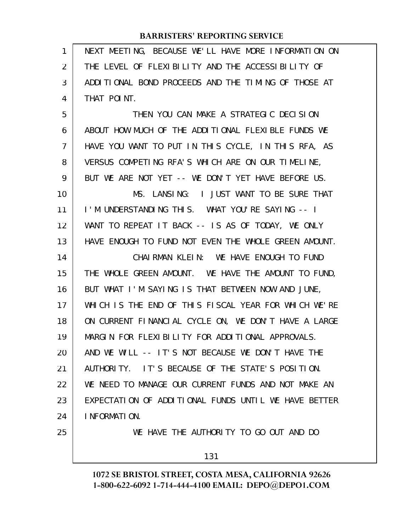| 1              | NEXT MEETING, BECAUSE WE'LL HAVE MORE INFORMATION ON |
|----------------|------------------------------------------------------|
| $\overline{2}$ | THE LEVEL OF FLEXIBILITY AND THE ACCESSIBILITY OF    |
| 3              | ADDITIONAL BOND PROCEEDS AND THE TIMING OF THOSE AT  |
| 4              | THAT POINT.                                          |
| 5              | THEN YOU CAN MAKE A STRATEGIC DECISION               |
| 6              | ABOUT HOW MUCH OF THE ADDITIONAL FLEXIBLE FUNDS WE   |
| $\overline{7}$ | HAVE YOU WANT TO PUT IN THIS CYCLE, IN THIS RFA, AS  |
| 8              | VERSUS COMPETING RFA'S WHICH ARE ON OUR TIMELINE,    |
| 9              | BUT WE ARE NOT YET -- WE DON'T YET HAVE BEFORE US.   |
| 10             | MS. LANSING: I JUST WANT TO BE SURE THAT             |
| 11             | I'M UNDERSTANDING THIS. WHAT YOU'RE SAYING -- I      |
| 12             | WANT TO REPEAT IT BACK -- IS AS OF TODAY, WE ONLY    |
| 13             | HAVE ENOUGH TO FUND NOT EVEN THE WHOLE GREEN AMOUNT. |
| 14             | CHAIRMAN KLEIN: WE HAVE ENOUGH TO FUND               |
| 15             | THE WHOLE GREEN AMOUNT. WE HAVE THE AMOUNT TO FUND,  |
| 16             | BUT WHAT I'M SAYING IS THAT BETWEEN NOW AND JUNE,    |
| 17             | WHICH IS THE END OF THIS FISCAL YEAR FOR WHICH WE'RE |
| 18             | ON CURRENT FINANCIAL CYCLE ON, WE DON'T HAVE A LARGE |
| 19             | MARGIN FOR FLEXIBILITY FOR ADDITIONAL APPROVALS.     |
| 20             | AND WE WILL -- IT'S NOT BECAUSE WE DON'T HAVE THE    |
| 21             | IT'S BECAUSE OF THE STATE'S POSITION.<br>AUTHORI TY. |
| 22             | WE NEED TO MANAGE OUR CURRENT FUNDS AND NOT MAKE AN  |
| 23             | EXPECTATION OF ADDITIONAL FUNDS UNTIL WE HAVE BETTER |
| 24             | I NFORMATION.                                        |
| 25             | WE HAVE THE AUTHORITY TO GO OUT AND DO               |
|                | 131                                                  |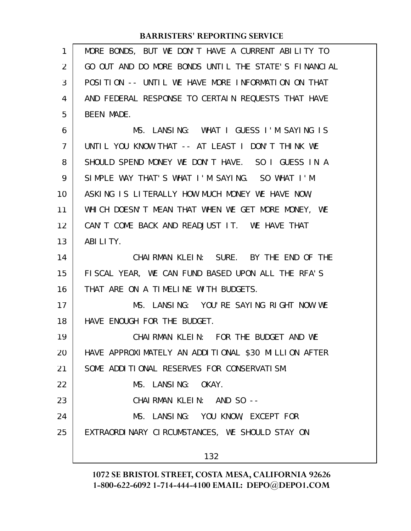| 1              | MORE BONDS, BUT WE DON'T HAVE A CURRENT ABILITY TO   |
|----------------|------------------------------------------------------|
| $\overline{2}$ | GO OUT AND DO MORE BONDS UNTIL THE STATE'S FINANCIAL |
| 3              | POSITION -- UNTIL WE HAVE MORE INFORMATION ON THAT   |
| 4              | AND FEDERAL RESPONSE TO CERTAIN REQUESTS THAT HAVE   |
| 5              | <b>BEEN MADE.</b>                                    |
| 6              | MS. LANSING: WHAT I GUESS I'M SAYING IS              |
| $\overline{7}$ | UNTIL YOU KNOW THAT -- AT LEAST I DON'T THINK WE     |
| 8              | SHOULD SPEND MONEY WE DON'T HAVE. SO I GUESS IN A    |
| 9              | SIMPLE WAY THAT'S WHAT I'M SAYING. SO WHAT I'M       |
| 10             | ASKING IS LITERALLY HOW MUCH MONEY WE HAVE NOW,      |
| 11             | WHICH DOESN'T MEAN THAT WHEN WE GET MORE MONEY, WE   |
| 12             | CAN'T COME BACK AND READJUST IT. WE HAVE THAT        |
| 13             | ABILITY.                                             |
| 14             | CHAIRMAN KLEIN: SURE. BY THE END OF THE              |
| 15             | FISCAL YEAR, WE CAN FUND BASED UPON ALL THE RFA'S    |
| 16             | THAT ARE ON A TIMELINE WITH BUDGETS.                 |
| 17             | MS. LANSING: YOU'RE SAYING RIGHT NOW WE              |
| 18             | HAVE ENOUGH FOR THE BUDGET.                          |
| 19             | CHAIRMAN KLEIN: FOR THE BUDGET AND WE                |
| 20             | HAVE APPROXIMATELY AN ADDITIONAL \$30 MILLION AFTER  |
| 21             | SOME ADDITIONAL RESERVES FOR CONSERVATISM.           |
| 22             | MS. LANSING: OKAY.                                   |
| 23             | CHAIRMAN KLEIN: AND SO --                            |
| 24             | MS. LANSING: YOU KNOW, EXCEPT FOR                    |
| 25             | EXTRAORDINARY CIRCUMSTANCES, WE SHOULD STAY ON       |
|                |                                                      |
|                | 132                                                  |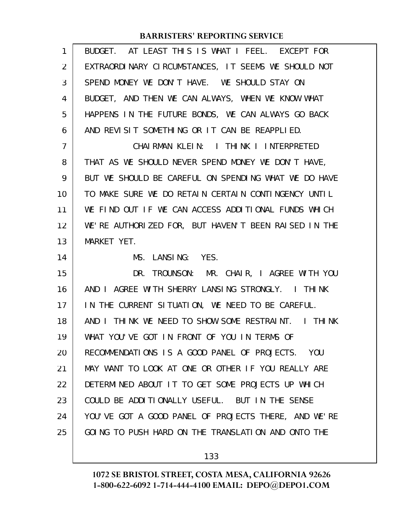| 1              | BUDGET. AT LEAST THIS IS WHAT I FEEL. EXCEPT FOR     |
|----------------|------------------------------------------------------|
| 2              | EXTRAORDINARY CIRCUMSTANCES, IT SEEMS WE SHOULD NOT  |
| 3              | SPEND MONEY WE DON'T HAVE. WE SHOULD STAY ON         |
| 4              | BUDGET, AND THEN WE CAN ALWAYS, WHEN WE KNOW WHAT    |
| 5              | HAPPENS IN THE FUTURE BONDS, WE CAN ALWAYS GO BACK   |
| 6              | AND REVISIT SOMETHING OR IT CAN BE REAPPLIED.        |
| $\overline{7}$ | CHAIRMAN KLEIN: I THINK I INTERPRETED                |
| 8              | THAT AS WE SHOULD NEVER SPEND MONEY WE DON'T HAVE,   |
| 9              | BUT WE SHOULD BE CAREFUL ON SPENDING WHAT WE DO HAVE |
| 10             | TO MAKE SURE WE DO RETAIN CERTAIN CONTINGENCY UNTIL  |
| 11             | WE FIND OUT IF WE CAN ACCESS ADDITIONAL FUNDS WHICH  |
| 12             | WE'RE AUTHORIZED FOR, BUT HAVEN'T BEEN RAISED IN THE |
|                |                                                      |
| 13             | MARKET YET.                                          |
| 14             | MS. LANSING: YES.                                    |
| 15             | DR. TROUNSON: MR. CHAIR, I AGREE WITH YOU            |
| 16             | AND I AGREE WITH SHERRY LANSING STRONGLY. I THINK    |
| 17             | IN THE CURRENT SITUATION, WE NEED TO BE CAREFUL.     |
| 18             | AND I THINK WE NEED TO SHOW SOME RESTRAINT. I THINK  |
| 19             | WHAT YOU'VE GOT IN FRONT OF YOU IN TERMS OF          |
| 20             | RECOMMENDATIONS IS A GOOD PANEL OF PROJECTS. YOU     |
| 21             | MAY WANT TO LOOK AT ONE OR OTHER IF YOU REALLY ARE   |
| 22             | DETERMINED ABOUT IT TO GET SOME PROJECTS UP WHICH    |
| 23             | COULD BE ADDITIONALLY USEFUL. BUT IN THE SENSE       |
| 24             | YOU'VE GOT A GOOD PANEL OF PROJECTS THERE, AND WE'RE |
| 25             | GOING TO PUSH HARD ON THE TRANSLATION AND ONTO THE   |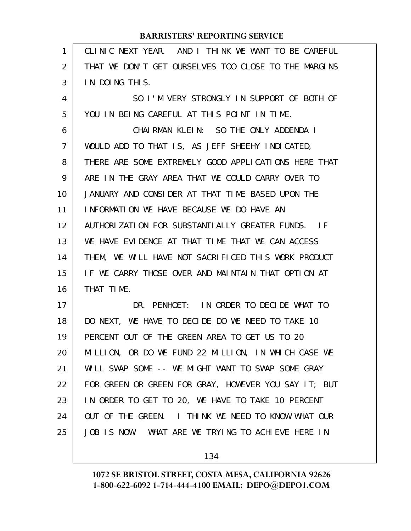| 1  | CLINIC NEXT YEAR. AND I THINK WE WANT TO BE CAREFUL  |
|----|------------------------------------------------------|
| 2  | THAT WE DON'T GET OURSELVES TOO CLOSE TO THE MARGINS |
| 3  | IN DOING THIS.                                       |
| 4  | SO I'M VERY STRONGLY IN SUPPORT OF BOTH OF           |
| 5  | YOU IN BEING CAREFUL AT THIS POINT IN TIME.          |
| 6  | CHAIRMAN KLEIN: SO THE ONLY ADDENDA I                |
| 7  | WOULD ADD TO THAT IS, AS JEFF SHEEHY INDICATED,      |
| 8  | THERE ARE SOME EXTREMELY GOOD APPLICATIONS HERE THAT |
| 9  | ARE IN THE GRAY AREA THAT WE COULD CARRY OVER TO     |
| 10 | JANUARY AND CONSIDER AT THAT TIME BASED UPON THE     |
| 11 | INFORMATION WE HAVE BECAUSE WE DO HAVE AN            |
| 12 | AUTHORIZATION FOR SUBSTANTIALLY GREATER FUNDS. IF    |
| 13 | WE HAVE EVIDENCE AT THAT TIME THAT WE CAN ACCESS     |
| 14 | THEM, WE WILL HAVE NOT SACRIFICED THIS WORK PRODUCT  |
| 15 | IF WE CARRY THOSE OVER AND MAINTAIN THAT OPTION AT   |
| 16 | THAT TIME.                                           |
| 17 | DR. PENHOET: IN ORDER TO DECIDE WHAT TO              |
| 18 | DO NEXT, WE HAVE TO DECIDE DO WE NEED TO TAKE 10     |
| 19 | PERCENT OUT OF THE GREEN AREA TO GET US TO 20        |
| 20 | MILLION, OR DO WE FUND 22 MILLION, IN WHICH CASE WE  |
| 21 | WILL SWAP SOME -- WE MIGHT WANT TO SWAP SOME GRAY    |
| 22 | FOR GREEN OR GREEN FOR GRAY, HOWEVER YOU SAY IT; BUT |
| 23 | IN ORDER TO GET TO 20, WE HAVE TO TAKE 10 PERCENT    |
| 24 | OUT OF THE GREEN. I THINK WE NEED TO KNOW WHAT OUR   |
| 25 | JOB IS NOW. WHAT ARE WE TRYING TO ACHIEVE HERE IN    |
|    |                                                      |

134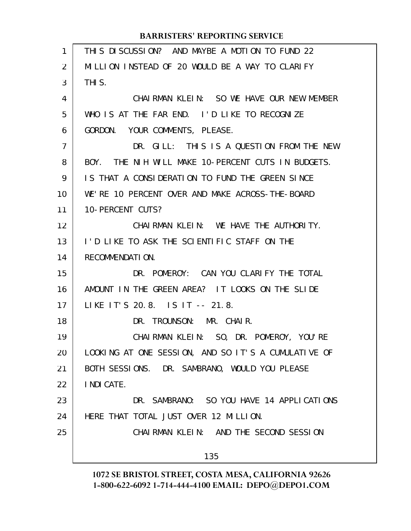| 1              | THIS DISCUSSION? AND MAYBE A MOTION TO FUND 22      |
|----------------|-----------------------------------------------------|
| 2              | MILLION INSTEAD OF 20 WOULD BE A WAY TO CLARIFY     |
| 3              | THI S.                                              |
| 4              | CHAIRMAN KLEIN: SO WE HAVE OUR NEW MEMBER           |
| 5              | WHO IS AT THE FAR END. I'D LIKE TO RECOGNIZE        |
| 6              | GORDON. YOUR COMMENTS, PLEASE.                      |
| $\overline{7}$ | DR. GILL: THIS IS A QUESTION FROM THE NEW           |
| 8              | BOY. THE NIH WILL MAKE 10-PERCENT CUTS IN BUDGETS.  |
| 9              | IS THAT A CONSIDERATION TO FUND THE GREEN SINCE     |
| 10             | WE'RE 10 PERCENT OVER AND MAKE ACROSS-THE-BOARD     |
| 11             | 10-PERCENT CUTS?                                    |
| 12             | CHAIRMAN KLEIN: WE HAVE THE AUTHORITY.              |
| 13             | I'D LIKE TO ASK THE SCIENTIFIC STAFF ON THE         |
| 14             | RECOMMENDATION.                                     |
| 15             | DR. POMEROY: CAN YOU CLARIFY THE TOTAL              |
| 16             | AMOUNT IN THE GREEN AREA? IT LOOKS ON THE SLIDE     |
| 17             | LIKE IT'S 20.8. IS IT -- 21.8.                      |
| 18             | DR. TROUNSON: MR. CHAIR.                            |
| 19             | CHAIRMAN KLEIN: SO, DR. POMEROY, YOU'RE             |
| 20             | LOOKING AT ONE SESSION, AND SO IT'S A CUMULATIVE OF |
| 21             | BOTH SESSIONS. DR. SAMBRANO, WOULD YOU PLEASE       |
| 22             | I NDI CATE.                                         |
| 23             | DR. SAMBRANO: SO YOU HAVE 14 APPLICATIONS           |
| 24             | HERE THAT TOTAL JUST OVER 12 MILLION.               |
| 25             | CHAIRMAN KLEIN: AND THE SECOND SESSION              |
|                | 135                                                 |
|                |                                                     |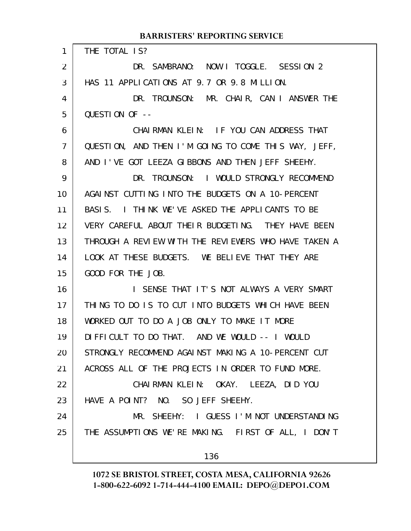#### THE TOTAL IS? DR. SAMBRANO: NOW I TOGGLE. SESSION 2 HAS 11 APPLICATIONS AT 9.7 OR 9.8 MILLION. DR. TROUNSON: MR. CHAIR, CAN I ANSWER THE QUESTION OF -- CHAIRMAN KLEIN: IF YOU CAN ADDRESS THAT QUESTION, AND THEN I'M GOING TO COME THIS WAY, JEFF, AND I'VE GOT LEEZA GIBBONS AND THEN JEFF SHEEHY. DR. TROUNSON: I WOULD STRONGLY RECOMMEND AGAINST CUTTING INTO THE BUDGETS ON A 10-PERCENT BASIS. I THINK WE'VE ASKED THE APPLICANTS TO BE VERY CAREFUL ABOUT THEIR BUDGETING. THEY HAVE BEEN THROUGH A REVIEW WITH THE REVIEWERS WHO HAVE TAKEN A LOOK AT THESE BUDGETS. WE BELIEVE THAT THEY ARE GOOD FOR THE JOB. I SENSE THAT IT'S NOT ALWAYS A VERY SMART THING TO DO IS TO CUT INTO BUDGETS WHICH HAVE BEEN WORKED OUT TO DO A JOB ONLY TO MAKE IT MORE DIFFICULT TO DO THAT. AND WE WOULD -- I WOULD STRONGLY RECOMMEND AGAINST MAKING A 10-PERCENT CUT ACROSS ALL OF THE PROJECTS IN ORDER TO FUND MORE. CHAIRMAN KLEIN: OKAY. LEEZA, DID YOU HAVE A POINT? NO. SO JEFF SHEEHY. MR. SHEEHY: I GUESS I'M NOT UNDERSTANDING THE ASSUMPTIONS WE'RE MAKING. FIRST OF ALL, I DON'T 136 **BARRISTERS' REPORTING SERVICE** 1 2 3 4 5 6 7 8 9 10 11 12 13 14 15 16 17 18 19 20 21 22 23 24 25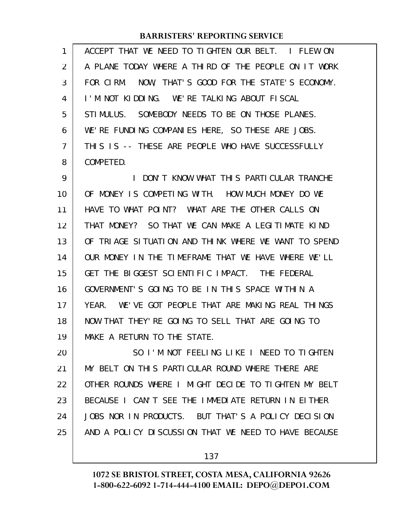| 1              | ACCEPT THAT WE NEED TO TIGHTEN OUR BELT. I FLEW ON    |
|----------------|-------------------------------------------------------|
| $\overline{2}$ | A PLANE TODAY WHERE A THIRD OF THE PEOPLE ON IT WORK  |
| 3              | FOR CIRM. NOW, THAT'S GOOD FOR THE STATE'S ECONOMY.   |
| 4              | I'M NOT KIDDING. WE'RE TALKING ABOUT FISCAL           |
| 5              | STIMULUS. SOMEBODY NEEDS TO BE ON THOSE PLANES.       |
| 6              | WE'RE FUNDING COMPANIES HERE, SO THESE ARE JOBS.      |
| 7              | THIS IS -- THESE ARE PEOPLE WHO HAVE SUCCESSFULLY     |
| 8              | COMPETED.                                             |
| 9              | I DON'T KNOW WHAT THIS PARTICULAR TRANCHE             |
| 10             | OF MONEY IS COMPETING WITH. HOW MUCH MONEY DO WE      |
| 11             | HAVE TO WHAT POINT? WHAT ARE THE OTHER CALLS ON       |
| 12             | THAT MONEY? SO THAT WE CAN MAKE A LEGITIMATE KIND     |
| 13             | OF TRIAGE SITUATION AND THINK WHERE WE WANT TO SPEND  |
| 14             | OUR MONEY IN THE TIMEFRAME THAT WE HAVE WHERE WE'LL   |
| 15             | GET THE BIGGEST SCIENTIFIC IMPACT. THE FEDERAL        |
| 16             | GOVERNMENT'S GOING TO BE IN THIS SPACE WITHIN A       |
| 17             | WE'VE GOT PEOPLE THAT ARE MAKING REAL THINGS<br>YFAR. |
| 18             | NOW THAT THEY' RE GOING TO SELL THAT ARE GOING TO     |
| 19             | MAKE A RETURN TO THE STATE.                           |
| 20             | SO I'M NOT FEELING LIKE I NEED TO TIGHTEN             |
| 21             | MY BELT ON THIS PARTICULAR ROUND WHERE THERE ARE      |
| 22             | OTHER ROUNDS WHERE I MIGHT DECIDE TO TIGHTEN MY BELT  |
| 23             | BECAUSE I CAN'T SEE THE IMMEDIATE RETURN IN EITHER    |
| 24             | JOBS NOR IN PRODUCTS. BUT THAT'S A POLICY DECISION    |
| 25             | AND A POLICY DISCUSSION THAT WE NEED TO HAVE BECAUSE  |
|                |                                                       |

137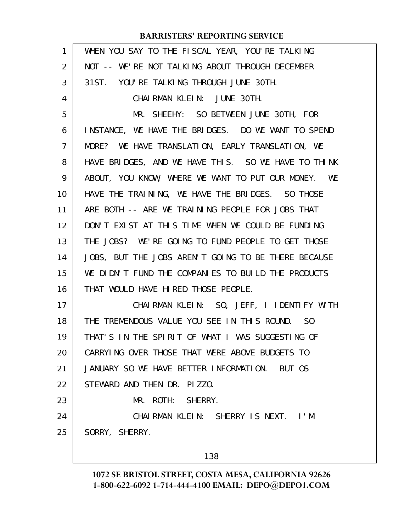| 1              | WHEN YOU SAY TO THE FISCAL YEAR, YOU'RE TALKING     |
|----------------|-----------------------------------------------------|
| $\overline{2}$ | NOT -- WE'RE NOT TALKING ABOUT THROUGH DECEMBER     |
| 3              | 31ST. YOU'RE TALKING THROUGH JUNE 30TH.             |
| 4              | CHAIRMAN KLEIN: JUNE 30TH.                          |
| 5              | MR. SHEEHY: SO BETWEEN JUNE 30TH, FOR               |
| 6              | INSTANCE, WE HAVE THE BRIDGES. DO WE WANT TO SPEND  |
| 7              | MORE? WE HAVE TRANSLATION, EARLY TRANSLATION, WE    |
| 8              | HAVE BRIDGES, AND WE HAVE THIS. SO WE HAVE TO THINK |
| 9              | ABOUT, YOU KNOW, WHERE WE WANT TO PUT OUR MONEY. WE |
| 10             | HAVE THE TRAINING, WE HAVE THE BRIDGES. SO THOSE    |
| 11             | ARE BOTH -- ARE WE TRAINING PEOPLE FOR JOBS THAT    |
| 12             | DON'T EXIST AT THIS TIME WHEN WE COULD BE FUNDING   |
| 13             | THE JOBS? WE'RE GOING TO FUND PEOPLE TO GET THOSE   |
| 14             | JOBS, BUT THE JOBS AREN'T GOING TO BE THERE BECAUSE |
| 15             | WE DIDN'T FUND THE COMPANIES TO BUILD THE PRODUCTS  |
| 16             | THAT WOULD HAVE HIRED THOSE PEOPLE.                 |
| 17             | CHAIRMAN KLEIN: SO, JEFF, I IDENTIFY WITH           |
| 18             | THE TREMENDOUS VALUE YOU SEE IN THIS ROUND. SO      |
| 19             | THAT'S IN THE SPIRIT OF WHAT I WAS SUGGESTING OF    |
| 20             | CARRYING OVER THOSE THAT WERE ABOVE BUDGETS TO      |
| 21             | JANUARY SO WE HAVE BETTER INFORMATION. BUT OS       |
| 22             | STEWARD AND THEN DR. PIZZO.                         |
| 23             | MR. ROTH: SHERRY.                                   |
| 24             | CHAIRMAN KLEIN: SHERRY IS NEXT. I'M                 |
| 25             | SORRY, SHERRY.                                      |
|                | 138                                                 |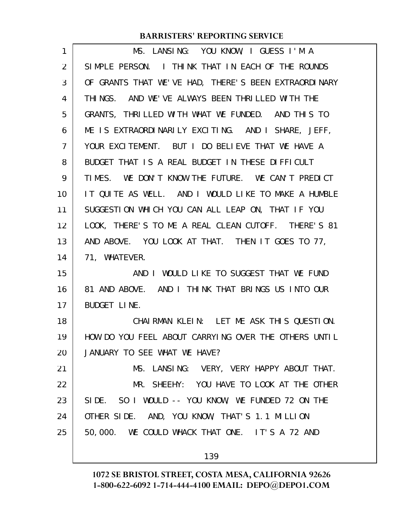| MS. LANSING: YOU KNOW, I GUESS I'M A                 |
|------------------------------------------------------|
| SIMPLE PERSON. I THINK THAT IN EACH OF THE ROUNDS    |
| OF GRANTS THAT WE'VE HAD, THERE'S BEEN EXTRAORDINARY |
| THINGS. AND WE'VE ALWAYS BEEN THRILLED WITH THE      |
| GRANTS, THRILLED WITH WHAT WE FUNDED. AND THIS TO    |
| ME IS EXTRAORDINARILY EXCITING. AND I SHARE, JEFF,   |
| YOUR EXCITEMENT. BUT I DO BELIEVE THAT WE HAVE A     |
| BUDGET THAT IS A REAL BUDGET IN THESE DIFFICULT      |
| TIMES. WE DON'T KNOW THE FUTURE. WE CAN'T PREDICT    |
| IT QUITE AS WELL. AND I WOULD LIKE TO MAKE A HUMBLE  |
| SUGGESTION WHICH YOU CAN ALL LEAP ON, THAT IF YOU    |
| LOOK, THERE'S TO ME A REAL CLEAN CUTOFF. THERE'S 81  |
| AND ABOVE. YOU LOOK AT THAT. THEN IT GOES TO 77,     |
| 71, WHATEVER.                                        |
| AND I WOULD LIKE TO SUGGEST THAT WE FUND             |
| 81 AND ABOVE. AND I THINK THAT BRINGS US INTO OUR    |
| <b>BUDGET LINE.</b>                                  |
| CHAIRMAN KLEIN: LET ME ASK THIS QUESTION.            |
| HOW DO YOU FEEL ABOUT CARRYING OVER THE OTHERS UNTIL |
| JANUARY TO SEE WHAT WE HAVE?                         |
| MS. LANSING: VERY, VERY HAPPY ABOUT THAT.            |
| MR. SHEEHY: YOU HAVE TO LOOK AT THE OTHER            |
| SIDE. SO I WOULD -- YOU KNOW, WE FUNDED 72 ON THE    |
| OTHER SIDE. AND, YOU KNOW, THAT'S 1.1 MILLION        |
| 50,000. WE COULD WHACK THAT ONE. IT'S A 72 AND       |
| 139                                                  |
|                                                      |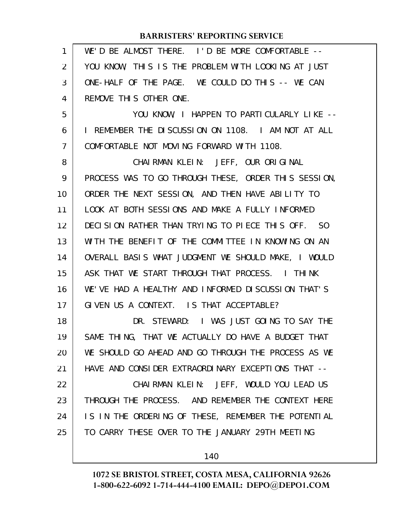| 1  | WE'D BE ALMOST THERE. I'D BE MORE COMFORTABLE --     |
|----|------------------------------------------------------|
| 2  | YOU KNOW, THIS IS THE PROBLEM WITH LOOKING AT JUST   |
| 3  | ONE-HALF OF THE PAGE. WE COULD DO THIS -- WE CAN     |
| 4  | REMOVE THIS OTHER ONE.                               |
| 5  | YOU KNOW, I HAPPEN TO PARTICULARLY LIKE --           |
| 6  | I REMEMBER THE DISCUSSION ON 1108. I AM NOT AT ALL   |
| 7  | COMFORTABLE NOT MOVING FORWARD WITH 1108.            |
| 8  | CHAIRMAN KLEIN: JEFF, OUR ORIGINAL                   |
| 9  | PROCESS WAS TO GO THROUGH THESE, ORDER THIS SESSION, |
| 10 | ORDER THE NEXT SESSION, AND THEN HAVE ABILITY TO     |
| 11 | LOOK AT BOTH SESSIONS AND MAKE A FULLY INFORMED      |
| 12 | DECISION RATHER THAN TRYING TO PIECE THIS OFF. SO    |
| 13 | WITH THE BENEFIT OF THE COMMITTEE IN KNOWING ON AN   |
| 14 | OVERALL BASIS WHAT JUDGMENT WE SHOULD MAKE, I WOULD  |
| 15 | ASK THAT WE START THROUGH THAT PROCESS. I THINK      |
| 16 | WE'VE HAD A HEALTHY AND INFORMED DISCUSSION THAT'S   |
| 17 | GIVEN US A CONTEXT. IS THAT ACCEPTABLE?              |
| 18 | DR. STEWARD: I WAS JUST GOING TO SAY THE             |
| 19 | SAME THING, THAT WE ACTUALLY DO HAVE A BUDGET THAT   |
| 20 | WE SHOULD GO AHEAD AND GO THROUGH THE PROCESS AS WE  |
| 21 | HAVE AND CONSIDER EXTRAORDINARY EXCEPTIONS THAT --   |
| 22 | CHAIRMAN KLEIN: JEFF, WOULD YOU LEAD US              |
| 23 | THROUGH THE PROCESS. AND REMEMBER THE CONTEXT HERE   |
| 24 | IS IN THE ORDERING OF THESE, REMEMBER THE POTENTIAL  |
| 25 | TO CARRY THESE OVER TO THE JANUARY 29TH MEETING      |
|    |                                                      |

140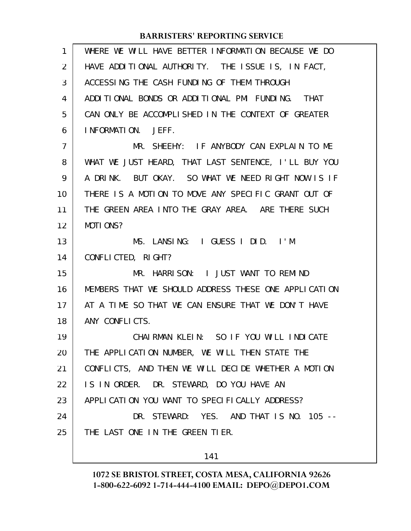| 1              | WHERE WE WILL HAVE BETTER INFORMATION BECAUSE WE DO  |
|----------------|------------------------------------------------------|
| 2              | HAVE ADDITIONAL AUTHORITY. THE ISSUE IS, IN FACT,    |
| 3              | ACCESSING THE CASH FUNDING OF THEM THROUGH           |
| 4              | ADDITIONAL BONDS OR ADDITIONAL PMI FUNDING. THAT     |
| 5              | CAN ONLY BE ACCOMPLISHED IN THE CONTEXT OF GREATER   |
| 6              | INFORMATION. JEFF.                                   |
| $\overline{7}$ | MR. SHEEHY: IF ANYBODY CAN EXPLAIN TO ME             |
| 8              | WHAT WE JUST HEARD, THAT LAST SENTENCE, I'LL BUY YOU |
| 9              | A DRINK. BUT OKAY. SO WHAT WE NEED RIGHT NOW IS IF   |
| 10             | THERE IS A MOTION TO MOVE ANY SPECIFIC GRANT OUT OF  |
| 11             | THE GREEN AREA INTO THE GRAY AREA. ARE THERE SUCH    |
| 12             | MOTIONS?                                             |
| 13             | MS. LANSING: I GUESS I DID. I'M                      |
| 14             | CONFLICTED, RIGHT?                                   |
| 15             | MR. HARRISON: I JUST WANT TO REMIND                  |
| 16             | MEMBERS THAT WE SHOULD ADDRESS THESE ONE APPLICATION |
| 17             | AT A TIME SO THAT WE CAN ENSURE THAT WE DON'T HAVE   |
| 18             | ANY CONFLICTS.                                       |
| 19             | CHAIRMAN KLEIN: SO IF YOU WILL INDICATE              |
| 20             | THE APPLICATION NUMBER, WE WILL THEN STATE THE       |
| 21             | CONFLICTS, AND THEN WE WILL DECIDE WHETHER A MOTION  |
| 22             | IS IN ORDER. DR. STEWARD, DO YOU HAVE AN             |
| 23             | APPLICATION YOU WANT TO SPECIFICALLY ADDRESS?        |
| 24             | DR. STEWARD: YES. AND THAT IS NO. 105 --             |
| 25             | THE LAST ONE IN THE GREEN TIER.                      |
|                |                                                      |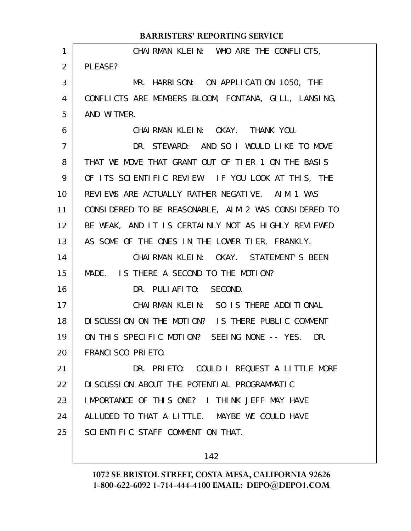|                | <b>BARRISTERS' REPORTING SERVICE</b>                 |
|----------------|------------------------------------------------------|
| 1              | CHAIRMAN KLEIN: WHO ARE THE CONFLICTS,               |
| 2              | PLEASE?                                              |
| 3              | MR. HARRISON: ON APPLICATION 1050, THE               |
| 4              | CONFLICTS ARE MEMBERS BLOOM, FONTANA, GILL, LANSING, |
| 5              | AND WITMER.                                          |
| 6              | CHAIRMAN KLEIN: OKAY. THANK YOU.                     |
| $\overline{7}$ | DR. STEWARD: AND SO I WOULD LIKE TO MOVE             |
| 8              | THAT WE MOVE THAT GRANT OUT OF TIER 1 ON THE BASIS   |
| 9              | OF ITS SCIENTIFIC REVIEW. IF YOU LOOK AT THIS, THE   |
| 10             | REVIEWS ARE ACTUALLY RATHER NEGATIVE. AIM 1 WAS      |
| 11             | CONSIDERED TO BE REASONABLE, AIM 2 WAS CONSIDERED TO |
| 12             | BE WEAK, AND IT IS CERTAINLY NOT AS HIGHLY REVIEWED  |
| 13             | AS SOME OF THE ONES IN THE LOWER TIER, FRANKLY.      |
| 14             | CHAIRMAN KLEIN: OKAY. STATEMENT'S BEEN               |
| 15             | MADE. IS THERE A SECOND TO THE MOTION?               |
| 16             | DR. PULIAFITO: SECOND.                               |
| 17             | CHAIRMAN KLEIN: SO IS THERE ADDITIONAL               |
| 18             | DISCUSSION ON THE MOTION? IS THERE PUBLIC COMMENT    |
| 19             | ON THIS SPECIFIC MOTION? SEEING NONE -- YES.<br>DR.  |
| 20             | FRANCISCO PRIETO.                                    |
| 21             | DR. PRIETO: COULD I REQUEST A LITTLE MORE            |
| 22             | DI SCUSSION ABOUT THE POTENTIAL PROGRAMMATIC         |
| 23             | IMPORTANCE OF THIS ONE? I THINK JEFF MAY HAVE        |
| 24             | ALLUDED TO THAT A LITTLE. MAYBE WE COULD HAVE        |
| 25             | SCIENTIFIC STAFF COMMENT ON THAT.                    |
|                |                                                      |

# 142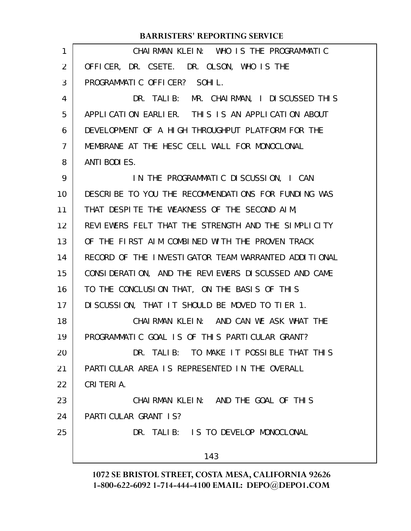|                | <b>BARRISTERS' REPORTING SERVICE</b>                 |
|----------------|------------------------------------------------------|
| 1              | CHAIRMAN KLEIN: WHO IS THE PROGRAMMATIC              |
| 2              | OFFICER, DR. CSETE. DR. OLSON, WHO IS THE            |
| 3              | PROGRAMMATIC OFFICER? SOHIL.                         |
| 4              | DR. TALIB: MR. CHAIRMAN, I DISCUSSED THIS            |
| 5              | APPLICATION EARLIER. THIS IS AN APPLICATION ABOUT    |
| 6              | DEVELOPMENT OF A HIGH THROUGHPUT PLATFORM FOR THE    |
| $\overline{7}$ | MEMBRANE AT THE HESC CELL WALL FOR MONOCLONAL        |
| 8              | ANTI BODI ES.                                        |
| 9              | IN THE PROGRAMMATIC DISCUSSION, I CAN                |
| 10             | DESCRIBE TO YOU THE RECOMMENDATIONS FOR FUNDING WAS  |
| 11             | THAT DESPITE THE WEAKNESS OF THE SECOND AIM,         |
| 12             | REVIEWERS FELT THAT THE STRENGTH AND THE SIMPLICITY  |
| 13             | OF THE FIRST AIM COMBINED WITH THE PROVEN TRACK      |
| 14             | RECORD OF THE INVESTIGATOR TEAM WARRANTED ADDITIONAL |
| 15             | CONSIDERATION, AND THE REVIEWERS DISCUSSED AND CAME  |
| 16             | TO THE CONCLUSION THAT, ON THE BASIS OF THIS         |
| 17             | DISCUSSION, THAT IT SHOULD BE MOVED TO TIER 1.       |
| 18             | CHAIRMAN KLEIN: AND CAN WE ASK WHAT THE              |
| 19             | PROGRAMMATIC GOAL IS OF THIS PARTICULAR GRANT?       |
| 20             | DR. TALIB: TO MAKE IT POSSIBLE THAT THIS             |
| 21             | PARTICULAR AREA IS REPRESENTED IN THE OVERALL        |
| 22             | CRITERIA.                                            |
| 23             | CHAIRMAN KLEIN: AND THE GOAL OF THIS                 |
| 24             | PARTICULAR GRANT IS?                                 |
| 25             | DR. TALIB: IS TO DEVELOP MONOCLONAL                  |
|                | 143                                                  |
|                |                                                      |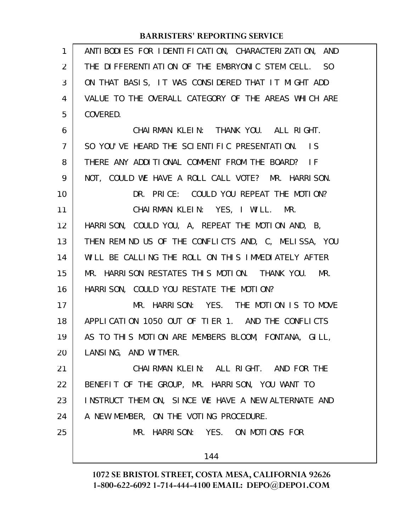| 1              | ANTI BODI ES FOR I DENTI FI CATI ON, CHARACTERI ZATI ON, AND |
|----------------|--------------------------------------------------------------|
| 2              | THE DIFFERENTIATION OF THE EMBRYONIC STEM CELL. SO           |
| 3              | ON THAT BASIS, IT WAS CONSIDERED THAT IT MIGHT ADD           |
| 4              | VALUE TO THE OVERALL CATEGORY OF THE AREAS WHICH ARE         |
| 5              | COVERED.                                                     |
| 6              | CHAIRMAN KLEIN: THANK YOU. ALL RIGHT.                        |
| $\overline{7}$ | SO YOU'VE HEARD THE SCIENTIFIC PRESENTATION. IS              |
| 8              | THERE ANY ADDITIONAL COMMENT FROM THE BOARD? IF              |
| 9              | NOT, COULD WE HAVE A ROLL CALL VOTE? MR. HARRISON.           |
| 10             | DR. PRICE: COULD YOU REPEAT THE MOTION?                      |
| 11             | CHAIRMAN KLEIN: YES, I WILL. MR.                             |
| 12             | HARRISON, COULD YOU, A, REPEAT THE MOTION AND, B,            |
| 13             | THEN REMIND US OF THE CONFLICTS AND, C, MELISSA, YOU         |
| 14             | WILL BE CALLING THE ROLL ON THIS IMMEDIATELY AFTER           |
| 15             | MR. HARRISON RESTATES THIS MOTION. THANK YOU. MR.            |
| 16             | HARRISON, COULD YOU RESTATE THE MOTION?                      |
| 17             | MR. HARRISON: YES. THE MOTION IS TO MOVE                     |
| 18             | APPLICATION 1050 OUT OF TIER 1. AND THE CONFLICTS            |
| 19             | AS TO THIS MOTION ARE MEMBERS BLOOM, FONTANA, GILL,          |
| 20             | LANSING, AND WITMER.                                         |
| 21             | CHAIRMAN KLEIN: ALL RIGHT. AND FOR THE                       |
| 22             | BENEFIT OF THE GROUP, MR. HARRISON, YOU WANT TO              |
| 23             | INSTRUCT THEM ON, SINCE WE HAVE A NEW ALTERNATE AND          |
| 24             | A NEW MEMBER, ON THE VOTING PROCEDURE.                       |
| 25             | MR. HARRISON: YES. ON MOTIONS FOR                            |
|                | 144                                                          |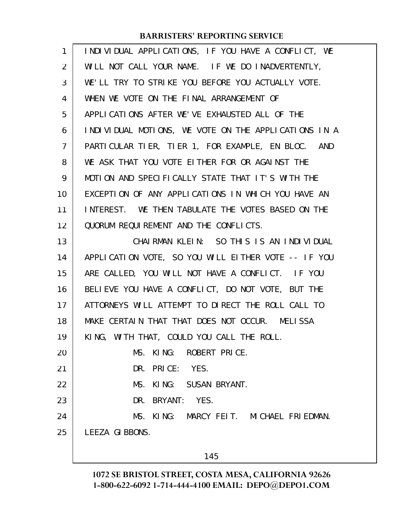| 1              | INDIVIDUAL APPLICATIONS, IF YOU HAVE A CONFLICT, WE  |
|----------------|------------------------------------------------------|
| $\overline{2}$ | WILL NOT CALL YOUR NAME. IF WE DO INADVERTENTLY,     |
| 3              | WE'LL TRY TO STRIKE YOU BEFORE YOU ACTUALLY VOTE.    |
| 4              | WHEN WE VOTE ON THE FINAL ARRANGEMENT OF             |
| 5              | APPLICATIONS AFTER WE'VE EXHAUSTED ALL OF THE        |
| 6              | INDIVIDUAL MOTIONS, WE VOTE ON THE APPLICATIONS IN A |
| $\overline{7}$ | PARTICULAR TIER, TIER 1, FOR EXAMPLE, EN BLOC. AND   |
| 8              | WE ASK THAT YOU VOTE EITHER FOR OR AGAINST THE       |
| 9              | MOTION AND SPECIFICALLY STATE THAT IT'S WITH THE     |
| 10             | EXCEPTION OF ANY APPLICATIONS IN WHICH YOU HAVE AN   |
| 11             | INTEREST. WE THEN TABULATE THE VOTES BASED ON THE    |
| 12             | QUORUM REQUIREMENT AND THE CONFLICTS.                |
| 13             | CHAIRMAN KLEIN: SO THIS IS AN INDIVIDUAL             |
| 14             | APPLICATION VOTE, SO YOU WILL EITHER VOTE -- IF YOU  |
| 15             | ARE CALLED, YOU WILL NOT HAVE A CONFLICT. IF YOU     |
| 16             | BELIEVE YOU HAVE A CONFLICT, DO NOT VOTE, BUT THE    |
| 17             | ATTORNEYS WILL ATTEMPT TO DIRECT THE ROLL CALL TO    |
| 18             | MAKE CERTAIN THAT THAT DOES NOT OCCUR. MELISSA       |
| 19             | KING, WITH THAT, COULD YOU CALL THE ROLL.            |
| 20             | MS. KING: ROBERT PRICE.                              |
| 21             | DR. PRICE: YES.                                      |
| 22             | MS. KING: SUSAN BRYANT.                              |
| 23             | DR. BRYANT: YES.                                     |
| 24             | MS. KING: MARCY FEIT. MICHAEL FRIEDMAN.              |
| 25             | LEEZA GIBBONS.                                       |
|                |                                                      |

145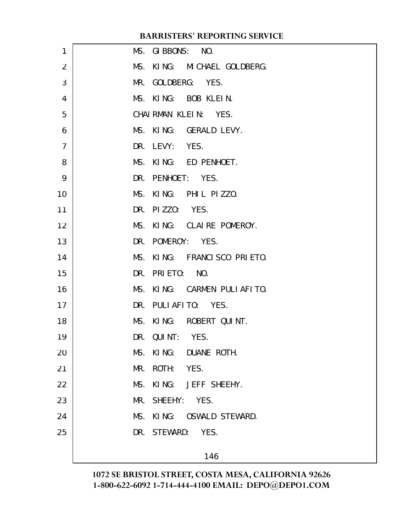| 1              | MS. GIBBONS: NO.            |
|----------------|-----------------------------|
| 2              | MS. KING: MICHAEL GOLDBERG. |
| 3              | MR. GOLDBERG: YES.          |
| 4              | MS. KING: BOB KLEIN.        |
| 5              | CHAIRMAN KLEIN: YES.        |
| 6              | MS. KING: GERALD LEVY.      |
| $\overline{7}$ | DR. LEVY: YES.              |
| 8              | MS. KING: ED PENHOET.       |
| 9              | DR. PENHOET: YES.           |
| 10             | MS. KING: PHIL PIZZO.       |
| 11             | DR. PIZZO: YES.             |
| 12             | MS. KING: CLAIRE POMEROY.   |
| 13             | DR. POMEROY: YES.           |
| 14             | MS. KING: FRANCISCO PRIETO. |
| 15             | DR. PRIETO: NO.             |
| 16             | MS. KING: CARMEN PULIAFITO. |
| 17             | DR. PULIAFITO: YES.         |
| 18             | MS. KING: ROBERT QUINT.     |
| 19             | DR. QUINT: YES.             |
| 20             | MS. KING: DUANE ROTH.       |
| 21             | ROTH: YES.<br>MR.           |
| 22             | KING: JEFF SHEEHY.<br>MS.   |
| 23             | MR. SHEEHY: YES.            |
| 24             | MS. KING: OSWALD STEWARD.   |
| 25             | DR. STEWARD: YES.           |
|                | 146                         |
|                |                             |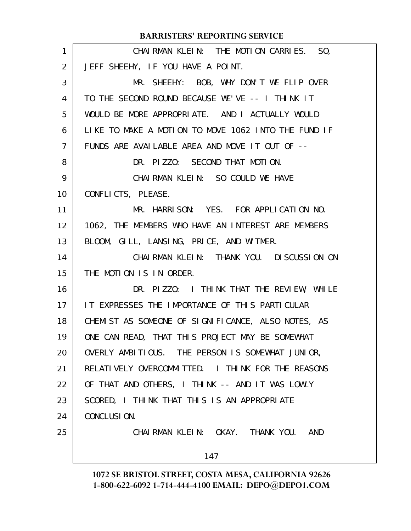| 1              | CHAIRMAN KLEIN: THE MOTION CARRIES. SO,             |
|----------------|-----------------------------------------------------|
| $\overline{2}$ | JEFF SHEEHY, IF YOU HAVE A POINT.                   |
| 3              | MR. SHEEHY: BOB, WHY DON'T WE FLIP OVER             |
| 4              | TO THE SECOND ROUND BECAUSE WE'VE -- I THINK IT     |
| 5              | WOULD BE MORE APPROPRIATE. AND I ACTUALLY WOULD     |
| 6              | LIKE TO MAKE A MOTION TO MOVE 1062 INTO THE FUND IF |
| $\overline{7}$ | FUNDS ARE AVAILABLE AREA AND MOVE IT OUT OF --      |
| 8              | DR. PIZZO: SECOND THAT MOTION.                      |
| 9              | CHAIRMAN KLEIN: SO COULD WE HAVE                    |
| 10             | CONFLICTS, PLEASE.                                  |
| 11             | MR. HARRISON: YES. FOR APPLICATION NO.              |
| 12             | 1062, THE MEMBERS WHO HAVE AN INTEREST ARE MEMBERS  |
| 13             | BLOOM, GILL, LANSING, PRICE, AND WITMER.            |
| 14             | CHAIRMAN KLEIN: THANK YOU. DISCUSSION ON            |
| 15             | THE MOTION IS IN ORDER.                             |
| 16             | DR. PIZZO: I THINK THAT THE REVIEW, WHILE           |
| 17             | IT EXPRESSES THE IMPORTANCE OF THIS PARTICULAR      |
| 18             | CHEMIST AS SOMEONE OF SIGNIFICANCE, ALSO NOTES, AS  |
| 19             | ONE CAN READ, THAT THIS PROJECT MAY BE SOMEWHAT     |
| 20             | OVERLY AMBITIOUS. THE PERSON IS SOMEWHAT JUNIOR,    |
| 21             | RELATIVELY OVERCOMMITTED. I THINK FOR THE REASONS   |
| 22             | OF THAT AND OTHERS, I THINK -- AND IT WAS LOWLY     |
| 23             | SCORED, I THINK THAT THIS IS AN APPROPRIATE         |
| 24             | CONCLUSION.                                         |
| 25             | CHAIRMAN KLEIN: OKAY. THANK YOU. AND                |
|                | 147                                                 |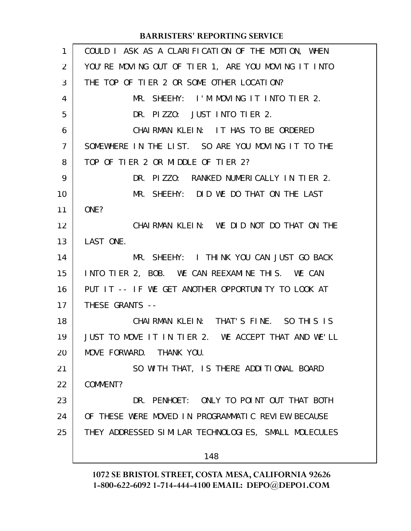| 1              | COULD I ASK AS A CLARIFICATION OF THE MOTION, WHEN   |
|----------------|------------------------------------------------------|
| 2              | YOU'RE MOVING OUT OF TIER 1, ARE YOU MOVING IT INTO  |
| 3              | THE TOP OF TIER 2 OR SOME OTHER LOCATION?            |
| 4              | MR. SHEEHY: I'M MOVING IT INTO TIER 2.               |
| 5              | DR. PIZZO: JUST INTO TIER 2.                         |
| 6              | CHAIRMAN KLEIN: IT HAS TO BE ORDERED                 |
| $\overline{7}$ | SOMEWHERE IN THE LIST. SO ARE YOU MOVING IT TO THE   |
| 8              | TOP OF TIER 2 OR MIDDLE OF TIER 2?                   |
| 9              | DR. PIZZO: RANKED NUMERICALLY IN TIER 2.             |
| 10             | MR. SHEEHY: DID WE DO THAT ON THE LAST               |
| 11             | ONE?                                                 |
| 12             | CHAIRMAN KLEIN: WE DID NOT DO THAT ON THE            |
| 13             | LAST ONE.                                            |
| 14             | MR. SHEEHY: I THINK YOU CAN JUST GO BACK             |
| 15             | INTO TIER 2, BOB. WE CAN REEXAMINE THIS. WE CAN      |
| 16             | PUT IT -- IF WE GET ANOTHER OPPORTUNITY TO LOOK AT   |
| 17             | THESE GRANTS --                                      |
| 18             | CHAIRMAN KLEIN: THAT'S FINE. SO THIS IS              |
| 19             | JUST TO MOVE IT IN TIER 2. WE ACCEPT THAT AND WE'LL  |
| 20             | MOVE FORWARD. THANK YOU.                             |
| 21             | SO WITH THAT, IS THERE ADDITIONAL BOARD              |
| 22             | COMMENT?                                             |
| 23             | DR. PENHOET: ONLY TO POINT OUT THAT BOTH             |
| 24             | OF THESE WERE MOVED IN PROGRAMMATIC REVIEW BECAUSE   |
| 25             | THEY ADDRESSED SIMILAR TECHNOLOGIES, SMALL MOLECULES |
|                | 148                                                  |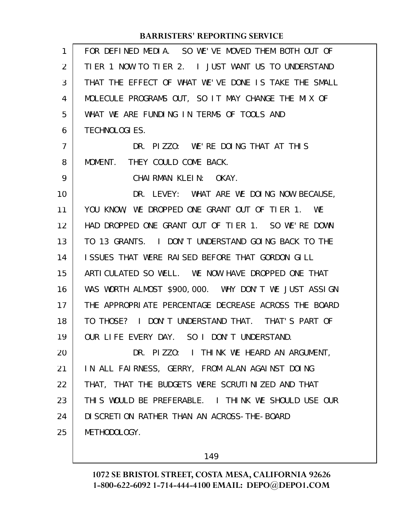| 1              | FOR DEFINED MEDIA. SO WE'VE MOVED THEM BOTH OUT OF   |
|----------------|------------------------------------------------------|
| $\overline{2}$ | TIER 1 NOW TO TIER 2. I JUST WANT US TO UNDERSTAND   |
| 3              | THAT THE EFFECT OF WHAT WE'VE DONE IS TAKE THE SMALL |
| 4              | MOLECULE PROGRAMS OUT, SO IT MAY CHANGE THE MIX OF   |
| 5              | WHAT WE ARE FUNDING IN TERMS OF TOOLS AND            |
| 6              | TECHNOLOGI ES.                                       |
| 7              | DR. PIZZO: WE'RE DOING THAT AT THIS                  |
| 8              | MOMENT. THEY COULD COME BACK.                        |
| 9              | CHAIRMAN KLEIN: OKAY.                                |
| 10             | DR. LEVEY: WHAT ARE WE DOING NOW BECAUSE,            |
| 11             | YOU KNOW, WE DROPPED ONE GRANT OUT OF TIER 1. WE     |
| 12             | HAD DROPPED ONE GRANT OUT OF TIER 1. SO WE'RE DOWN   |
| 13             | TO 13 GRANTS. I DON'T UNDERSTAND GOING BACK TO THE   |
| 14             | ISSUES THAT WERE RAISED BEFORE THAT GORDON GILL      |
| 15             | ARTICULATED SO WELL. WE NOW HAVE DROPPED ONE THAT    |
| 16             | WAS WORTH ALMOST \$900,000. WHY DON'T WE JUST ASSIGN |
| 17             | THE APPROPRIATE PERCENTAGE DECREASE ACROSS THE BOARD |
| 18             | TO THOSE? I DON'T UNDERSTAND THAT. THAT'S PART OF    |
| 19             | OUR LIFE EVERY DAY. SO I DON'T UNDERSTAND.           |
| 20             | DR. PIZZO: I THINK WE HEARD AN ARGUMENT,             |
| 21             | IN ALL FAIRNESS, GERRY, FROM ALAN AGAINST DOING      |
| 22             | THAT, THAT THE BUDGETS WERE SCRUTINIZED AND THAT     |
| 23             | THIS WOULD BE PREFERABLE. I THINK WE SHOULD USE OUR  |
| 24             | DI SCRETION RATHER THAN AN ACROSS-THE-BOARD          |
| 25             | METHODOLOGY.                                         |
|                |                                                      |

149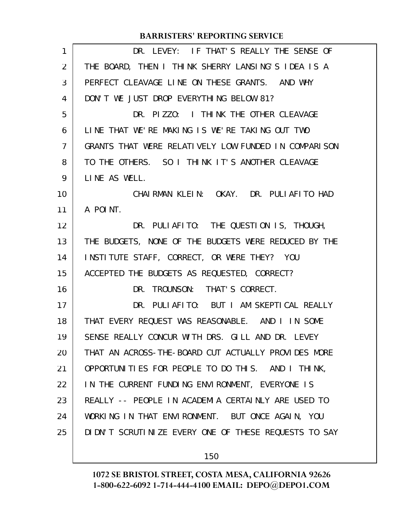| 1  | DR. LEVEY: IF THAT'S REALLY THE SENSE OF               |
|----|--------------------------------------------------------|
| 2  | THE BOARD, THEN I THINK SHERRY LANSING'S IDEA IS A     |
| 3  | PERFECT CLEAVAGE LINE ON THESE GRANTS. AND WHY         |
| 4  | DON'T WE JUST DROP EVERYTHING BELOW 81?                |
| 5  | DR. PIZZO: I THINK THE OTHER CLEAVAGE                  |
| 6  | LINE THAT WE'RE MAKING IS WE'RE TAKING OUT TWO         |
| 7  | GRANTS THAT WERE RELATIVELY LOW FUNDED IN COMPARISON   |
| 8  | TO THE OTHERS. SO I THINK IT'S ANOTHER CLEAVAGE        |
| 9  | LINE AS WELL.                                          |
| 10 | CHAIRMAN KLEIN: OKAY. DR. PULIAFITO HAD                |
| 11 | A POINT.                                               |
| 12 | DR. PULIAFITO: THE QUESTION IS, THOUGH,                |
| 13 | THE BUDGETS, NONE OF THE BUDGETS WERE REDUCED BY THE   |
| 14 | INSTITUTE STAFF, CORRECT, OR WERE THEY? YOU            |
| 15 | ACCEPTED THE BUDGETS AS REQUESTED, CORRECT?            |
| 16 | DR. TROUNSON: THAT'S CORRECT.                          |
| 17 | DR. PULIAFITO: BUT I AM SKEPTICAL REALLY               |
| 18 | THAT EVERY REQUEST WAS REASONABLE. AND I IN SOME       |
| 19 | SENSE REALLY CONCUR WITH DRS. GILL AND DR. LEVEY       |
| 20 | THAT AN ACROSS-THE-BOARD CUT ACTUALLY PROVIDES MORE    |
| 21 | OPPORTUNITIES FOR PEOPLE TO DO THIS. AND I THINK,      |
| 22 | IN THE CURRENT FUNDING ENVIRONMENT, EVERYONE IS        |
| 23 | REALLY -- PEOPLE IN ACADEMIA CERTAINLY ARE USED TO     |
| 24 | WORKING IN THAT ENVIRONMENT. BUT ONCE AGAIN, YOU       |
| 25 | DI DN'T SCRUTI NIZE EVERY ONE OF THESE REQUESTS TO SAY |
|    |                                                        |

150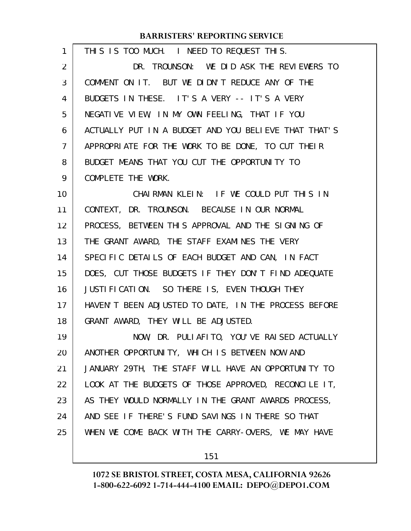| 1                 | THIS IS TOO MUCH. I NEED TO REQUEST THIS.            |
|-------------------|------------------------------------------------------|
| $\overline{2}$    | DR. TROUNSON: WE DID ASK THE REVIEWERS TO            |
| 3                 | COMMENT ON IT. BUT WE DIDN'T REDUCE ANY OF THE       |
| 4                 | BUDGETS IN THESE. IT'S A VERY -- IT'S A VERY         |
| 5                 | NEGATIVE VIEW, IN MY OWN FEELING, THAT IF YOU        |
| 6                 | ACTUALLY PUT IN A BUDGET AND YOU BELIEVE THAT THAT'S |
| 7                 | APPROPRIATE FOR THE WORK TO BE DONE, TO CUT THEIR    |
| 8                 | BUDGET MEANS THAT YOU CUT THE OPPORTUNITY TO         |
| 9                 | COMPLETE THE WORK.                                   |
| 10                | CHAIRMAN KLEIN: IF WE COULD PUT THIS IN              |
| 11                | CONTEXT, DR. TROUNSON. BECAUSE IN OUR NORMAL         |
| $12 \overline{ }$ | PROCESS, BETWEEN THIS APPROVAL AND THE SIGNING OF    |
| 13                | THE GRANT AWARD, THE STAFF EXAMINES THE VERY         |
| 14                | SPECIFIC DETAILS OF EACH BUDGET AND CAN, IN FACT     |
| 15                | DOES, CUT THOSE BUDGETS IF THEY DON'T FIND ADEQUATE  |
| 16                | JUSTIFICATION. SO THERE IS, EVEN THOUGH THEY         |
| 17                | HAVEN'T BEEN ADJUSTED TO DATE, IN THE PROCESS BEFORE |
| 18                | GRANT AWARD, THEY WILL BE ADJUSTED.                  |
| 19                | NOW, DR. PULIAFITO, YOU'VE RAISED ACTUALLY           |
| 20                | ANOTHER OPPORTUNITY, WHICH IS BETWEEN NOW AND        |
| 21                | JANUARY 29TH, THE STAFF WILL HAVE AN OPPORTUNITY TO  |
| 22                | LOOK AT THE BUDGETS OF THOSE APPROVED, RECONCILE IT, |
| 23                | AS THEY WOULD NORMALLY IN THE GRANT AWARDS PROCESS,  |
| 24                | AND SEE IF THERE'S FUND SAVINGS IN THERE SO THAT     |
| 25                | WHEN WE COME BACK WITH THE CARRY-OVERS, WE MAY HAVE  |
|                   |                                                      |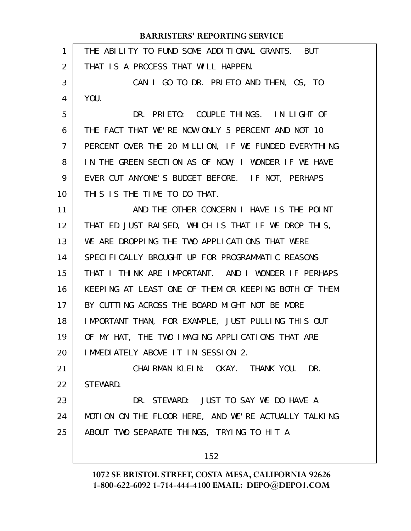| 1              | THE ABILITY TO FUND SOME ADDITIONAL GRANTS. BUT      |
|----------------|------------------------------------------------------|
| $\overline{2}$ | THAT IS A PROCESS THAT WILL HAPPEN.                  |
| 3              | CAN I GO TO DR. PRIETO AND THEN, OS, TO              |
| 4              | YOU.                                                 |
| 5              | DR. PRIETO: COUPLE THINGS. IN LIGHT OF               |
| 6              | THE FACT THAT WE'RE NOW ONLY 5 PERCENT AND NOT 10    |
| 7              | PERCENT OVER THE 20 MILLION, IF WE FUNDED EVERYTHING |
| 8              | IN THE GREEN SECTION AS OF NOW, I WONDER IF WE HAVE  |
| 9              | EVER CUT ANYONE'S BUDGET BEFORE. IF NOT, PERHAPS     |
| 10             | THIS IS THE TIME TO DO THAT.                         |
| 11             | AND THE OTHER CONCERN I HAVE IS THE POINT            |
| 12             | THAT ED JUST RAISED, WHICH IS THAT IF WE DROP THIS,  |
| 13             | WE ARE DROPPING THE TWO APPLICATIONS THAT WERE       |
| 14             | SPECIFICALLY BROUGHT UP FOR PROGRAMMATIC REASONS     |
| 15             | THAT I THINK ARE IMPORTANT. AND I WONDER IF PERHAPS  |
| 16             | KEEPING AT LEAST ONE OF THEM OR KEEPING BOTH OF THEM |
| 17             | BY CUTTING ACROSS THE BOARD MIGHT NOT BE MORE        |
| 18             | IMPORTANT THAN, FOR EXAMPLE, JUST PULLING THIS OUT   |
| 19             | OF MY HAT, THE TWO IMAGING APPLICATIONS THAT ARE     |
| 20             | IMMEDIATELY ABOVE IT IN SESSION 2.                   |
| 21             | CHAIRMAN KLEIN: OKAY. THANK YOU. DR.                 |
| 22             | STEWARD.                                             |
| 23             | DR. STEWARD: JUST TO SAY WE DO HAVE A                |
| 24             | MOTION ON THE FLOOR HERE, AND WE'RE ACTUALLY TALKING |
| 25             | ABOUT TWO SEPARATE THINGS, TRYING TO HIT A           |
|                | 152                                                  |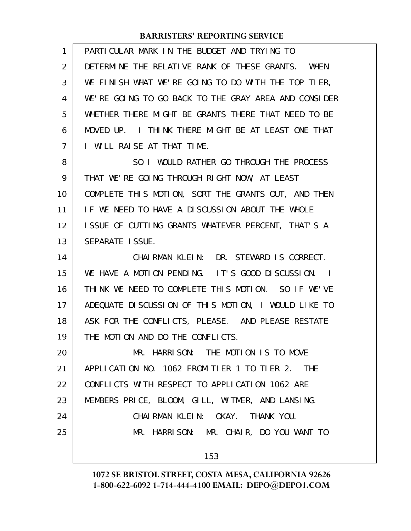| 1              | PARTICULAR MARK IN THE BUDGET AND TRYING TO                 |
|----------------|-------------------------------------------------------------|
| $\overline{2}$ | DETERMINE THE RELATIVE RANK OF THESE GRANTS. WHEN           |
| 3              | WE FINISH WHAT WE'RE GOING TO DO WITH THE TOP TIER,         |
| 4              | WE'RE GOING TO GO BACK TO THE GRAY AREA AND CONSIDER        |
| 5              | WHETHER THERE MIGHT BE GRANTS THERE THAT NEED TO BE         |
| 6              | MOVED UP. I THINK THERE MIGHT BE AT LEAST ONE THAT          |
| $\overline{7}$ | I WILL RAISE AT THAT TIME.                                  |
| 8              | SO I WOULD RATHER GO THROUGH THE PROCESS                    |
| 9              | THAT WE'RE GOING THROUGH RIGHT NOW, AT LEAST                |
| 10             | COMPLETE THIS MOTION, SORT THE GRANTS OUT, AND THEN         |
| 11             | IF WE NEED TO HAVE A DISCUSSION ABOUT THE WHOLE             |
| 12             | ISSUE OF CUTTING GRANTS WHATEVER PERCENT, THAT'S A          |
| 13             | SEPARATE ISSUE.                                             |
| 14             | CHAIRMAN KLEIN: DR. STEWARD IS CORRECT.                     |
| 15             | WE HAVE A MOTION PENDING. IT'S GOOD DISCUSSION.<br>$\sim$ 1 |
| 16             | THINK WE NEED TO COMPLETE THIS MOTION. SO IF WE'VE          |
| 17             | ADEQUATE DISCUSSION OF THIS MOTION, I WOULD LIKE TO         |
| 18             | ASK FOR THE CONFLICTS, PLEASE. AND PLEASE RESTATE           |
| 19             | THE MOTION AND DO THE CONFLICTS.                            |
| 20             | MR. HARRISON: THE MOTION IS TO MOVE                         |
| 21             | APPLICATION NO. 1062 FROM TIER 1 TO TIER 2. THE             |
| 22             | CONFLICTS WITH RESPECT TO APPLICATION 1062 ARE              |
| 23             | MEMBERS PRICE, BLOOM, GILL, WITMER, AND LANSING.            |
| 24             | CHAIRMAN KLEIN: OKAY. THANK YOU.                            |
| 25             | MR. HARRISON: MR. CHAIR, DO YOU WANT TO                     |
|                | 153                                                         |
|                |                                                             |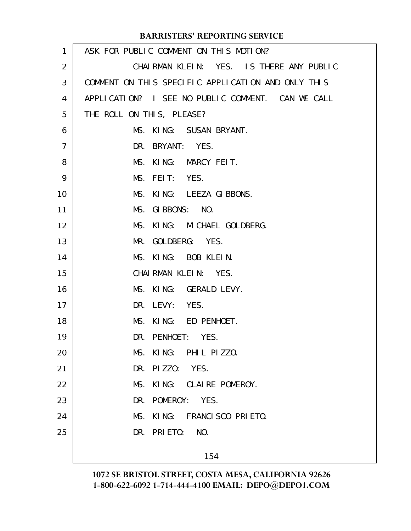| $\mathbf{1}$   | ASK FOR PUBLIC COMMENT ON THIS MOTION?             |
|----------------|----------------------------------------------------|
| $\overline{2}$ | CHAIRMAN KLEIN: YES. IS THERE ANY PUBLIC           |
| 3              | COMMENT ON THIS SPECIFIC APPLICATION AND ONLY THIS |
| 4              | APPLICATION? I SEE NO PUBLIC COMMENT. CAN WE CALL  |
| 5              | THE ROLL ON THIS, PLEASE?                          |
| 6              | MS. KING: SUSAN BRYANT.                            |
| $\overline{7}$ | DR. BRYANT: YES.                                   |
| 8              | MS. KING: MARCY FEIT.                              |
| 9              | MS. FEIT: YES.                                     |
| 10             | MS. KING: LEEZA GIBBONS.                           |
| 11             | MS. GIBBONS: NO.                                   |
| 12             | MS. KING: MICHAEL GOLDBERG.                        |
| 13             | MR. GOLDBERG: YES.                                 |
| 14             | MS. KING: BOB KLEIN.                               |
| 15             | CHAIRMAN KLEIN: YES.                               |
| 16             | MS. KING: GERALD LEVY.                             |
| 17             | DR. LEVY: YES.                                     |
| 18             | MS. KING: ED PENHOET.                              |
| 19             | DR. PENHOET: YES.                                  |
| 20             | MS. KING: PHIL PIZZO.                              |
| 21             | DR. PIZZO: YES.                                    |
| 22             | MS. KING: CLAIRE POMEROY.                          |
| 23             | DR. POMEROY: YES.                                  |
| 24             | MS. KING: FRANCISCO PRIETO.                        |
| 25             | DR. PRIETO:<br>NO.                                 |
|                | 154                                                |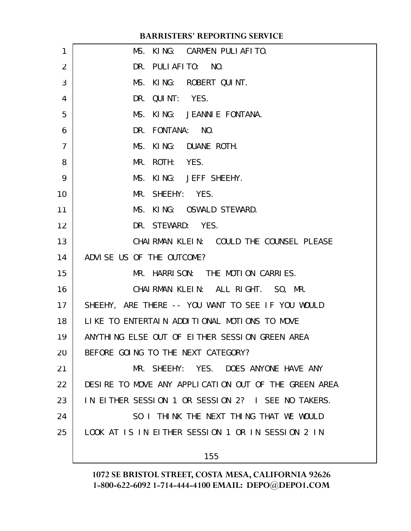| 1              | MS. KING: CARMEN PULIAFITO.                          |
|----------------|------------------------------------------------------|
| $\overline{2}$ | DR. PULLAFITO: NO.                                   |
| 3              | MS. KING: ROBERT QUINT.                              |
| 4              | DR. QUINT: YES.                                      |
| 5              | MS. KING: JEANNIE FONTANA.                           |
| 6              | DR. FONTANA: NO.                                     |
| $\overline{7}$ | MS. KING: DUANE ROTH.                                |
| 8              | MR. ROTH: YES.                                       |
| 9              | MS. KING: JEFF SHEEHY.                               |
| 10             | MR. SHEEHY: YES.                                     |
| 11             | MS. KING: OSWALD STEWARD.                            |
| 12             | DR. STEWARD: YES.                                    |
| 13             | CHAI RMAN KLEIN: COULD THE COUNSEL PLEASE            |
| 14             | ADVISE US OF THE OUTCOME?                            |
| 15             | MR. HARRISON: THE MOTION CARRIES.                    |
| 16             | CHAIRMAN KLEIN: ALL RIGHT. SO, MR.                   |
| 17             | SHEEHY, ARE THERE -- YOU WANT TO SEE IF YOU WOULD    |
| 18             | LIKE TO ENTERTAIN ADDITIONAL MOTIONS TO MOVE         |
| 19             | ANYTHING ELSE OUT OF EITHER SESSION GREEN AREA       |
| 20             | BEFORE GOING TO THE NEXT CATEGORY?                   |
| 21             | MR. SHEEHY: YES. DOES ANYONE HAVE ANY                |
| 22             | DESIRE TO MOVE ANY APPLICATION OUT OF THE GREEN AREA |
| 23             | IN EITHER SESSION 1 OR SESSION 2? I SEE NO TAKERS.   |
| 24             | SO I THINK THE NEXT THING THAT WE WOULD              |
| 25             | LOOK AT IS IN EITHER SESSION 1 OR IN SESSION 2 IN    |
|                | 155                                                  |
|                |                                                      |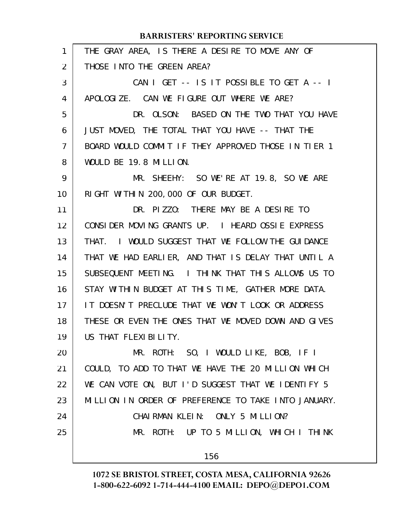| $\mathbf{1}$ | THE GRAY AREA, IS THERE A DESIRE TO MOVE ANY OF      |
|--------------|------------------------------------------------------|
| 2            | THOSE INTO THE GREEN AREA?                           |
| 3            | CAN I GET -- IS IT POSSIBLE TO GET A -- I            |
| 4            | APOLOGIZE. CAN WE FIGURE OUT WHERE WE ARE?           |
| 5            | DR. OLSON: BASED ON THE TWO THAT YOU HAVE            |
| 6            | JUST MOVED, THE TOTAL THAT YOU HAVE -- THAT THE      |
| 7            | BOARD WOULD COMMIT IF THEY APPROVED THOSE IN TIER 1  |
| 8            | WOULD BE 19.8 MILLION.                               |
| 9            | MR. SHEEHY: SO WE'RE AT 19.8, SO WE ARE              |
| 10           | RIGHT WITHIN 200, 000 OF OUR BUDGET.                 |
| 11           | DR. PIZZO: THERE MAY BE A DESIRE TO                  |
| 12           | CONSIDER MOVING GRANTS UP. I HEARD OSSIE EXPRESS     |
| 13           | THAT. I WOULD SUGGEST THAT WE FOLLOW THE GUIDANCE    |
| 14           | THAT WE HAD EARLIER, AND THAT IS DELAY THAT UNTIL A  |
| 15           | SUBSEQUENT MEETING. I THINK THAT THIS ALLOWS US TO   |
| 16           | STAY WITHIN BUDGET AT THIS TIME, GATHER MORE DATA.   |
| 17           | IT DOESN'T PRECLUDE THAT WE WON'T LOOK OR ADDRESS    |
| 18           | THESE OR EVEN THE ONES THAT WE MOVED DOWN AND GIVES  |
| 19           | US THAT FLEXIBILITY.                                 |
| 20           | MR. ROTH: SO, I WOULD LIKE, BOB, IF I                |
| 21           | COULD, TO ADD TO THAT WE HAVE THE 20 MILLION WHICH   |
| 22           | WE CAN VOTE ON, BUT I'D SUGGEST THAT WE IDENTIFY 5   |
| 23           | MILLION IN ORDER OF PREFERENCE TO TAKE INTO JANUARY. |
| 24           | CHAIRMAN KLEIN: ONLY 5 MILLION?                      |
| 25           | MR. ROTH: UP TO 5 MILLION, WHICH I THINK             |
|              | 156                                                  |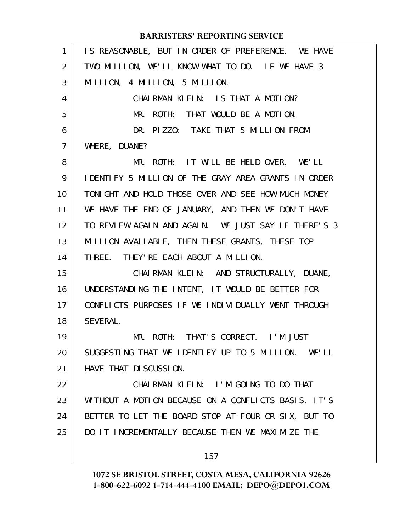| $\mathbf{1}$      | IS REASONABLE, BUT IN ORDER OF PREFERENCE. WE HAVE   |
|-------------------|------------------------------------------------------|
| 2                 | TWO MILLION, WE'LL KNOW WHAT TO DO. IF WE HAVE 3     |
| 3                 | MILLION, 4 MILLION, 5 MILLION.                       |
| 4                 | CHAIRMAN KLEIN: IS THAT A MOTION?                    |
| 5                 | MR. ROTH: THAT WOULD BE A MOTION.                    |
| 6                 | DR. PIZZO: TAKE THAT 5 MILLION FROM                  |
| $\overline{7}$    | WHERE, DUANE?                                        |
| 8                 | MR. ROTH: IT WILL BE HELD OVER. WE'LL                |
| 9                 | I DENTIFY 5 MILLION OF THE GRAY AREA GRANTS IN ORDER |
| 10                | TONIGHT AND HOLD THOSE OVER AND SEE HOW MUCH MONEY   |
| 11                | WE HAVE THE END OF JANUARY, AND THEN WE DON'T HAVE   |
| $12 \overline{ }$ | TO REVIEW AGAIN AND AGAIN. WE JUST SAY IF THERE'S 3  |
| 13                | MILLION AVAILABLE, THEN THESE GRANTS, THESE TOP      |
| 14                | THREE. THEY' RE EACH ABOUT A MILLION.                |
| 15                | CHAIRMAN KLEIN: AND STRUCTURALLY, DUANE,             |
| 16                | UNDERSTANDING THE INTENT, IT WOULD BE BETTER FOR     |
| 17                | CONFLICTS PURPOSES IF WE INDIVIDUALLY WENT THROUGH   |
| 18                | SEVERAL.                                             |
| 19                | MR. ROTH: THAT'S CORRECT. I'M JUST                   |
| 20                | SUGGESTING THAT WE IDENTIFY UP TO 5 MILLION. WE'LL   |
| 21                | HAVE THAT DI SCUSSION.                               |
| 22                | CHAIRMAN KLEIN: I'M GOING TO DO THAT                 |
| 23                | WITHOUT A MOTION BECAUSE ON A CONFLICTS BASIS, IT'S  |
| 24                | BETTER TO LET THE BOARD STOP AT FOUR OR SIX, BUT TO  |
| 25                | DO IT INCREMENTALLY BECAUSE THEN WE MAXIMIZE THE     |
|                   | 157                                                  |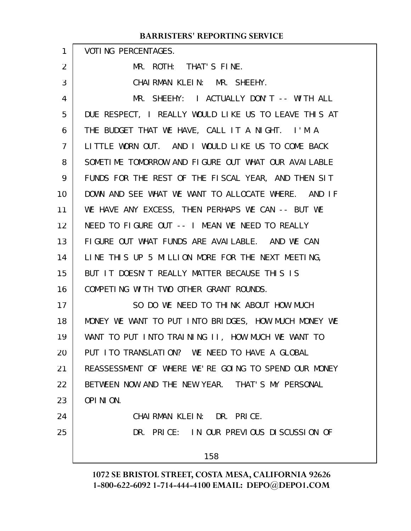|    | <b>BARRISTERS' REPORTING SERVICE</b>                 |
|----|------------------------------------------------------|
| 1  | <b>VOTING PERCENTAGES.</b>                           |
| 2  | MR. ROTH: THAT'S FINE.                               |
| 3  | CHAIRMAN KLEIN: MR. SHEEHY.                          |
| 4  | MR. SHEEHY: I ACTUALLY DON'T -- WITH ALL             |
| 5  | DUE RESPECT, I REALLY WOULD LIKE US TO LEAVE THIS AT |
| 6  | THE BUDGET THAT WE HAVE, CALL IT A NIGHT. I'M A      |
| 7  | LITTLE WORN OUT. AND I WOULD LIKE US TO COME BACK    |
| 8  | SOMETIME TOMORROW AND FIGURE OUT WHAT OUR AVAILABLE  |
| 9  | FUNDS FOR THE REST OF THE FISCAL YEAR, AND THEN SIT  |
| 10 | DOWN AND SEE WHAT WE WANT TO ALLOCATE WHERE. AND IF  |
| 11 | WE HAVE ANY EXCESS, THEN PERHAPS WE CAN -- BUT WE    |
| 12 | NEED TO FIGURE OUT -- I MEAN WE NEED TO REALLY       |
| 13 | FIGURE OUT WHAT FUNDS ARE AVAILABLE. AND WE CAN      |
| 14 | LINE THIS UP 5 MILLION MORE FOR THE NEXT MEETING,    |
| 15 | BUT IT DOESN'T REALLY MATTER BECAUSE THIS IS         |
| 16 | COMPETING WITH TWO OTHER GRANT ROUNDS.               |
| 17 | SO DO WE NEED TO THINK ABOUT HOW MUCH                |
| 18 | MONEY WE WANT TO PUT INTO BRIDGES, HOW MUCH MONEY WE |
| 19 | WANT TO PUT INTO TRAINING II, HOW MUCH WE WANT TO    |
| 20 | PUT ITO TRANSLATION? WE NEED TO HAVE A GLOBAL        |
| 21 | REASSESSMENT OF WHERE WE'RE GOING TO SPEND OUR MONEY |
| 22 | BETWEEN NOW AND THE NEW YEAR. THAT'S MY PERSONAL     |
| 23 | OPINION.                                             |
| 24 | CHAIRMAN KLEIN: DR. PRICE.                           |
| 25 | DR. PRICE: IN OUR PREVIOUS DISCUSSION OF             |
|    | 158                                                  |
|    |                                                      |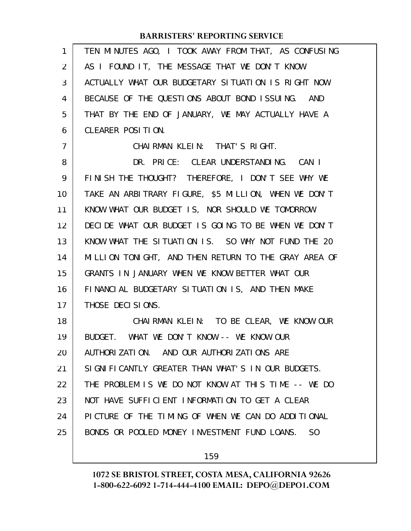| 1              | TEN MINUTES AGO, I TOOK AWAY FROM THAT, AS CONFUSING           |
|----------------|----------------------------------------------------------------|
| 2              | AS I FOUND IT, THE MESSAGE THAT WE DON'T KNOW                  |
| 3              | ACTUALLY WHAT OUR BUDGETARY SITUATION IS RIGHT NOW             |
| 4              | BECAUSE OF THE QUESTIONS ABOUT BOND ISSUING. AND               |
| 5              | THAT BY THE END OF JANUARY, WE MAY ACTUALLY HAVE A             |
| 6              | CLEARER POSITION.                                              |
| $\overline{7}$ | CHAIRMAN KLEIN: THAT'S RIGHT.                                  |
| 8              | DR. PRICE: CLEAR UNDERSTANDING. CAN I                          |
| 9              | FINISH THE THOUGHT? THEREFORE, I DON'T SEE WHY WE              |
| 10             | TAKE AN ARBITRARY FIGURE, \$5 MILLION, WHEN WE DON'T           |
| 11             | KNOW WHAT OUR BUDGET IS, NOR SHOULD WE TOMORROW                |
| 12             | DECIDE WHAT OUR BUDGET IS GOING TO BE WHEN WE DON'T            |
| 13             | KNOW WHAT THE SITUATION IS. SO WHY NOT FUND THE 20             |
| 14             | MILLION TONIGHT, AND THEN RETURN TO THE GRAY AREA OF           |
| 15             | GRANTS IN JANUARY WHEN WE KNOW BETTER WHAT OUR                 |
| 16             | FINANCIAL BUDGETARY SITUATION IS, AND THEN MAKE                |
| 17             | THOSE DECISIONS.                                               |
| 18             | CHAIRMAN KLEIN: TO BE CLEAR, WE KNOW OUR                       |
| 19             | BUDGET. WHAT WE DON'T KNOW -- WE KNOW OUR                      |
| 20             | AUTHORIZATION. AND OUR AUTHORIZATIONS ARE                      |
| 21             | SIGNIFICANTLY GREATER THAN WHAT'S IN OUR BUDGETS.              |
| 22             | THE PROBLEM IS WE DO NOT KNOW AT THIS TIME -- WE DO            |
| 23             | NOT HAVE SUFFICIENT INFORMATION TO GET A CLEAR                 |
| 24             | PICTURE OF THE TIMING OF WHEN WE CAN DO ADDITIONAL             |
| 25             | BONDS OR POOLED MONEY INVESTMENT FUND LOANS.<br>S <sub>0</sub> |
|                |                                                                |

159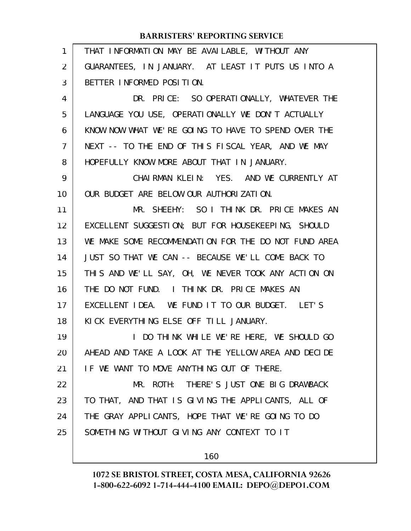| 1  | THAT INFORMATION MAY BE AVAILABLE, WITHOUT ANY       |
|----|------------------------------------------------------|
| 2  | GUARANTEES, IN JANUARY. AT LEAST IT PUTS US INTO A   |
| 3  | BETTER INFORMED POSITION.                            |
| 4  | DR. PRICE: SO OPERATIONALLY, WHATEVER THE            |
| 5  | LANGUAGE YOU USE, OPERATIONALLY WE DON'T ACTUALLY    |
| 6  | KNOW NOW WHAT WE'RE GOING TO HAVE TO SPEND OVER THE  |
| 7  | NEXT -- TO THE END OF THIS FISCAL YEAR, AND WE MAY   |
| 8  | HOPEFULLY KNOW MORE ABOUT THAT IN JANUARY.           |
| 9  | CHAIRMAN KLEIN: YES. AND WE CURRENTLY AT             |
| 10 | OUR BUDGET ARE BELOW OUR AUTHORIZATION.              |
| 11 | MR. SHEEHY: SO I THINK DR. PRICE MAKES AN            |
| 12 | EXCELLENT SUGGESTION; BUT FOR HOUSEKEEPING, SHOULD   |
| 13 | WE MAKE SOME RECOMMENDATION FOR THE DO NOT FUND AREA |
| 14 | JUST SO THAT WE CAN -- BECAUSE WE'LL COME BACK TO    |
| 15 | THIS AND WE'LL SAY, OH, WE NEVER TOOK ANY ACTION ON  |
| 16 | THE DO NOT FUND. I THINK DR. PRICE MAKES AN          |
| 17 | EXCELLENT IDEA. WE FUND IT TO OUR BUDGET. LET'S      |
| 18 | KICK EVERYTHING ELSE OFF TILL JANUARY.               |
| 19 | I DO THINK WHILE WE'RE HERE, WE SHOULD GO            |
| 20 | AHEAD AND TAKE A LOOK AT THE YELLOW AREA AND DECLDE  |
| 21 | IF WE WANT TO MOVE ANYTHING OUT OF THERE.            |
| 22 | THERE'S JUST ONE BIG DRAWBACK<br>MR. ROTH:           |
| 23 | TO THAT, AND THAT IS GIVING THE APPLICANTS, ALL OF   |
| 24 | THE GRAY APPLICANTS, HOPE THAT WE'RE GOING TO DO     |
| 25 | SOMETHING WITHOUT GIVING ANY CONTEXT TO IT           |
|    |                                                      |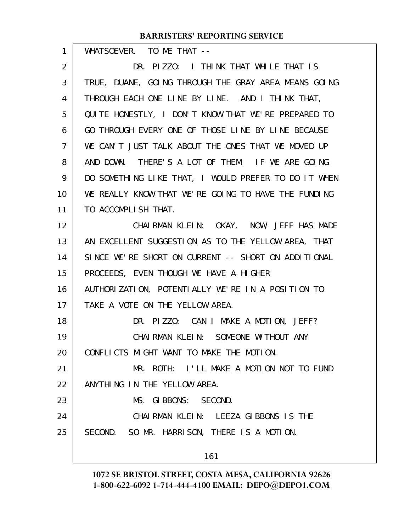WHATSOEVER. TO ME THAT --DR. PIZZO: I THINK THAT WHILE THAT IS TRUE, DUANE, GOING THROUGH THE GRAY AREA MEANS GOING THROUGH EACH ONE LINE BY LINE. AND I THINK THAT, QUITE HONESTLY, I DON'T KNOW THAT WE'RE PREPARED TO GO THROUGH EVERY ONE OF THOSE LINE BY LINE BECAUSE WE CAN'T JUST TALK ABOUT THE ONES THAT WE MOVED UP AND DOWN. THERE'S A LOT OF THEM. IF WE ARE GOING DO SOMETHING LIKE THAT, I WOULD PREFER TO DO IT WHEN WE REALLY KNOW THAT WE'RE GOING TO HAVE THE FUNDING TO ACCOMPLISH THAT. CHAIRMAN KLEIN: OKAY. NOW, JEFF HAS MADE AN EXCELLENT SUGGESTION AS TO THE YELLOW AREA, THAT SINCE WE'RE SHORT ON CURRENT -- SHORT ON ADDITIONAL PROCEEDS, EVEN THOUGH WE HAVE A HIGHER AUTHORIZATION, POTENTIALLY WE'RE IN A POSITION TO TAKE A VOTE ON THE YELLOW AREA. DR. PIZZO: CAN I MAKE A MOTION, JEFF? CHAIRMAN KLEIN: SOMEONE WITHOUT ANY CONFLICTS MIGHT WANT TO MAKE THE MOTION. MR. ROTH: I'LL MAKE A MOTION NOT TO FUND ANYTHING IN THE YELLOW AREA. MS. GIBBONS: SECOND. CHAIRMAN KLEIN: LEEZA GIBBONS IS THE SECOND. SO MR. HARRISON, THERE IS A MOTION. 1 2 3 4 5 6 7 8 9 10 11 12 13 14 15 16 17 18 19 20 21 22 23 24 25

161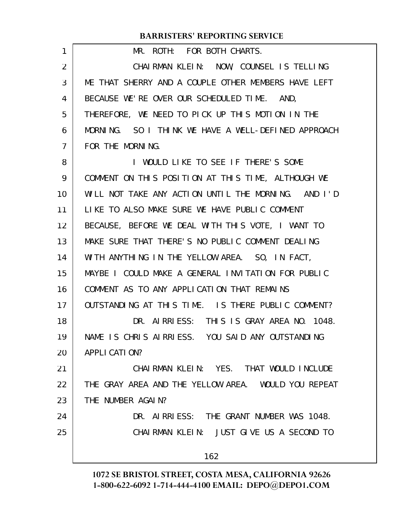| 1              | MR. ROTH: FOR BOTH CHARTS.                          |
|----------------|-----------------------------------------------------|
| $\overline{2}$ | CHAIRMAN KLEIN: NOW, COUNSEL IS TELLING             |
| 3              | ME THAT SHERRY AND A COUPLE OTHER MEMBERS HAVE LEFT |
| 4              | BECAUSE WE'RE OVER OUR SCHEDULED TIME. AND,         |
| 5              | THEREFORE, WE NEED TO PICK UP THIS MOTION IN THE    |
| 6              | MORNING. SO I THINK WE HAVE A WELL-DEFINED APPROACH |
| $\overline{7}$ | FOR THE MORNING.                                    |
| 8              | I WOULD LIKE TO SEE IF THERE'S SOME                 |
| 9              | COMMENT ON THIS POSITION AT THIS TIME, ALTHOUGH WE  |
| 10             | WILL NOT TAKE ANY ACTION UNTIL THE MORNING. AND I'D |
| 11             | LIKE TO ALSO MAKE SURE WE HAVE PUBLIC COMMENT       |
| 12             | BECAUSE, BEFORE WE DEAL WITH THIS VOTE, I WANT TO   |
| 13             | MAKE SURE THAT THERE'S NO PUBLIC COMMENT DEALING    |
| 14             | WITH ANYTHING IN THE YELLOW AREA. SO, IN FACT,      |
| 15             | MAYBE I COULD MAKE A GENERAL INVITATION FOR PUBLIC  |
| 16             | COMMENT AS TO ANY APPLICATION THAT REMAINS          |
| 17             | OUTSTANDING AT THIS TIME. IS THERE PUBLIC COMMENT?  |
| 18             | DR. AIRRIESS: THIS IS GRAY AREA NO. 1048.           |
| 19             | NAME IS CHRIS AIRRIESS. YOU SAID ANY OUTSTANDING    |
| 20             | APPLI CATION?                                       |
| 21             | CHAIRMAN KLEIN: YES. THAT WOULD INCLUDE             |
| 22             | THE GRAY AREA AND THE YELLOW AREA. WOULD YOU REPEAT |
| 23             | THE NUMBER AGAIN?                                   |
| 24             | DR. AIRRIESS: THE GRANT NUMBER WAS 1048.            |
| 25             | CHAIRMAN KLEIN: JUST GIVE US A SECOND TO            |
|                | 162                                                 |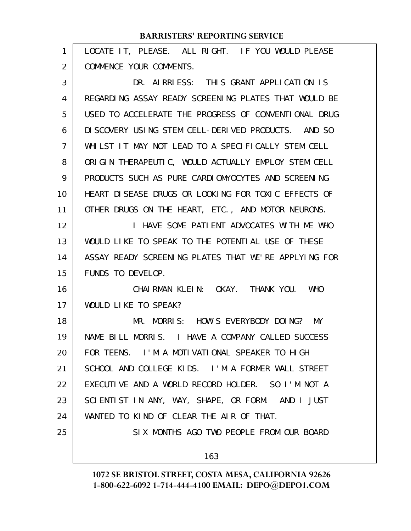| 1  | LOCATE IT, PLEASE. ALL RIGHT. IF YOU WOULD PLEASE    |
|----|------------------------------------------------------|
| 2  | COMMENCE YOUR COMMENTS.                              |
| 3  | DR. AIRRIESS: THIS GRANT APPLICATION IS              |
| 4  | REGARDING ASSAY READY SCREENING PLATES THAT WOULD BE |
| 5  | USED TO ACCELERATE THE PROGRESS OF CONVENTIONAL DRUG |
| 6  | DISCOVERY USING STEM CELL-DERIVED PRODUCTS. AND SO   |
| 7  | WHILST IT MAY NOT LEAD TO A SPECIFICALLY STEM CELL   |
| 8  | ORIGIN THERAPEUTIC, WOULD ACTUALLY EMPLOY STEM CELL  |
| 9  | PRODUCTS SUCH AS PURE CARDIOMYOCYTES AND SCREENING   |
| 10 | HEART DISEASE DRUGS OR LOOKING FOR TOXIC EFFECTS OF  |
| 11 | OTHER DRUGS ON THE HEART, ETC., AND MOTOR NEURONS.   |
| 12 | I HAVE SOME PATIENT ADVOCATES WITH ME WHO            |
| 13 | WOULD LIKE TO SPEAK TO THE POTENTIAL USE OF THESE    |
| 14 | ASSAY READY SCREENING PLATES THAT WE'RE APPLYING FOR |
| 15 | FUNDS TO DEVELOP.                                    |
| 16 | CHAIRMAN KLEIN: OKAY. THANK YOU. WHO                 |
| 17 | WOULD LIKE TO SPEAK?                                 |
| 18 | MORRIS: HOW'S EVERYBODY DOING? MY<br>MR.             |
| 19 | NAME BILL MORRIS. I HAVE A COMPANY CALLED SUCCESS    |
| 20 | FOR TEENS. I'M A MOTIVATIONAL SPEAKER TO HIGH        |
| 21 | SCHOOL AND COLLEGE KIDS. I'M A FORMER WALL STREET    |
| 22 | EXECUTIVE AND A WORLD RECORD HOLDER. SO I'M NOT A    |
| 23 | SCIENTIST IN ANY, WAY, SHAPE, OR FORM. AND I JUST    |
| 24 | WANTED TO KIND OF CLEAR THE AIR OF THAT.             |
| 25 | SIX MONTHS AGO TWO PEOPLE FROM OUR BOARD             |
|    | 163                                                  |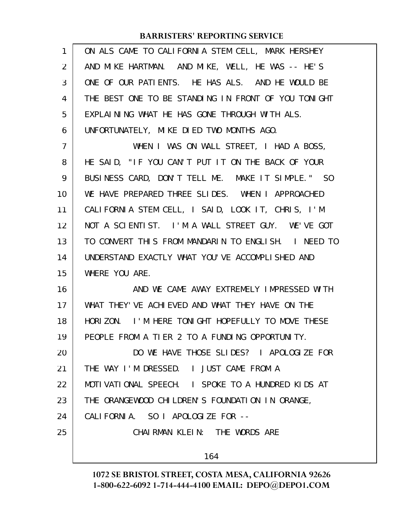| AND MIKE HARTMAN. AND MIKE, WELL, HE WAS -- HE'S<br>ONE OF OUR PATIENTS. HE HAS ALS. AND HE WOULD BE |
|------------------------------------------------------------------------------------------------------|
|                                                                                                      |
|                                                                                                      |
| THE BEST ONE TO BE STANDING IN FRONT OF YOU TONIGHT                                                  |
| EXPLAINING WHAT HE HAS GONE THROUGH WITH ALS.                                                        |
| UNFORTUNATELY, MIKE DIED TWO MONTHS AGO.                                                             |
| WHEN I WAS ON WALL STREET, I HAD A BOSS,                                                             |
| HE SAID, "IF YOU CAN'T PUT IT ON THE BACK OF YOUR                                                    |
| BUSINESS CARD, DON'T TELL ME. MAKE IT SIMPLE." SO                                                    |
| WE HAVE PREPARED THREE SLIDES. WHEN I APPROACHED                                                     |
| CALIFORNIA STEM CELL, I SAID, LOOK IT, CHRIS, I'M                                                    |
| NOT A SCIENTIST. I'M A WALL STREET GUY. WE'VE GOT                                                    |
| TO CONVERT THIS FROM MANDARIN TO ENGLISH. I NEED TO                                                  |
| UNDERSTAND EXACTLY WHAT YOU'VE ACCOMPLISHED AND                                                      |
| WHERE YOU ARE.                                                                                       |
| AND WE CAME AWAY EXTREMELY IMPRESSED WITH                                                            |
| WHAT THEY'VE ACHIEVED AND WHAT THEY HAVE ON THE                                                      |
| HORIZON. I'M HERE TONIGHT HOPEFULLY TO MOVE THESE                                                    |
| PEOPLE FROM A TIER 2 TO A FUNDING OPPORTUNITY.                                                       |
| DO WE HAVE THOSE SLIDES? I APOLOGIZE FOR                                                             |
| THE WAY I'M DRESSED. I JUST CAME FROM A                                                              |
| MOTIVATIONAL SPEECH. I SPOKE TO A HUNDRED KIDS AT                                                    |
| THE ORANGEWOOD CHILDREN'S FOUNDATION IN ORANGE,                                                      |
| CALIFORNIA. SO I APOLOGIZE FOR --                                                                    |
|                                                                                                      |
| CHAIRMAN KLEIN: THE WORDS ARE                                                                        |
|                                                                                                      |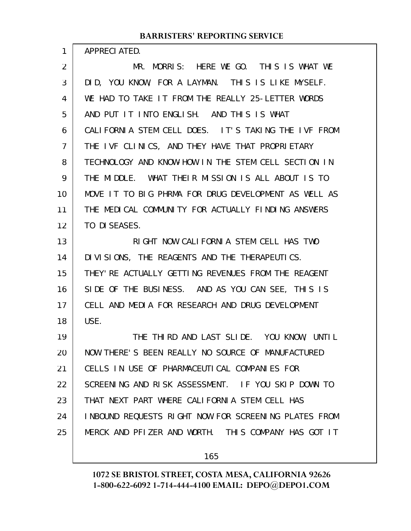|    | <b>BARRISTERS' REPORTING SERVICE</b>                 |
|----|------------------------------------------------------|
| 1  | APPRECIATED.                                         |
| 2  | MR. MORRIS: HERE WE GO. THIS IS WHAT WE              |
| 3  | DID, YOU KNOW, FOR A LAYMAN. THIS IS LIKE MYSELF.    |
| 4  | WE HAD TO TAKE IT FROM THE REALLY 25-LETTER WORDS    |
| 5  | AND PUT IT INTO ENGLISH. AND THIS IS WHAT            |
| 6  | CALIFORNIA STEM CELL DOES. IT'S TAKING THE IVF FROM  |
| 7  | THE IVF CLINICS, AND THEY HAVE THAT PROPRIETARY      |
| 8  | TECHNOLOGY AND KNOW-HOW IN THE STEM CELL SECTION IN  |
| 9  | THE MIDDLE. WHAT THEIR MISSION IS ALL ABOUT IS TO    |
| 10 | MOVE IT TO BIG PHRMA FOR DRUG DEVELOPMENT AS WELL AS |
| 11 | THE MEDICAL COMMUNITY FOR ACTUALLY FINDING ANSWERS   |
| 12 | TO DI SEASES.                                        |
| 13 | RIGHT NOW CALIFORNIA STEM CELL HAS TWO               |
| 14 | DIVISIONS, THE REAGENTS AND THE THERAPEUTICS.        |
| 15 | THEY' RE ACTUALLY GETTING REVENUES FROM THE REAGENT  |
| 16 | SIDE OF THE BUSINESS. AND AS YOU CAN SEE, THIS IS    |
| 17 | CELL AND MEDIA FOR RESEARCH AND DRUG DEVELOPMENT     |
| 18 | USE.                                                 |
| 19 | THE THIRD AND LAST SLIDE. YOU KNOW, UNTIL            |
| 20 | NOW THERE'S BEEN REALLY NO SOURCE OF MANUFACTURED    |
| 21 | CELLS IN USE OF PHARMACEUTICAL COMPANIES FOR         |
| 22 | SCREENING AND RISK ASSESSMENT. IF YOU SKIP DOWN TO   |
| 23 | THAT NEXT PART WHERE CALL FORNLA STEM CELL HAS       |
| 24 | INBOUND REQUESTS RIGHT NOW FOR SCREENING PLATES FROM |

25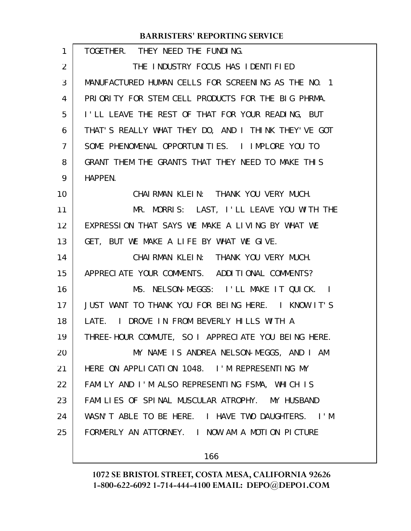| 1  | TOGETHER. THEY NEED THE FUNDING.                    |
|----|-----------------------------------------------------|
| 2  | THE INDUSTRY FOCUS HAS IDENTIFIED                   |
| 3  | MANUFACTURED HUMAN CELLS FOR SCREENING AS THE NO. 1 |
| 4  | PRIORITY FOR STEM CELL PRODUCTS FOR THE BIG PHRMA.  |
| 5  | I'LL LEAVE THE REST OF THAT FOR YOUR READING, BUT   |
| 6  | THAT'S REALLY WHAT THEY DO, AND I THINK THEY'VE GOT |
| 7  | SOME PHENOMENAL OPPORTUNITIES. I IMPLORE YOU TO     |
| 8  | GRANT THEM THE GRANTS THAT THEY NEED TO MAKE THIS   |
| 9  | HAPPEN.                                             |
| 10 | CHAIRMAN KLEIN: THANK YOU VERY MUCH.                |
| 11 | MR. MORRIS: LAST, I'LL LEAVE YOU WITH THE           |
| 12 | EXPRESSION THAT SAYS WE MAKE A LIVING BY WHAT WE    |
| 13 | GET, BUT WE MAKE A LIFE BY WHAT WE GIVE.            |
| 14 | CHAIRMAN KLEIN: THANK YOU VERY MUCH.                |
| 15 | APPRECIATE YOUR COMMENTS. ADDITIONAL COMMENTS?      |
| 16 | MS. NELSON-MEGGS: I'LL MAKE IT QUICK.<br>$\sim$ 1   |
| 17 | JUST WANT TO THANK YOU FOR BEING HERE. I KNOW IT'S  |
| 18 | LATE. I DROVE IN FROM BEVERLY HILLS WITH A          |
| 19 | THREE-HOUR COMMUTE, SO I APPRECIATE YOU BEING HERE. |
| 20 | MY NAME IS ANDREA NELSON-MEGGS, AND I AM            |
| 21 | HERE ON APPLICATION 1048. I'M REPRESENTING MY       |
| 22 | FAMILY AND I'M ALSO REPRESENTING FSMA, WHICH IS     |
| 23 | FAMILIES OF SPINAL MUSCULAR ATROPHY. MY HUSBAND     |
| 24 | WASN'T ABLE TO BE HERE. I HAVE TWO DAUGHTERS. I'M   |
| 25 | FORMERLY AN ATTORNEY. I NOW AM A MOTION PICTURE     |
|    |                                                     |

166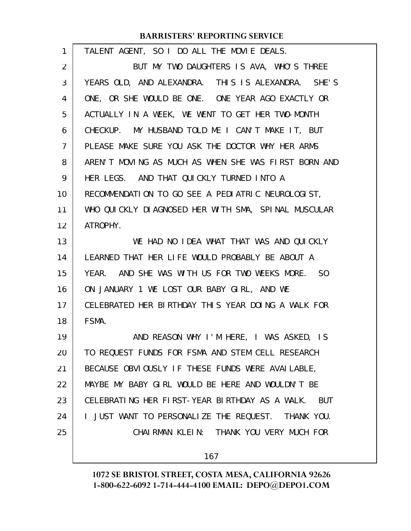| $\mathbf{1}$   | TALENT AGENT, SO I DO ALL THE MOVIE DEALS.           |
|----------------|------------------------------------------------------|
| $\overline{2}$ | BUT MY TWO DAUGHTERS IS AVA, WHO'S THREE             |
| 3              | YEARS OLD, AND ALEXANDRA. THIS IS ALEXANDRA. SHE'S   |
| 4              | ONE, OR SHE WOULD BE ONE. ONE YEAR AGO EXACTLY OR    |
| 5              | ACTUALLY IN A WEEK, WE WENT TO GET HER TWO-MONTH     |
| 6              | CHECKUP. MY HUSBAND TOLD ME I CAN'T MAKE IT, BUT     |
| 7              | PLEASE MAKE SURE YOU ASK THE DOCTOR WHY HER ARMS     |
| 8              | AREN'T MOVING AS MUCH AS WHEN SHE WAS FIRST BORN AND |
| 9              | HER LEGS. AND THAT QUICKLY TURNED INTO A             |
| 10             | RECOMMENDATION TO GO SEE A PEDIATRIC NEUROLOGIST,    |
| 11             | WHO QUICKLY DIAGNOSED HER WITH SMA, SPINAL MUSCULAR  |
| 12             | ATROPHY.                                             |
| 13             | WE HAD NO IDEA WHAT THAT WAS AND QUICKLY             |
| 14             | LEARNED THAT HER LIFE WOULD PROBABLY BE ABOUT A      |
| 15             | YEAR. AND SHE WAS WITH US FOR TWO WEEKS MORE. SO     |
| 16             | ON JANUARY 1 WE LOST OUR BABY GIRL, AND WE           |
| 17             | CELEBRATED HER BIRTHDAY THIS YEAR DOING A WALK FOR   |
| 18             | FSMA.                                                |
| 19             | AND REASON WHY I'M HERE, I WAS ASKED, IS             |
| 20             | TO REQUEST FUNDS FOR FSMA AND STEM CELL RESEARCH     |
| 21             | BECAUSE OBVIOUSLY IF THESE FUNDS WERE AVAILABLE,     |
| 22             | MAYBE MY BABY GIRL WOULD BE HERE AND WOULDN'T BE     |
| 23             | CELEBRATING HER FIRST-YEAR BIRTHDAY AS A WALK. BUT   |
| 24             | I JUST WANT TO PERSONALIZE THE REQUEST. THANK YOU.   |
| 25             | CHAIRMAN KLEIN: THANK YOU VERY MUCH FOR              |
|                | 167                                                  |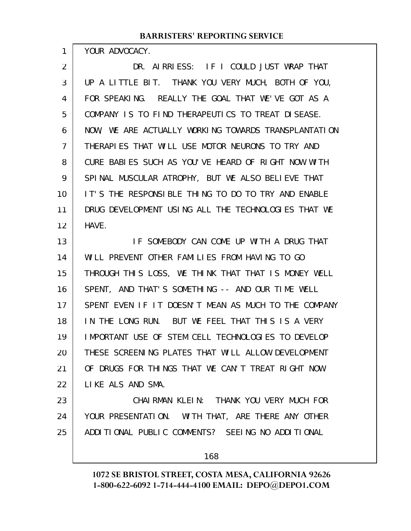YOUR ADVOCACY.

1

DR. AIRRIESS: IF I COULD JUST WRAP THAT UP A LITTLE BIT. THANK YOU VERY MUCH, BOTH OF YOU, FOR SPEAKING. REALLY THE GOAL THAT WE'VE GOT AS A COMPANY IS TO FIND THERAPEUTICS TO TREAT DISEASE. NOW, WE ARE ACTUALLY WORKING TOWARDS TRANSPLANTATION THERAPIES THAT WILL USE MOTOR NEURONS TO TRY AND CURE BABIES SUCH AS YOU'VE HEARD OF RIGHT NOW WITH SPINAL MUSCULAR ATROPHY, BUT WE ALSO BELIEVE THAT IT'S THE RESPONSIBLE THING TO DO TO TRY AND ENABLE DRUG DEVELOPMENT USING ALL THE TECHNOLOGIES THAT WE HAVE. 2 3 4 5 6 7 8 9 10 11 12

IF SOMEBODY CAN COME UP WITH A DRUG THAT WILL PREVENT OTHER FAMILIES FROM HAVING TO GO THROUGH THIS LOSS, WE THINK THAT THAT IS MONEY WELL SPENT, AND THAT'S SOMETHING -- AND OUR TIME WELL SPENT EVEN IF IT DOESN'T MEAN AS MUCH TO THE COMPANY IN THE LONG RUN. BUT WE FEEL THAT THIS IS A VERY IMPORTANT USE OF STEM CELL TECHNOLOGIES TO DEVELOP THESE SCREENING PLATES THAT WILL ALLOW DEVELOPMENT OF DRUGS FOR THINGS THAT WE CAN'T TREAT RIGHT NOW LIKE ALS AND SMA. 13 14 15 16 17 18 19 20 21 22

CHAIRMAN KLEIN: THANK YOU VERY MUCH FOR YOUR PRESENTATION. WITH THAT, ARE THERE ANY OTHER ADDITIONAL PUBLIC COMMENTS? SEEING NO ADDITIONAL 23 24 25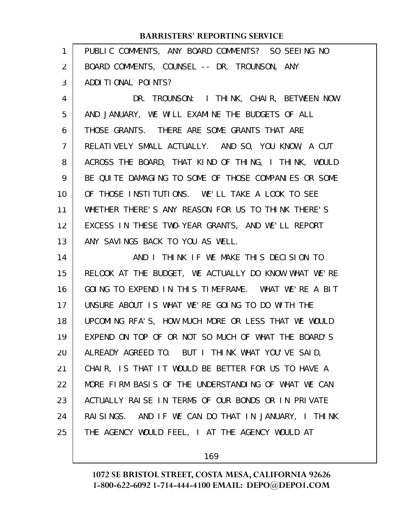| 1              | PUBLIC COMMENTS, ANY BOARD COMMENTS? SO SEEING NO    |
|----------------|------------------------------------------------------|
| $\overline{2}$ | BOARD COMMENTS, COUNSEL -- DR. TROUNSON, ANY         |
| 3              | ADDITIONAL POINTS?                                   |
| 4              | DR. TROUNSON: I THINK, CHAIR, BETWEEN NOW            |
| 5              | AND JANUARY, WE WILL EXAMINE THE BUDGETS OF ALL      |
| 6              | THOSE GRANTS. THERE ARE SOME GRANTS THAT ARE         |
| $\overline{7}$ | RELATIVELY SMALL ACTUALLY. AND SO, YOU KNOW, A CUT   |
| 8              | ACROSS THE BOARD, THAT KIND OF THING, I THINK, WOULD |
| 9              | BE QUITE DAMAGING TO SOME OF THOSE COMPANIES OR SOME |
| 10             | OF THOSE INSTITUTIONS. WE'LL TAKE A LOOK TO SEE      |
| 11             | WHETHER THERE'S ANY REASON FOR US TO THINK THERE'S   |
| 12             | EXCESS IN THESE TWO-YEAR GRANTS, AND WE'LL REPORT    |
| 13             | ANY SAVINGS BACK TO YOU AS WELL.                     |
| 14             | AND I THINK IF WE MAKE THIS DECISION TO              |
| 15             | RELOOK AT THE BUDGET, WE ACTUALLY DO KNOW WHAT WE'RE |
|                |                                                      |
| 16             | GOING TO EXPEND IN THIS TIMEFRAME. WHAT WE'RE A BIT  |
| 17             | UNSURE ABOUT IS WHAT WE'RE GOING TO DO WITH THE      |
| 18             | UPCOMING RFA'S, HOW MUCH MORE OR LESS THAT WE WOULD  |
| 19             | EXPEND ON TOP OF OR NOT SO MUCH OF WHAT THE BOARD'S  |
| 20             | ALREADY AGREED TO. BUT I THINK WHAT YOU'VE SAID,     |
| 21             | CHAIR, IS THAT IT WOULD BE BETTER FOR US TO HAVE A   |
| 22             | MORE FIRM BASIS OF THE UNDERSTANDING OF WHAT WE CAN  |
| 23             | ACTUALLY RAISE IN TERMS OF OUR BONDS OR IN PRIVATE   |
| 24             | RAISINGS. AND IF WE CAN DO THAT IN JANUARY, I THINK  |
| 25             | THE AGENCY WOULD FEEL, I AT THE AGENCY WOULD AT      |

169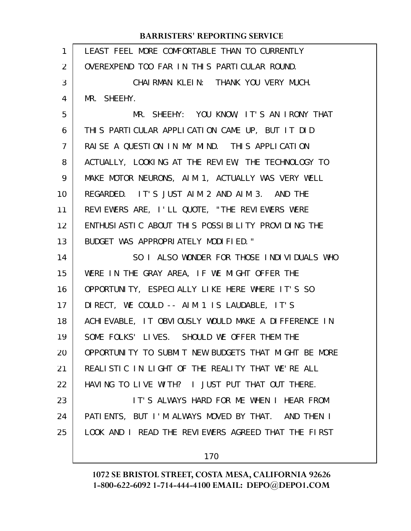| 1              | LEAST FEEL MORE COMFORTABLE THAN TO CURRENTLY        |
|----------------|------------------------------------------------------|
| 2              | OVEREXPEND TOO FAR IN THIS PARTICULAR ROUND.         |
| 3              | CHAIRMAN KLEIN: THANK YOU VERY MUCH.                 |
| 4              | MR. SHEEHY.                                          |
| 5              | MR. SHEEHY: YOU KNOW, IT'S AN IRONY THAT             |
| 6              | THIS PARTICULAR APPLICATION CAME UP, BUT IT DID      |
| $\overline{7}$ | RAISE A QUESTION IN MY MIND. THIS APPLICATION        |
| 8              | ACTUALLY, LOOKING AT THE REVIEW, THE TECHNOLOGY TO   |
| 9              | MAKE MOTOR NEURONS, AIM 1, ACTUALLY WAS VERY WELL    |
| 10             | REGARDED. IT'S JUST AIM 2 AND AIM 3. AND THE         |
| 11             | REVIEWERS ARE, I'LL QUOTE, "THE REVIEWERS WERE       |
| 12             | ENTHUSIASTIC ABOUT THIS POSSIBILITY PROVIDING THE    |
| 13             | BUDGET WAS APPROPRIATELY MODIFIED."                  |
| 14             | SO I ALSO WONDER FOR THOSE INDIVIDUALS WHO           |
| 15             | WERE IN THE GRAY AREA, IF WE MIGHT OFFER THE         |
| 16             | OPPORTUNITY, ESPECIALLY LIKE HERE WHERE IT'S SO      |
| 17             | DIRECT, WE COULD -- AIM 1 IS LAUDABLE, IT'S          |
| 18             | ACHIEVABLE, IT OBVIOUSLY WOULD MAKE A DIFFERENCE IN  |
| 19             | SOME FOLKS' LIVES. SHOULD WE OFFER THEM THE          |
| 20             | OPPORTUNITY TO SUBMIT NEW BUDGETS THAT MIGHT BE MORE |
| 21             | REALISTIC IN LIGHT OF THE REALITY THAT WE'RE ALL     |
| 22             | HAVING TO LIVE WITH? I JUST PUT THAT OUT THERE.      |
| 23             | IT'S ALWAYS HARD FOR ME WHEN I HEAR FROM             |
| 24             | PATIENTS, BUT I'M ALWAYS MOVED BY THAT. AND THEN I   |
| 25             | LOOK AND I READ THE REVIEWERS AGREED THAT THE FIRST  |
|                | 170                                                  |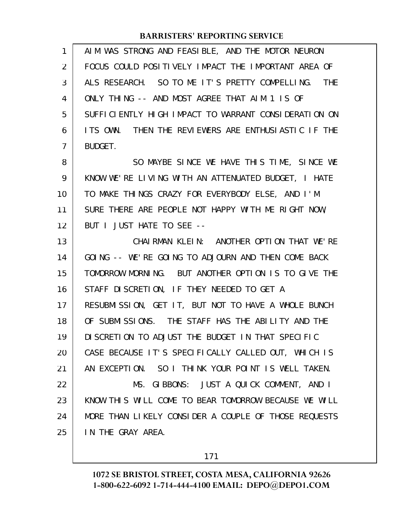| 1  | AIM WAS STRONG AND FEASIBLE, AND THE MOTOR NEURON    |
|----|------------------------------------------------------|
| 2  | FOCUS COULD POSITIVELY IMPACT THE IMPORTANT AREA OF  |
| 3  | ALS RESEARCH. SO TO ME IT'S PRETTY COMPELLING. THE   |
| 4  | ONLY THING -- AND MOST AGREE THAT AIM 1 IS OF        |
| 5  | SUFFICIENTLY HIGH IMPACT TO WARRANT CONSIDERATION ON |
| 6  | ITS OWN. THEN THE REVIEWERS ARE ENTHUSIASTIC IF THE  |
| 7  | BUDGET.                                              |
| 8  | SO MAYBE SINCE WE HAVE THIS TIME, SINCE WE           |
| 9  | KNOW WE'RE LIVING WITH AN ATTENUATED BUDGET, I HATE  |
| 10 | TO MAKE THINGS CRAZY FOR EVERYBODY ELSE, AND I'M     |
| 11 | SURE THERE ARE PEOPLE NOT HAPPY WITH ME RIGHT NOW,   |
| 12 | BUT I JUST HATE TO SEE --                            |
| 13 | CHAIRMAN KLEIN: ANOTHER OPTION THAT WE'RE            |
| 14 | GOING -- WE'RE GOING TO ADJOURN AND THEN COME BACK   |
| 15 | TOMORROW MORNING. BUT ANOTHER OPTION IS TO GIVE THE  |
| 16 | STAFF DISCRETION, IF THEY NEEDED TO GET A            |
| 17 | RESUBMISSION, GET IT, BUT NOT TO HAVE A WHOLE BUNCH  |
| 18 | OF SUBMISSIONS. THE STAFF HAS THE ABILITY AND THE    |
| 19 | DI SCRETION TO ADJUST THE BUDGET IN THAT SPECIFIC    |
| 20 | CASE BECAUSE IT'S SPECIFICALLY CALLED OUT, WHICH IS  |
| 21 | AN EXCEPTION. SO I THINK YOUR POINT IS WELL TAKEN.   |
| 22 | MS. GIBBONS: JUST A QUICK COMMENT, AND I             |
| 23 | KNOW THIS WILL COME TO BEAR TOMORROW BECAUSE WE WILL |
| 24 | MORE THAN LIKELY CONSIDER A COUPLE OF THOSE REQUESTS |
| 25 | IN THE GRAY AREA.                                    |

171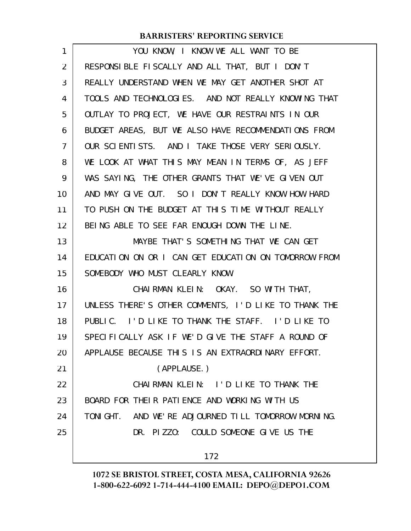| 1              | YOU KNOW, I KNOW WE ALL WANT TO BE                   |
|----------------|------------------------------------------------------|
| $\overline{2}$ | RESPONSIBLE FISCALLY AND ALL THAT, BUT I DON'T       |
| 3              | REALLY UNDERSTAND WHEN WE MAY GET ANOTHER SHOT AT    |
| 4              | TOOLS AND TECHNOLOGIES. AND NOT REALLY KNOWING THAT  |
| 5              | OUTLAY TO PROJECT, WE HAVE OUR RESTRAINTS IN OUR     |
| 6              | BUDGET AREAS, BUT WE ALSO HAVE RECOMMENDATIONS FROM  |
| $\overline{7}$ | OUR SCIENTISTS. AND I TAKE THOSE VERY SERIOUSLY.     |
| 8              | WE LOOK AT WHAT THIS MAY MEAN IN TERMS OF, AS JEFF   |
| 9              | WAS SAYING, THE OTHER GRANTS THAT WE'VE GIVEN OUT    |
| 10             | AND MAY GIVE OUT. SO I DON'T REALLY KNOW HOW HARD    |
| 11             | TO PUSH ON THE BUDGET AT THIS TIME WITHOUT REALLY    |
| 12             | BEING ABLE TO SEE FAR ENOUGH DOWN THE LINE.          |
| 13             | MAYBE THAT'S SOMETHING THAT WE CAN GET               |
| 14             | EDUCATION ON OR I CAN GET EDUCATION ON TOMORROW FROM |
| 15             | SOMEBODY WHO MUST CLEARLY KNOW.                      |
| 16             | CHAIRMAN KLEIN: OKAY. SO WITH THAT,                  |
| 17             | UNLESS THERE'S OTHER COMMENTS, I'D LIKE TO THANK THE |
| 18             | PUBLIC. I'D LIKE TO THANK THE STAFF. I'D LIKE TO     |
| 19             | SPECIFICALLY ASK IF WE'D GIVE THE STAFF A ROUND OF   |
| 20             | APPLAUSE BECAUSE THIS IS AN EXTRAORDINARY EFFORT.    |
| 21             | (APPLAUSE.)                                          |
| 22             | CHAIRMAN KLEIN: I'D LIKE TO THANK THE                |
| 23             | BOARD FOR THEIR PATIENCE AND WORKING WITH US         |
| 24             | TONIGHT. AND WE'RE ADJOURNED TILL TOMORROW MORNING.  |
| 25             | DR. PIZZO: COULD SOMEONE GIVE US THE                 |
|                | 172                                                  |
|                |                                                      |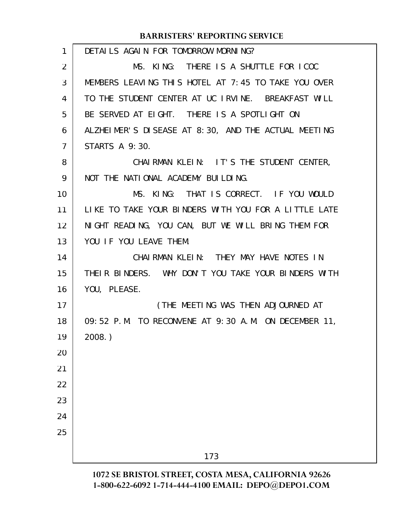| MS. KING: THERE IS A SHUTTLE FOR ICOC<br>2<br>3<br>MEMBERS LEAVING THIS HOTEL AT 7:45 TO TAKE YOU OVER<br>TO THE STUDENT CENTER AT UC IRVINE. BREAKFAST WILL<br>4<br>BE SERVED AT EIGHT. THERE IS A SPOTLIGHT ON<br>5<br>ALZHEIMER'S DISEASE AT 8:30, AND THE ACTUAL MEETING<br>6 |  |
|-----------------------------------------------------------------------------------------------------------------------------------------------------------------------------------------------------------------------------------------------------------------------------------|--|
|                                                                                                                                                                                                                                                                                   |  |
|                                                                                                                                                                                                                                                                                   |  |
|                                                                                                                                                                                                                                                                                   |  |
|                                                                                                                                                                                                                                                                                   |  |
|                                                                                                                                                                                                                                                                                   |  |
| <b>STARTS A 9:30.</b><br>7                                                                                                                                                                                                                                                        |  |
| CHAIRMAN KLEIN: IT'S THE STUDENT CENTER,<br>8                                                                                                                                                                                                                                     |  |
| NOT THE NATIONAL ACADEMY BUILDING.<br>9                                                                                                                                                                                                                                           |  |
| MS. KING: THAT IS CORRECT. IF YOU WOULD<br>10                                                                                                                                                                                                                                     |  |
| LIKE TO TAKE YOUR BINDERS WITH YOU FOR A LITTLE LATE<br>11                                                                                                                                                                                                                        |  |
| NIGHT READING, YOU CAN, BUT WE WILL BRING THEM FOR<br>12                                                                                                                                                                                                                          |  |
| YOU IF YOU LEAVE THEM.<br>13                                                                                                                                                                                                                                                      |  |
| CHAIRMAN KLEIN: THEY MAY HAVE NOTES IN<br>14                                                                                                                                                                                                                                      |  |
| 15<br>THEIR BINDERS. WHY DON'T YOU TAKE YOUR BINDERS WITH                                                                                                                                                                                                                         |  |
| YOU, PLEASE.<br>16                                                                                                                                                                                                                                                                |  |
| 17<br>(THE MEETING WAS THEN ADJOURNED AT                                                                                                                                                                                                                                          |  |
| 09:52 P.M. TO RECONVENE AT 9:30 A.M. ON DECEMBER 11,<br>18                                                                                                                                                                                                                        |  |
| 19<br>$2008.$ )                                                                                                                                                                                                                                                                   |  |
| 20                                                                                                                                                                                                                                                                                |  |
| 21                                                                                                                                                                                                                                                                                |  |
| 22                                                                                                                                                                                                                                                                                |  |
| 23                                                                                                                                                                                                                                                                                |  |
| 24                                                                                                                                                                                                                                                                                |  |
| 25                                                                                                                                                                                                                                                                                |  |
| 173                                                                                                                                                                                                                                                                               |  |